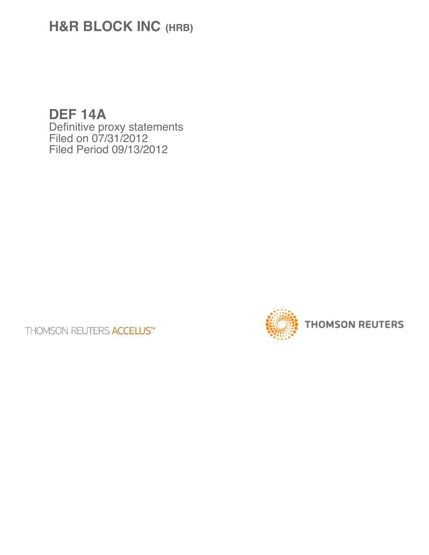# **H&R BLOCK INC (HRB)**

**DEF 14A** Definitive proxy statements Filed on 07/31/2012 Filed Period 09/13/2012

**THOMSON REUTERS ACCELUS™** 

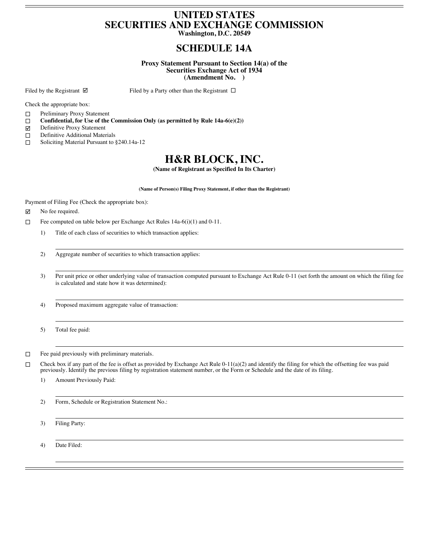## **UNITED STATES SECURITIES AND EXCHANGE COMMISSION**

**Washington, D.C. 20549**

## **SCHEDULE 14A**

**Proxy Statement Pursuant to Section 14(a) of the Securities Exchange Act of 1934 (Amendment No. )**

Filed by the Registrant  $\boxtimes$  Filed by a Party other than the Registrant  $\Box$ 

Check the appropriate box:

- □ Preliminary Proxy Statement
- **Confidential, for Use of the Commission Only (as permitted by Rule 14a-6(e)(2))**
- $\boxtimes$  Definitive Proxy Statement
- Definitive Additional Materials
- □ Soliciting Material Pursuant to §240.14a-12

## **H&R BLOCK, INC.**

**(Name of Registrant as Specified In Its Charter)**

**(Name of Person(s) Filing Proxy Statement, if other than the Registrant)**

Payment of Filing Fee (Check the appropriate box):

 $\boxtimes$  No fee required.

Fee computed on table below per Exchange Act Rules  $14a-6(i)(1)$  and  $0-11$ .

- 1) Title of each class of securities to which transaction applies:
- 2) Aggregate number of securities to which transaction applies:
- 3) Per unit price or other underlying value of transaction computed pursuant to Exchange Act Rule 0-11 (set forth the amount on which the filing fee is calculated and state how it was determined):

4) Proposed maximum aggregate value of transaction:

5) Total fee paid:

 $\Box$  Fee paid previously with preliminary materials.

Check box if any part of the fee is offset as provided by Exchange Act Rule 0-11(a)(2) and identify the filing for which the offsetting fee was paid previously. Identify the previous filing by registration statement number, or the Form or Schedule and the date of its filing.

1) Amount Previously Paid:

2) Form, Schedule or Registration Statement No.:

3) Filing Party:

4) Date Filed: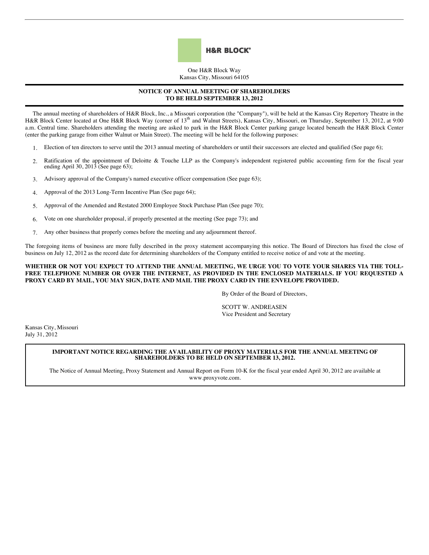

One H&R Block Way Kansas City, Missouri 64105

#### **NOTICE OF ANNUAL MEETING OF SHAREHOLDERS TO BE HELD SEPTEMBER 13, 2012**

The annual meeting of shareholders of H&R Block, Inc., a Missouri corporation (the "Company"), will be held at the Kansas City Repertory Theatre in the H&R Block Center located at One H&R Block Way (corner of 13<sup>th</sup> and Walnut Streets), Kansas City, Missouri, on Thursday, September 13, 2012, at 9:00 a.m. Central time. Shareholders attending the meeting are asked to park in the H&R Block Center parking garage located beneath the H&R Block Center (enter the parking garage from either Walnut or Main Street). The meeting will be held for the following purposes:

- 1. Election of ten directors to serve until the 2013 annual meeting of shareholders or until their successors are elected and qualified (See page 6);
- 2. Ratification of the appointment of Deloitte & Touche LLP as the Company's independent registered public accounting firm for the fiscal year ending April 30, 2013 (See page 63);
- 3. Advisory approval of the Company's named executive officer compensation (See page 63);
- 4. Approval of the 2013 Long-Term Incentive Plan (See page 64);
- 5. Approval of the Amended and Restated 2000 Employee Stock Purchase Plan (See page 70);
- 6. Vote on one shareholder proposal, if properly presented at the meeting (See page 73); and
- 7. Any other business that properly comes before the meeting and any adjournment thereof.

The foregoing items of business are more fully described in the proxy statement accompanying this notice. The Board of Directors has fixed the close of business on July 12, 2012 as the record date for determining shareholders of the Company entitled to receive notice of and vote at the meeting.

#### **WHETHER OR NOT YOU EXPECT TO ATTEND THE ANNUAL MEETING, WE URGE YOU TO VOTE YOUR SHARES VIA THE TOLL-FREE TELEPHONE NUMBER OR OVER THE INTERNET, AS PROVIDED IN THE ENCLOSED MATERIALS. IF YOU REQUESTED A PROXY CARD BY MAIL, YOU MAY SIGN, DATE AND MAIL THE PROXY CARD IN THE ENVELOPE PROVIDED.**

By Order of the Board of Directors,

SCOTT W. ANDREASEN Vice President and Secretary

Kansas City, Missouri July 31, 2012

#### **IMPORTANT NOTICE REGARDING THE AVAILABILITY OF PROXY MATERIALS FOR THE ANNUAL MEETING OF SHAREHOLDERS TO BE HELD ON SEPTEMBER 13, 2012.**

The Notice of Annual Meeting, Proxy Statement and Annual Report on Form 10-K for the fiscal year ended April 30, 2012 are available at www.proxyvote.com.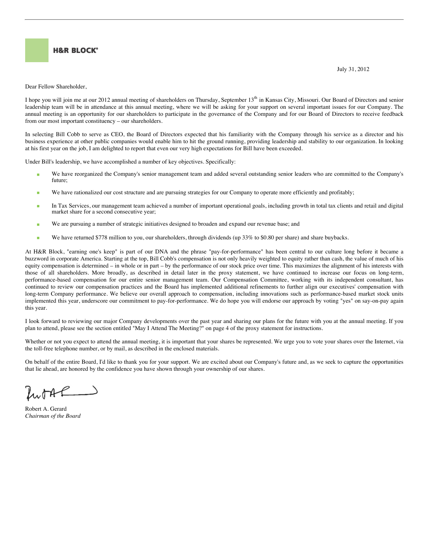

July 31, 2012

Dear Fellow Shareholder,

I hope you will join me at our 2012 annual meeting of shareholders on Thursday, September 13<sup>th</sup> in Kansas City, Missouri. Our Board of Directors and senior leadership team will be in attendance at this annual meeting, where we will be asking for your support on several important issues for our Company. The annual meeting is an opportunity for our shareholders to participate in the governance of the Company and for our Board of Directors to receive feedback from our most important constituency – our shareholders.

In selecting Bill Cobb to serve as CEO, the Board of Directors expected that his familiarity with the Company through his service as a director and his business experience at other public companies would enable him to hit the ground running, providing leadership and stability to our organization. In looking at his first year on the job, I am delighted to report that even our very high expectations for Bill have been exceeded.

Under Bill's leadership, we have accomplished a number of key objectives. Specifically:

- We have reorganized the Company's senior management team and added several outstanding senior leaders who are committed to the Company's future;
- We have rationalized our cost structure and are pursuing strategies for our Company to operate more efficiently and profitably;
- In Tax Services, our management team achieved a number of important operational goals, including growth in total tax clients and retail and digital market share for a second consecutive year;
- **We are pursuing a number of strategic initiatives designed to broaden and expand our revenue base; and**
- We have returned \$778 million to you, our shareholders, through dividends (up 33% to \$0.80 per share) and share buybacks.

At H&R Block, "earning one's keep" is part of our DNA and the phrase "pay-for-performance" has been central to our culture long before it became a buzzword in corporate America. Starting at the top, Bill Cobb's compensation is not only heavily weighted to equity rather than cash, the value of much of his equity compensation is determined – in whole or in part – by the performance of our stock price over time. This maximizes the alignment of his interests with those of all shareholders. More broadly, as described in detail later in the proxy statement, we have continued to increase our focus on long-term, performance-based compensation for our entire senior management team. Our Compensation Committee, working with its independent consultant, has continued to review our compensation practices and the Board has implemented additional refinements to further align our executives' compensation with long-term Company performance. We believe our overall approach to compensation, including innovations such as performance-based market stock units implemented this year, underscore our commitment to pay-for-performance. We do hope you will endorse our approach by voting "yes" on say-on-pay again this year.

I look forward to reviewing our major Company developments over the past year and sharing our plans for the future with you at the annual meeting. If you plan to attend, please see the section entitled "May I Attend The Meeting?" on page 4 of the proxy statement for instructions.

Whether or not you expect to attend the annual meeting, it is important that your shares be represented. We urge you to vote your shares over the Internet, via the toll-free telephone number, or by mail, as described in the enclosed materials.

On behalf of the entire Board, I'd like to thank you for your support. We are excited about our Company's future and, as we seek to capture the opportunities that lie ahead, are honored by the confidence you have shown through your ownership of our shares.

Inorde

Robert A. Gerard *Chairman of the Board*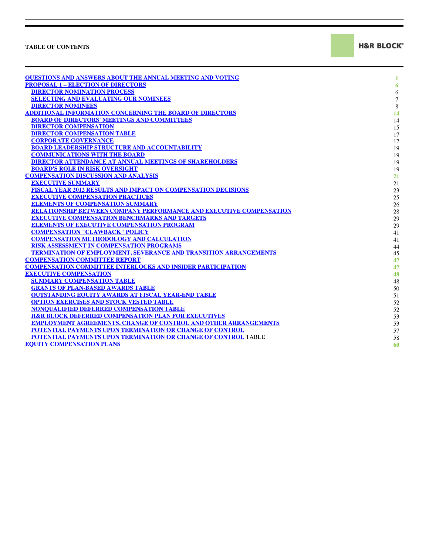### **TABLE OF CONTENTS**

**H&R BLOCK®** 

| <b>OUESTIONS AND ANSWERS ABOUT THE ANNUAL MEETING AND VOTING</b>           | 1              |
|----------------------------------------------------------------------------|----------------|
| <b>PROPOSAL 1 - ELECTION OF DIRECTORS</b>                                  | 6              |
| <b>DIRECTOR NOMINATION PROCESS</b>                                         | $\sqrt{6}$     |
| <b>SELECTING AND EVALUATING OUR NOMINEES</b>                               | $\overline{7}$ |
| <b>DIRECTOR NOMINEES</b>                                                   | $\,8\,$        |
| <b>ADDITIONAL INFORMATION CONCERNING THE BOARD OF DIRECTORS</b>            | 14             |
| <b>BOARD OF DIRECTORS' MEETINGS AND COMMITTEES</b>                         | 14             |
| <b>DIRECTOR COMPENSATION</b>                                               | 15             |
| <b>DIRECTOR COMPENSATION TABLE</b>                                         | 17             |
| <b>CORPORATE GOVERNANCE</b>                                                | 17             |
| <b>BOARD LEADERSHIP STRUCTURE AND ACCOUNTABILITY</b>                       | 19             |
| <b>COMMUNICATIONS WITH THE BOARD</b>                                       | 19             |
| DIRECTOR ATTENDANCE AT ANNUAL MEETINGS OF SHAREHOLDERS                     | 19             |
| <b>BOARD'S ROLE IN RISK OVERSIGHT</b>                                      | 19             |
| <b>COMPENSATION DISCUSSION AND ANALYSIS</b>                                | 21             |
| <b>EXECUTIVE SUMMARY</b>                                                   | 21             |
| FISCAL YEAR 2012 RESULTS AND IMPACT ON COMPENSATION DECISIONS              | 23             |
| <b>EXECUTIVE COMPENSATION PRACTICES</b>                                    | 25             |
| <b>ELEMENTS OF COMPENSATION SUMMARY</b>                                    | 26             |
| <b>RELATIONSHIP BETWEEN COMPANY PERFORMANCE AND EXECUTIVE COMPENSATION</b> | 28             |
| <b>EXECUTIVE COMPENSATION BENCHMARKS AND TARGETS</b>                       | 29             |
| <b>ELEMENTS OF EXECUTIVE COMPENSATION PROGRAM</b>                          | 29             |
| <b>COMPENSATION "CLAWBACK" POLICY</b>                                      | 41             |
| <b>COMPENSATION METHODOLOGY AND CALCULATION</b>                            | 41             |
| RISK ASSESSMENT IN COMPENSATION PROGRAMS                                   | 44             |
| <b>TERMINATION OF EMPLOYMENT, SEVERANCE AND TRANSITION ARRANGEMENTS</b>    | 45             |
| <b>COMPENSATION COMMITTEE REPORT</b>                                       | 47             |
| <b>COMPENSATION COMMITTEE INTERLOCKS AND INSIDER PARTICIPATION</b>         | 47             |
| <b>EXECUTIVE COMPENSATION</b>                                              | 48             |
| <b>SUMMARY COMPENSATION TABLE</b>                                          | 48             |
| <b>GRANTS OF PLAN-BASED AWARDS TABLE</b>                                   | 50             |
| <b>OUTSTANDING EQUITY AWARDS AT FISCAL YEAR-END TABLE</b>                  | 51             |
| <b>OPTION EXERCISES AND STOCK VESTED TABLE</b>                             | 52             |
| NONOUALIFIED DEFERRED COMPENSATION TABLE                                   | 52             |
| <b>H&amp;R BLOCK DEFERRED COMPENSATION PLAN FOR EXECUTIVES</b>             | 53             |
| <b>EMPLOYMENT AGREEMENTS, CHANGE OF CONTROL AND OTHER ARRANGEMENTS</b>     | 53             |
| POTENTIAL PAYMENTS UPON TERMINATION OR CHANGE OF CONTROL                   | 57             |
| POTENTIAL PAYMENTS UPON TERMINATION OR CHANGE OF CONTROL TABLE             | 58             |
| <b>EQUITY COMPENSATION PLANS</b>                                           | 60             |
|                                                                            |                |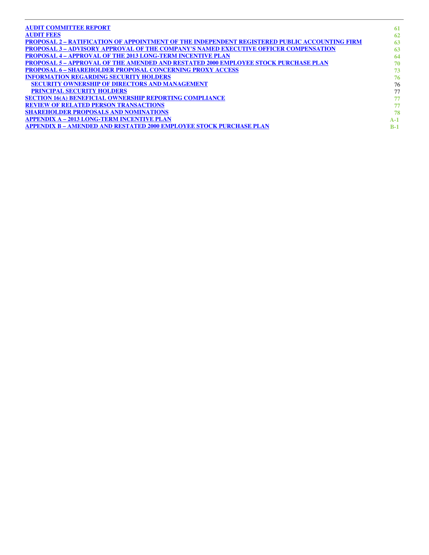| <b>AUDIT COMMITTEE REPORT</b>                                                                        | -61   |
|------------------------------------------------------------------------------------------------------|-------|
| <b>AUDIT FEES</b>                                                                                    | 62    |
| <b>PROPOSAL 2 – RATIFICATION OF APPOINTMENT OF THE INDEPENDENT REGISTERED PUBLIC ACCOUNTING FIRM</b> | 63    |
| <b>PROPOSAL 3 – ADVISORY APPROVAL OF THE COMPANY'S NAMED EXECUTIVE OFFICER COMPENSATION</b>          | 63    |
| <b>PROPOSAL 4 - APPROVAL OF THE 2013 LONG-TERM INCENTIVE PLAN</b>                                    | 64    |
| <b>PROPOSAL 5 – APPROVAL OF THE AMENDED AND RESTATED 2000 EMPLOYEE STOCK PURCHASE PLAN</b>           | 70    |
| <b>PROPOSAL 6 - SHAREHOLDER PROPOSAL CONCERNING PROXY ACCESS</b>                                     | 73    |
| <b>INFORMATION REGARDING SECURITY HOLDERS</b>                                                        | 76    |
| <b>SECURITY OWNERSHIP OF DIRECTORS AND MANAGEMENT</b>                                                | 76    |
| <b>PRINCIPAL SECURITY HOLDERS</b>                                                                    | 77    |
| <b>SECTION 16(A) BENEFICIAL OWNERSHIP REPORTING COMPLIANCE</b>                                       | 77    |
| <b>REVIEW OF RELATED PERSON TRANSACTIONS</b>                                                         | 77    |
| <b>SHAREHOLDER PROPOSALS AND NOMINATIONS</b>                                                         | 78    |
| <b>APPENDIX A - 2013 LONG-TERM INCENTIVE PLAN</b>                                                    | $A-1$ |
| <b>APPENDIX B - AMENDED AND RESTATED 2000 EMPLOYEE STOCK PURCHASE PLAN</b>                           | $B-1$ |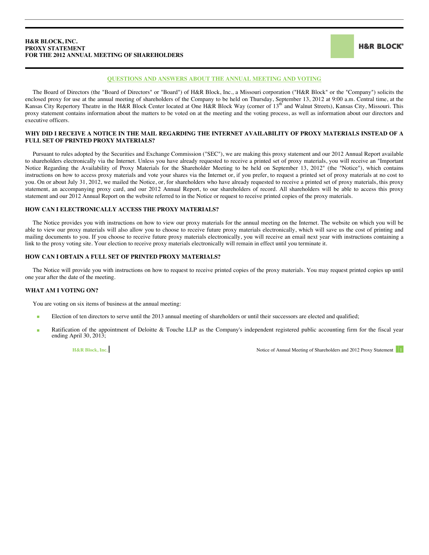#### <span id="page-6-0"></span>**H&R BLOCK, INC. PROXY STATEMENT FOR THE 2012 ANNUAL MEETING OF SHAREHOLDERS**

**H&R BLOCK®** 

#### **QUESTIONS AND ANSWERS ABOUT THE ANNUAL MEETING AND VOTING**

The Board of Directors (the "Board of Directors" or "Board") of H&R Block, Inc., a Missouri corporation ("H&R Block" or the "Company") solicits the enclosed proxy for use at the annual meeting of shareholders of the Company to be held on Thursday, September 13, 2012 at 9:00 a.m. Central time, at the Kansas City Repertory Theatre in the H&R Block Center located at One H&R Block Way (corner of 13<sup>th</sup> and Walnut Streets), Kansas City, Missouri. This proxy statement contains information about the matters to be voted on at the meeting and the voting process, as well as information about our directors and executive officers.

#### **WHY DID I RECEIVE A NOTICE IN THE MAIL REGARDING THE INTERNET AVAILABILITY OF PROXY MATERIALS INSTEAD OF A FULL SET OF PRINTED PROXY MATERIALS?**

Pursuant to rules adopted by the Securities and Exchange Commission ("SEC"), we are making this proxy statement and our 2012 Annual Report available to shareholders electronically via the Internet. Unless you have already requested to receive a printed set of proxy materials, you will receive an "Important Notice Regarding the Availability of Proxy Materials for the Shareholder Meeting to be held on September 13, 2012" (the "Notice"), which contains instructions on how to access proxy materials and vote your shares via the Internet or, if you prefer, to request a printed set of proxy materials at no cost to you. On or about July 31, 2012, we mailed the Notice, or, for shareholders who have already requested to receive a printed set of proxy materials, this proxy statement, an accompanying proxy card, and our 2012 Annual Report, to our shareholders of record. All shareholders will be able to access this proxy statement and our 2012 Annual Report on the website referred to in the Notice or request to receive printed copies of the proxy materials.

#### **HOW CAN I ELECTRONICALLY ACCESS THE PROXY MATERIALS?**

The Notice provides you with instructions on how to view our proxy materials for the annual meeting on the Internet. The website on which you will be able to view our proxy materials will also allow you to choose to receive future proxy materials electronically, which will save us the cost of printing and mailing documents to you. If you choose to receive future proxy materials electronically, you will receive an email next year with instructions containing a link to the proxy voting site. Your election to receive proxy materials electronically will remain in effect until you terminate it.

#### **HOW CAN I OBTAIN A FULL SET OF PRINTED PROXY MATERIALS?**

The Notice will provide you with instructions on how to request to receive printed copies of the proxy materials. You may request printed copies up until one year after the date of the meeting.

#### **WHAT AM I VOTING ON?**

You are voting on six items of business at the annual meeting:

- Election of ten directors to serve until the 2013 annual meeting of shareholders or until their successors are elected and qualified;
- Ratification of the appointment of Deloitte & Touche LLP as the Company's independent registered public accounting firm for the fiscal year ending April 30, 2013;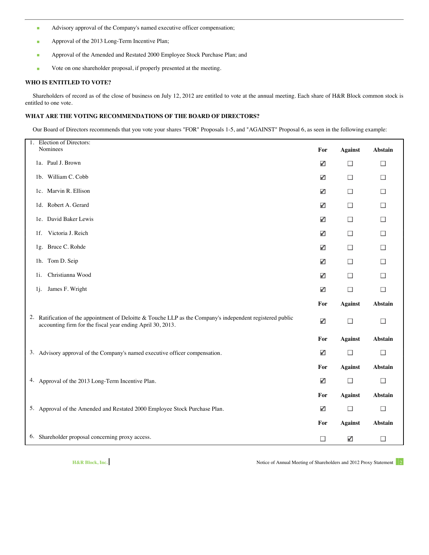- Advisory approval of the Company's named executive officer compensation;
- **Approval of the 2013 Long-Term Incentive Plan;**
- Approval of the Amended and Restated 2000 Employee Stock Purchase Plan; and
- Vote on one shareholder proposal, if properly presented at the meeting.

#### **WHO IS ENTITLED TO VOTE?**

Shareholders of record as of the close of business on July 12, 2012 are entitled to vote at the annual meeting. Each share of H&R Block common stock is entitled to one vote.

### **WHAT ARE THE VOTING RECOMMENDATIONS OF THE BOARD OF DIRECTORS?**

Our Board of Directors recommends that you vote your shares "FOR" Proposals 1-5, and "AGAINST" Proposal 6, as seen in the following example:

| Election of Directors:<br>1.<br>Nominees                                                                                                                                 | For    | <b>Against</b> | <b>Abstain</b> |
|--------------------------------------------------------------------------------------------------------------------------------------------------------------------------|--------|----------------|----------------|
| 1a. Paul J. Brown                                                                                                                                                        | ✓      | $\Box$         | $\Box$         |
| 1b. William C. Cobb                                                                                                                                                      | ✓      | $\Box$         | □              |
| 1c. Marvin R. Ellison                                                                                                                                                    | ✓      | $\Box$         | □              |
| 1d. Robert A. Gerard                                                                                                                                                     | ✓      | $\Box$         | $\Box$         |
| 1e. David Baker Lewis                                                                                                                                                    | ✓      | $\Box$         | □              |
| Victoria J. Reich<br>1f.                                                                                                                                                 | ✓      | $\Box$         | $\Box$         |
| 1g. Bruce C. Rohde                                                                                                                                                       | ✓      | $\Box$         | □              |
| 1h. Tom D. Seip                                                                                                                                                          | ✓      | □              | $\Box$         |
| Christianna Wood<br>1i.                                                                                                                                                  | ✓      | □              | □              |
| James F. Wright<br>1j.                                                                                                                                                   | ✓      | $\Box$         | $\Box$         |
|                                                                                                                                                                          | For    | <b>Against</b> | Abstain        |
| 2. Ratification of the appointment of Deloitte & Touche LLP as the Company's independent registered public<br>accounting firm for the fiscal year ending April 30, 2013. | ✓      | $\Box$         | $\Box$         |
|                                                                                                                                                                          | For    | <b>Against</b> | Abstain        |
| 3. Advisory approval of the Company's named executive officer compensation.                                                                                              | ✓      | $\Box$         | $\Box$         |
|                                                                                                                                                                          | For    | <b>Against</b> | <b>Abstain</b> |
| 4. Approval of the 2013 Long-Term Incentive Plan.                                                                                                                        | ✓      | $\Box$         | $\Box$         |
|                                                                                                                                                                          | For    | <b>Against</b> | <b>Abstain</b> |
| 5. Approval of the Amended and Restated 2000 Employee Stock Purchase Plan.                                                                                               | ✓      | $\Box$         | $\Box$         |
|                                                                                                                                                                          | For    | <b>Against</b> | <b>Abstain</b> |
| 6. Shareholder proposal concerning proxy access.                                                                                                                         | $\Box$ | ✓              | $\Box$         |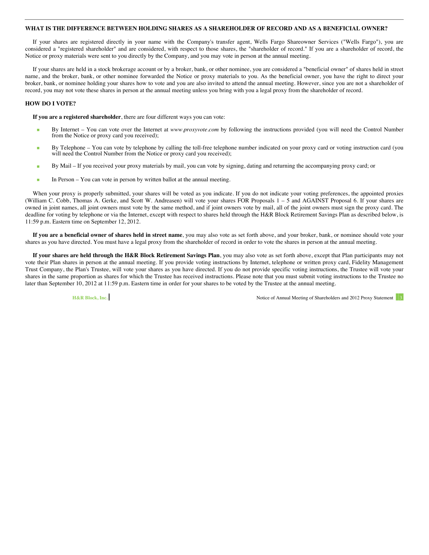#### **WHAT IS THE DIFFERENCE BETWEEN HOLDING SHARES AS A SHAREHOLDER OF RECORD AND AS A BENEFICIAL OWNER?**

If your shares are registered directly in your name with the Company's transfer agent, Wells Fargo Shareowner Services ("Wells Fargo"), you are considered a "registered shareholder" and are considered, with respect to those shares, the "shareholder of record." If you are a shareholder of record, the Notice or proxy materials were sent to you directly by the Company, and you may vote in person at the annual meeting.

If your shares are held in a stock brokerage account or by a broker, bank, or other nominee, you are considered a "beneficial owner" of shares held in street name, and the broker, bank, or other nominee forwarded the Notice or proxy materials to you. As the beneficial owner, you have the right to direct your broker, bank, or nominee holding your shares how to vote and you are also invited to attend the annual meeting. However, since you are not a shareholder of record, you may not vote these shares in person at the annual meeting unless you bring with you a legal proxy from the shareholder of record.

#### **HOW DO I VOTE?**

**If you are a registered shareholder**, there are four different ways you can vote:

- By Internet You can vote over the Internet at *www.proxyvote.com* by following the instructions provided (you will need the Control Number from the Notice or proxy card you received);
- By Telephone You can vote by telephone by calling the toll-free telephone number indicated on your proxy card or voting instruction card (you will need the Control Number from the Notice or proxy card you received);
- By Mail If you received your proxy materials by mail, you can vote by signing, dating and returning the accompanying proxy card; or
- In Person You can vote in person by written ballot at the annual meeting.

When your proxy is properly submitted, your shares will be voted as you indicate. If you do not indicate your voting preferences, the appointed proxies (William C. Cobb, Thomas A. Gerke, and Scott W. Andreasen) will vote your shares FOR Proposals 1 – 5 and AGAINST Proposal 6. If your shares are owned in joint names, all joint owners must vote by the same method, and if joint owners vote by mail, all of the joint owners must sign the proxy card. The deadline for voting by telephone or via the Internet, except with respect to shares held through the H&R Block Retirement Savings Plan as described below, is 11:59 p.m. Eastern time on September 12, 2012.

**If you are a beneficial owner of shares held in street name**, you may also vote as set forth above, and your broker, bank, or nominee should vote your shares as you have directed. You must have a legal proxy from the shareholder of record in order to vote the shares in person at the annual meeting.

**If your shares are held through the H&R Block Retirement Savings Plan**, you may also vote as set forth above, except that Plan participants may not vote their Plan shares in person at the annual meeting. If you provide voting instructions by Internet, telephone or written proxy card, Fidelity Management Trust Company, the Plan's Trustee, will vote your shares as you have directed. If you do not provide specific voting instructions, the Trustee will vote your shares in the same proportion as shares for which the Trustee has received instructions. Please note that you must submit voting instructions to the Trustee no later than September 10, 2012 at 11:59 p.m. Eastern time in order for your shares to be voted by the Trustee at the annual meeting.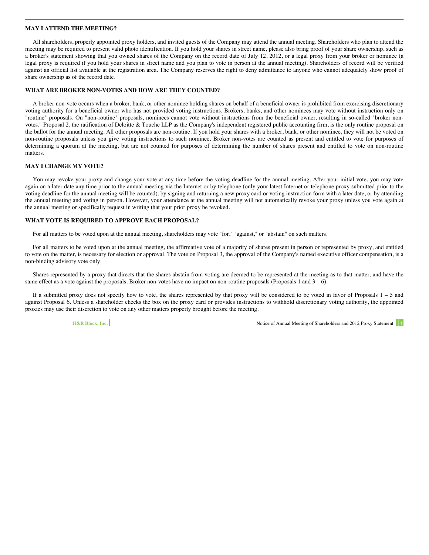#### **MAY I ATTEND THE MEETING?**

All shareholders, properly appointed proxy holders, and invited guests of the Company may attend the annual meeting. Shareholders who plan to attend the meeting may be required to present valid photo identification. If you hold your shares in street name, please also bring proof of your share ownership, such as a broker's statement showing that you owned shares of the Company on the record date of July 12, 2012, or a legal proxy from your broker or nominee (a legal proxy is required if you hold your shares in street name and you plan to vote in person at the annual meeting). Shareholders of record will be verified against an official list available at the registration area. The Company reserves the right to deny admittance to anyone who cannot adequately show proof of share ownership as of the record date.

#### **WHAT ARE BROKER NON-VOTES AND HOW ARE THEY COUNTED?**

A broker non-vote occurs when a broker, bank, or other nominee holding shares on behalf of a beneficial owner is prohibited from exercising discretionary voting authority for a beneficial owner who has not provided voting instructions. Brokers, banks, and other nominees may vote without instruction only on "routine" proposals. On "non-routine" proposals, nominees cannot vote without instructions from the beneficial owner, resulting in so-called "broker nonvotes." Proposal 2, the ratification of Deloitte & Touche LLP as the Company's independent registered public accounting firm, is the only routine proposal on the ballot for the annual meeting. All other proposals are non-routine. If you hold your shares with a broker, bank, or other nominee, they will not be voted on non-routine proposals unless you give voting instructions to such nominee. Broker non-votes are counted as present and entitled to vote for purposes of determining a quorum at the meeting, but are not counted for purposes of determining the number of shares present and entitled to vote on non-routine matters.

#### **MAY I CHANGE MY VOTE?**

You may revoke your proxy and change your vote at any time before the voting deadline for the annual meeting. After your initial vote, you may vote again on a later date any time prior to the annual meeting via the Internet or by telephone (only your latest Internet or telephone proxy submitted prior to the voting deadline for the annual meeting will be counted), by signing and returning a new proxy card or voting instruction form with a later date, or by attending the annual meeting and voting in person. However, your attendance at the annual meeting will not automatically revoke your proxy unless you vote again at the annual meeting or specifically request in writing that your prior proxy be revoked.

#### **WHAT VOTE IS REQUIRED TO APPROVE EACH PROPOSAL?**

For all matters to be voted upon at the annual meeting, shareholders may vote "for," "against," or "abstain" on such matters.

For all matters to be voted upon at the annual meeting, the affirmative vote of a majority of shares present in person or represented by proxy, and entitled to vote on the matter, is necessary for election or approval. The vote on Proposal 3, the approval of the Company's named executive officer compensation, is a non-binding advisory vote only.

Shares represented by a proxy that directs that the shares abstain from voting are deemed to be represented at the meeting as to that matter, and have the same effect as a vote against the proposals. Broker non-votes have no impact on non-routine proposals (Proposals 1 and  $3 - 6$ ).

If a submitted proxy does not specify how to vote, the shares represented by that proxy will be considered to be voted in favor of Proposals  $1 - 5$  and against Proposal 6. Unless a shareholder checks the box on the proxy card or provides instructions to withhold discretionary voting authority, the appointed proxies may use their discretion to vote on any other matters properly brought before the meeting.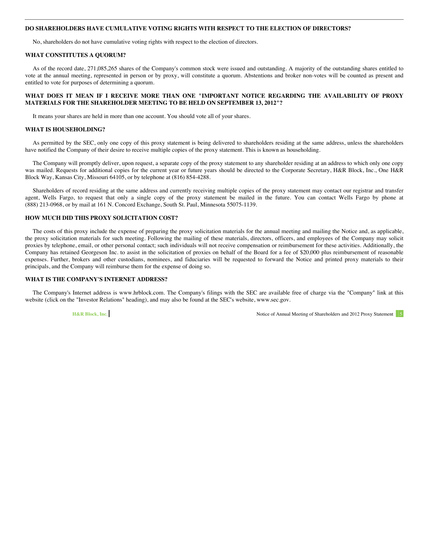#### **DO SHAREHOLDERS HAVE CUMULATIVE VOTING RIGHTS WITH RESPECT TO THE ELECTION OF DIRECTORS?**

No, shareholders do not have cumulative voting rights with respect to the election of directors.

#### **WHAT CONSTITUTES A QUORUM?**

As of the record date, 271,085,265 shares of the Company's common stock were issued and outstanding. A majority of the outstanding shares entitled to vote at the annual meeting, represented in person or by proxy, will constitute a quorum. Abstentions and broker non-votes will be counted as present and entitled to vote for purposes of determining a quorum.

#### **WHAT DOES IT MEAN IF I RECEIVE MORE THAN ONE "IMPORTANT NOTICE REGARDING THE AVAILABILITY OF PROXY MATERIALS FOR THE SHAREHOLDER MEETING TO BE HELD ON SEPTEMBER 13, 2012"?**

It means your shares are held in more than one account. You should vote all of your shares.

#### **WHAT IS HOUSEHOLDING?**

As permitted by the SEC, only one copy of this proxy statement is being delivered to shareholders residing at the same address, unless the shareholders have notified the Company of their desire to receive multiple copies of the proxy statement. This is known as householding.

The Company will promptly deliver, upon request, a separate copy of the proxy statement to any shareholder residing at an address to which only one copy was mailed. Requests for additional copies for the current year or future years should be directed to the Corporate Secretary, H&R Block, Inc., One H&R Block Way, Kansas City, Missouri 64105, or by telephone at (816) 854-4288.

Shareholders of record residing at the same address and currently receiving multiple copies of the proxy statement may contact our registrar and transfer agent, Wells Fargo, to request that only a single copy of the proxy statement be mailed in the future. You can contact Wells Fargo by phone at (888) 213-0968, or by mail at 161 N. Concord Exchange, South St. Paul, Minnesota 55075-1139.

#### **HOW MUCH DID THIS PROXY SOLICITATION COST?**

The costs of this proxy include the expense of preparing the proxy solicitation materials for the annual meeting and mailing the Notice and, as applicable, the proxy solicitation materials for such meeting. Following the mailing of these materials, directors, officers, and employees of the Company may solicit proxies by telephone, email, or other personal contact; such individuals will not receive compensation or reimbursement for these activities. Additionally, the Company has retained Georgeson Inc. to assist in the solicitation of proxies on behalf of the Board for a fee of \$20,000 plus reimbursement of reasonable expenses. Further, brokers and other custodians, nominees, and fiduciaries will be requested to forward the Notice and printed proxy materials to their principals, and the Company will reimburse them for the expense of doing so.

#### **WHAT IS THE COMPANY'S INTERNET ADDRESS?**

The Company's Internet address is www.hrblock.com. The Company's filings with the SEC are available free of charge via the "Company" link at this website (click on the "Investor Relations" heading), and may also be found at the SEC's website, www.sec.gov.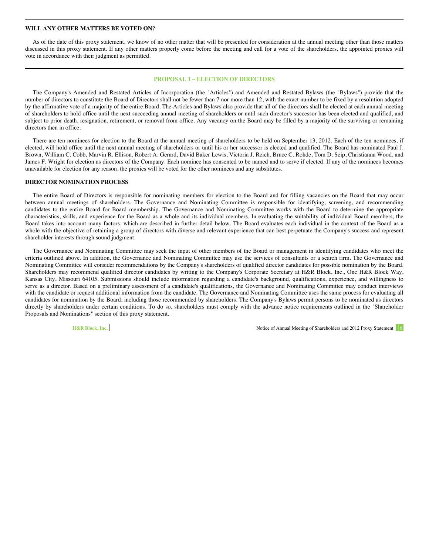#### <span id="page-11-0"></span>**WILL ANY OTHER MATTERS BE VOTED ON?**

As of the date of this proxy statement, we know of no other matter that will be presented for consideration at the annual meeting other than those matters discussed in this proxy statement. If any other matters properly come before the meeting and call for a vote of the shareholders, the appointed proxies will vote in accordance with their judgment as permitted.

#### **PROPOSAL 1 – ELECTION OF DIRECTORS**

The Company's Amended and Restated Articles of Incorporation (the "Articles") and Amended and Restated Bylaws (the "Bylaws") provide that the number of directors to constitute the Board of Directors shall not be fewer than 7 nor more than 12, with the exact number to be fixed by a resolution adopted by the affirmative vote of a majority of the entire Board. The Articles and Bylaws also provide that all of the directors shall be elected at each annual meeting of shareholders to hold office until the next succeeding annual meeting of shareholders or until such director's successor has been elected and qualified, and subject to prior death, resignation, retirement, or removal from office. Any vacancy on the Board may be filled by a majority of the surviving or remaining directors then in office.

There are ten nominees for election to the Board at the annual meeting of shareholders to be held on September 13, 2012. Each of the ten nominees, if elected, will hold office until the next annual meeting of shareholders or until his or her successor is elected and qualified. The Board has nominated Paul J. Brown, William C. Cobb, Marvin R. Ellison, Robert A. Gerard, David Baker Lewis, Victoria J. Reich, Bruce C. Rohde, Tom D. Seip, Christianna Wood, and James F. Wright for election as directors of the Company. Each nominee has consented to be named and to serve if elected. If any of the nominees becomes unavailable for election for any reason, the proxies will be voted for the other nominees and any substitutes.

#### **DIRECTOR NOMINATION PROCESS**

The entire Board of Directors is responsible for nominating members for election to the Board and for filling vacancies on the Board that may occur between annual meetings of shareholders. The Governance and Nominating Committee is responsible for identifying, screening, and recommending candidates to the entire Board for Board membership. The Governance and Nominating Committee works with the Board to determine the appropriate characteristics, skills, and experience for the Board as a whole and its individual members. In evaluating the suitability of individual Board members, the Board takes into account many factors, which are described in further detail below. The Board evaluates each individual in the context of the Board as a whole with the objective of retaining a group of directors with diverse and relevant experience that can best perpetuate the Company's success and represent shareholder interests through sound judgment.

The Governance and Nominating Committee may seek the input of other members of the Board or management in identifying candidates who meet the criteria outlined above. In addition, the Governance and Nominating Committee may use the services of consultants or a search firm. The Governance and Nominating Committee will consider recommendations by the Company's shareholders of qualified director candidates for possible nomination by the Board. Shareholders may recommend qualified director candidates by writing to the Company's Corporate Secretary at H&R Block, Inc., One H&R Block Way, Kansas City, Missouri 64105. Submissions should include information regarding a candidate's background, qualifications, experience, and willingness to serve as a director. Based on a preliminary assessment of a candidate's qualifications, the Governance and Nominating Committee may conduct interviews with the candidate or request additional information from the candidate. The Governance and Nominating Committee uses the same process for evaluating all candidates for nomination by the Board, including those recommended by shareholders. The Company's Bylaws permit persons to be nominated as directors directly by shareholders under certain conditions. To do so, shareholders must comply with the advance notice requirements outlined in the "Shareholder Proposals and Nominations" section of this proxy statement.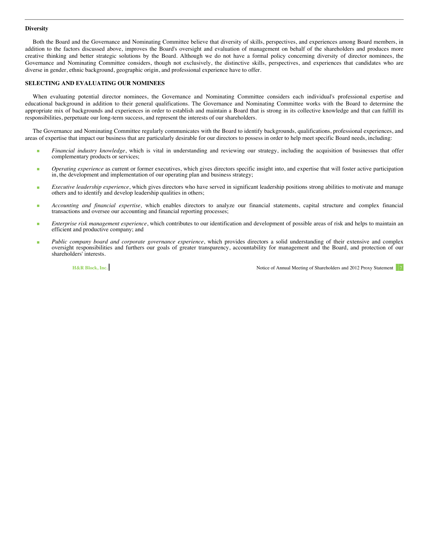#### <span id="page-12-0"></span>**Diversity**

Both the Board and the Governance and Nominating Committee believe that diversity of skills, perspectives, and experiences among Board members, in addition to the factors discussed above, improves the Board's oversight and evaluation of management on behalf of the shareholders and produces more creative thinking and better strategic solutions by the Board. Although we do not have a formal policy concerning diversity of director nominees, the Governance and Nominating Committee considers, though not exclusively, the distinctive skills, perspectives, and experiences that candidates who are diverse in gender, ethnic background, geographic origin, and professional experience have to offer.

#### **SELECTING AND EVALUATING OUR NOMINEES**

When evaluating potential director nominees, the Governance and Nominating Committee considers each individual's professional expertise and educational background in addition to their general qualifications. The Governance and Nominating Committee works with the Board to determine the appropriate mix of backgrounds and experiences in order to establish and maintain a Board that is strong in its collective knowledge and that can fulfill its responsibilities, perpetuate our long-term success, and represent the interests of our shareholders.

The Governance and Nominating Committee regularly communicates with the Board to identify backgrounds, qualifications, professional experiences, and areas of expertise that impact our business that are particularly desirable for our directors to possess in order to help meet specific Board needs, including:

- **Financial industry knowledge**, which is vital in understanding and reviewing our strategy, including the acquisition of businesses that offer complementary products or services;
- *Operating experience* as current or former executives, which gives directors specific insight into, and expertise that will foster active participation in, the development and implementation of our operating plan and business strategy;
- *Executive leadership experience*, which gives directors who have served in significant leadership positions strong abilities to motivate and manage others and to identify and develop leadership qualities in others;
- *Accounting and financial expertise*, which enables directors to analyze our financial statements, capital structure and complex financial transactions and oversee our accounting and financial reporting processes;
- *Enterprise risk management experience*, which contributes to our identification and development of possible areas of risk and helps to maintain an efficient and productive company; and
- *Public company board and corporate governance experience*, which provides directors a solid understanding of their extensive and complex oversight responsibilities and furthers our goals of greater transparency, accountability for management and the Board, and protection of our shareholders' interests.

**H&R Block, Inc. Notice of Annual Meeting of Shareholders and 2012 Proxy Statement 7 and 2012 Proxy Statement 7 and 2012 Proxy Statement 7 and 2012 Proxy Statement 7 and 2012 Proxy Statement 7 and 2012 Proxy Statement 7**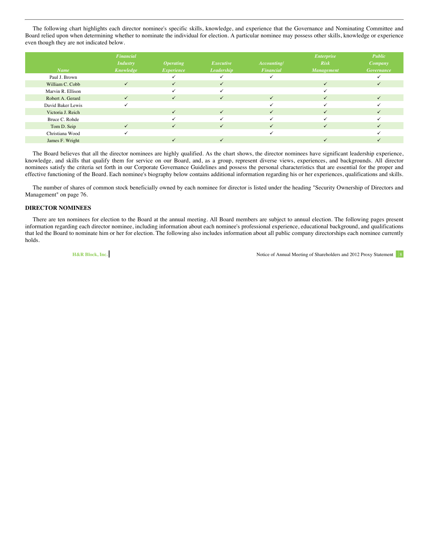<span id="page-13-0"></span>The following chart highlights each director nominee's specific skills, knowledge, and experience that the Governance and Nominating Committee and Board relied upon when determining whether to nominate the individual for election. A particular nominee may possess other skills, knowledge or experience even though they are not indicated below.

|                   | Financial       |                  |                   |              | <b>Enterprise</b> | Public            |
|-------------------|-----------------|------------------|-------------------|--------------|-------------------|-------------------|
|                   | <b>Industry</b> | <b>Operating</b> | Executive         | Accounting/  | <b>Risk</b>       | <b>Company</b>    |
| <b>Name</b>       | Knowledge       | Experience       | <b>Leadership</b> | Financial    | <b>Management</b> | <b>Governance</b> |
| Paul J. Brown     |                 |                  |                   |              |                   |                   |
| William C. Cobb   | $\checkmark$    | $\checkmark$     | $\checkmark$      |              | ✓                 |                   |
| Marvin R. Ellison |                 |                  |                   |              |                   |                   |
| Robert A. Gerard  |                 |                  | ✓                 | $\checkmark$ |                   |                   |
| David Baker Lewis |                 |                  |                   |              |                   |                   |
| Victoria J. Reich |                 | $\checkmark$     | $\checkmark$      | ✓            |                   |                   |
| Bruce C. Rohde    |                 |                  |                   |              |                   |                   |
| Tom D. Seip       | ✓               | ✓                | $\checkmark$      | ✓            | ✓                 |                   |
| Christiana Wood   |                 |                  |                   |              |                   |                   |
| James F. Wright   |                 |                  | $\checkmark$      |              |                   |                   |

The Board believes that all the director nominees are highly qualified. As the chart shows, the director nominees have significant leadership experience, knowledge, and skills that qualify them for service on our Board, and, as a group, represent diverse views, experiences, and backgrounds. All director nominees satisfy the criteria set forth in our Corporate Governance Guidelines and possess the personal characteristics that are essential for the proper and effective functioning of the Board. Each nominee's biography below contains additional information regarding his or her experiences, qualifications and skills.

The number of shares of common stock beneficially owned by each nominee for director is listed under the heading "Security Ownership of Directors and Management" on page 76.

#### **DIRECTOR NOMINEES**

There are ten nominees for election to the Board at the annual meeting. All Board members are subject to annual election. The following pages present information regarding each director nominee, including information about each nominee's professional experience, educational background, and qualifications that led the Board to nominate him or her for election. The following also includes information about all public company directorships each nominee currently holds.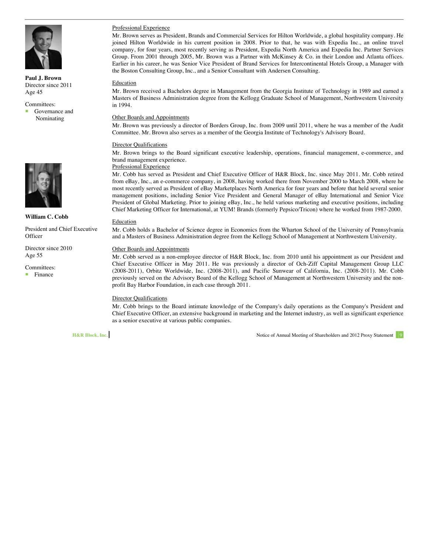

**Paul J. Brown** Director since 2011 Age 45

Committees:

 Governance and Nominating



**William C. Cobb**

President and Chief Executive **Officer** 

Director since 2010 Age 55

Committees: Finance

### Professional Experience

Mr. Brown serves as President, Brands and Commercial Services for Hilton Worldwide, a global hospitality company. He joined Hilton Worldwide in his current position in 2008. Prior to that, he was with Expedia Inc., an online travel company, for four years, most recently serving as President, Expedia North America and Expedia Inc. Partner Services Group. From 2001 through 2005, Mr. Brown was a Partner with McKinsey & Co. in their London and Atlanta offices. Earlier in his career, he was Senior Vice President of Brand Services for Intercontinental Hotels Group, a Manager with the Boston Consulting Group, Inc., and a Senior Consultant with Andersen Consulting.

#### Education

Mr. Brown received a Bachelors degree in Management from the Georgia Institute of Technology in 1989 and earned a Masters of Business Administration degree from the Kellogg Graduate School of Management, Northwestern University in 1994.

#### Other Boards and Appointments

Mr. Brown was previously a director of Borders Group, Inc. from 2009 until 2011, where he was a member of the Audit Committee. Mr. Brown also serves as a member of the Georgia Institute of Technology's Advisory Board.

#### **Director Qualifications**

Mr. Brown brings to the Board significant executive leadership, operations, financial management, e-commerce, and brand management experience.

#### Professional Experience

Mr. Cobb has served as President and Chief Executive Officer of H&R Block, Inc. since May 2011. Mr. Cobb retired from eBay, Inc., an e-commerce company, in 2008, having worked there from November 2000 to March 2008, where he most recently served as President of eBay Marketplaces North America for four years and before that held several senior management positions, including Senior Vice President and General Manager of eBay International and Senior Vice President of Global Marketing. Prior to joining eBay, Inc., he held various marketing and executive positions, including Chief Marketing Officer for International, at YUM! Brands (formerly Pepsico/Tricon) where he worked from 1987-2000.

#### Education

Mr. Cobb holds a Bachelor of Science degree in Economics from the Wharton School of the University of Pennsylvania and a Masters of Business Administration degree from the Kellogg School of Management at Northwestern University.

#### Other Boards and Appointments

Mr. Cobb served as a non-employee director of H&R Block, Inc. from 2010 until his appointment as our President and Chief Executive Officer in May 2011. He was previously a director of Och-Ziff Capital Management Group LLC (2008-2011), Orbitz Worldwide, Inc. (2008-2011), and Pacific Sunwear of California, Inc. (2008-2011). Mr. Cobb previously served on the Advisory Board of the Kellogg School of Management at Northwestern University and the nonprofit Bay Harbor Foundation, in each case through 2011.

### Director Qualifications

Mr. Cobb brings to the Board intimate knowledge of the Company's daily operations as the Company's President and Chief Executive Officer, an extensive background in marketing and the Internet industry, as well as significant experience as a senior executive at various public companies.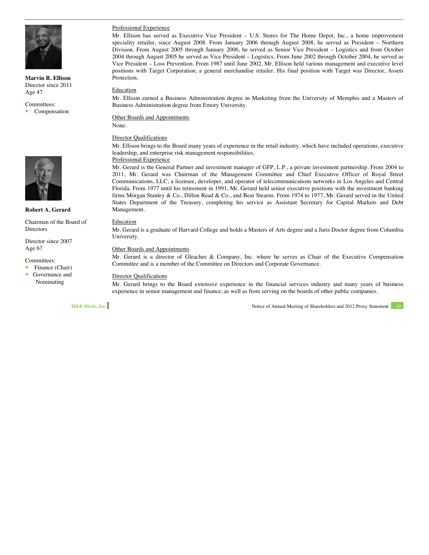

**Marvin R. Ellison** Director since 2011 Age 47

Committees: Compensation



#### **Robert A. Gerard**

Chairman of the Board of **Directors** 

Director since 2007 Age 67

Committees:

Finance (Chair)<br>Fovernance and

 Governance and Nominating

#### Professional Experience

Mr. Ellison has served as Executive Vice President – U.S. Stores for The Home Depot, Inc., a home improvement speciality retailer, since August 2008. From January 2006 through August 2008, he served as President – Northern Division. From August 2005 through January 2006, he served as Senior Vice President – Logistics and from October 2004 through August 2005 he served as Vice President – Logistics. From June 2002 through October 2004, he served as Vice President – Loss Prevention. From 1987 until June 2002, Mr. Ellison held various management and executive level positions with Target Corporation, a general merchandise retailer. His final position with Target was Director, Assets Protection.

#### Education

Mr. Ellison earned a Business Administration degree in Marketing from the University of Memphis and a Masters of Business Administration degree from Emory University.

Other Boards and Appointments None.

### **Director Qualifications**

Mr. Ellison brings to the Board many years of experience in the retail industry, which have included operations, executive leadership, and enterprise risk management responsibilities.

#### Professional Experience

Mr. Gerard is the General Partner and investment manager of GFP, L.P., a private investment partnership. From 2004 to 2011, Mr. Gerard was Chairman of the Management Committee and Chief Executive Officer of Royal Street Communications, LLC, a licensee, developer, and operator of telecommunications networks in Los Angeles and Central Florida. From 1977 until his retirement in 1991, Mr. Gerard held senior executive positions with the investment banking firms Morgan Stanley & Co., Dillon Read & Co., and Bear Stearns. From 1974 to 1977, Mr. Gerard served in the United States Department of the Treasury, completing his service as Assistant Secretary for Capital Markets and Debt Management.

#### Education

Mr. Gerard is a graduate of Harvard College and holds a Masters of Arts degree and a Juris Doctor degree from Columbia University.

#### Other Boards and Appointments

Mr. Gerard is a director of Gleacher & Company, Inc. where he serves as Chair of the Executive Compensation Committee and is a member of the Committee on Directors and Corporate Governance.

#### Director Qualifications

Mr. Gerard brings to the Board extensive experience in the financial services industry and many years of business experience in senior management and finance, as well as from serving on the boards of other public companies.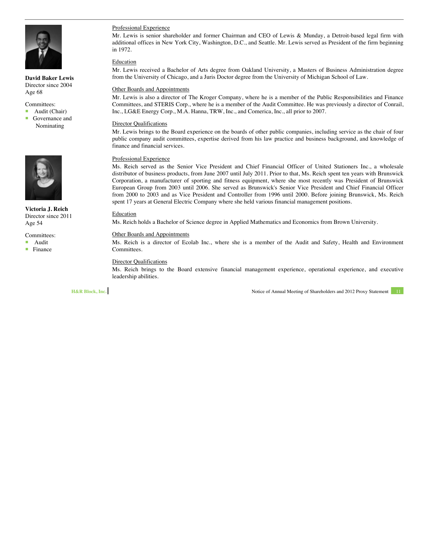

**David Baker Lewis** Director since 2004 Age 68

Committees:

Audit (Chair)

**Governance and** Nominating



**Victoria J. Reich** Director since 2011 Age 54

Committees:

Audit

**Finance** 

#### Professional Experience

Mr. Lewis is senior shareholder and former Chairman and CEO of Lewis & Munday, a Detroit-based legal firm with additional offices in New York City, Washington, D.C., and Seattle. Mr. Lewis served as President of the firm beginning in 1972.

#### **Education**

Mr. Lewis received a Bachelor of Arts degree from Oakland University, a Masters of Business Administration degree from the University of Chicago, and a Juris Doctor degree from the University of Michigan School of Law.

#### Other Boards and Appointments

Mr. Lewis is also a director of The Kroger Company, where he is a member of the Public Responsibilities and Finance Committees, and STERIS Corp., where he is a member of the Audit Committee. He was previously a director of Conrail, Inc., LG&E Energy Corp., M.A. Hanna, TRW, Inc., and Comerica, Inc., all prior to 2007.

#### Director Qualifications

Mr. Lewis brings to the Board experience on the boards of other public companies, including service as the chair of four public company audit committees, expertise derived from his law practice and business background, and knowledge of finance and financial services.

#### Professional Experience

Ms. Reich served as the Senior Vice President and Chief Financial Officer of United Stationers Inc., a wholesale distributor of business products, from June 2007 until July 2011. Prior to that, Ms. Reich spent ten years with Brunswick Corporation, a manufacturer of sporting and fitness equipment, where she most recently was President of Brunswick European Group from 2003 until 2006. She served as Brunswick's Senior Vice President and Chief Financial Officer from 2000 to 2003 and as Vice President and Controller from 1996 until 2000. Before joining Brunswick, Ms. Reich spent 17 years at General Electric Company where she held various financial management positions.

#### Education

Ms. Reich holds a Bachelor of Science degree in Applied Mathematics and Economics from Brown University.

#### Other Boards and Appointments

Ms. Reich is a director of Ecolab Inc., where she is a member of the Audit and Safety, Health and Environment Committees.

#### Director Qualifications

Ms. Reich brings to the Board extensive financial management experience, operational experience, and executive leadership abilities.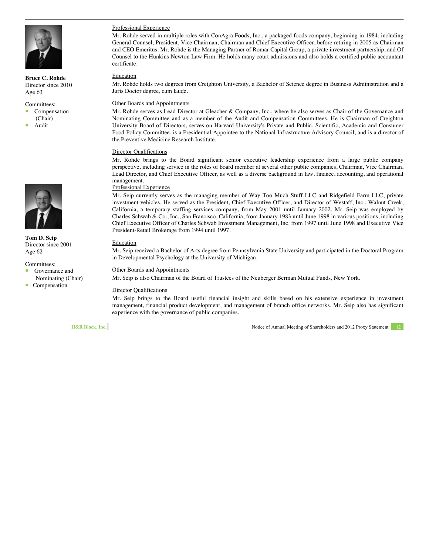

**Bruce C. Rohde** Director since 2010 Age 63

#### Committees:

Compensation

- (Chair)
- Audit



**Tom D. Seip** Director since 2001 Age 62

Committees:

- Governance and Nominating (Chair)
- Compensation

#### Professional Experience

Mr. Rohde served in multiple roles with ConAgra Foods, Inc., a packaged foods company, beginning in 1984, including General Counsel, President, Vice Chairman, Chairman and Chief Executive Officer, before retiring in 2005 as Chairman and CEO Emeritus. Mr. Rohde is the Managing Partner of Romar Capital Group, a private investment partnership, and Of Counsel to the Hunkins Newton Law Firm. He holds many court admissions and also holds a certified public accountant certificate.

#### Education

Mr. Rohde holds two degrees from Creighton University, a Bachelor of Science degree in Business Administration and a Juris Doctor degree, cum laude.

#### Other Boards and Appointments

Mr. Rohde serves as Lead Director at Gleacher & Company, Inc., where he also serves as Chair of the Governance and Nominating Committee and as a member of the Audit and Compensation Committees. He is Chairman of Creighton University Board of Directors, serves on Harvard University's Private and Public, Scientific, Academic and Consumer Food Policy Committee, is a Presidential Appointee to the National Infrastructure Advisory Council, and is a director of the Preventive Medicine Research Institute.

#### Director Qualifications

Mr. Rohde brings to the Board significant senior executive leadership experience from a large public company perspective, including service in the roles of board member at several other public companies, Chairman, Vice Chairman, Lead Director, and Chief Executive Officer, as well as a diverse background in law, finance, accounting, and operational management.

#### Professional Experience

Mr. Seip currently serves as the managing member of Way Too Much Stuff LLC and Ridgefield Farm LLC, private investment vehicles. He served as the President, Chief Executive Officer, and Director of Westaff, Inc., Walnut Creek, California, a temporary staffing services company, from May 2001 until January 2002. Mr. Seip was employed by Charles Schwab & Co., Inc., San Francisco, California, from January 1983 until June 1998 in various positions, including Chief Executive Officer of Charles Schwab Investment Management, Inc. from 1997 until June 1998 and Executive Vice President-Retail Brokerage from 1994 until 1997.

#### Education

Mr. Seip received a Bachelor of Arts degree from Pennsylvania State University and participated in the Doctoral Program in Developmental Psychology at the University of Michigan.

#### Other Boards and Appointments

Mr. Seip is also Chairman of the Board of Trustees of the Neuberger Berman Mutual Funds, New York.

#### Director Qualifications

Mr. Seip brings to the Board useful financial insight and skills based on his extensive experience in investment management, financial product development, and management of branch office networks. Mr. Seip also has significant experience with the governance of public companies.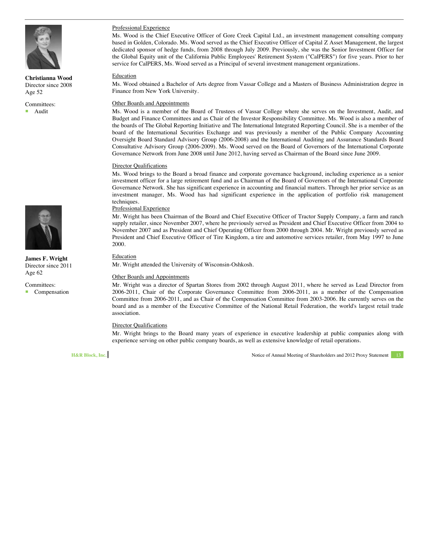

**Christianna Wood** Director since 2008 Age 52

Committees: Audit



**James F. Wright** Director since 2011 Age 62

Committees:

Compensation

#### Professional Experience

Ms. Wood is the Chief Executive Officer of Gore Creek Capital Ltd., an investment management consulting company based in Golden, Colorado. Ms. Wood served as the Chief Executive Officer of Capital Z Asset Management, the largest dedicated sponsor of hedge funds, from 2008 through July 2009. Previously, she was the Senior Investment Officer for the Global Equity unit of the California Public Employees' Retirement System ("CalPERS") for five years. Prior to her service for CalPERS, Ms. Wood served as a Principal of several investment management organizations.

#### Education

Ms. Wood obtained a Bachelor of Arts degree from Vassar College and a Masters of Business Administration degree in Finance from New York University.

#### Other Boards and Appointments

Ms. Wood is a member of the Board of Trustees of Vassar College where she serves on the Investment, Audit, and Budget and Finance Committees and as Chair of the Investor Responsibility Committee. Ms. Wood is also a member of the boards of The Global Reporting Initiative and The International Integrated Reporting Council. She is a member of the board of the International Securities Exchange and was previously a member of the Public Company Accounting Oversight Board Standard Advisory Group (2006-2008) and the International Auditing and Assurance Standards Board Consultative Advisory Group (2006-2009). Ms. Wood served on the Board of Governors of the International Corporate Governance Network from June 2008 until June 2012, having served as Chairman of the Board since June 2009.

#### Director Qualifications

Ms. Wood brings to the Board a broad finance and corporate governance background, including experience as a senior investment officer for a large retirement fund and as Chairman of the Board of Governors of the International Corporate Governance Network. She has significant experience in accounting and financial matters. Through her prior service as an investment manager, Ms. Wood has had significant experience in the application of portfolio risk management techniques.

#### Professional Experience

Mr. Wright has been Chairman of the Board and Chief Executive Officer of Tractor Supply Company, a farm and ranch supply retailer, since November 2007, where he previously served as President and Chief Executive Officer from 2004 to November 2007 and as President and Chief Operating Officer from 2000 through 2004. Mr. Wright previously served as President and Chief Executive Officer of Tire Kingdom, a tire and automotive services retailer, from May 1997 to June 2000.

#### Education

Mr. Wright attended the University of Wisconsin-Oshkosh.

#### Other Boards and Appointments

Mr. Wright was a director of Spartan Stores from 2002 through August 2011, where he served as Lead Director from 2006-2011, Chair of the Corporate Governance Committee from 2006-2011, as a member of the Compensation Committee from 2006-2011, and as Chair of the Compensation Committee from 2003-2006. He currently serves on the board and as a member of the Executive Committee of the National Retail Federation, the world's largest retail trade association.

#### **Director Qualifications**

Mr. Wright brings to the Board many years of experience in executive leadership at public companies along with experience serving on other public company boards, as well as extensive knowledge of retail operations.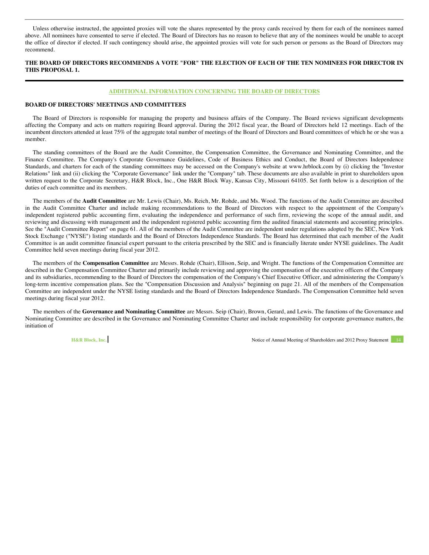<span id="page-19-0"></span>Unless otherwise instructed, the appointed proxies will vote the shares represented by the proxy cards received by them for each of the nominees named above. All nominees have consented to serve if elected. The Board of Directors has no reason to believe that any of the nominees would be unable to accept the office of director if elected. If such contingency should arise, the appointed proxies will vote for such person or persons as the Board of Directors may recommend.

#### **THE BOARD OF DIRECTORS RECOMMENDS A VOTE "FOR" THE ELECTION OF EACH OF THE TEN NOMINEES FOR DIRECTOR IN THIS PROPOSAL 1.**

#### **ADDITIONAL INFORMATION CONCERNING THE BOARD OF DIRECTORS**

#### **BOARD OF DIRECTORS' MEETINGS AND COMMITTEES**

The Board of Directors is responsible for managing the property and business affairs of the Company. The Board reviews significant developments affecting the Company and acts on matters requiring Board approval. During the 2012 fiscal year, the Board of Directors held 12 meetings. Each of the incumbent directors attended at least 75% of the aggregate total number of meetings of the Board of Directors and Board committees of which he or she was a member.

The standing committees of the Board are the Audit Committee, the Compensation Committee, the Governance and Nominating Committee, and the Finance Committee. The Company's Corporate Governance Guidelines, Code of Business Ethics and Conduct, the Board of Directors Independence Standards, and charters for each of the standing committees may be accessed on the Company's website at www.hrblock.com by (i) clicking the "Investor Relations" link and (ii) clicking the "Corporate Governance" link under the "Company" tab. These documents are also available in print to shareholders upon written request to the Corporate Secretary, H&R Block, Inc., One H&R Block Way, Kansas City, Missouri 64105. Set forth below is a description of the duties of each committee and its members.

The members of the **Audit Committee** are Mr. Lewis (Chair), Ms. Reich, Mr. Rohde, and Ms. Wood. The functions of the Audit Committee are described in the Audit Committee Charter and include making recommendations to the Board of Directors with respect to the appointment of the Company's independent registered public accounting firm, evaluating the independence and performance of such firm, reviewing the scope of the annual audit, and reviewing and discussing with management and the independent registered public accounting firm the audited financial statements and accounting principles. See the "Audit Committee Report" on page 61. All of the members of the Audit Committee are independent under regulations adopted by the SEC, New York Stock Exchange ("NYSE") listing standards and the Board of Directors Independence Standards. The Board has determined that each member of the Audit Committee is an audit committee financial expert pursuant to the criteria prescribed by the SEC and is financially literate under NYSE guidelines. The Audit Committee held seven meetings during fiscal year 2012.

The members of the **Compensation Committee** are Messrs. Rohde (Chair), Ellison, Seip, and Wright. The functions of the Compensation Committee are described in the Compensation Committee Charter and primarily include reviewing and approving the compensation of the executive officers of the Company and its subsidiaries, recommending to the Board of Directors the compensation of the Company's Chief Executive Officer, and administering the Company's long-term incentive compensation plans. See the "Compensation Discussion and Analysis" beginning on page 21. All of the members of the Compensation Committee are independent under the NYSE listing standards and the Board of Directors Independence Standards. The Compensation Committee held seven meetings during fiscal year 2012.

The members of the **Governance and Nominating Committee** are Messrs. Seip (Chair), Brown, Gerard, and Lewis. The functions of the Governance and Nominating Committee are described in the Governance and Nominating Committee Charter and include responsibility for corporate governance matters, the initiation of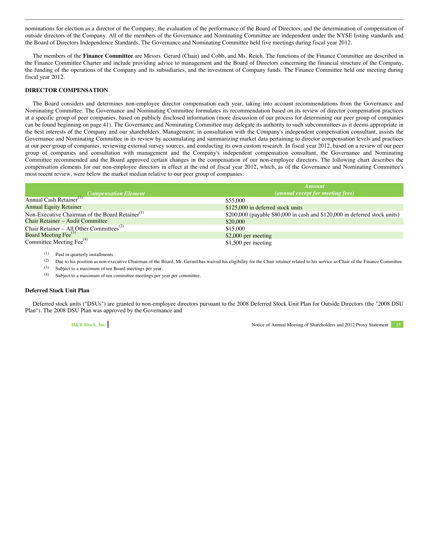<span id="page-20-0"></span>nominations for election as a director of the Company, the evaluation of the performance of the Board of Directors, and the determination of compensation of outside directors of the Company. All of the members of the Governance and Nominating Committee are independent under the NYSE listing standards and the Board of Directors Independence Standards. The Governance and Nominating Committee held five meetings during fiscal year 2012.

The members of the **Finance Committee** are Messrs. Gerard (Chair) and Cobb, and Ms. Reich. The functions of the Finance Committee are described in the Finance Committee Charter and include providing advice to management and the Board of Directors concerning the financial structure of the Company, the funding of the operations of the Company and its subsidiaries, and the investment of Company funds. The Finance Committee held one meeting during fiscal year 2012.

#### **DIRECTOR COMPENSATION**

The Board considers and determines non-employee director compensation each year, taking into account recommendations from the Governance and Nominating Committee. The Governance and Nominating Committee formulates its recommendation based on its review of director compensation practices at a specific group of peer companies, based on publicly disclosed information (more discussion of our process for determining our peer group of companies can be found beginning on page 41). The Governance and Nominating Committee may delegate its authority to such subcommittees as it deems appropriate in the best interests of the Company and our shareholders. Management, in consultation with the Company's independent compensation consultant, assists the Governance and Nominating Committee in its review by accumulating and summarizing market data pertaining to director compensation levels and practices at our peer group of companies, reviewing external survey sources, and conducting its own custom research. In fiscal year 2012, based on a review of our peer group of companies and consultation with management and the Company's independent compensation consultant, the Governance and Nominating Committee recommended and the Board approved certain changes in the compensation of our non-employee directors. The following chart describes the compensation elements for our non-employee directors in effect at the end of fiscal year 2012, which, as of the Governance and Nominating Committee's most recent review, were below the market median relative to our peer group of companies:

|                                                                                          | <b>Amount</b>                                                              |
|------------------------------------------------------------------------------------------|----------------------------------------------------------------------------|
| <b>Compensation Element</b>                                                              | (annual except for meeting fees)                                           |
| Annual Cash Retainer <sup>(1)</sup>                                                      | \$55,000                                                                   |
| <b>Annual Equity Retainer</b>                                                            | \$125,000 in deferred stock units                                          |
| Non-Executive Chairman of the Board Retainer <sup>(1)</sup>                              | \$200,000 (payable \$80,000 in cash and \$120,000 in deferred stock units) |
| Chair Retainer - Audit Committee                                                         | \$20,000                                                                   |
| Chair Retainer – All Other Committees <sup>(2)</sup><br>Board Meeting Fee <sup>(3)</sup> | \$15,000                                                                   |
|                                                                                          | $$2,000$ per meeting                                                       |
| Committee Meeting Fee <sup>(4)</sup>                                                     | $$1,500$ per meeting                                                       |

(1) Paid in quarterly installments.

(2) Due to his position as non-executive Chairman of the Board, Mr. Gerard has waived his eligibility for the Chair retainer related to his service as Chair of the Finance Committee.

(3) Subject to a maximum of ten Board meetings per year.

(4) Subject to a maximum of ten committee meetings per year per committee.

#### **Deferred Stock Unit Plan**

Deferred stock units ("DSUs") are granted to non-employee directors pursuant to the 2008 Deferred Stock Unit Plan for Outside Directors (the "2008 DSU Plan"). The 2008 DSU Plan was approved by the Governance and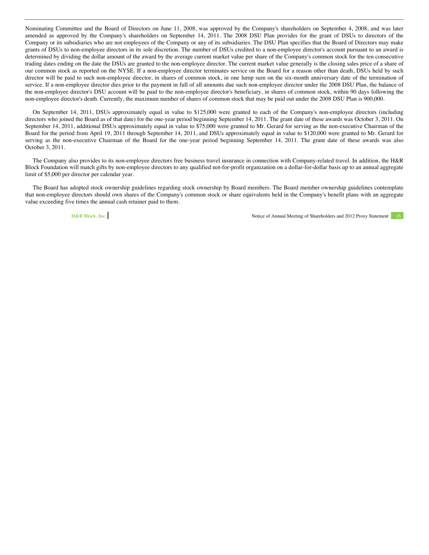Nominating Committee and the Board of Directors on June 11, 2008, was approved by the Company's shareholders on September 4, 2008, and was later amended as approved by the Company's shareholders on September 14, 2011. The 2008 DSU Plan provides for the grant of DSUs to directors of the Company or its subsidiaries who are not employees of the Company or any of its subsidiaries. The DSU Plan specifies that the Board of Directors may make grants of DSUs to non-employee directors in its sole discretion. The number of DSUs credited to a non-employee director's account pursuant to an award is determined by dividing the dollar amount of the award by the average current market value per share of the Company's common stock for the ten consecutive trading dates ending on the date the DSUs are granted to the non-employee director. The current market value generally is the closing sales price of a share of our common stock as reported on the NYSE. If a non-employee director terminates service on the Board for a reason other than death, DSUs held by such director will be paid to such non-employee director, in shares of common stock, in one lump sum on the six-month anniversary date of the termination of service. If a non-employee director dies prior to the payment in full of all amounts due such non-employee director under the 2008 DSU Plan, the balance of the non-employee director's DSU account will be paid to the non-employee director's beneficiary, in shares of common stock, within 90 days following the non-employee director's death. Currently, the maximum number of shares of common stock that may be paid out under the 2008 DSU Plan is 900,000.

On September 14, 2011, DSUs approximately equal in value to \$125,000 were granted to each of the Company's non-employee directors (including directors who joined the Board as of that date) for the one-year period beginning September 14, 2011. The grant date of these awards was October 3, 2011. On September 14, 2011, additional DSUs approximately equal in value to \$75,000 were granted to Mr. Gerard for serving as the non-executive Chairman of the Board for the period from April 19, 2011 through September 14, 2011, and DSUs approximately equal in value to \$120,000 were granted to Mr. Gerard for serving as the non-executive Chairman of the Board for the one-year period beginning September 14, 2011. The grant date of these awards was also October 3, 2011.

The Company also provides to its non-employee directors free business travel insurance in connection with Company-related travel. In addition, the H&R Block Foundation will match gifts by non-employee directors to any qualified not-for-profit organization on a dollar-for-dollar basis up to an annual aggregate limit of \$5,000 per director per calendar year.

The Board has adopted stock ownership guidelines regarding stock ownership by Board members. The Board member ownership guidelines contemplate that non-employee directors should own shares of the Company's common stock or share equivalents held in the Company's benefit plans with an aggregate value exceeding five times the annual cash retainer paid to them.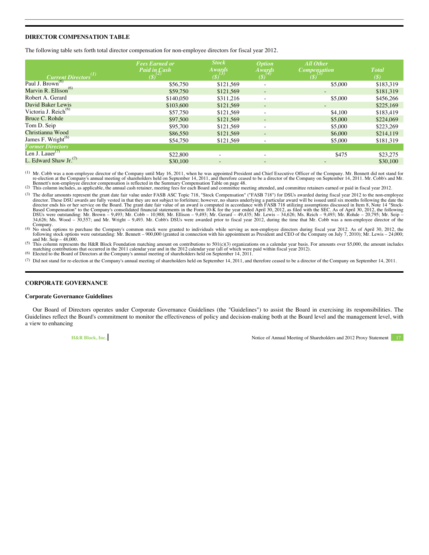#### <span id="page-22-0"></span>**DIRECTOR COMPENSATION TABLE**

The following table sets forth total director compensation for non-employee directors for fiscal year 2012.

|                                  | <b>Fees Earned or</b><br><b>Paid in Cash</b> | <b>Stock</b><br><i>Awards</i>    | <i><b>Option</b></i>                    | <b>All Other</b><br><b>Compensation</b> | <b>T</b> otal              |
|----------------------------------|----------------------------------------------|----------------------------------|-----------------------------------------|-----------------------------------------|----------------------------|
| $Current \, Directory^{(1)}$     | $(s)^{(2)}$                                  | $\left( \text{\$}\right) ^{(3)}$ | $A \text{wards}$<br>(\$) <sup>(4)</sup> | $(8)^{(5)}$                             | $\left(\mathcal{S}\right)$ |
| Paul J. Brown <sup>(6)</sup>     | \$56,750                                     | \$121.569                        | $\overline{\phantom{a}}$                | \$5,000                                 | \$183,319                  |
| Marvin R. Ellison <sup>(6)</sup> | \$59,750                                     | \$121,569                        | $\overline{\phantom{a}}$                | $\overline{\phantom{0}}$                | \$181.319                  |
| Robert A. Gerard                 | \$140,050                                    | \$311.216                        | $\overline{\phantom{a}}$                | \$5,000                                 | \$456,266                  |
| David Baker Lewis                | \$103,600                                    | \$121,569                        | $\overline{\phantom{a}}$                |                                         | \$225,169                  |
| Victoria J. Reich <sup>(6)</sup> | \$57,750                                     | \$121.569                        | $\overline{\phantom{a}}$                | \$4,100                                 | \$183,419                  |
| Bruce C. Rohde                   | \$97,500                                     | \$121,569                        | $\overline{\phantom{0}}$                | \$5,000                                 | \$224,069                  |
| Tom D. Seip                      | \$95,700                                     | \$121,569                        | $\overline{\phantom{a}}$                | \$5,000                                 | \$223,269                  |
| Christianna Wood                 | \$86,550                                     | \$121,569                        | $\overline{\phantom{a}}$                | \$6,000                                 | \$214,119                  |
| James F. Wright <sup>(6)</sup>   | \$54,750                                     | \$121,569                        | $\overline{\phantom{a}}$                | \$5,000                                 | \$181,319                  |
| <b>Former Directors</b>          |                                              |                                  |                                         |                                         |                            |
| Len J. Lauer <sup>(7)</sup>      | \$22,800                                     |                                  | $\overline{\phantom{0}}$                | \$475                                   | \$23,275                   |
| L. Edward Shaw Jr. $^{(7)}$      | \$30,100                                     | $\overline{\phantom{a}}$         | $\overline{\phantom{0}}$                | $\overline{\phantom{0}}$                | \$30,100                   |

<sup>(1)</sup> Mr. Cobb was a non-employee director of the Company until May 16, 2011, when he was appointed President and Chief Executive Officer of the Company. Mr. Bennett did not stand for<br>re-election at the Company's annual me

Bennett's non-employee director compensation is reflected in the Summary Compensation Table on page 48.<br>(2) This column includes, as applicable, the annual cash retainer, meeting fees for each Board and committee meeting a

(3) The dollar amounts represent the grant date fair value under FASB ASC Topic 718, "Stock Compensation" ("FASB 718") for DSUs awarded during fiscal year 2012 to the non-employee director. These DSU awards are fully vested in that they are not subject to forfeiture; however, no shares underlying a particular award will be issued until six months following the date the director ends his or her servi

Company.<br>(4) No stock options to purchase the Company's common stock were granted to individuals while serving as non-employee directors during fiscal year 2012. As of April 30, 2012, the Schock options were outstanding: M

<sup>(5)</sup> This column represents the H&R Block Foundation matching amount on contributions to  $501(c)(3)$  organizations on a calendar year basis. For amounts over \$5,000, the amount includes matching contributions that occurred in the 2011 calendar year and in the 2012 calendar year (all of which were paid within fiscal year 2012).<br>
(6) Elected to the Board of Directors at the Company's annual meeting of share

(7) Did not stand for re-election at the Company's annual meeting of shareholders held on September 14, 2011, and therefore ceased to be a director of the Company on September 14, 2011.

#### **CORPORATE GOVERNANCE**

#### **Corporate Governance Guidelines**

Our Board of Directors operates under Corporate Governance Guidelines (the "Guidelines") to assist the Board in exercising its responsibilities. The Guidelines reflect the Board's commitment to monitor the effectiveness of policy and decision-making both at the Board level and the management level, with a view to enhancing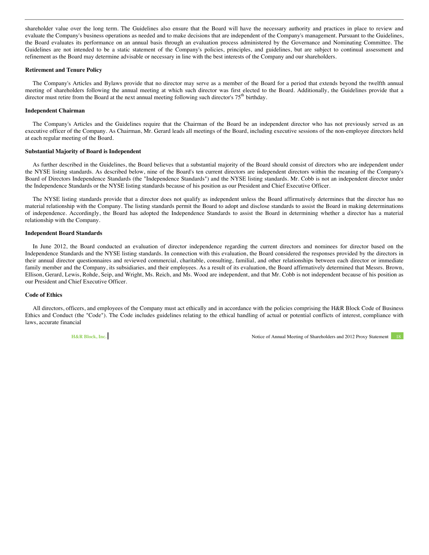shareholder value over the long term. The Guidelines also ensure that the Board will have the necessary authority and practices in place to review and evaluate the Company's business operations as needed and to make decisions that are independent of the Company's management. Pursuant to the Guidelines, the Board evaluates its performance on an annual basis through an evaluation process administered by the Governance and Nominating Committee. The Guidelines are not intended to be a static statement of the Company's policies, principles, and guidelines, but are subject to continual assessment and refinement as the Board may determine advisable or necessary in line with the best interests of the Company and our shareholders.

#### **Retirement and Tenure Policy**

The Company's Articles and Bylaws provide that no director may serve as a member of the Board for a period that extends beyond the twelfth annual meeting of shareholders following the annual meeting at which such director was first elected to the Board. Additionally, the Guidelines provide that a director must retire from the Board at the next annual meeting following such director's  $75<sup>th</sup>$  birthday.

#### **Independent Chairman**

The Company's Articles and the Guidelines require that the Chairman of the Board be an independent director who has not previously served as an executive officer of the Company. As Chairman, Mr. Gerard leads all meetings of the Board, including executive sessions of the non-employee directors held at each regular meeting of the Board.

#### **Substantial Majority of Board is Independent**

As further described in the Guidelines, the Board believes that a substantial majority of the Board should consist of directors who are independent under the NYSE listing standards. As described below, nine of the Board's ten current directors are independent directors within the meaning of the Company's Board of Directors Independence Standards (the "Independence Standards") and the NYSE listing standards. Mr. Cobb is not an independent director under the Independence Standards or the NYSE listing standards because of his position as our President and Chief Executive Officer.

The NYSE listing standards provide that a director does not qualify as independent unless the Board affirmatively determines that the director has no material relationship with the Company. The listing standards permit the Board to adopt and disclose standards to assist the Board in making determinations of independence. Accordingly, the Board has adopted the Independence Standards to assist the Board in determining whether a director has a material relationship with the Company.

#### **Independent Board Standards**

In June 2012, the Board conducted an evaluation of director independence regarding the current directors and nominees for director based on the Independence Standards and the NYSE listing standards. In connection with this evaluation, the Board considered the responses provided by the directors in their annual director questionnaires and reviewed commercial, charitable, consulting, familial, and other relationships between each director or immediate family member and the Company, its subsidiaries, and their employees. As a result of its evaluation, the Board affirmatively determined that Messrs. Brown, Ellison, Gerard, Lewis, Rohde, Seip, and Wright, Ms. Reich, and Ms. Wood are independent, and that Mr. Cobb is not independent because of his position as our President and Chief Executive Officer.

#### **Code of Ethics**

All directors, officers, and employees of the Company must act ethically and in accordance with the policies comprising the H&R Block Code of Business Ethics and Conduct (the "Code"). The Code includes guidelines relating to the ethical handling of actual or potential conflicts of interest, compliance with laws, accurate financial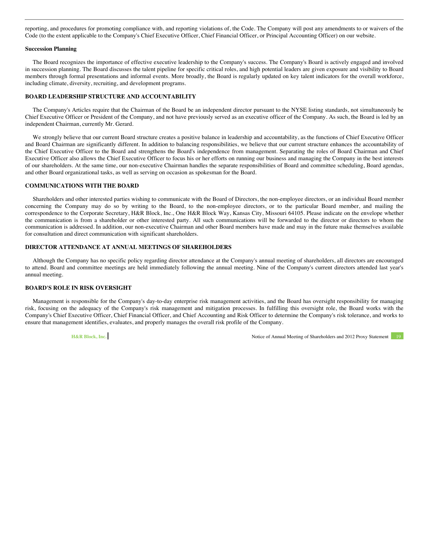<span id="page-24-0"></span>reporting, and procedures for promoting compliance with, and reporting violations of, the Code. The Company will post any amendments to or waivers of the Code (to the extent applicable to the Company's Chief Executive Officer, Chief Financial Officer, or Principal Accounting Officer) on our website.

#### **Succession Planning**

The Board recognizes the importance of effective executive leadership to the Company's success. The Company's Board is actively engaged and involved in succession planning. The Board discusses the talent pipeline for specific critical roles, and high potential leaders are given exposure and visibility to Board members through formal presentations and informal events. More broadly, the Board is regularly updated on key talent indicators for the overall workforce, including climate, diversity, recruiting, and development programs.

#### **BOARD LEADERSHIP STRUCTURE AND ACCOUNTABILITY**

The Company's Articles require that the Chairman of the Board be an independent director pursuant to the NYSE listing standards, not simultaneously be Chief Executive Officer or President of the Company, and not have previously served as an executive officer of the Company. As such, the Board is led by an independent Chairman, currently Mr. Gerard.

We strongly believe that our current Board structure creates a positive balance in leadership and accountability, as the functions of Chief Executive Officer and Board Chairman are significantly different. In addition to balancing responsibilities, we believe that our current structure enhances the accountability of the Chief Executive Officer to the Board and strengthens the Board's independence from management. Separating the roles of Board Chairman and Chief Executive Officer also allows the Chief Executive Officer to focus his or her efforts on running our business and managing the Company in the best interests of our shareholders. At the same time, our non-executive Chairman handles the separate responsibilities of Board and committee scheduling, Board agendas, and other Board organizational tasks, as well as serving on occasion as spokesman for the Board.

#### **COMMUNICATIONS WITH THE BOARD**

Shareholders and other interested parties wishing to communicate with the Board of Directors, the non-employee directors, or an individual Board member concerning the Company may do so by writing to the Board, to the non-employee directors, or to the particular Board member, and mailing the correspondence to the Corporate Secretary, H&R Block, Inc., One H&R Block Way, Kansas City, Missouri 64105. Please indicate on the envelope whether the communication is from a shareholder or other interested party. All such communications will be forwarded to the director or directors to whom the communication is addressed. In addition, our non-executive Chairman and other Board members have made and may in the future make themselves available for consultation and direct communication with significant shareholders.

#### **DIRECTOR ATTENDANCE AT ANNUAL MEETINGS OF SHAREHOLDERS**

Although the Company has no specific policy regarding director attendance at the Company's annual meeting of shareholders, all directors are encouraged to attend. Board and committee meetings are held immediately following the annual meeting. Nine of the Company's current directors attended last year's annual meeting.

#### **BOARD'S ROLE IN RISK OVERSIGHT**

Management is responsible for the Company's day-to-day enterprise risk management activities, and the Board has oversight responsibility for managing risk, focusing on the adequacy of the Company's risk management and mitigation processes. In fulfilling this oversight role, the Board works with the Company's Chief Executive Officer, Chief Financial Officer, and Chief Accounting and Risk Officer to determine the Company's risk tolerance, and works to ensure that management identifies, evaluates, and properly manages the overall risk profile of the Company.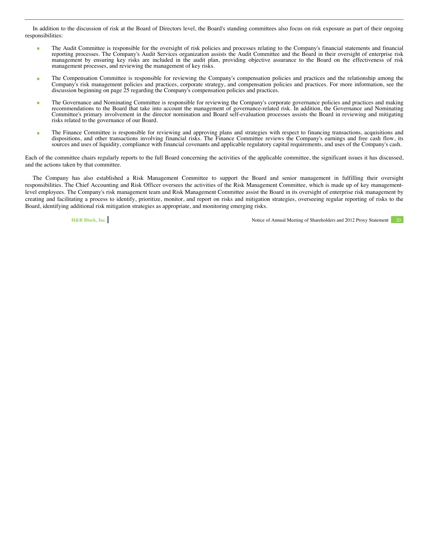In addition to the discussion of risk at the Board of Directors level, the Board's standing committees also focus on risk exposure as part of their ongoing responsibilities:

- The Audit Committee is responsible for the oversight of risk policies and processes relating to the Company's financial statements and financial reporting processes. The Company's Audit Services organization assists the Audit Committee and the Board in their oversight of enterprise risk management by ensuring key risks are included in the audit plan, providing objective assurance to the Board on the effectiveness of risk management processes, and reviewing the management of key risks.
- The Compensation Committee is responsible for reviewing the Company's compensation policies and practices and the relationship among the Company's risk management policies and practices, corporate strategy, and compensation policies and practices. For more information, see the discussion beginning on page 25 regarding the Company's compensation policies and practices.
- The Governance and Nominating Committee is responsible for reviewing the Company's corporate governance policies and practices and making recommendations to the Board that take into account the management of governance-related risk. In addition, the Governance and Nominating Committee's primary involvement in the director nomination and Board self-evaluation processes assists the Board in reviewing and mitigating risks related to the governance of our Board.
- The Finance Committee is responsible for reviewing and approving plans and strategies with respect to financing transactions, acquisitions and dispositions, and other transactions involving financial risks. The Finance Committee reviews the Company's earnings and free cash flow, its sources and uses of liquidity, compliance with financial covenants and applicable regulatory capital requirements, and uses of the Company's cash.

Each of the committee chairs regularly reports to the full Board concerning the activities of the applicable committee, the significant issues it has discussed, and the actions taken by that committee.

The Company has also established a Risk Management Committee to support the Board and senior management in fulfilling their oversight responsibilities. The Chief Accounting and Risk Officer oversees the activities of the Risk Management Committee, which is made up of key managementlevel employees. The Company's risk management team and Risk Management Committee assist the Board in its oversight of enterprise risk management by creating and facilitating a process to identify, prioritize, monitor, and report on risks and mitigation strategies, overseeing regular reporting of risks to the Board, identifying additional risk mitigation strategies as appropriate, and monitoring emerging risks.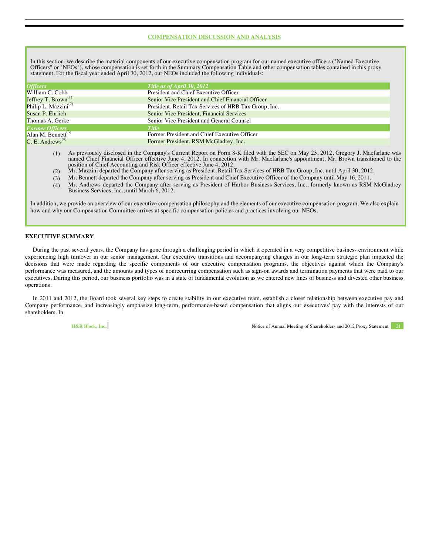#### **COMPENSATION DISCUSSION AND ANALYSIS**

<span id="page-26-0"></span>In this section, we describe the material components of our executive compensation program for our named executive officers ("Named Executive Officers" or "NEOs"), whose compensation is set forth in the Summary Compensation Table and other compensation tables contained in this proxy statement. For the fiscal year ended April 30, 2012, our NEOs included the following individuals:

| Title as of April 30, 2012                            |
|-------------------------------------------------------|
| President and Chief Executive Officer                 |
| Senior Vice President and Chief Financial Officer     |
| President, Retail Tax Services of HRB Tax Group, Inc. |
| Senior Vice President, Financial Services             |
| Senior Vice President and General Counsel             |
| <b>Title</b>                                          |
| Former President and Chief Executive Officer          |
| Former President, RSM McGladrey, Inc.                 |
|                                                       |

- (1) As previously disclosed in the Company's Current Report on Form 8-K filed with the SEC on May 23, 2012, Gregory J. Macfarlane was named Chief Financial Officer effective June 4, 2012. In connection with Mr. Macfarlane's appointment, Mr. Brown transitioned to the position of Chief Accounting and Risk Officer effective June 4, 2012.
- (2) Mr. Mazzini departed the Company after serving as President, Retail Tax Services of HRB Tax Group, Inc. until April 30, 2012.
- (3) Mr. Bennett departed the Company after serving as President and Chief Executive Officer of the Company until May 16, 2011.

(4) Mr. Andrews departed the Company after serving as President of Harbor Business Services, Inc., formerly known as RSM McGladrey Business Services, Inc., until March 6, 2012.

In addition, we provide an overview of our executive compensation philosophy and the elements of our executive compensation program. We also explain how and why our Compensation Committee arrives at specific compensation policies and practices involving our NEOs.

#### **EXECUTIVE SUMMARY**

During the past several years, the Company has gone through a challenging period in which it operated in a very competitive business environment while experiencing high turnover in our senior management. Our executive transitions and accompanying changes in our long-term strategic plan impacted the decisions that were made regarding the specific components of our executive compensation programs, the objectives against which the Company's performance was measured, and the amounts and types of nonrecurring compensation such as sign-on awards and termination payments that were paid to our executives. During this period, our business portfolio was in a state of fundamental evolution as we entered new lines of business and divested other business operations.

In 2011 and 2012, the Board took several key steps to create stability in our executive team, establish a closer relationship between executive pay and Company performance, and increasingly emphasize long-term, performance-based compensation that aligns our executives' pay with the interests of our shareholders. In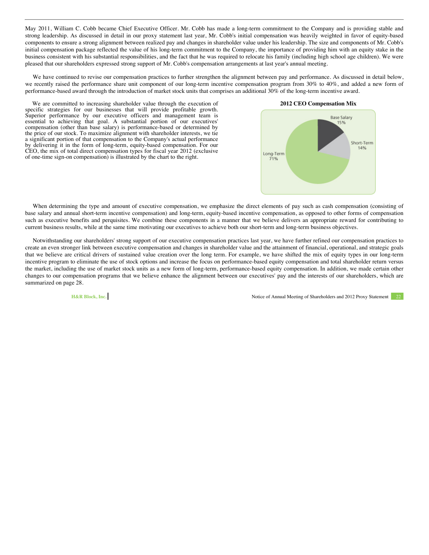May 2011, William C. Cobb became Chief Executive Officer. Mr. Cobb has made a long-term commitment to the Company and is providing stable and strong leadership. As discussed in detail in our proxy statement last year, Mr. Cobb's initial compensation was heavily weighted in favor of equity-based components to ensure a strong alignment between realized pay and changes in shareholder value under his leadership. The size and components of Mr. Cobb's initial compensation package reflected the value of his long-term commitment to the Company, the importance of providing him with an equity stake in the business consistent with his substantial responsibilities, and the fact that he was required to relocate his family (including high school age children). We were pleased that our shareholders expressed strong support of Mr. Cobb's compensation arrangements at last year's annual meeting.

We have continued to revise our compensation practices to further strengthen the alignment between pay and performance. As discussed in detail below, we recently raised the performance share unit component of our long-term incentive compensation program from 30% to 40%, and added a new form of performance-based award through the introduction of market stock units that comprises an additional 30% of the long-term incentive award.

We are committed to increasing shareholder value through the execution of specific strategies for our businesses that will provide profitable growth. Superior performance by our executive officers and management team is essential to achieving that goal. A substantial portion of our executives' compensation (other than base salary) is performance-based or determined by the price of our stock. To maximize alignment with shareholder interests, we tie a significant portion of that compensation to the Company's actual performance by delivering it in the form of long-term, equity-based compensation. For our CEO, the mix of total direct compensation types for fiscal year 2012 (exclusive of one-time sign-on compensation) is illustrated by the chart to the right.



When determining the type and amount of executive compensation, we emphasize the direct elements of pay such as cash compensation (consisting of base salary and annual short-term incentive compensation) and long-term, equity-based incentive compensation, as opposed to other forms of compensation such as executive benefits and perquisites. We combine these components in a manner that we believe delivers an appropriate reward for contributing to current business results, while at the same time motivating our executives to achieve both our short-term and long-term business objectives.

Notwithstanding our shareholders' strong support of our executive compensation practices last year, we have further refined our compensation practices to create an even stronger link between executive compensation and changes in shareholder value and the attainment of financial, operational, and strategic goals that we believe are critical drivers of sustained value creation over the long term. For example, we have shifted the mix of equity types in our long-term incentive program to eliminate the use of stock options and increase the focus on performance-based equity compensation and total shareholder return versus the market, including the use of market stock units as a new form of long-term, performance-based equity compensation. In addition, we made certain other changes to our compensation programs that we believe enhance the alignment between our executives' pay and the interests of our shareholders, which are summarized on page 28.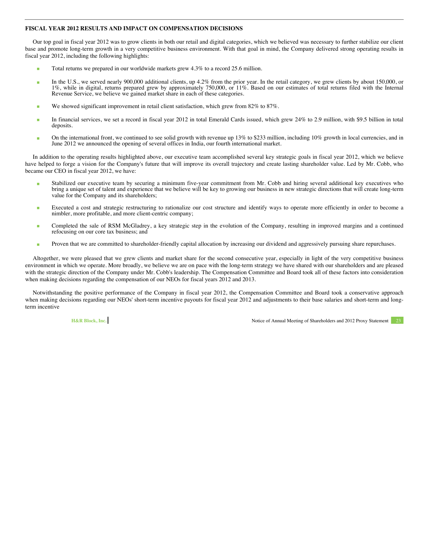#### <span id="page-28-0"></span>**FISCAL YEAR 2012 RESULTS AND IMPACT ON COMPENSATION DECISIONS**

Our top goal in fiscal year 2012 was to grow clients in both our retail and digital categories, which we believed was necessary to further stabilize our client base and promote long-term growth in a very competitive business environment. With that goal in mind, the Company delivered strong operating results in fiscal year 2012, including the following highlights:

- Total returns we prepared in our worldwide markets grew 4.3% to a record 25.6 million.
- In the U.S., we served nearly 900,000 additional clients, up 4.2% from the prior year. In the retail category, we grew clients by about 150,000, or 1%, while in digital, returns prepared grew by approximately 750,000, or 1 Revenue Service, we believe we gained market share in each of these categories.
- We showed significant improvement in retail client satisfaction, which grew from  $82\%$  to  $87\%$ .
- In financial services, we set a record in fiscal year 2012 in total Emerald Cards issued, which grew 24% to 2.9 million, with \$9.5 billion in total deposits.
- $\blacksquare$  On the international front, we continued to see solid growth with revenue up 13% to \$233 million, including 10% growth in local currencies, and in June 2012 we announced the opening of several offices in India, our fourth international market.

In addition to the operating results highlighted above, our executive team accomplished several key strategic goals in fiscal year 2012, which we believe have helped to forge a vision for the Company's future that will improve its overall trajectory and create lasting shareholder value. Led by Mr. Cobb, who became our CEO in fiscal year 2012, we have:

- Stabilized our executive team by securing a minimum five-year commitment from Mr. Cobb and hiring several additional key executives who bring a unique set of talent and experience that we believe will be key to growing our business in new strategic directions that will create long-term value for the Company and its shareholders;
- Executed a cost and strategic restructuring to rationalize our cost structure and identify ways to operate more efficiently in order to become a nimbler, more profitable, and more client-centric company;
- Completed the sale of RSM McGladrey, a key strategic step in the evolution of the Company, resulting in improved margins and a continued refocusing on our core tax business; and
- **Proven that we are committed to shareholder-friendly capital allocation by increasing our dividend and aggressively pursuing share repurchases.**

Altogether, we were pleased that we grew clients and market share for the second consecutive year, especially in light of the very competitive business environment in which we operate. More broadly, we believe we are on pace with the long-term strategy we have shared with our shareholders and are pleased with the strategic direction of the Company under Mr. Cobb's leadership. The Compensation Committee and Board took all of these factors into consideration when making decisions regarding the compensation of our NEOs for fiscal years 2012 and 2013.

Notwithstanding the positive performance of the Company in fiscal year 2012, the Compensation Committee and Board took a conservative approach when making decisions regarding our NEOs' short-term incentive payouts for fiscal year 2012 and adjustments to their base salaries and short-term and longterm incentive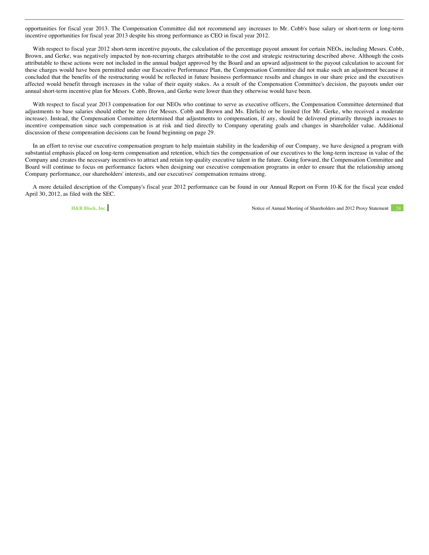opportunities for fiscal year 2013. The Compensation Committee did not recommend any increases to Mr. Cobb's base salary or short-term or long-term incentive opportunities for fiscal year 2013 despite his strong performance as CEO in fiscal year 2012.

With respect to fiscal year 2012 short-term incentive payouts, the calculation of the percentage payout amount for certain NEOs, including Messrs. Cobb, Brown, and Gerke, was negatively impacted by non-recurring charges attributable to the cost and strategic restructuring described above. Although the costs attributable to these actions were not included in the annual budget approved by the Board and an upward adjustment to the payout calculation to account for these charges would have been permitted under our Executive Performance Plan, the Compensation Committee did not make such an adjustment because it concluded that the benefits of the restructuring would be reflected in future business performance results and changes in our share price and the executives affected would benefit through increases in the value of their equity stakes. As a result of the Compensation Committee's decision, the payouts under our annual short-term incentive plan for Messrs. Cobb, Brown, and Gerke were lower than they otherwise would have been.

With respect to fiscal year 2013 compensation for our NEOs who continue to serve as executive officers, the Compensation Committee determined that adjustments to base salaries should either be zero (for Messrs. Cobb and Brown and Ms. Ehrlich) or be limited (for Mr. Gerke, who received a moderate increase). Instead, the Compensation Committee determined that adjustments to compensation, if any, should be delivered primarily through increases to incentive compensation since such compensation is at risk and tied directly to Company operating goals and changes in shareholder value. Additional discussion of these compensation decisions can be found beginning on page 29.

In an effort to revise our executive compensation program to help maintain stability in the leadership of our Company, we have designed a program with substantial emphasis placed on long-term compensation and retention, which ties the compensation of our executives to the long-term increase in value of the Company and creates the necessary incentives to attract and retain top quality executive talent in the future. Going forward, the Compensation Committee and Board will continue to focus on performance factors when designing our executive compensation programs in order to ensure that the relationship among Company performance, our shareholders' interests, and our executives' compensation remains strong.

A more detailed description of the Company's fiscal year 2012 performance can be found in our Annual Report on Form 10-K for the fiscal year ended April 30, 2012, as filed with the SEC.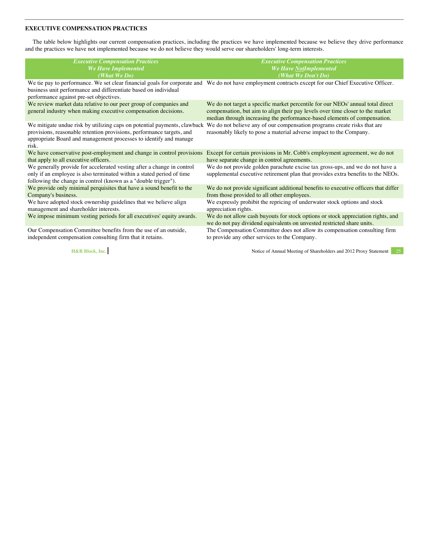#### <span id="page-30-0"></span>**EXECUTIVE COMPENSATION PRACTICES**

The table below highlights our current compensation practices, including the practices we have implemented because we believe they drive performance and the practices we have not implemented because we do not believe they would serve our shareholders' long-term interests.

| <b>Executive Compensation Practices</b>                                                                                                                                                                                         | <b>Executive Compensation Practices</b>                                                                                                                                                                                                        |
|---------------------------------------------------------------------------------------------------------------------------------------------------------------------------------------------------------------------------------|------------------------------------------------------------------------------------------------------------------------------------------------------------------------------------------------------------------------------------------------|
| We Have Implemented                                                                                                                                                                                                             | We Have NotImplemented                                                                                                                                                                                                                         |
| (What We Do)                                                                                                                                                                                                                    | (What We Don't Do)                                                                                                                                                                                                                             |
| business unit performance and differentiate based on individual<br>performance against pre-set objectives.                                                                                                                      | We tie pay to performance. We set clear financial goals for corporate and We do not have employment contracts except for our Chief Executive Officer.                                                                                          |
| We review market data relative to our peer group of companies and<br>general industry when making executive compensation decisions.                                                                                             | We do not target a specific market percentile for our NEOs' annual total direct<br>compensation, but aim to align their pay levels over time closer to the market<br>median through increasing the performance-based elements of compensation. |
| We mitigate undue risk by utilizing caps on potential payments, clawback<br>provisions, reasonable retention provisions, performance targets, and<br>appropriate Board and management processes to identify and manage<br>risk. | We do not believe any of our compensation programs create risks that are<br>reasonably likely to pose a material adverse impact to the Company.                                                                                                |
| We have conservative post-employment and change in control provisions                                                                                                                                                           | Except for certain provisions in Mr. Cobb's employment agreement, we do not                                                                                                                                                                    |
| that apply to all executive officers.                                                                                                                                                                                           | have separate change in control agreements.                                                                                                                                                                                                    |
| We generally provide for accelerated vesting after a change in control<br>only if an employee is also terminated within a stated period of time<br>following the change in control (known as a "double trigger").               | We do not provide golden parachute excise tax gross-ups, and we do not have a<br>supplemental executive retirement plan that provides extra benefits to the NEOs.                                                                              |
| We provide only minimal perquisites that have a sound benefit to the                                                                                                                                                            | We do not provide significant additional benefits to executive officers that differ                                                                                                                                                            |
| Company's business.                                                                                                                                                                                                             | from those provided to all other employees.                                                                                                                                                                                                    |
| We have adopted stock ownership guidelines that we believe align                                                                                                                                                                | We expressly prohibit the repricing of underwater stock options and stock                                                                                                                                                                      |
| management and shareholder interests.                                                                                                                                                                                           | appreciation rights.                                                                                                                                                                                                                           |
| We impose minimum vesting periods for all executives' equity awards.                                                                                                                                                            | We do not allow cash buyouts for stock options or stock appreciation rights, and<br>we do not pay dividend equivalents on unvested restricted share units.                                                                                     |
| Our Compensation Committee benefits from the use of an outside,                                                                                                                                                                 | The Compensation Committee does not allow its compensation consulting firm                                                                                                                                                                     |
| independent compensation consulting firm that it retains.                                                                                                                                                                       | to provide any other services to the Company.                                                                                                                                                                                                  |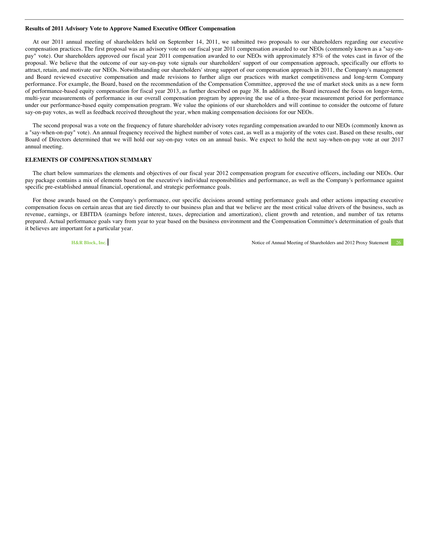#### <span id="page-31-0"></span>**Results of 2011 Advisory Vote to Approve Named Executive Officer Compensation**

At our 2011 annual meeting of shareholders held on September 14, 2011, we submitted two proposals to our shareholders regarding our executive compensation practices. The first proposal was an advisory vote on our fiscal year 2011 compensation awarded to our NEOs (commonly known as a "say-onpay" vote). Our shareholders approved our fiscal year 2011 compensation awarded to our NEOs with approximately 87% of the votes cast in favor of the proposal. We believe that the outcome of our say-on-pay vote signals our shareholders' support of our compensation approach, specifically our efforts to attract, retain, and motivate our NEOs. Notwithstanding our shareholders' strong support of our compensation approach in 2011, the Company's management and Board reviewed executive compensation and made revisions to further align our practices with market competitiveness and long-term Company performance. For example, the Board, based on the recommendation of the Compensation Committee, approved the use of market stock units as a new form of performance-based equity compensation for fiscal year 2013, as further described on page 38. In addition, the Board increased the focus on longer-term, multi-year measurements of performance in our overall compensation program by approving the use of a three-year measurement period for performance under our performance-based equity compensation program. We value the opinions of our shareholders and will continue to consider the outcome of future say-on-pay votes, as well as feedback received throughout the year, when making compensation decisions for our NEOs.

The second proposal was a vote on the frequency of future shareholder advisory votes regarding compensation awarded to our NEOs (commonly known as a "say-when-on-pay" vote). An annual frequency received the highest number of votes cast, as well as a majority of the votes cast. Based on these results, our Board of Directors determined that we will hold our say-on-pay votes on an annual basis. We expect to hold the next say-when-on-pay vote at our 2017 annual meeting.

#### **ELEMENTS OF COMPENSATION SUMMARY**

The chart below summarizes the elements and objectives of our fiscal year 2012 compensation program for executive officers, including our NEOs. Our pay package contains a mix of elements based on the executive's individual responsibilities and performance, as well as the Company's performance against specific pre-established annual financial, operational, and strategic performance goals.

For those awards based on the Company's performance, our specific decisions around setting performance goals and other actions impacting executive compensation focus on certain areas that are tied directly to our business plan and that we believe are the most critical value drivers of the business, such as revenue, earnings, or EBITDA (earnings before interest, taxes, depreciation and amortization), client growth and retention, and number of tax returns prepared. Actual performance goals vary from year to year based on the business environment and the Compensation Committee's determination of goals that it believes are important for a particular year.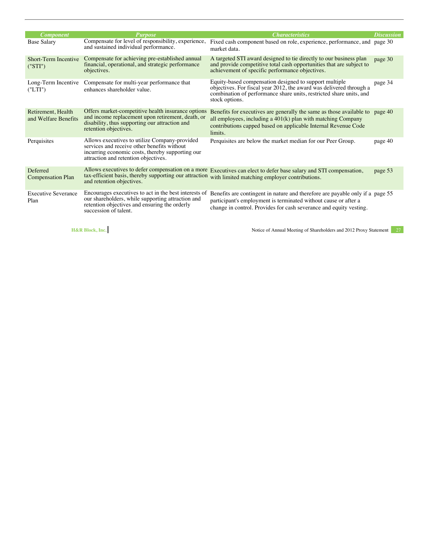| <i><b>Component</b></i>                    | <b>Purpose</b>                                                                                                                                                                           | <b>Characteristics</b>                                                                                                                                                                                                      | <b>Discussion</b> |
|--------------------------------------------|------------------------------------------------------------------------------------------------------------------------------------------------------------------------------------------|-----------------------------------------------------------------------------------------------------------------------------------------------------------------------------------------------------------------------------|-------------------|
| <b>Base Salary</b>                         | Compensate for level of responsibility, experience,<br>and sustained individual performance.                                                                                             | Fixed cash component based on role, experience, performance, and page 30<br>market data.                                                                                                                                    |                   |
| <b>Short-Term Incentive</b><br>("STI")     | Compensate for achieving pre-established annual<br>financial, operational, and strategic performance<br>objectives.                                                                      | A targeted STI award designed to tie directly to our business plan<br>and provide competitive total cash opportunities that are subject to<br>achievement of specific performance objectives.                               | page 30           |
| Long-Term Incentive<br>(TLTI")             | Compensate for multi-year performance that<br>enhances shareholder value.                                                                                                                | Equity-based compensation designed to support multiple<br>objectives. For fiscal year 2012, the award was delivered through a<br>combination of performance share units, restricted share units, and<br>stock options.      | page 34           |
| Retirement, Health<br>and Welfare Benefits | Offers market-competitive health insurance options<br>and income replacement upon retirement, death, or<br>disability, thus supporting our attraction and<br>retention objectives.       | Benefits for executives are generally the same as those available to page 40<br>all employees, including a $401(k)$ plan with matching Company<br>contributions capped based on applicable Internal Revenue Code<br>limits. |                   |
| Perquisites                                | Allows executives to utilize Company-provided<br>services and receive other benefits without<br>incurring economic costs, thereby supporting our<br>attraction and retention objectives. | Perquisites are below the market median for our Peer Group.                                                                                                                                                                 | page 40           |
| Deferred<br><b>Compensation Plan</b>       | Allows executives to defer compensation on a more<br>tax-efficient basis, thereby supporting our attraction<br>and retention objectives.                                                 | Executives can elect to defer base salary and STI compensation,<br>with limited matching employer contributions.                                                                                                            | page 53           |
| <b>Executive Severance</b><br>Plan         | Encourages executives to act in the best interests of<br>our shareholders, while supporting attraction and<br>retention objectives and ensuring the orderly<br>succession of talent.     | Benefits are contingent in nature and therefore are payable only if a page 55<br>participant's employment is terminated without cause or after a<br>change in control. Provides for cash severance and equity vesting.      |                   |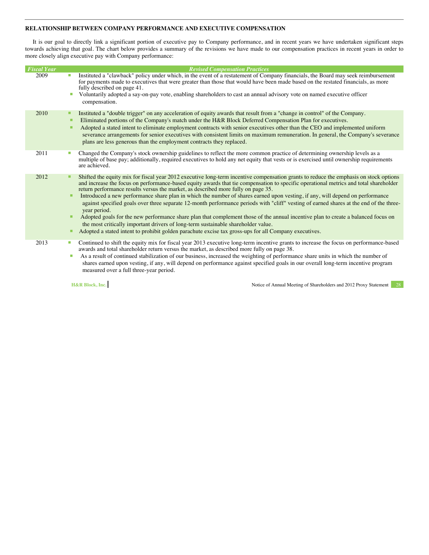#### <span id="page-33-0"></span>**RELATIONSHIP BETWEEN COMPANY PERFORMANCE AND EXECUTIVE COMPENSATION**

It is our goal to directly link a significant portion of executive pay to Company performance, and in recent years we have undertaken significant steps towards achieving that goal. The chart below provides a summary of the revisions we have made to our compensation practices in recent years in order to more closely align executive pay with Company performance:

| <b>Fiscal Year</b> |   | <b>Revised Compensation Practices</b>                                                                                                                                                                                                                                                                                                                               |
|--------------------|---|---------------------------------------------------------------------------------------------------------------------------------------------------------------------------------------------------------------------------------------------------------------------------------------------------------------------------------------------------------------------|
| 2009               |   | Instituted a "clawback" policy under which, in the event of a restatement of Company financials, the Board may seek reimbursement<br>for payments made to executives that were greater than those that would have been made based on the restated financials, as more<br>fully described on page 41.                                                                |
|                    |   | Voluntarily adopted a say-on-pay vote, enabling shareholders to cast an annual advisory vote on named executive officer<br>compensation.                                                                                                                                                                                                                            |
| 2010               | ■ | Instituted a "double trigger" on any acceleration of equity awards that result from a "change in control" of the Company.                                                                                                                                                                                                                                           |
|                    |   | Eliminated portions of the Company's match under the H&R Block Deferred Compensation Plan for executives.                                                                                                                                                                                                                                                           |
|                    |   | Adopted a stated intent to eliminate employment contracts with senior executives other than the CEO and implemented uniform<br>severance arrangements for senior executives with consistent limits on maximum remuneration. In general, the Company's severance<br>plans are less generous than the employment contracts they replaced.                             |
| 2011               |   | Changed the Company's stock ownership guidelines to reflect the more common practice of determining ownership levels as a                                                                                                                                                                                                                                           |
|                    |   | multiple of base pay; additionally, required executives to hold any net equity that vests or is exercised until ownership requirements<br>are achieved.                                                                                                                                                                                                             |
| 2012               |   | Shifted the equity mix for fiscal year 2012 executive long-term incentive compensation grants to reduce the emphasis on stock options<br>and increase the focus on performance-based equity awards that tie compensation to specific operational metrics and total shareholder<br>return performance results versus the market, as described more fully on page 35. |
|                    | п | Introduced a new performance share plan in which the number of shares earned upon vesting, if any, will depend on performance<br>against specified goals over three separate 12-month performance periods with "cliff" vesting of earned shares at the end of the three-<br>year period.                                                                            |
|                    |   | Adopted goals for the new performance share plan that complement those of the annual incentive plan to create a balanced focus on<br>the most critically important drivers of long-term sustainable shareholder value.                                                                                                                                              |
|                    |   | Adopted a stated intent to prohibit golden parachute excise tax gross-ups for all Company executives.                                                                                                                                                                                                                                                               |
| 2013               | ш | Continued to shift the equity mix for fiscal year 2013 executive long-term incentive grants to increase the focus on performance-based<br>awards and total shareholder return versus the market, as described more fully on page 38.                                                                                                                                |
|                    | ш | As a result of continued stabilization of our business, increased the weighting of performance share units in which the number of<br>shares earned upon vesting, if any, will depend on performance against specified goals in our overall long-term incentive program<br>measured over a full three-year period.                                                   |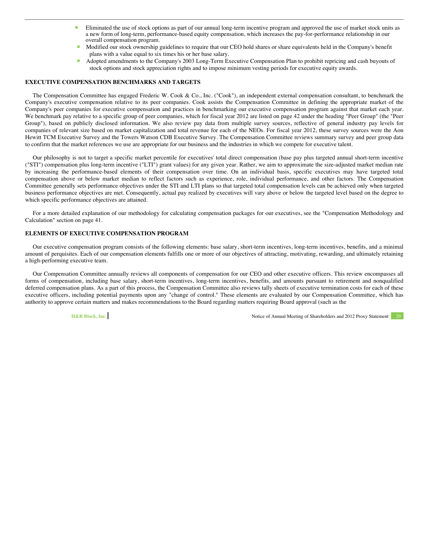- <span id="page-34-0"></span> Eliminated the use of stock options as part of our annual long-term incentive program and approved the use of market stock units as a new form of long-term, performance-based equity compensation, which increases the pay-for-performance relationship in our overall compensation program.
- Modified our stock ownership guidelines to require that our CEO hold shares or share equivalents held in the Company's benefit plans with a value equal to six times his or her base salary.
- Adopted amendments to the Company's 2003 Long-Term Executive Compensation Plan to prohibit repricing and cash buyouts of stock options and stock appreciation rights and to impose minimum vesting periods for executive equity awards.

#### **EXECUTIVE COMPENSATION BENCHMARKS AND TARGETS**

The Compensation Committee has engaged Frederic W. Cook & Co., Inc. ("Cook"), an independent external compensation consultant, to benchmark the Company's executive compensation relative to its peer companies. Cook assists the Compensation Committee in defining the appropriate market of the Company's peer companies for executive compensation and practices in benchmarking our executive compensation program against that market each year. We benchmark pay relative to a specific group of peer companies, which for fiscal year 2012 are listed on page 42 under the heading "Peer Group" (the "Peer Group"), based on publicly disclosed information. We also review pay data from multiple survey sources, reflective of general industry pay levels for companies of relevant size based on market capitalization and total revenue for each of the NEOs. For fiscal year 2012, these survey sources were the Aon Hewitt TCM Executive Survey and the Towers Watson CDB Executive Survey. The Compensation Committee reviews summary survey and peer group data to confirm that the market references we use are appropriate for our business and the industries in which we compete for executive talent.

Our philosophy is not to target a specific market percentile for executives' total direct compensation (base pay plus targeted annual short-term incentive ("STI") compensation plus long-term incentive ("LTI") grant values) for any given year. Rather, we aim to approximate the size-adjusted market median rate by increasing the performance-based elements of their compensation over time. On an individual basis, specific executives may have targeted total compensation above or below market median to reflect factors such as experience, role, individual performance, and other factors. The Compensation Committee generally sets performance objectives under the STI and LTI plans so that targeted total compensation levels can be achieved only when targeted business performance objectives are met. Consequently, actual pay realized by executives will vary above or below the targeted level based on the degree to which specific performance objectives are attained.

For a more detailed explanation of our methodology for calculating compensation packages for our executives, see the "Compensation Methodology and Calculation" section on page 41.

#### **ELEMENTS OF EXECUTIVE COMPENSATION PROGRAM**

Our executive compensation program consists of the following elements: base salary, short-term incentives, long-term incentives, benefits, and a minimal amount of perquisites. Each of our compensation elements fulfills one or more of our objectives of attracting, motivating, rewarding, and ultimately retaining a high-performing executive team.

Our Compensation Committee annually reviews all components of compensation for our CEO and other executive officers. This review encompasses all forms of compensation, including base salary, short-term incentives, long-term incentives, benefits, and amounts pursuant to retirement and nonqualified deferred compensation plans. As a part of this process, the Compensation Committee also reviews tally sheets of executive termination costs for each of these executive officers, including potential payments upon any "change of control." These elements are evaluated by our Compensation Committee, which has authority to approve certain matters and makes recommendations to the Board regarding matters requiring Board approval (such as the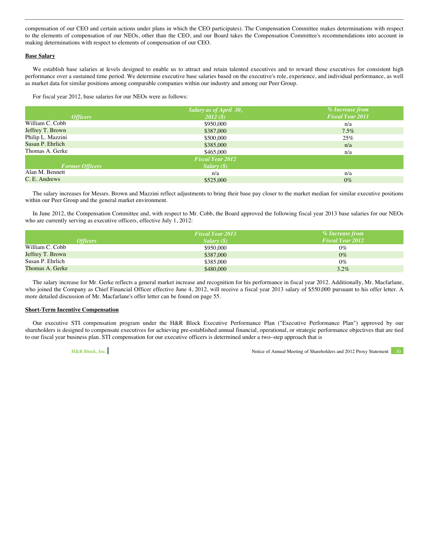compensation of our CEO and certain actions under plans in which the CEO participates). The Compensation Committee makes determinations with respect to the elements of compensation of our NEOs, other than the CEO, and our Board takes the Compensation Committee's recommendations into account in making determinations with respect to elements of compensation of our CEO.

#### **Base Salary**

We establish base salaries at levels designed to enable us to attract and retain talented executives and to reward those executives for consistent high performance over a sustained time period. We determine executive base salaries based on the executive's role, experience, and individual performance, as well as market data for similar positions among comparable companies within our industry and among our Peer Group.

For fiscal year 2012, base salaries for our NEOs were as follows:

|                        | Salary as of April 30,  | $\%$ Increase from      |
|------------------------|-------------------------|-------------------------|
| <i><b>Officers</b></i> | $2012($ \$)             | <b>Fiscal Year 2011</b> |
| William C. Cobb        | \$950,000               | n/a                     |
| Jeffrey T. Brown       | \$387,000               | $7.5\%$                 |
| Philip L. Mazzini      | \$500,000               | 25%                     |
| Susan P. Ehrlich       | \$385,000               | n/a                     |
| Thomas A. Gerke        | \$465,000               | n/a                     |
|                        | <b>Fiscal Year 2012</b> |                         |
| <b>Former Officers</b> | Salary(S)               |                         |
| Alan M. Bennett        | n/a                     | n/a                     |
| C. E. Andrews          | \$525,000               | $0\%$                   |

The salary increases for Messrs. Brown and Mazzini reflect adjustments to bring their base pay closer to the market median for similar executive positions within our Peer Group and the general market environment.

In June 2012, the Compensation Committee and, with respect to Mr. Cobb, the Board approved the following fiscal year 2013 base salaries for our NEOs who are currently serving as executive officers, effective July 1, 2012:

|                  | <b>Fiscal Year 2013</b> | % Increase from         |
|------------------|-------------------------|-------------------------|
| <i>Officers</i>  | Salarv(S)               | <b>Fiscal Year 2012</b> |
| William C. Cobb  | \$950,000               | $0\%$                   |
| Jeffrey T. Brown | \$387,000               | $0\%$                   |
| Susan P. Ehrlich | \$385,000               | $0\%$                   |
| Thomas A. Gerke  | \$480,000               | 3.2%                    |

The salary increase for Mr. Gerke reflects a general market increase and recognition for his performance in fiscal year 2012. Additionally, Mr. Macfarlane, who joined the Company as Chief Financial Officer effective June 4, 2012, will receive a fiscal year 2013 salary of \$550,000 pursuant to his offer letter. A more detailed discussion of Mr. Macfarlane's offer letter can be found on page 55.

#### **Short-Term Incentive Compensation**

Our executive STI compensation program under the H&R Block Executive Performance Plan ("Executive Performance Plan") approved by our shareholders is designed to compensate executives for achieving pre-established annual financial, operational, or strategic performance objectives that are tied to our fiscal year business plan. STI compensation for our executive officers is determined under a two–step approach that is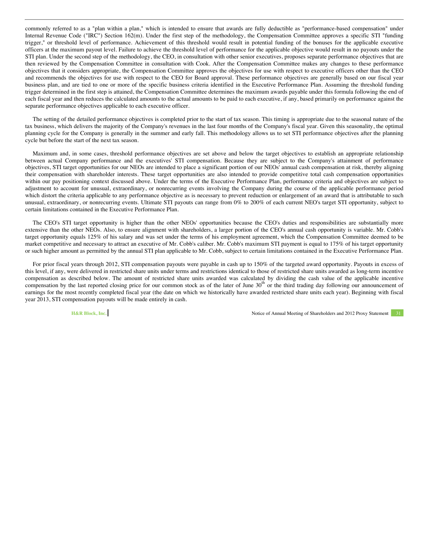commonly referred to as a "plan within a plan," which is intended to ensure that awards are fully deductible as "performance-based compensation" under Internal Revenue Code ("IRC") Section 162(m). Under the first step of the methodology, the Compensation Committee approves a specific STI "funding trigger," or threshold level of performance. Achievement of this threshold would result in potential funding of the bonuses for the applicable executive officers at the maximum payout level. Failure to achieve the threshold level of performance for the applicable objective would result in no payouts under the STI plan. Under the second step of the methodology, the CEO, in consultation with other senior executives, proposes separate performance objectives that are then reviewed by the Compensation Committee in consultation with Cook. After the Compensation Committee makes any changes to these performance objectives that it considers appropriate, the Compensation Committee approves the objectives for use with respect to executive officers other than the CEO and recommends the objectives for use with respect to the CEO for Board approval. These performance objectives are generally based on our fiscal year business plan, and are tied to one or more of the specific business criteria identified in the Executive Performance Plan. Assuming the threshold funding trigger determined in the first step is attained, the Compensation Committee determines the maximum awards payable under this formula following the end of each fiscal year and then reduces the calculated amounts to the actual amounts to be paid to each executive, if any, based primarily on performance against the separate performance objectives applicable to each executive officer.

The setting of the detailed performance objectives is completed prior to the start of tax season. This timing is appropriate due to the seasonal nature of the tax business, which delivers the majority of the Company's revenues in the last four months of the Company's fiscal year. Given this seasonality, the optimal planning cycle for the Company is generally in the summer and early fall. This methodology allows us to set STI performance objectives after the planning cycle but before the start of the next tax season.

Maximum and, in some cases, threshold performance objectives are set above and below the target objectives to establish an appropriate relationship between actual Company performance and the executives' STI compensation. Because they are subject to the Company's attainment of performance objectives, STI target opportunities for our NEOs are intended to place a significant portion of our NEOs' annual cash compensation at risk, thereby aligning their compensation with shareholder interests. These target opportunities are also intended to provide competitive total cash compensation opportunities within our pay positioning context discussed above. Under the terms of the Executive Performance Plan, performance criteria and objectives are subject to adjustment to account for unusual, extraordinary, or nonrecurring events involving the Company during the course of the applicable performance period which distort the criteria applicable to any performance objective as is necessary to prevent reduction or enlargement of an award that is attributable to such unusual, extraordinary, or nonrecurring events. Ultimate STI payouts can range from 0% to 200% of each current NEO's target STI opportunity, subject to certain limitations contained in the Executive Performance Plan.

The CEO's STI target opportunity is higher than the other NEOs' opportunities because the CEO's duties and responsibilities are substantially more extensive than the other NEOs. Also, to ensure alignment with shareholders, a larger portion of the CEO's annual cash opportunity is variable. Mr. Cobb's target opportunity equals 125% of his salary and was set under the terms of his employment agreement, which the Compensation Committee deemed to be market competitive and necessary to attract an executive of Mr. Cobb's caliber. Mr. Cobb's maximum STI payment is equal to 175% of his target opportunity or such higher amount as permitted by the annual STI plan applicable to Mr. Cobb, subject to certain limitations contained in the Executive Performance Plan.

For prior fiscal years through 2012, STI compensation payouts were payable in cash up to 150% of the targeted award opportunity. Payouts in excess of this level, if any, were delivered in restricted share units under terms and restrictions identical to those of restricted share units awarded as long-term incentive compensation as described below. The amount of restricted share units awarded was calculated by dividing the cash value of the applicable incentive compensation by the last reported closing price for our common stock as of the later of June  $30<sup>th</sup>$  or the third trading day following our announcement of earnings for the most recently completed fiscal year (the date on which we historically have awarded restricted share units each year). Beginning with fiscal year 2013, STI compensation payouts will be made entirely in cash.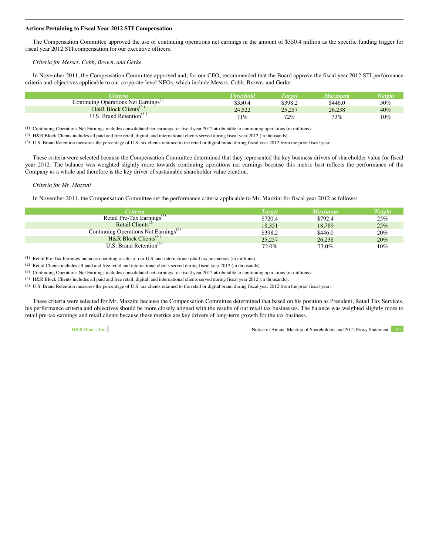## **Actions Pertaining to Fiscal Year 2012 STI Compensation**

The Compensation Committee approved the use of continuing operations net earnings in the amount of \$350.4 million as the specific funding trigger for fiscal year 2012 STI compensation for our executive officers.

# *Criteria for Messrs. Cobb, Brown, and Gerke*

In November 2011, the Compensation Committee approved and, for our CEO, recommended that the Board approve the fiscal year 2012 STI performance criteria and objectives applicable to our corporate-level NEOs, which include Messrs. Cobb, Brown, and Gerke:

| <b><i><u>Triteria</u></i></b>                     | <b>Threshold</b> | <i>L'arget</i> | Maxımum | Weight |
|---------------------------------------------------|------------------|----------------|---------|--------|
| Continuing Operations Net Earnings <sup>(1)</sup> | \$350.4          | \$398.2        | \$446.0 | 50%    |
| H&R Block Clients <sup>(2)</sup>                  | 24.522           | 25.257         | 26,238  | 40%    |
| U.S. Brand Retention                              | $71\%$           | $72\%$         | 73%     | 10%    |

(1) Continuing Operations Net Earnings includes consolidated net earnings for fiscal year 2012 attributable to continuing operations (in millions).

(2) H&R Block Clients includes all paid and free retail, digital, and international clients served during fiscal year 2012 (in thousands).

(3) U.S. Brand Retention measures the percentage of U.S. tax clients retained to the retail or digital brand during fiscal year 2012 from the prior fiscal year.

These criteria were selected because the Compensation Committee determined that they represented the key business drivers of shareholder value for fiscal year 2012. The balance was weighted slightly more towards continuing operations net earnings because this metric best reflects the performance of the Company as a whole and therefore is the key driver of sustainable shareholder value creation.

## *Criteria for Mr. Mazzini*

In November 2011, the Compensation Committee set the performance criteria applicable to Mr. Mazzini for fiscal year 2012 as follows:

| <i>Criteria</i>                                   | <b>Target</b> | <b>Maximum</b> | Weight |
|---------------------------------------------------|---------------|----------------|--------|
| Retail Pre-Tax Earnings <sup>(1)</sup>            | \$720.4       | \$792.4        | 25%    |
| Retail Clients <sup><math>(2)</math></sup>        | 18,351        | 18,789         | 25%    |
| Continuing Operations Net Earnings <sup>(3)</sup> | \$398.2       | \$446.0        | 20%    |
| H&R Block Clients <sup>(4)</sup>                  | 25,257        | 26,238         | 20%    |
| $U.S.$ Brand Retention <sup>(5)</sup>             | 72.0%         | 73.0%          | 10%    |

(1) Retail Pre-Tax Earnings includes operating results of our U.S. and international retail tax businesses (in millions).

(2) Retail Clients includes all paid and free retail and international clients served during fiscal year 2012 (in thousands).

(3) Continuing Operations Net Earnings includes consolidated net earnings for fiscal year 2012 attributable to continuing operations (in millions).

(4) H&R Block Clients includes all paid and free retail, digital, and international clients served during fiscal year 2012 (in thousands).

(5) U.S. Brand Retention measures the percentage of U.S. tax clients retained to the retail or digital brand during fiscal year 2012 from the prior fiscal year.

These criteria were selected for Mr. Mazzini because the Compensation Committee determined that based on his position as President, Retail Tax Services, his performance criteria and objectives should be more closely aligned with the results of our retail tax businesses. The balance was weighted slightly more to retail pre-tax earnings and retail clients because these metrics are key drivers of long-term growth for the tax business.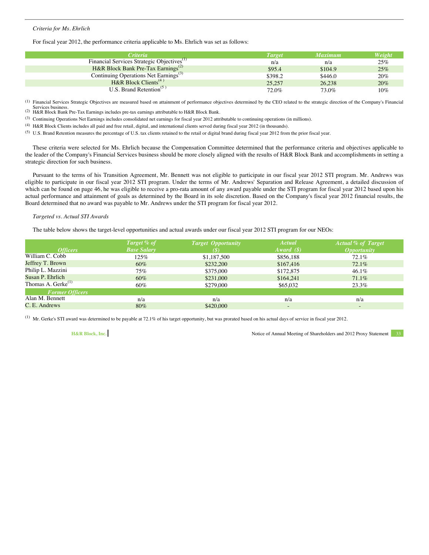# *Criteria for Ms. Ehrlich*

For fiscal year 2012, the performance criteria applicable to Ms. Ehrlich was set as follows:

| <i>Criteria</i>                                        | <b>Target</b> | <b>Maximum</b> | Weight |
|--------------------------------------------------------|---------------|----------------|--------|
| Financial Services Strategic Objectives <sup>(1)</sup> | n/a           | n/a            | 25%    |
| H&R Block Bank Pre-Tax Earnings <sup>(2)</sup>         | \$95.4        | \$104.9        | 25%    |
| Continuing Operations Net Earnings <sup>(3)</sup>      | \$398.2       | \$446.0        | 20%    |
| H&R Block Clients <sup>(4)</sup>                       | 25,257        | 26,238         | 20%    |
| U.S. Brand Retention <sup><math>(5)</math></sup>       | 72.0%         | 73.0%          | 10%    |

(1) Financial Services Strategic Objectives are measured based on attainment of performance objectives determined by the CEO related to the strategic direction of the Company's Financial Services business. (2) H&R Block Bank Pre-Tax Earnings includes pre-tax earnings attributable to H&R Block Bank.

(3) Continuing Operations Net Earnings includes consolidated net earnings for fiscal year 2012 attributable to continuing operations (in millions).

(4) H&R Block Clients includes all paid and free retail, digital, and international clients served during fiscal year 2012 (in thousands).

(5) U.S. Brand Retention measures the percentage of U.S. tax clients retained to the retail or digital brand during fiscal year 2012 from the prior fiscal year.

These criteria were selected for Ms. Ehrlich because the Compensation Committee determined that the performance criteria and objectives applicable to the leader of the Company's Financial Services business should be more closely aligned with the results of H&R Block Bank and accomplishments in setting a strategic direction for such business.

Pursuant to the terms of his Transition Agreement, Mr. Bennett was not eligible to participate in our fiscal year 2012 STI program. Mr. Andrews was eligible to participate in our fiscal year 2012 STI program. Under the terms of Mr. Andrews' Separation and Release Agreement, a detailed discussion of which can be found on page 46, he was eligible to receive a pro-rata amount of any award payable under the STI program for fiscal year 2012 based upon his actual performance and attainment of goals as determined by the Board in its sole discretion. Based on the Company's fiscal year 2012 financial results, the Board determined that no award was payable to Mr. Andrews under the STI program for fiscal year 2012.

## *Targeted vs. Actual STI Awards*

The table below shows the target-level opportunities and actual awards under our fiscal year 2012 STI program for our NEOs:

| Target % of        | <b>Target Opportunity</b> | Actual       | <b>Actual % of Target</b> |
|--------------------|---------------------------|--------------|---------------------------|
| <b>Base Salary</b> | (\$                       | Award $(\$)$ | <i><b>Opportunity</b></i> |
| 125%               | \$1,187,500               | \$856,188    | 72.1%                     |
| $60\%$             | \$232,200                 | \$167,416    | 72.1%                     |
| 75%                | \$375,000                 | \$172,875    | 46.1%                     |
| $60\%$             | \$231,000                 | \$164.241    | 71.1%                     |
| $60\%$             | \$279,000                 | \$65,032     | 23.3%                     |
|                    |                           |              |                           |
| n/a                | n/a                       | n/a          | n/a                       |
| $80\%$             | \$420,000                 |              | $\qquad \qquad$           |
|                    |                           |              |                           |

(1) Mr. Gerke's STI award was determined to be payable at 72.1% of his target opportunity, but was prorated based on his actual days of service in fiscal year 2012.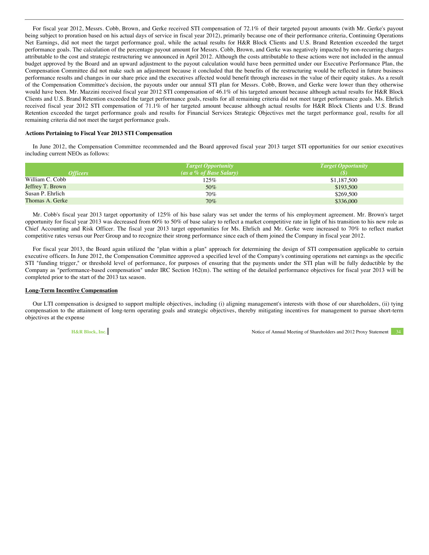For fiscal year 2012, Messrs. Cobb, Brown, and Gerke received STI compensation of 72.1% of their targeted payout amounts (with Mr. Gerke's payout being subject to proration based on his actual days of service in fiscal year 2012), primarily because one of their performance criteria, Continuing Operations Net Earnings, did not meet the target performance goal, while the actual results for H&R Block Clients and U.S. Brand Retention exceeded the target performance goals. The calculation of the percentage payout amount for Messrs. Cobb, Brown, and Gerke was negatively impacted by non-recurring charges attributable to the cost and strategic restructuring we announced in April 2012. Although the costs attributable to these actions were not included in the annual budget approved by the Board and an upward adjustment to the payout calculation would have been permitted under our Executive Performance Plan, the Compensation Committee did not make such an adjustment because it concluded that the benefits of the restructuring would be reflected in future business performance results and changes in our share price and the executives affected would benefit through increases in the value of their equity stakes. As a result of the Compensation Committee's decision, the payouts under our annual STI plan for Messrs. Cobb, Brown, and Gerke were lower than they otherwise would have been. Mr. Mazzini received fiscal year 2012 STI compensation of 46.1% of his targeted amount because although actual results for H&R Block Clients and U.S. Brand Retention exceeded the target performance goals, results for all remaining criteria did not meet target performance goals. Ms. Ehrlich received fiscal year 2012 STI compensation of 71.1% of her targeted amount because although actual results for H&R Block Clients and U.S. Brand Retention exceeded the target performance goals and results for Financial Services Strategic Objectives met the target performance goal, results for all remaining criteria did not meet the target performance goals.

#### **Actions Pertaining to Fiscal Year 2013 STI Compensation**

In June 2012, the Compensation Committee recommended and the Board approved fiscal year 2013 target STI opportunities for our senior executives including current NEOs as follows:

|                        | <b>Target Opportunity</b> | $T \, \text{arget} \, \text{Op}$ <i>Target Opportunity</i> |
|------------------------|---------------------------|------------------------------------------------------------|
| <i><b>Officers</b></i> | (as a % of Base Salary)   |                                                            |
| William C. Cobb        | 125%                      | \$1,187,500                                                |
| Jeffrey T. Brown       | 50%                       | \$193,500                                                  |
| Susan P. Ehrlich       | 70%                       | \$269,500                                                  |
| Thomas A. Gerke        | $70\%$                    | \$336,000                                                  |

Mr. Cobb's fiscal year 2013 target opportunity of 125% of his base salary was set under the terms of his employment agreement. Mr. Brown's target opportunity for fiscal year 2013 was decreased from 60% to 50% of base salary to reflect a market competitive rate in light of his transition to his new role as Chief Accounting and Risk Officer. The fiscal year 2013 target opportunities for Ms. Ehrlich and Mr. Gerke were increased to 70% to reflect market competitive rates versus our Peer Group and to recognize their strong performance since each of them joined the Company in fiscal year 2012.

For fiscal year 2013, the Board again utilized the "plan within a plan" approach for determining the design of STI compensation applicable to certain executive officers. In June 2012, the Compensation Committee approved a specified level of the Company's continuing operations net earnings as the specific STI "funding trigger," or threshold level of performance, for purposes of ensuring that the payments under the STI plan will be fully deductible by the Company as "performance-based compensation" under IRC Section 162(m). The setting of the detailed performance objectives for fiscal year 2013 will be completed prior to the start of the 2013 tax season.

## **Long-Term Incentive Compensation**

Our LTI compensation is designed to support multiple objectives, including (i) aligning management's interests with those of our shareholders, (ii) tying compensation to the attainment of long-term operating goals and strategic objectives, thereby mitigating incentives for management to pursue short-term objectives at the expense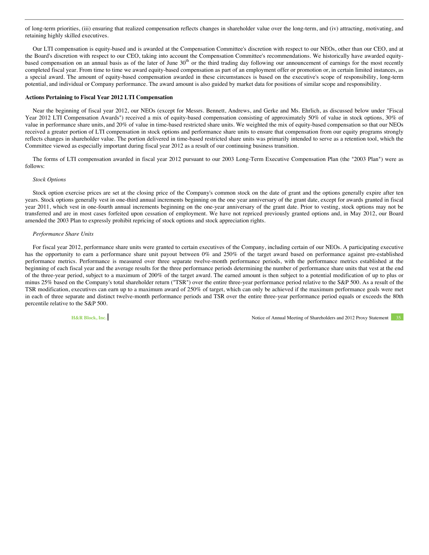of long-term priorities, (iii) ensuring that realized compensation reflects changes in shareholder value over the long-term, and (iv) attracting, motivating, and retaining highly skilled executives.

Our LTI compensation is equity-based and is awarded at the Compensation Committee's discretion with respect to our NEOs, other than our CEO, and at the Board's discretion with respect to our CEO, taking into account the Compensation Committee's recommendations. We historically have awarded equitybased compensation on an annual basis as of the later of June 30<sup>th</sup> or the third trading day following our announcement of earnings for the most recently completed fiscal year. From time to time we award equity-based compensation as part of an employment offer or promotion or, in certain limited instances, as a special award. The amount of equity-based compensation awarded in these circumstances is based on the executive's scope of responsibility, long-term potential, and individual or Company performance. The award amount is also guided by market data for positions of similar scope and responsibility.

#### **Actions Pertaining to Fiscal Year 2012 LTI Compensation**

Near the beginning of fiscal year 2012, our NEOs (except for Messrs. Bennett, Andrews, and Gerke and Ms. Ehrlich, as discussed below under "Fiscal Year 2012 LTI Compensation Awards") received a mix of equity-based compensation consisting of approximately 50% of value in stock options, 30% of value in performance share units, and 20% of value in time-based restricted share units. We weighted the mix of equity-based compensation so that our NEOs received a greater portion of LTI compensation in stock options and performance share units to ensure that compensation from our equity programs strongly reflects changes in shareholder value. The portion delivered in time-based restricted share units was primarily intended to serve as a retention tool, which the Committee viewed as especially important during fiscal year 2012 as a result of our continuing business transition.

The forms of LTI compensation awarded in fiscal year 2012 pursuant to our 2003 Long-Term Executive Compensation Plan (the "2003 Plan") were as follows:

#### *Stock Options*

Stock option exercise prices are set at the closing price of the Company's common stock on the date of grant and the options generally expire after ten years. Stock options generally vest in one-third annual increments beginning on the one year anniversary of the grant date, except for awards granted in fiscal year 2011, which vest in one-fourth annual increments beginning on the one-year anniversary of the grant date. Prior to vesting, stock options may not be transferred and are in most cases forfeited upon cessation of employment. We have not repriced previously granted options and, in May 2012, our Board amended the 2003 Plan to expressly prohibit repricing of stock options and stock appreciation rights.

# *Performance Share Units*

For fiscal year 2012, performance share units were granted to certain executives of the Company, including certain of our NEOs. A participating executive has the opportunity to earn a performance share unit payout between 0% and 250% of the target award based on performance against pre-established performance metrics. Performance is measured over three separate twelve-month performance periods, with the performance metrics established at the beginning of each fiscal year and the average results for the three performance periods determining the number of performance share units that vest at the end of the three-year period, subject to a maximum of 200% of the target award. The earned amount is then subject to a potential modification of up to plus or minus 25% based on the Company's total shareholder return ("TSR") over the entire three-year performance period relative to the S&P 500. As a result of the TSR modification, executives can earn up to a maximum award of 250% of target, which can only be achieved if the maximum performance goals were met in each of three separate and distinct twelve-month performance periods and TSR over the entire three-year performance period equals or exceeds the 80th percentile relative to the S&P 500.

**H&R Block, Inc. Motion 2012 Proxy Statement** 35 Notice of Annual Meeting of Shareholders and 2012 Proxy Statement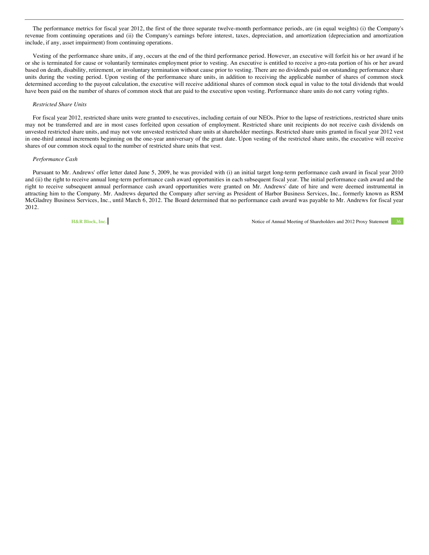The performance metrics for fiscal year 2012, the first of the three separate twelve-month performance periods, are (in equal weights) (i) the Company's revenue from continuing operations and (ii) the Company's earnings before interest, taxes, depreciation, and amortization (depreciation and amortization include, if any, asset impairment) from continuing operations.

Vesting of the performance share units, if any, occurs at the end of the third performance period. However, an executive will forfeit his or her award if he or she is terminated for cause or voluntarily terminates employment prior to vesting. An executive is entitled to receive a pro-rata portion of his or her award based on death, disability, retirement, or involuntary termination without cause prior to vesting. There are no dividends paid on outstanding performance share units during the vesting period. Upon vesting of the performance share units, in addition to receiving the applicable number of shares of common stock determined according to the payout calculation, the executive will receive additional shares of common stock equal in value to the total dividends that would have been paid on the number of shares of common stock that are paid to the executive upon vesting. Performance share units do not carry voting rights.

#### *Restricted Share Units*

For fiscal year 2012, restricted share units were granted to executives, including certain of our NEOs. Prior to the lapse of restrictions, restricted share units may not be transferred and are in most cases forfeited upon cessation of employment. Restricted share unit recipients do not receive cash dividends on unvested restricted share units, and may not vote unvested restricted share units at shareholder meetings. Restricted share units granted in fiscal year 2012 vest in one-third annual increments beginning on the one-year anniversary of the grant date. Upon vesting of the restricted share units, the executive will receive shares of our common stock equal to the number of restricted share units that vest.

## *Performance Cash*

Pursuant to Mr. Andrews' offer letter dated June 5, 2009, he was provided with (i) an initial target long-term performance cash award in fiscal year 2010 and (ii) the right to receive annual long-term performance cash award opportunities in each subsequent fiscal year. The initial performance cash award and the right to receive subsequent annual performance cash award opportunities were granted on Mr. Andrews' date of hire and were deemed instrumental in attracting him to the Company. Mr. Andrews departed the Company after serving as President of Harbor Business Services, Inc., formerly known as RSM McGladrey Business Services, Inc., until March 6, 2012. The Board determined that no performance cash award was payable to Mr. Andrews for fiscal year 2012.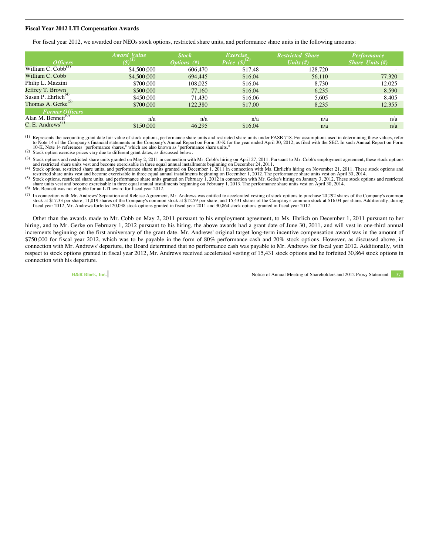#### **Fiscal Year 2012 LTI Compensation Awards**

For fiscal year 2012, we awarded our NEOs stock options, restricted share units, and performance share units in the following amounts:

|                                                   | Award Value | <b>Stock</b> | <i>Exercise</i>                          | <b>Restricted Share</b> | <b>Performance</b>       |
|---------------------------------------------------|-------------|--------------|------------------------------------------|-------------------------|--------------------------|
| <i>Officers</i><br>William C. Cobb <sup>(3)</sup> |             | Options (#)  | Price $(\boldsymbol{\mathcal{S}})^{(2)}$ | Units $(f#)$            | <i>Share Units</i> $(H)$ |
|                                                   | \$4,500,000 | 606,470      | \$17.48                                  | 128,720                 |                          |
| William C. Cobb                                   | \$4,500,000 | 694,445      | \$16.04                                  | 56,110                  | 77,320                   |
| Philip L. Mazzini                                 | \$700,000   | 108,025      | \$16.04                                  | 8,730                   | 12,025                   |
| Jeffrey T. Brown                                  | \$500,000   | 77,160       | \$16.04                                  | 6.235                   | 8.590                    |
| Susan P. Ehrlich <sup><math>(4)</math></sup>      | \$450,000   | 71.430       | \$16.06                                  | 5,605                   | 8,405                    |
| Thomas A. Gerke $^{(5)}$                          | \$700,000   | 122,380      | \$17.00                                  | 8,235                   | 12,355                   |
| Former Officers<br>Alan M. Bennett <sup>(6)</sup> |             |              |                                          |                         |                          |
|                                                   | n/a         | n/a          | n/a                                      | n/a                     | n/a                      |
| $C.E.$ Andrews <sup>(7)</sup>                     | \$150,000   | 46.295       | \$16.04                                  | n/a                     | n/a                      |

<sup>(1)</sup> Represents the accounting grant date fair value of stock options, performance share units and restricted share units under FASB 718. For assumptions used in determining these values, refer to Note 14 of the Company's 10-K, Note 14 references "performance shares," which are also known as "performance share units."<br>
(2) Stock option exercise prices vary due to different grant dates, as discussed below.

(3) Stock options and restricted share units granted on May 2, 2011 in connection with Mr. Cobb's hiring on April 27, 2011. Pursuant to Mr. Cobb's employment agreement, these stock options and restricted share units vest

All its vest and become exercisable in three equal annual installments beginning on December 1, 2012. The performance share units vest on April 30, 2014. These stock options and restricted share units was that become exerc

(5) Stock options, restricted share units, and performance share units granted on February 1, 2012 in connection with Mr. Gerke's hiring on January 3, 2012. These stock options and restricted share units vest and become exercisable in three equal annual installments beginning on February 1, 2013. The performance share units vest on April 30, 2014.<br>
(6) Mr. Bennett was not eligible for an LTI award for fiscal ye

(7) In connection with Mr. Andrews' Separation and Release Agreement, Mr. Andrews was entitled to accelerated vesting of stock options to purchase 20,292 shares of the Company's common stock at \$17.33 per share, 11,019 sha

Other than the awards made to Mr. Cobb on May 2, 2011 pursuant to his employment agreement, to Ms. Ehrlich on December 1, 2011 pursuant to her hiring, and to Mr. Gerke on February 1, 2012 pursuant to his hiring, the above awards had a grant date of June 30, 2011, and will vest in one-third annual increments beginning on the first anniversary of the grant date. Mr. Andrews' original target long-term incentive compensation award was in the amount of \$750,000 for fiscal year 2012, which was to be payable in the form of 80% performance cash and 20% stock options. However, as discussed above, in connection with Mr. Andrews' departure, the Board determined that no performance cash was payable to Mr. Andrews for fiscal year 2012. Additionally, with respect to stock options granted in fiscal year 2012, Mr. Andrews received accelerated vesting of 15,431 stock options and he forfeited 30,864 stock options in connection with his departure.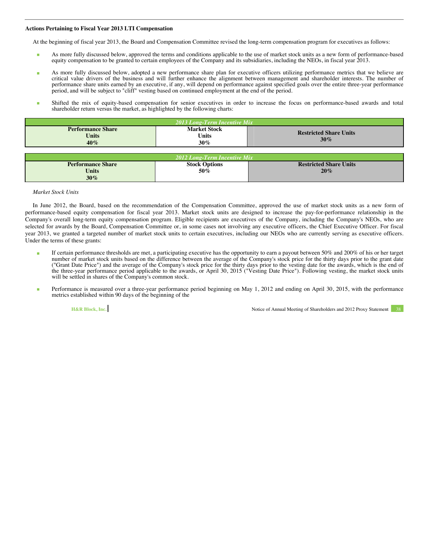## **Actions Pertaining to Fiscal Year 2013 LTI Compensation**

At the beginning of fiscal year 2013, the Board and Compensation Committee revised the long-term compensation program for executives as follows:

- As more fully discussed below, approved the terms and conditions applicable to the use of market stock units as a new form of performance-based equity compensation to be granted to certain employees of the Company and its subsidiaries, including the NEOs, in fiscal year 2013.
- As more fully discussed below, adopted a new performance share plan for executive officers utilizing performance metrics that we believe are critical value drivers of the business and will further enhance the alignment between management and shareholder interests. The number of performance share units earned by an executive, if any, will depend on performance against specified goals over the entire three-year performance period, and will be subject to "cliff" vesting based on continued employment at the end of the period.
- Shifted the mix of equity-based compensation for senior executives in order to increase the focus on performance-based awards and total shareholder return versus the market, as highlighted by the following charts:

| 2013 Long-Term Incentive Mix                    |                                         |                               |  |  |  |  |  |  |
|-------------------------------------------------|-----------------------------------------|-------------------------------|--|--|--|--|--|--|
| <b>Performance Share</b><br><b>Units</b><br>40% | <b>Restricted Share Units</b><br>$30\%$ |                               |  |  |  |  |  |  |
|                                                 |                                         |                               |  |  |  |  |  |  |
|                                                 | <b>2012 Long-Term Incentive Mix</b>     |                               |  |  |  |  |  |  |
| <b>Performance Share</b>                        | <b>Stock Options</b>                    | <b>Restricted Share Units</b> |  |  |  |  |  |  |
| Units                                           | 50%                                     | 20%                           |  |  |  |  |  |  |

# *Market Stock Units*

In June 2012, the Board, based on the recommendation of the Compensation Committee, approved the use of market stock units as a new form of performance-based equity compensation for fiscal year 2013. Market stock units are designed to increase the pay-for-performance relationship in the Company's overall long-term equity compensation program. Eligible recipients are executives of the Company, including the Company's NEOs, who are selected for awards by the Board, Compensation Committee or, in some cases not involving any executive officers, the Chief Executive Officer. For fiscal year 2013, we granted a targeted number of market stock units to certain executives, including our NEOs who are currently serving as executive officers. Under the terms of these grants:

- If certain performance thresholds are met, a participating executive has the opportunity to earn a payout between 50% and 200% of his or her target number of market stock units based on the difference between the average of the Company's stock price for the thirty days prior to the grant date ("Grant Date Price") and the average of the Company's stock price for the thirty days prior to the vesting date for the awards, which is the end of the three-year performance period applicable to the awards, or April 30, 2015 ("Vesting Date Price"). Following vesting, the market stock units will be settled in shares of the Company's common stock.
- Performance is measured over a three-year performance period beginning on May 1, 2012 and ending on April 30, 2015, with the performance metrics established within 90 days of the beginning of the

**30%**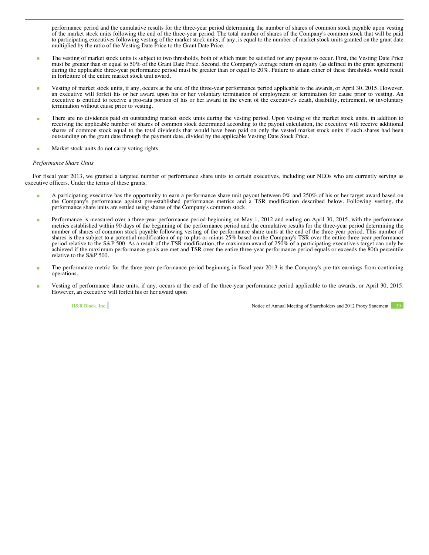performance period and the cumulative results for the three-year period determining the number of shares of common stock payable upon vesting of the market stock units following the end of the three-year period. The total number of shares of the Company's common stock that will be paid to participating executives following vesting of the market stock units, if any, is equal to the number of market stock units granted on the grant date multiplied by the ratio of the Vesting Date Price to the Grant Date Price.

- The vesting of market stock units is subject to two thresholds, both of which must be satisfied for any payout to occur. First, the Vesting Date Price must be greater than or equal to 50% of the Grant Date Price. Second, the Company's average return on equity (as defined in the grant agreement) during the applicable three-year performance period must be greater than or equal to 20%. Failure to attain either of these thresholds would result in forfeiture of the entire market stock unit award.
- Vesting of market stock units, if any, occurs at the end of the three-year performance period applicable to the awards, or April 30, 2015. However, an executive will forfeit his or her award upon his or her voluntary termination of employment or termination for cause prior to vesting. An executive is entitled to receive a pro-rata portion of his or her award in the event of the executive's death, disability, retirement, or involuntary termination without cause prior to vesting.
- There are no dividends paid on outstanding market stock units during the vesting period. Upon vesting of the market stock units, in addition to receiving the applicable number of shares of common stock determined according to the payout calculation, the executive will receive additional shares of common stock equal to the total dividends that would have been paid on only the vested market stock units if such shares had been outstanding on the grant date through the payment date, divided by the applicable Vesting Date Stock Price.
- Market stock units do not carry voting rights.

### *Performance Share Units*

For fiscal year 2013, we granted a targeted number of performance share units to certain executives, including our NEOs who are currently serving as executive officers. Under the terms of these grants:

- A participating executive has the opportunity to earn a performance share unit payout between 0% and 250% of his or her target award based on the Company's performance against pre-established performance metrics and a TSR modification described below. Following vesting, the performance share units are settled using shares of the Company's common stock.
- Performance is measured over a three-year performance period beginning on May 1, 2012 and ending on April 30, 2015, with the performance metrics established within 90 days of the beginning of the performance period and the cumulative results for the three-year period determining the number of shares of common stock payable following vesting of the performance share units at the end of the three-year period. This number of shares is then subject to a potential modification of up to plus or minus 25% based on the Company's TSR over the entire three-year performance period relative to the S&P 500. As a result of the TSR modification, the maximum award of 250% of a participating executive's target can only be achieved if the maximum performance goals are met and TSR over the entire three-year performance period equals or exceeds the 80th percentile relative to the S&P 500.
- The performance metric for the three-year performance period beginning in fiscal year 2013 is the Company's pre-tax earnings from continuing operations.
- Vesting of performance share units, if any, occurs at the end of the three-year performance period applicable to the awards, or April 30, 2015. However, an executive will forfeit his or her award upon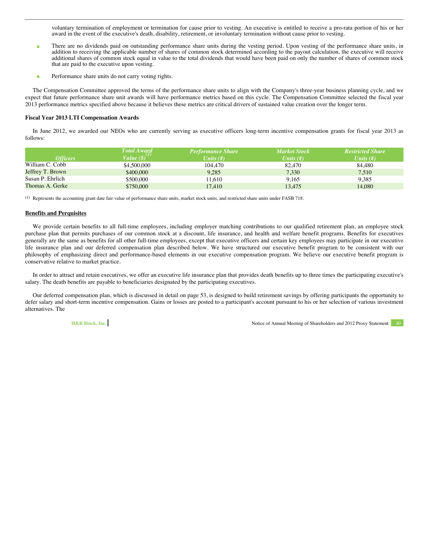voluntary termination of employment or termination for cause prior to vesting. An executive is entitled to receive a pro-rata portion of his or her award in the event of the executive's death, disability, retirement, or involuntary termination without cause prior to vesting.

- There are no dividends paid on outstanding performance share units during the vesting period. Upon vesting of the performance share units, in addition to receiving the applicable number of shares of common stock determined according to the payout calculation, the executive will receive additional shares of common stock equal in value to the total dividends that would have been paid on only the number of shares of common stock that are paid to the executive upon vesting.
- **Performance share units do not carry voting rights.**

The Compensation Committee approved the terms of the performance share units to align with the Company's three-year business planning cycle, and we expect that future performance share unit awards will have performance metrics based on this cycle. The Compensation Committee selected the fiscal year 2013 performance metrics specified above because it believes these metrics are critical drivers of sustained value creation over the longer term.

# **Fiscal Year 2013 LTI Compensation Awards**

In June 2012, we awarded our NEOs who are currently serving as executive officers long-term incentive compensation grants for fiscal year 2013 as follows:

|                        | <b>Total Award</b>              | <b>Performance Share</b> | <b>Market Stock</b> | <b>Restricted Share</b> |
|------------------------|---------------------------------|--------------------------|---------------------|-------------------------|
| <i><b>Officers</b></i> | Value $(\boldsymbol{\S})^{(1)}$ | Units $(f#)$             | Units $(f#)$        | Units $(f#)$            |
| William C. Cobb        | \$4,500,000                     | 104.470                  | 82.470              | 84.480                  |
| Jeffrey T. Brown       | \$400,000                       | 9.285                    | 7.330               | 7,510                   |
| Susan P. Ehrlich       | \$500,000                       | 11.610                   | 9.165               | 9.385                   |
| Thomas A. Gerke        | \$750,000                       | 17.410                   | 13.475              | 14.080                  |

(1) Represents the accounting grant date fair value of performance share units, market stock units, and restricted share units under FASB 718.

# **Benefits and Perquisites**

We provide certain benefits to all full-time employees, including employer matching contributions to our qualified retirement plan, an employee stock purchase plan that permits purchases of our common stock at a discount, life insurance, and health and welfare benefit programs. Benefits for executives generally are the same as benefits for all other full-time employees, except that executive officers and certain key employees may participate in our executive life insurance plan and our deferred compensation plan described below. We have structured our executive benefit program to be consistent with our philosophy of emphasizing direct and performance-based elements in our executive compensation program. We believe our executive benefit program is conservative relative to market practice.

In order to attract and retain executives, we offer an executive life insurance plan that provides death benefits up to three times the participating executive's salary. The death benefits are payable to beneficiaries designated by the participating executives.

Our deferred compensation plan, which is discussed in detail on page 53, is designed to build retirement savings by offering participants the opportunity to defer salary and short-term incentive compensation. Gains or losses are posted to a participant's account pursuant to his or her selection of various investment alternatives. The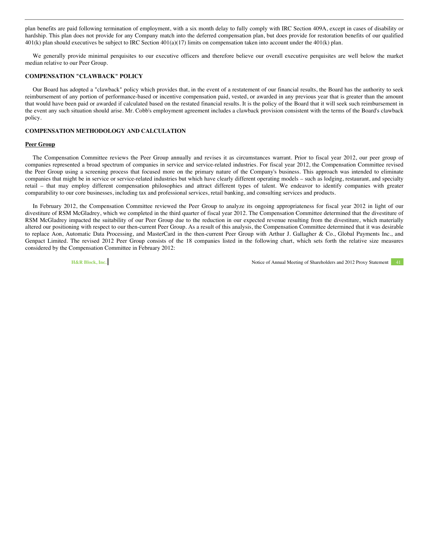plan benefits are paid following termination of employment, with a six month delay to fully comply with IRC Section 409A, except in cases of disability or hardship. This plan does not provide for any Company match into the deferred compensation plan, but does provide for restoration benefits of our qualified 401(k) plan should executives be subject to IRC Section 401(a)(17) limits on compensation taken into account under the 401(k) plan.

We generally provide minimal perquisites to our executive officers and therefore believe our overall executive perquisites are well below the market median relative to our Peer Group.

# **COMPENSATION "CLAWBACK" POLICY**

Our Board has adopted a "clawback" policy which provides that, in the event of a restatement of our financial results, the Board has the authority to seek reimbursement of any portion of performance-based or incentive compensation paid, vested, or awarded in any previous year that is greater than the amount that would have been paid or awarded if calculated based on the restated financial results. It is the policy of the Board that it will seek such reimbursement in the event any such situation should arise. Mr. Cobb's employment agreement includes a clawback provision consistent with the terms of the Board's clawback policy.

# **COMPENSATION METHODOLOGY AND CALCULATION**

### **Peer Group**

The Compensation Committee reviews the Peer Group annually and revises it as circumstances warrant. Prior to fiscal year 2012, our peer group of companies represented a broad spectrum of companies in service and service-related industries. For fiscal year 2012, the Compensation Committee revised the Peer Group using a screening process that focused more on the primary nature of the Company's business. This approach was intended to eliminate companies that might be in service or service-related industries but which have clearly different operating models – such as lodging, restaurant, and specialty retail – that may employ different compensation philosophies and attract different types of talent. We endeavor to identify companies with greater comparability to our core businesses, including tax and professional services, retail banking, and consulting services and products.

In February 2012, the Compensation Committee reviewed the Peer Group to analyze its ongoing appropriateness for fiscal year 2012 in light of our divestiture of RSM McGladrey, which we completed in the third quarter of fiscal year 2012. The Compensation Committee determined that the divestiture of RSM McGladrey impacted the suitability of our Peer Group due to the reduction in our expected revenue resulting from the divestiture, which materially altered our positioning with respect to our then-current Peer Group. As a result of this analysis, the Compensation Committee determined that it was desirable to replace Aon, Automatic Data Processing, and MasterCard in the then-current Peer Group with Arthur J. Gallagher & Co., Global Payments Inc., and Genpact Limited. The revised 2012 Peer Group consists of the 18 companies listed in the following chart, which sets forth the relative size measures considered by the Compensation Committee in February 2012: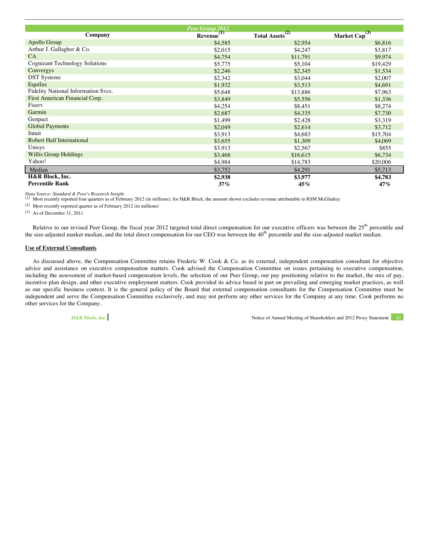|                                       | Peer Group 2012 |                            |                   |
|---------------------------------------|-----------------|----------------------------|-------------------|
| Company                               | <b>Revenue</b>  | (2)<br><b>Total Assets</b> | (3)<br>Market Cap |
| Apollo Group                          | \$4,585         | \$2,954                    | \$6,816           |
| Arthur J. Gallagher & Co.             | \$2,015         | \$4,247                    | \$3,817           |
| CA                                    | \$4,754         | \$11,791                   | \$9,974           |
| <b>Cognizant Technology Solutions</b> | \$5,775         | \$5,104                    | \$19,429          |
| Convergys                             | \$2,246         | \$2,345                    | \$1,534           |
| <b>DST</b> Systems                    | \$2,342         | \$3,044                    | \$2,007           |
| Equifax                               | \$1,932         | \$3,513                    | \$4,691           |
| Fidelity National Information Svcs.   | \$5,648         | \$13,886                   | \$7,963           |
| First American Financial Corp.        | \$3,849         | \$5,556                    | \$1,336           |
| Fisery                                | \$4,254         | \$8,451                    | \$8,274           |
| Garmin                                | \$2,687         | \$4,335                    | \$7,730           |
| Genpact                               | \$1,499         | \$2,428                    | \$3,319           |
| <b>Global Payments</b>                | \$2,049         | \$2,614                    | \$3,712           |
| Intuit                                | \$3,913         | \$4,683                    | \$15,704          |
| <b>Robert Half International</b>      | \$3,655         | \$1,309                    | \$4,069           |
| Unisys                                | \$3,913         | \$2,567                    | \$855             |
| <b>Willis Group Holdings</b>          | \$3,468         | \$16,615                   | \$6,734           |
| Yahoo!                                | \$4,984         | \$14,783                   | \$20,006          |
| Median                                | \$3,752         | \$4,291                    | \$5,713           |
| H&R Block, Inc.                       | \$2,938         | \$3,977                    | \$4,783           |
| <b>Percentile Rank</b>                | 37%             | 45%                        | 47%               |

*Data Source: Standard & Poor's Research Insight* (1) Most recently reported four quarters as of February 2012 (in millions); for H&R Block, the amount shown excludes revenue attributable to RSM McGladrey

(2) Most recently reported quarter as of February 2012 (in millions)

(3) As of December 31, 2011

Relative to our revised Peer Group, the fiscal year 2012 targeted total direct compensation for our executive officers was between the  $25<sup>th</sup>$  percentile and the size-adjusted market median, and the total direct compensation for our CEO was between the  $40<sup>th</sup>$  percentile and the size-adjusted market median.

## **Use of External Consultants**

As discussed above, the Compensation Committee retains Frederic W. Cook & Co. as its external, independent compensation consultant for objective advice and assistance on executive compensation matters. Cook advised the Compensation Committee on issues pertaining to executive compensation, including the assessment of market-based compensation levels, the selection of our Peer Group, our pay positioning relative to the market, the mix of pay, incentive plan design, and other executive employment matters. Cook provided its advice based in part on prevailing and emerging market practices, as well as our specific business context. It is the general policy of the Board that external compensation consultants for the Compensation Committee must be independent and serve the Compensation Committee exclusively, and may not perform any other services for the Company at any time. Cook performs no other services for the Company.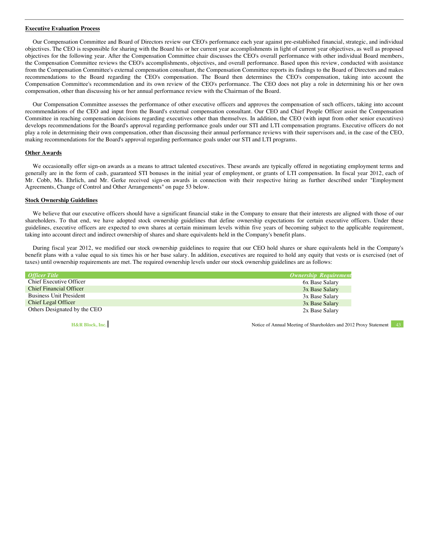## **Executive Evaluation Process**

Our Compensation Committee and Board of Directors review our CEO's performance each year against pre-established financial, strategic, and individual objectives. The CEO is responsible for sharing with the Board his or her current year accomplishments in light of current year objectives, as well as proposed objectives for the following year. After the Compensation Committee chair discusses the CEO's overall performance with other individual Board members, the Compensation Committee reviews the CEO's accomplishments, objectives, and overall performance. Based upon this review, conducted with assistance from the Compensation Committee's external compensation consultant, the Compensation Committee reports its findings to the Board of Directors and makes recommendations to the Board regarding the CEO's compensation. The Board then determines the CEO's compensation, taking into account the Compensation Committee's recommendation and its own review of the CEO's performance. The CEO does not play a role in determining his or her own compensation, other than discussing his or her annual performance review with the Chairman of the Board.

Our Compensation Committee assesses the performance of other executive officers and approves the compensation of such officers, taking into account recommendations of the CEO and input from the Board's external compensation consultant. Our CEO and Chief People Officer assist the Compensation Committee in reaching compensation decisions regarding executives other than themselves. In addition, the CEO (with input from other senior executives) develops recommendations for the Board's approval regarding performance goals under our STI and LTI compensation programs. Executive officers do not play a role in determining their own compensation, other than discussing their annual performance reviews with their supervisors and, in the case of the CEO, making recommendations for the Board's approval regarding performance goals under our STI and LTI programs.

# **Other Awards**

We occasionally offer sign-on awards as a means to attract talented executives. These awards are typically offered in negotiating employment terms and generally are in the form of cash, guaranteed STI bonuses in the initial year of employment, or grants of LTI compensation. In fiscal year 2012, each of Mr. Cobb, Ms. Ehrlich, and Mr. Gerke received sign-on awards in connection with their respective hiring as further described under "Employment Agreements, Change of Control and Other Arrangements" on page 53 below.

# **Stock Ownership Guidelines**

We believe that our executive officers should have a significant financial stake in the Company to ensure that their interests are aligned with those of our shareholders. To that end, we have adopted stock ownership guidelines that define ownership expectations for certain executive officers. Under these guidelines, executive officers are expected to own shares at certain minimum levels within five years of becoming subject to the applicable requirement, taking into account direct and indirect ownership of shares and share equivalents held in the Company's benefit plans.

During fiscal year 2012, we modified our stock ownership guidelines to require that our CEO hold shares or share equivalents held in the Company's benefit plans with a value equal to six times his or her base salary. In addition, executives are required to hold any equity that vests or is exercised (net of taxes) until ownership requirements are met. The required ownership levels under our stock ownership guidelines are as follows:

| <b>Officer Title</b>           | <b>Ownership Requirement</b> |
|--------------------------------|------------------------------|
| Chief Executive Officer        | 6x Base Salary               |
| <b>Chief Financial Officer</b> | 3x Base Salary               |
| <b>Business Unit President</b> | 3x Base Salary               |
| Chief Legal Officer            | 3x Base Salary               |
| Others Designated by the CEO   | 2x Base Salary               |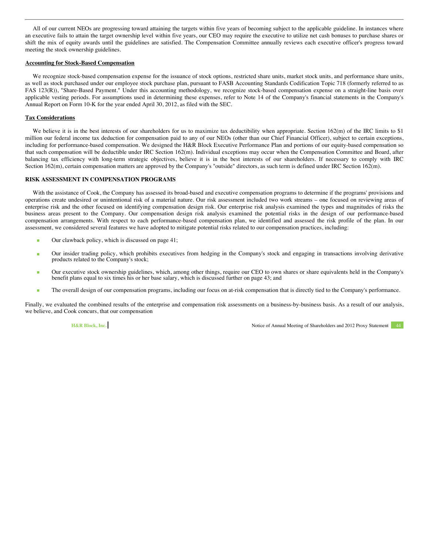All of our current NEOs are progressing toward attaining the targets within five years of becoming subject to the applicable guideline. In instances where an executive fails to attain the target ownership level within five years, our CEO may require the executive to utilize net cash bonuses to purchase shares or shift the mix of equity awards until the guidelines are satisfied. The Compensation Committee annually reviews each executive officer's progress toward meeting the stock ownership guidelines.

## **Accounting for Stock-Based Compensation**

We recognize stock-based compensation expense for the issuance of stock options, restricted share units, market stock units, and performance share units, as well as stock purchased under our employee stock purchase plan, pursuant to FASB Accounting Standards Codification Topic 718 (formerly referred to as FAS 123(R)), "Share-Based Payment." Under this accounting methodology, we recognize stock-based compensation expense on a straight-line basis over applicable vesting periods. For assumptions used in determining these expenses, refer to Note 14 of the Company's financial statements in the Company's Annual Report on Form 10-K for the year ended April 30, 2012, as filed with the SEC.

# **Tax Considerations**

We believe it is in the best interests of our shareholders for us to maximize tax deductibility when appropriate. Section 162(m) of the IRC limits to \$1 million our federal income tax deduction for compensation paid to any of our NEOs (other than our Chief Financial Officer), subject to certain exceptions, including for performance-based compensation. We designed the H&R Block Executive Performance Plan and portions of our equity-based compensation so that such compensation will be deductible under IRC Section 162(m). Individual exceptions may occur when the Compensation Committee and Board, after balancing tax efficiency with long-term strategic objectives, believe it is in the best interests of our shareholders. If necessary to comply with IRC Section 162(m), certain compensation matters are approved by the Company's "outside" directors, as such term is defined under IRC Section 162(m).

# **RISK ASSESSMENT IN COMPENSATION PROGRAMS**

With the assistance of Cook, the Company has assessed its broad-based and executive compensation programs to determine if the programs' provisions and operations create undesired or unintentional risk of a material nature. Our risk assessment included two work streams – one focused on reviewing areas of enterprise risk and the other focused on identifying compensation design risk. Our enterprise risk analysis examined the types and magnitudes of risks the business areas present to the Company. Our compensation design risk analysis examined the potential risks in the design of our performance-based compensation arrangements. With respect to each performance-based compensation plan, we identified and assessed the risk profile of the plan. In our assessment, we considered several features we have adopted to mitigate potential risks related to our compensation practices, including:

- Our clawback policy, which is discussed on page 41;
- Our insider trading policy, which prohibits executives from hedging in the Company's stock and engaging in transactions involving derivative products related to the Company's stock;
- Our executive stock ownership guidelines, which, among other things, require our CEO to own shares or share equivalents held in the Company's benefit plans equal to six times his or her base salary, which is discussed further on page 43; and
- The overall design of our compensation programs, including our focus on at-risk compensation that is directly tied to the Company's performance.

Finally, we evaluated the combined results of the enterprise and compensation risk assessments on a business-by-business basis. As a result of our analysis, we believe, and Cook concurs, that our compensation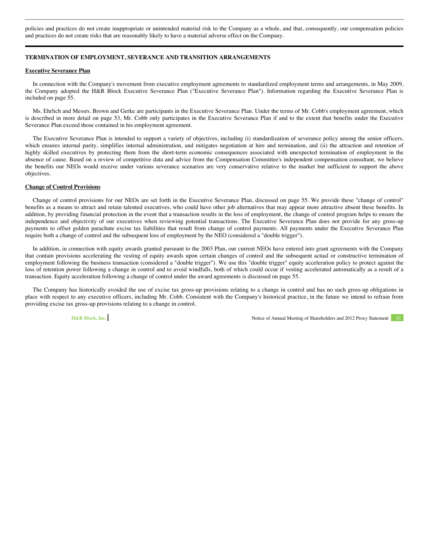policies and practices do not create inappropriate or unintended material risk to the Company as a whole, and that, consequently, our compensation policies and practices do not create risks that are reasonably likely to have a material adverse effect on the Company.

# **TERMINATION OF EMPLOYMENT, SEVERANCE AND TRANSITION ARRANGEMENTS**

#### **Executive Severance Plan**

In connection with the Company's movement from executive employment agreements to standardized employment terms and arrangements, in May 2009, the Company adopted the H&R Block Executive Severance Plan ("Executive Severance Plan"). Information regarding the Executive Severance Plan is included on page 55.

Ms. Ehrlich and Messrs. Brown and Gerke are participants in the Executive Severance Plan. Under the terms of Mr. Cobb's employment agreement, which is described in more detail on page 53, Mr. Cobb only participates in the Executive Severance Plan if and to the extent that benefits under the Executive Severance Plan exceed those contained in his employment agreement.

The Executive Severance Plan is intended to support a variety of objectives, including (i) standardization of severance policy among the senior officers, which ensures internal parity, simplifies internal administration, and mitigates negotiation at hire and termination, and (ii) the attraction and retention of highly skilled executives by protecting them from the short-term economic consequences associated with unexpected termination of employment in the absence of cause. Based on a review of competitive data and advice from the Compensation Committee's independent compensation consultant, we believe the benefits our NEOs would receive under various severance scenarios are very conservative relative to the market but sufficient to support the above objectives.

#### **Change of Control Provisions**

Change of control provisions for our NEOs are set forth in the Executive Severance Plan, discussed on page 55. We provide these "change of control" benefits as a means to attract and retain talented executives, who could have other job alternatives that may appear more attractive absent these benefits. In addition, by providing financial protection in the event that a transaction results in the loss of employment, the change of control program helps to ensure the independence and objectivity of our executives when reviewing potential transactions. The Executive Severance Plan does not provide for any gross-up payments to offset golden parachute excise tax liabilities that result from change of control payments. All payments under the Executive Severance Plan require both a change of control and the subsequent loss of employment by the NEO (considered a "double trigger").

In addition, in connection with equity awards granted pursuant to the 2003 Plan, our current NEOs have entered into grant agreements with the Company that contain provisions accelerating the vesting of equity awards upon certain changes of control and the subsequent actual or constructive termination of employment following the business transaction (considered a "double trigger"). We use this "double trigger" equity acceleration policy to protect against the loss of retention power following a change in control and to avoid windfalls, both of which could occur if vesting accelerated automatically as a result of a transaction. Equity acceleration following a change of control under the award agreements is discussed on page 55.

The Company has historically avoided the use of excise tax gross-up provisions relating to a change in control and has no such gross-up obligations in place with respect to any executive officers, including Mr. Cobb. Consistent with the Company's historical practice, in the future we intend to refrain from providing excise tax gross-up provisions relating to a change in control.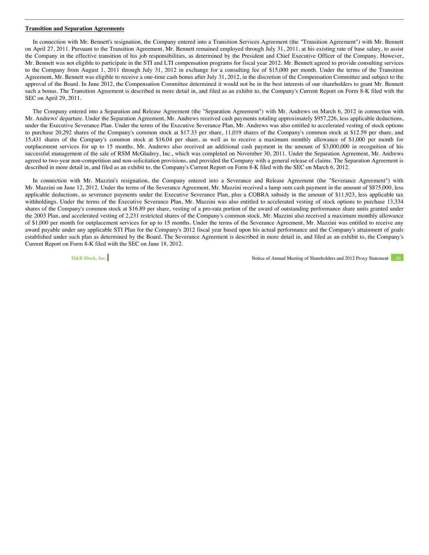#### **Transition and Separation Agreements**

In connection with Mr. Bennett's resignation, the Company entered into a Transition Services Agreement (the "Transition Agreement") with Mr. Bennett on April 27, 2011. Pursuant to the Transition Agreement, Mr. Bennett remained employed through July 31, 2011, at his existing rate of base salary, to assist the Company in the effective transition of his job responsibilities, as determined by the President and Chief Executive Officer of the Company. However, Mr. Bennett was not eligible to participate in the STI and LTI compensation programs for fiscal year 2012. Mr. Bennett agreed to provide consulting services to the Company from August 1, 2011 through July 31, 2012 in exchange for a consulting fee of \$15,000 per month. Under the terms of the Transition Agreement, Mr. Bennett was eligible to receive a one-time cash bonus after July 31, 2012, in the discretion of the Compensation Committee and subject to the approval of the Board. In June 2012, the Compensation Committee determined it would not be in the best interests of our shareholders to grant Mr. Bennett such a bonus. The Transition Agreement is described in more detail in, and filed as an exhibit to, the Company's Current Report on Form 8-K filed with the SEC on April 29, 2011.

The Company entered into a Separation and Release Agreement (the "Separation Agreement") with Mr. Andrews on March 6, 2012 in connection with Mr. Andrews' departure. Under the Separation Agreement, Mr. Andrews received cash payments totaling approximately \$957,226, less applicable deductions, under the Executive Severance Plan. Under the terms of the Executive Severance Plan, Mr. Andrews was also entitled to accelerated vesting of stock options to purchase 20,292 shares of the Company's common stock at \$17.33 per share, 11,019 shares of the Company's common stock at \$12.59 per share, and 15,431 shares of the Company's common stock at \$16.04 per share, as well as to receive a maximum monthly allowance of \$1,000 per month for outplacement services for up to 15 months. Mr. Andrews also received an additional cash payment in the amount of \$3,000,000 in recognition of his successful management of the sale of RSM McGladrey, Inc., which was completed on November 30, 2011. Under the Separation Agreement, Mr. Andrews agreed to two-year non-competition and non-solicitation provisions, and provided the Company with a general release of claims. The Separation Agreement is described in more detail in, and filed as an exhibit to, the Company's Current Report on Form 8-K filed with the SEC on March 6, 2012.

In connection with Mr. Mazzini's resignation, the Company entered into a Severance and Release Agreement (the "Severance Agreement") with Mr. Mazzini on June 12, 2012. Under the terms of the Severance Agreement, Mr. Mazzini received a lump sum cash payment in the amount of \$875,000, less applicable deductions, as severance payments under the Executive Severance Plan, plus a COBRA subsidy in the amount of \$11,923, less applicable tax withholdings. Under the terms of the Executive Severance Plan, Mr. Mazzini was also entitled to accelerated vesting of stock options to purchase 13,334 shares of the Company's common stock at \$16.89 per share, vesting of a pro-rata portion of the award of outstanding performance share units granted under the 2003 Plan, and accelerated vesting of 2,231 restricted shares of the Company's common stock. Mr. Mazzini also received a maximum monthly allowance of \$1,000 per month for outplacement services for up to 15 months. Under the terms of the Severance Agreement, Mr. Mazzini was entitled to receive any award payable under any applicable STI Plan for the Company's 2012 fiscal year based upon his actual performance and the Company's attainment of goals established under such plan as determined by the Board. The Severance Agreement is described in more detail in, and filed as an exhibit to, the Company's Current Report on Form 8-K filed with the SEC on June 18, 2012.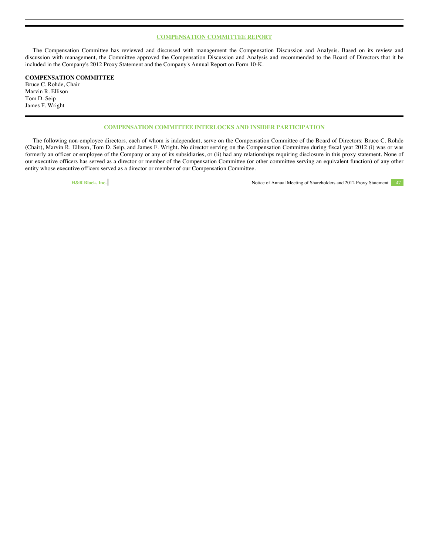# **COMPENSATION COMMITTEE REPORT**

The Compensation Committee has reviewed and discussed with management the Compensation Discussion and Analysis. Based on its review and discussion with management, the Committee approved the Compensation Discussion and Analysis and recommended to the Board of Directors that it be included in the Company's 2012 Proxy Statement and the Company's Annual Report on Form 10-K.

# **COMPENSATION COMMITTEE**

Bruce C. Rohde, Chair Marvin R. Ellison Tom D. Seip James F. Wright

# **COMPENSATION COMMITTEE INTERLOCKS AND INSIDER PARTICIPATION**

The following non-employee directors, each of whom is independent, serve on the Compensation Committee of the Board of Directors: Bruce C. Rohde (Chair), Marvin R. Ellison, Tom D. Seip, and James F. Wright. No director serving on the Compensation Committee during fiscal year 2012 (i) was or was formerly an officer or employee of the Company or any of its subsidiaries, or (ii) had any relationships requiring disclosure in this proxy statement. None of our executive officers has served as a director or member of the Compensation Committee (or other committee serving an equivalent function) of any other entity whose executive officers served as a director or member of our Compensation Committee.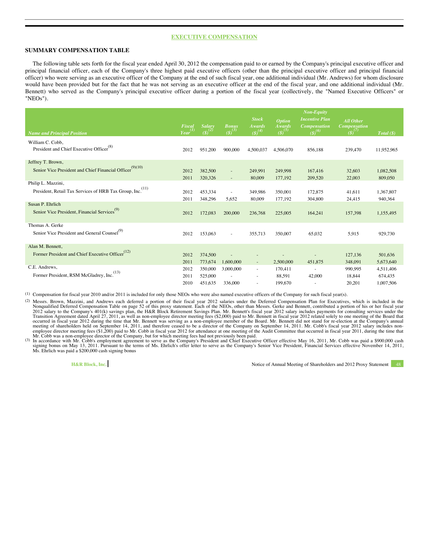# **EXECUTIVE COMPENSATION**

# **SUMMARY COMPENSATION TABLE**

The following table sets forth for the fiscal year ended April 30, 2012 the compensation paid to or earned by the Company's principal executive officer and principal financial officer, each of the Company's three highest paid executive officers (other than the principal executive officer and principal financial officer) who were serving as an executive officer of the Company at the end of such fiscal year, one additional individual (Mr. Andrews) for whom disclosure would have been provided but for the fact that he was not serving as an executive officer at the end of the fiscal year, and one additional individual (Mr. Bennett) who served as the Company's principal executive officer during a portion of the fiscal year (collectively, the "Named Executive Officers" or "NEOs").

|                                                               |        |               |                          |                               |                                | <b>Non-Equity</b>                            |                                         |            |
|---------------------------------------------------------------|--------|---------------|--------------------------|-------------------------------|--------------------------------|----------------------------------------------|-----------------------------------------|------------|
|                                                               | Fiscal | <b>Salary</b> | <b>Bonus</b>             | <b>Stock</b><br><b>Awards</b> | <b>Option</b><br><b>Awards</b> | <b>Incentive Plan</b><br><b>Compensation</b> | <b>All Other</b><br><b>Compensation</b> |            |
| <b>Name and Principal Position</b>                            | Year   | $(5)^{2}$     | $(S)^{(3)}$              | $(S)^{(4)}$                   | $(S)^{(5)}$                    | $(5)^{(6)}$                                  | $\mathcal{S}^{(7)}$                     | Total(S)   |
| William C. Cobb,                                              |        |               |                          |                               |                                |                                              |                                         |            |
| President and Chief Executive Officer <sup>(8)</sup>          | 2012   | 951,200       | 900,000                  | 4,500,037                     | 4,506,070                      | 856,188                                      | 239,470                                 | 11,952,965 |
| Jeffrey T. Brown,                                             |        |               |                          |                               |                                |                                              |                                         |            |
| (9)(10)<br>Senior Vice President and Chief Financial Officer  | 2012   | 382,500       | $\overline{\phantom{a}}$ | 249.991                       | 249.998                        | 167,416                                      | 32,603                                  | 1,082,508  |
|                                                               | 2011   | 320,326       | $\sim$                   | 80,009                        | 177,192                        | 209,520                                      | 22,003                                  | 809,050    |
| Philip L. Mazzini,                                            |        |               |                          |                               |                                |                                              |                                         |            |
| (11)<br>President, Retail Tax Services of HRB Tax Group, Inc. | 2012   | 453,334       | ÷.                       | 349,986                       | 350,001                        | 172,875                                      | 41,611                                  | 1,367,807  |
|                                                               | 2011   | 348,296       | 5,652                    | 80,009                        | 177,192                        | 304,800                                      | 24,415                                  | 940,364    |
| Susan P. Ehrlich                                              |        |               |                          |                               |                                |                                              |                                         |            |
| Senior Vice President, Financial Services <sup>(9)</sup>      | 2012   | 172,083       | 200,000                  | 236,768                       | 225,005                        | 164,241                                      | 157,398                                 | 1,155,495  |
| Thomas A. Gerke                                               |        |               |                          |                               |                                |                                              |                                         |            |
| Senior Vice President and General Counsel <sup>(9)</sup>      | 2012   | 153,063       | ٠                        | 355,713                       | 350,007                        | 65,032                                       | 5,915                                   | 929,730    |
|                                                               |        |               |                          |                               |                                |                                              |                                         |            |
| Alan M. Bennett,                                              |        |               |                          |                               |                                |                                              |                                         |            |
| Former President and Chief Executive Officer <sup>(12)</sup>  | 2012   | 374,500       |                          |                               |                                |                                              | 127,136                                 | 501,636    |
|                                                               | 2011   | 773,674       | 1,600,000                | $\sim$                        | 2,500,000                      | 451,875                                      | 348,091                                 | 5,673,640  |
| C.E. Andrews,<br>(13)                                         | 2012   | 350,000       | 3,000,000                | $\sim$                        | 170,411                        | $\sim$                                       | 990.995                                 | 4,511,406  |
| Former President, RSM McGladrey, Inc.                         | 2011   | 525,000       |                          |                               | 88,591                         | 42,000                                       | 18,844                                  | 674,435    |
|                                                               | 2010   | 451,635       | 336,000                  |                               | 199,670                        | ٠                                            | 20,201                                  | 1,007,506  |

(1) Compensation for fiscal year 2010 and/or 2011 is included for only those NEOs who were also named executive officers of the Company for such fiscal year(s).

(2) Messrs. Brown, Mazzini, and Andrews each deferred a portion of their fiscal year 2012 salaries under the Deferred Compensation Plan for Executives, which is included in the Nonqualified Deferred Compensation Table on p 2012 salary to the Company's 401(k) savings plan, the H&R Block Retirement Savings Plan. Mr. Bennett's fiscal year 2012 salary includes payments for consulting services under the<br>Transition Agreement dated April 27, 2011, occurred in fiscal year 2012 during the time that Mr. Bennett was serving as a non-employee member of the Board. Mr. Bennett did not stand for re-election at the Company's annual<br>meeting of shareholders held on September 1

Mr. Cobb was a non-employee director of the Company, but for which meeting fees had not previously been paid.<br>(3) In accordance with Mr. Cobb's employment agreement to serve as the Company's President and Chief Executive O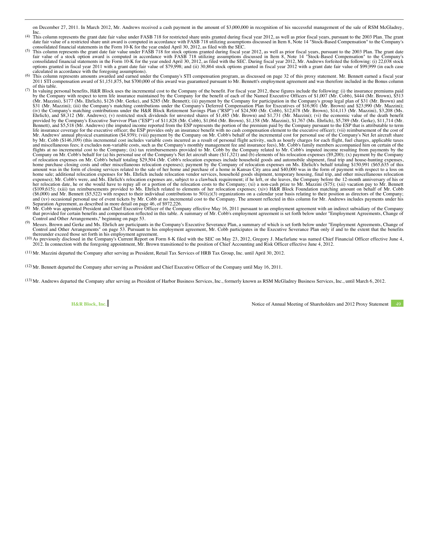on December 27, 2011. In March 2012, Mr. Andrews received a cash payment in the amount of \$3,000,000 in recognition of his successful management of the sale of RSM McGladrey, Inc.

- <sup>(4)</sup> This column represents the grant date fair value under FASB 718 for restricted share units granted during fiscal year 2012, as well as prior fiscal years, pursuant to the 2003 Plan. The grant date fair value of a res
- consolidated financial statements in the Form 10-K for the year ended April 30, 2012, as filed with the SEC.<br>
(5) This column represents the grant date fair value under FASB 718 for stock options granted during fiscal year options granted in fiscal year 2011 with a grant date fair value of \$79,998; and (ii) 30,864 stock options granted in fiscal year 2012 with a grant date fair value of \$99,999 (in each case calculated in accordance with the foregoing assumptions).<br>(6) This column represents amounts awarded and earned under the Company's STI compensation program, as discussed on page 32 of this proxy statement. Mr. Bennett ear
- 2011 STI compensation award of \$1,151,875, but \$700,000 of this award was guaranteed pursuant to Mr. Bennett's employment agreement and was therefore included in the Bonus column of this table.
- $(7)$  In valuing personal benefits, H&R Block uses the incremental cost to the Company of the benefit. For fiscal year 2012, these figures include the following: (i) the insurance premiums paid by the Company with respect to term life insurance maintained by the Company for the benefit of each of the Named Executive Officers of \$1,007 (Mr. Cobb), \$444 (Mr. Brown), \$513<br>(Mr. Mazzini), \$177 (Ms. Ehrlich), \$126 (Mr. Bennett), and \$5,518 (Mr. Andrews) (the imputed income reported from the ESP represents the portion of the premium paid by the Company pursuant to the ESP that is attributable to term<br>life insurance coverage for the execut by Mr. Cobb (\$146,109) (this incremental cost includes variable costs incurred as a result of personal flight activity, such as hourly charges for each flight, fuel charges, applicable taxes<br>and miscellaneous fees; it excl Company on Mr. Cobb's behalf for (a) his personal use of the Company's Net Jet aircraft share (\$11,321) and (b) elements of his relocation expenses (\$9,200); (x) payment by the Company<br>of relocation expenses on Mr. Cobb's amount was in the form of closing services related to the sale of her home and purchase of a home in Kansas City area and \$40,000 was in the form of payment with respect to a loss on home sale; additional relocation expenses for Ms. Ehrlich include relocation vendor services, household goods shipment, temporary housing, final trip, and other miscellaneous relocation<br>expenses); Mr. Cobb's were, and Ms. her relocation date, he or she would have to repay all or a portion of the relocation costs to the Company; (xi) a non-cash prize to Mr. Mazzini (\$75); (xii) vacation pay to Mr. Bennett<br>(\$109,615); (xiii) tax reimbursement and (xv) occasional personal use of event tickets by Mr. Cobb at no incremental cost to the Company. The amount reflected in this column for Mr. Andrews includes payments under his<br>Separation Agreement, as described in mor
- that provided for certain benefits and compensation reflected in this table. A summary of Mr. Cobb's employment agreement is set forth below under "Employment Agreements, Change of Control and Other Arrangements," beginnin
- <sup>(9)</sup> Messrs. Brown and Gerke and Ms. Enrlich are participants in the Company's Executive Severance Plan, a summary of which is set forth below under "Employment Agreements, Change of Control and Other Arrangements" on page 53. Pursuant to his employment agreement, Mr. Cobb participates in the Executive Severance Plan only if and to the extent that the benefits thereunder exceed those set forth in his e
- (10) As previously disclosed in the Company's Current Report on Form 8-K filed with the SEC on May 23, 2012, Gregory J. Macfarlane was named Chief Financial Officer effective June 4, 2012. In connection with the foregoing appointment, Mr. Brown transitioned to the position of Chief Accounting and Risk Officer effective June 4, 2012.

(11) Mr. Mazzini departed the Company after serving as President, Retail Tax Services of HRB Tax Group, Inc. until April 30, 2012.

(12) Mr. Bennett departed the Company after serving as President and Chief Executive Officer of the Company until May 16, 2011.

(13) Mr. Andrews departed the Company after serving as President of Harbor Business Services, Inc., formerly known as RSM McGladrey Business Services, Inc., until March 6, 2012.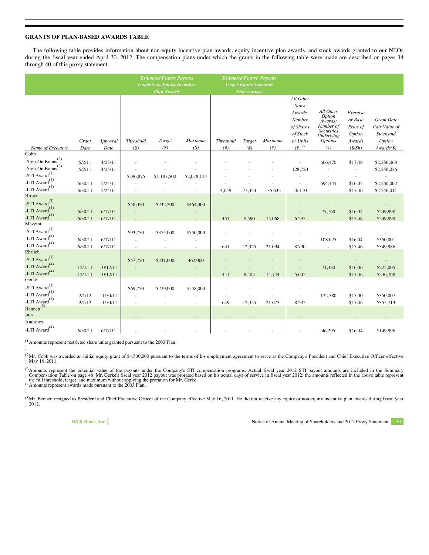# **GRANTS OF PLAN-BASED AWARDS TABLE**

The following table provides information about non-equity incentive plan awards, equity incentive plan awards, and stock awards granted to our NEOs during the fiscal year ended April 30, 2012. The compensation plans under which the grants in the following table were made are described on pages 34 through 40 of this proxy statement.

|                                                                                                                         |                    |                      | <b>Estimated Future Payouts</b><br><b>Under Non-Equity Incentive</b> |                    | <b>Estimated Future Payouts</b><br><b>Under Equity Incentive</b> |                                       |                             |                              |                                                                                                     |                                                                                                                   |                                                                 |                                                                                  |
|-------------------------------------------------------------------------------------------------------------------------|--------------------|----------------------|----------------------------------------------------------------------|--------------------|------------------------------------------------------------------|---------------------------------------|-----------------------------|------------------------------|-----------------------------------------------------------------------------------------------------|-------------------------------------------------------------------------------------------------------------------|-----------------------------------------------------------------|----------------------------------------------------------------------------------|
|                                                                                                                         |                    |                      |                                                                      | <b>Plan Awards</b> |                                                                  |                                       | <b>Plan Awards</b>          |                              |                                                                                                     |                                                                                                                   |                                                                 |                                                                                  |
| Name of Executive                                                                                                       | Grant<br>Date      | Approval<br>Date     | <b>Threshold</b><br>(S)                                              | Target<br>(S)      | Maximum<br>$($ \$                                                | <b>Threshold</b><br>(# <sup>2</sup> ) | Target<br>(# <sup>2</sup> ) | Maximum<br>(# <sup>2</sup> ) | All Other<br><b>Stock</b><br>Awards:<br>Number<br>of Shares<br>of Stock<br>or Units<br>$(\#)^{(1)}$ | All Other<br>Option<br>Awards:<br>Number of<br><b>Securities</b><br><b>Underlying</b><br><b>Options</b><br>$(\#)$ | Exercise<br>or Base<br>Price of<br>Option<br>Awards<br>(S/Sh)   | <b>Grant Date</b><br>Fair Value of<br>Stock and<br>Option<br>$Awards(\text{\$})$ |
| $\overline{\text{Cobb}}$<br>-Sign-On Bonus <sup>(2)</sup><br>-Sign-On Bonus <sup>(2)</sup><br>-STI $\mbox{Award}^{(3)}$ | 5/2/11<br>5/2/11   | 4/25/11<br>4/25/11   | \$296,875                                                            | \$1,187,500        | \$2,078,125                                                      |                                       |                             | ٠                            | 128,720                                                                                             | 606,470<br>$\sim$<br>ä,                                                                                           | \$17.48<br>$\overline{\phantom{a}}$<br>$\overline{\phantom{a}}$ | \$2,256,068<br>\$2,250,026                                                       |
| -LTI $\mbox{Award}^{(4)}$<br>-LTI $Award(4)$                                                                            | 6/30/11<br>6/30/11 | 5/24/11<br>5/24/11   |                                                                      |                    |                                                                  | 4,059                                 | 77,320                      | 135,632                      | 56,110                                                                                              | 694,445<br>$\overline{\phantom{a}}$                                                                               | \$16.04<br>\$17.46                                              | \$2,250,002<br>\$2,250,011                                                       |
| <b>Brown</b><br>-STI $Award^{(3)}$<br>-LTI Award <sup>(4)</sup><br>-LTI Award <sup>(4)</sup>                            | 6/30/11<br>6/30/11 | 6/17/11<br>6/17/11   | \$58,050                                                             | \$232,200          | \$464,400                                                        | 451                                   | 8,590                       | 15,068                       | 6,235                                                                                               | 77,160<br>$\sim$                                                                                                  | \$16.04<br>\$17.46                                              | \$249,998<br>\$249,990                                                           |
| Mazzini<br>-STI $\mbox{Award}^{(3)}$<br>-LTI $\mbox{Award}^{(4)}$<br>-LTI $\mbox{Award}^{(4)}$                          | 6/30/11<br>6/30/11 | 6/17/11<br>6/17/11   | \$93,750                                                             | \$375,000          | \$750,000<br>×.                                                  | 631                                   | 12,025                      | 21,094                       | 8,730                                                                                               | 108,025<br>$\overline{\phantom{a}}$                                                                               | \$16.04<br>\$17.46                                              | \$350,001<br>\$349,986                                                           |
| Ehrlich<br>-STI Award $^{(3)}$<br>-LTI Award <sup>(4)</sup><br>-LTI Award <sup>(4)</sup>                                | 12/1/11<br>12/1/11 | 10/12/11<br>10/12/11 | \$57,750                                                             | \$231,000          | 462,000                                                          | 441                                   | 8,405                       | ٠<br>14.744                  | 5,605                                                                                               | 71,430<br>÷.                                                                                                      | \$16.06<br>\$17.46                                              | \$225,005<br>\$236,768                                                           |
| Gerke<br>-STI $\mbox{Award}^{(3)}$<br>-LTI $\mbox{Award}^{(4)}$<br>-LTI $Award(4)$                                      | 2/1/12<br>2/1/12   | 11/30/11<br>11/30/11 | \$69,750                                                             | \$279,000<br>٠     | \$558,000<br>$\sim$                                              | i,<br>649                             | 12,355                      | 21,673                       | 8,235                                                                                               | 122,380<br>$\overline{\phantom{a}}$                                                                               | $\overline{\phantom{a}}$<br>\$17.00<br>\$17.46                  | \$350,007<br>\$355,713                                                           |
| Bennett <sup>(5)</sup><br>$-n/a$                                                                                        |                    |                      |                                                                      |                    |                                                                  |                                       |                             |                              |                                                                                                     |                                                                                                                   |                                                                 |                                                                                  |
| Andrews<br>-LTI $\mbox{Award}^{(4)}$                                                                                    | 6/30/11            | 6/17/11              |                                                                      |                    |                                                                  |                                       |                             |                              |                                                                                                     | 46,295                                                                                                            | \$16.04                                                         | \$149,996                                                                        |

(1 Amounts represent restricted share units granted pursuant to the 2003 Plan.

)

)

(2 <sup>(2</sup>Mr. Cobb was awarded an initial equity grant of \$4,500,000 pursuant to the terms of his employment agreement to serve as the Company's President and Chief Executive Officer effective<br>) May 16, 2011.

(3 <sup>(3</sup> Amounts represent the potential value of the payouts under the Company's STI compensation programs. Actual fiscal year 2012 STI payout amounts are included in the Summary<br>) Compensation Table on page 48. Mr. Gerke's f

<sup>(5</sup>Mr. Bennett resigned as President and Chief Executive Officer of the Company effective May 16, 2011. He did not receive any equity or non-equity incentive plan awards during fiscal year ) 2012.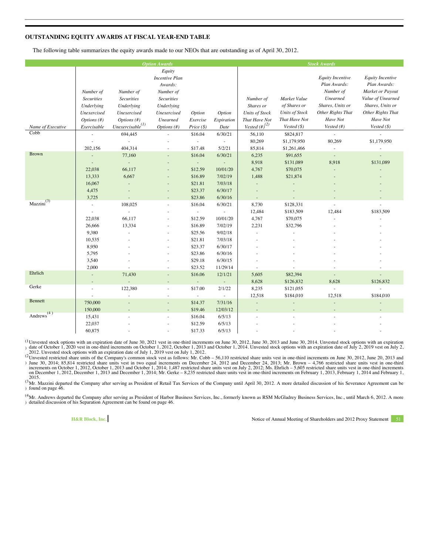# **OUTSTANDING EQUITY AWARDS AT FISCAL YEAR-END TABLE**

The following table summarizes the equity awards made to our NEOs that are outstanding as of April 30, 2012.

| <b>Option Awards</b>   |                               |                               |                                |                                     | <b>Stock Awards</b>                 |                                        |                                       |                                     |                                       |
|------------------------|-------------------------------|-------------------------------|--------------------------------|-------------------------------------|-------------------------------------|----------------------------------------|---------------------------------------|-------------------------------------|---------------------------------------|
|                        |                               |                               | Equity                         |                                     |                                     |                                        |                                       |                                     |                                       |
|                        |                               |                               | <b>Incentive Plan</b>          |                                     |                                     |                                        |                                       | <b>Equity Incentive</b>             | <b>Equity Incentive</b>               |
|                        |                               |                               | Awards:                        |                                     |                                     |                                        |                                       | Plan Awards:                        | Plan Awards:                          |
|                        | Number of                     | Number of                     | Number of                      |                                     |                                     |                                        |                                       | Number of                           | Market or Payout                      |
|                        | <b>Securities</b>             | <b>Securities</b>             | <b>Securities</b>              |                                     |                                     | Number of                              | Market Value                          | <b>Unearned</b><br>Shares, Units or | Value of Unearned<br>Shares, Units or |
|                        | Underlying                    | Underlying                    | Underlying                     |                                     |                                     | Shares or                              | of Shares or<br><b>Units of Stock</b> | Other Rights That                   | Other Rights That                     |
|                        | Unexercised<br>Options $(f#)$ | Unexercised<br>Options $(f#)$ | Unexercised<br><b>Unearned</b> | Option                              | Option                              | <b>Units of Stock</b><br>That Have Not | That Have Not                         | Have Not                            | Have Not                              |
| Name of Executive      | Exercisable                   | Unexercisable <sup>(1)</sup>  | Options (#)                    | Exercise<br>$Price (\$)$            | Expiration<br>Date                  | Vested $(\#)^{(2)}$                    | Vested $(\$)$                         | Vested (#)                          | Vested $(\$)$                         |
| Cobb                   |                               | 694,445                       | ÷,                             | \$16.04                             | 6/30/21                             | 56,110                                 | \$824,817                             | $\sim$                              | $\mathcal{L}$                         |
|                        |                               | $\bar{a}$                     |                                | $\sim$                              | $\overline{\phantom{a}}$            | 80,269                                 | \$1,179,950                           | 80,269                              | \$1,179,950                           |
|                        | 202,156                       | 404,314                       | $\overline{\phantom{a}}$       | \$17.48                             | 5/2/21                              | 85,814                                 | \$1,261,466                           | $\overline{\phantom{a}}$            | $\sim$                                |
| <b>Brown</b>           | L.                            | 77,160                        |                                | \$16.04                             | 6/30/21                             | 6,235                                  | \$91,655                              | $\overline{\phantom{a}}$            | $\overline{a}$                        |
|                        |                               | $\sim$                        |                                | $\sim$                              | $\overline{\phantom{a}}$            | 8,918                                  | \$131,089                             | 8,918                               | \$131,089                             |
|                        | 22,038                        | 66,117                        |                                | \$12.59                             | 10/01/20                            | 4,767                                  | \$70,075                              |                                     |                                       |
|                        | 13,333                        | 6,667                         |                                | \$16.89                             | 7/02/19                             | 1,488                                  | \$21,874                              |                                     |                                       |
|                        | 16,067                        |                               |                                | \$21.81                             | 7/03/18                             |                                        |                                       |                                     |                                       |
|                        | 4,475                         | ÷                             |                                | \$23.37                             | 6/30/17                             |                                        |                                       |                                     |                                       |
|                        | 3,725                         |                               |                                | \$23.86                             | 6/30/16                             |                                        |                                       |                                     |                                       |
| Maxzini <sup>(3)</sup> | ×.                            | 108,025                       | ÷,                             | \$16.04                             | 6/30/21                             | 8,730                                  | \$128,331                             |                                     |                                       |
|                        | ×.                            | $\overline{\phantom{a}}$      |                                | $\sim$                              | $\sim$                              | 12,484                                 | \$183,509                             | 12,484                              | \$183,509                             |
|                        | 22,038                        | 66,117                        |                                | \$12.59                             | 10/01/20                            | 4,767                                  | \$70,075                              |                                     |                                       |
|                        | 26,666                        | 13,334                        |                                | \$16.89                             | 7/02/19                             | 2,231                                  | \$32,796                              |                                     |                                       |
|                        | 9,380                         |                               |                                | \$25.56                             | 9/02/18                             |                                        |                                       |                                     |                                       |
|                        | 10,535                        |                               |                                | \$21.81                             | 7/03/18                             |                                        |                                       |                                     |                                       |
|                        | 8,950                         |                               |                                | \$23.37                             | 6/30/17                             |                                        |                                       |                                     |                                       |
|                        | 5,795                         |                               |                                | \$23.86                             | 6/30/16                             |                                        |                                       |                                     |                                       |
|                        | 3,540                         |                               |                                | \$29.18                             | 6/30/15                             |                                        |                                       |                                     |                                       |
| Ehrlich                | 2,000                         |                               | ×.                             | \$23.52                             | 11/29/14                            |                                        |                                       |                                     |                                       |
|                        | $\overline{\phantom{a}}$      | 71,430                        | $\overline{\phantom{a}}$       | \$16.06                             | 12/1/21                             | 5,605                                  | \$82,394                              |                                     |                                       |
| Gerke                  | ÷.                            | $\mathcal{L}^{\pm}$           | ÷.                             | $\omega_{\rm{eff}}$                 | ÷,                                  | 8,628                                  | \$126,832                             | 8,628                               | \$126,832                             |
|                        | $\sim$                        | 122,380                       | ÷,                             | \$17.00                             | 2/1/22                              | 8,235                                  | \$121,055                             | L,                                  | \$184,010                             |
| Bennett                | $\sim$<br>750,000             | $\overline{\phantom{a}}$      |                                | $\overline{\phantom{a}}$<br>\$14.37 | $\overline{\phantom{a}}$<br>7/31/16 | 12,518                                 | \$184,010                             | 12,518                              |                                       |
|                        | 150,000                       |                               |                                | \$19.46                             | 12/03/12                            | $\overline{\phantom{a}}$               | $\overline{\phantom{a}}$              | $\overline{a}$                      |                                       |
| Andrews <sup>(4)</sup> | 15,431                        | ٠                             | $\sim$                         | \$16.04                             | 6/5/13                              |                                        |                                       |                                     |                                       |
|                        | 22,037                        |                               |                                | \$12.59                             | 6/5/13                              |                                        |                                       |                                     |                                       |
|                        | 60,875                        |                               |                                | \$17.33                             | 6/5/13                              |                                        |                                       |                                     |                                       |

<sup>(1</sup>Unvested stock options with an expiration date of June 30, 2021 vest in one-third increments on June 30, 2012, June 30, 2013 and June 30, 2014. Unvested stock options with an expiration ) date of October 1, 2020 vest in one-third increments on October 1, 2012, October 1, 2013 and October 1, 2014. Unvested stock options with an expiration date of July 2, 2019 vest on July 2, 2012. Unvested stock options with an expiration date of July 1, 2019 vest on July 1, 2012.<br><sup>(2</sup>Havested restricted share units of the Company's common stock yest as follows: Mr. Col

<sup>(2</sup>Unvested restricted share units of the Company's common stock vest as follows: Mr. Cobb – 56,110 restricted share units vest in one-third increments on June 30, 2012, June 20, 2013 and<br>1) June 30, 2014; 85,814 restrict  $^{2015}_{\text{Mr} - \lambda}$ 

<sup>(></sup>Mr. Mazzini departed the Company after serving as President of Retail Tax Services of the Company until April 30, 2012. A more detailed discussion of his Severance Agreement can be<br>) found on page 46.

<sup>(4</sup>Mr. Andrews departed the Company after serving as President of Harbor Business Services, Inc., formerly known as RSM McGladrey Business Services, Inc., until March 6, 2012. A more ) detailed discussion of his Separation Agreement can be found on page 46.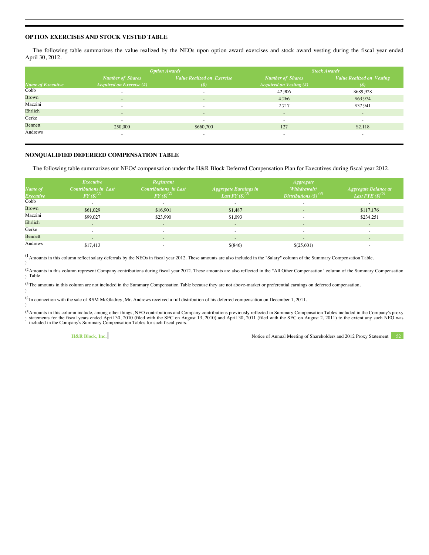# **OPTION EXERCISES AND STOCK VESTED TABLE**

The following table summarizes the value realized by the NEOs upon option award exercises and stock award vesting during the fiscal year ended April 30, 2012.

|                   |                                 | <b>Option Awards</b>              | <b>Stock Awards</b>            |                                  |  |
|-------------------|---------------------------------|-----------------------------------|--------------------------------|----------------------------------|--|
|                   | <b>Number of Shares</b>         | <b>Value Realized on Exercise</b> | <b>Number of Shares</b>        | <b>Value Realized on Vesting</b> |  |
| Name of Executive | <b>Acquired on Exercise</b> (#) | (S)                               | <b>Acquired on Vesting (#)</b> | (S)                              |  |
| Cobb              | ٠.                              | $\sim$                            | 42,906                         | \$689,928                        |  |
| <b>Brown</b>      | $\sim$                          | $\frac{1}{2}$                     | 4,266                          | \$63,974                         |  |
| Mazzini           | ×.                              | $\sim$                            | 2,717                          | \$37,941                         |  |
| Ehrlich           | $\sim$                          | $\frac{1}{2}$                     | $\sim$                         | $\overline{\phantom{a}}$         |  |
| Gerke             | $\sim$                          | $\sim$                            | $\sim$                         | $\sim$                           |  |
| Bennett           | 250,000                         | \$660,700                         | 127                            | \$2,118                          |  |
| Andrews           | ۰                               | $\sim$                            | ٠                              | $\sim$                           |  |

# **NONQUALIFIED DEFERRED COMPENSATION TABLE**

The following table summarizes our NEOs' compensation under the H&R Block Deferred Compensation Plan for Executives during fiscal year 2012.

|                  | Executive                                         | Registrant                   |                              | <b>Aggregate</b>                             |                          |
|------------------|---------------------------------------------------|------------------------------|------------------------------|----------------------------------------------|--------------------------|
| Name of          | <b>Contributions in Last</b>                      | <b>Contributions</b> in Last | <b>Aggregate Earnings in</b> | Withdrawals/                                 | Aggregate Balance at     |
| <b>Executive</b> | $FY\left( \mathcal{S}\right) ^{\left( I\right) }$ | $FY(3)^{(2)}$                | Last FY $(S)^{(3)}$          | Distributions $(\boldsymbol{\hat{s}})^{(4)}$ | Last FYE $(S)^{(5)}$     |
| Cobb             |                                                   | $\sim$                       |                              |                                              |                          |
| <b>Brown</b>     | \$61,029                                          | \$16,901                     | \$1,487                      | $\sim$                                       | \$117,176                |
| Mazzini          | \$99,027                                          | \$23,990                     | \$1,093                      |                                              | \$234,251                |
| Ehrlich          |                                                   | $\sim$                       | $\sim$                       |                                              | $\overline{\phantom{a}}$ |
| Gerke            | ×.                                                | $\sim$                       | $\sim$                       |                                              |                          |
| Bennett          | $\sim$                                            | $\sim$                       | $\sim$                       | $\sim$                                       | $\sim$                   |
| Andrews          | \$17,413                                          | $\sim$                       | $$^{(846)}$                  | \$(25,601)                                   | $\sim$                   |

(1 <sup>(1</sup> Amounts in this column reflect salary deferrals by the NEOs in fiscal year 2012. These amounts are also included in the "Salary" column of the Summary Compensation Table.<br>)

<sup>(2</sup> Amounts in this column represent Company contributions during fiscal year 2012. These amounts are also reflected in the "All Other Compensation" column of the Summary Compensation ) Table.

 $(3)$  The amounts in this column are not included in the Summary Compensation Table because they are not above-market or preferential earnings on deferred compensation. )

(4 <sup>(+</sup>In connection with the sale of RSM McGladrey, Mr. Andrews received a full distribution of his deferred compensation on December 1, 2011.<br>)

<sup>(5</sup> Amounts in this column include, among other things, NEO contributions and Company contributions previously reflected in Summary Compensation Tables included in the Company's proxy ) statements for the fiscal years ended April 30, 2010 (filed with the SEC on August 13, 2010) and April 30, 2011 (filed with the SEC on August 2, 2011) to the extent any such NEO was<br>included in the Company's Summary Comp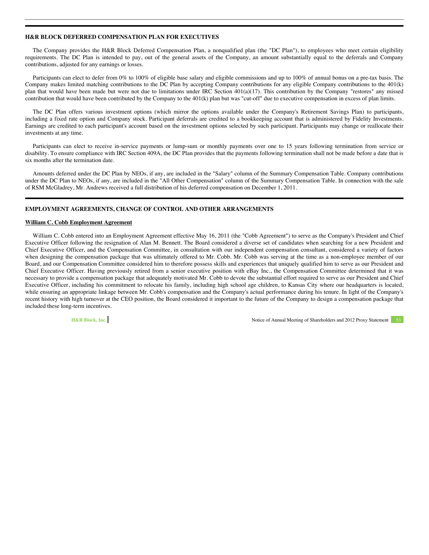# **H&R BLOCK DEFERRED COMPENSATION PLAN FOR EXECUTIVES**

The Company provides the H&R Block Deferred Compensation Plan, a nonqualified plan (the "DC Plan"), to employees who meet certain eligibility requirements. The DC Plan is intended to pay, out of the general assets of the Company, an amount substantially equal to the deferrals and Company contributions, adjusted for any earnings or losses.

Participants can elect to defer from 0% to 100% of eligible base salary and eligible commissions and up to 100% of annual bonus on a pre-tax basis. The Company makes limited matching contributions to the DC Plan by accepting Company contributions for any eligible Company contributions to the 401(k) plan that would have been made but were not due to limitations under IRC Section 401(a)(17). This contribution by the Company "restores" any missed contribution that would have been contributed by the Company to the 401(k) plan but was "cut-off" due to executive compensation in excess of plan limits.

The DC Plan offers various investment options (which mirror the options available under the Company's Retirement Savings Plan) to participants, including a fixed rate option and Company stock. Participant deferrals are credited to a bookkeeping account that is administered by Fidelity Investments. Earnings are credited to each participant's account based on the investment options selected by such participant. Participants may change or reallocate their investments at any time.

Participants can elect to receive in-service payments or lump-sum or monthly payments over one to 15 years following termination from service or disability. To ensure compliance with IRC Section 409A, the DC Plan provides that the payments following termination shall not be made before a date that is six months after the termination date.

Amounts deferred under the DC Plan by NEOs, if any, are included in the "Salary" column of the Summary Compensation Table. Company contributions under the DC Plan to NEOs, if any, are included in the "All Other Compensation" column of the Summary Compensation Table. In connection with the sale of RSM McGladrey, Mr. Andrews received a full distribution of his deferred compensation on December 1, 2011.

# **EMPLOYMENT AGREEMENTS, CHANGE OF CONTROL AND OTHER ARRANGEMENTS**

# **William C. Cobb Employment Agreement**

William C. Cobb entered into an Employment Agreement effective May 16, 2011 (the "Cobb Agreement") to serve as the Company's President and Chief Executive Officer following the resignation of Alan M. Bennett. The Board considered a diverse set of candidates when searching for a new President and Chief Executive Officer, and the Compensation Committee, in consultation with our independent compensation consultant, considered a variety of factors when designing the compensation package that was ultimately offered to Mr. Cobb. Mr. Cobb was serving at the time as a non-employee member of our Board, and our Compensation Committee considered him to therefore possess skills and experiences that uniquely qualified him to serve as our President and Chief Executive Officer. Having previously retired from a senior executive position with eBay Inc., the Compensation Committee determined that it was necessary to provide a compensation package that adequately motivated Mr. Cobb to devote the substantial effort required to serve as our President and Chief Executive Officer, including his commitment to relocate his family, including high school age children, to Kansas City where our headquarters is located, while ensuring an appropriate linkage between Mr. Cobb's compensation and the Company's actual performance during his tenure. In light of the Company's recent history with high turnover at the CEO position, the Board considered it important to the future of the Company to design a compensation package that included these long-term incentives.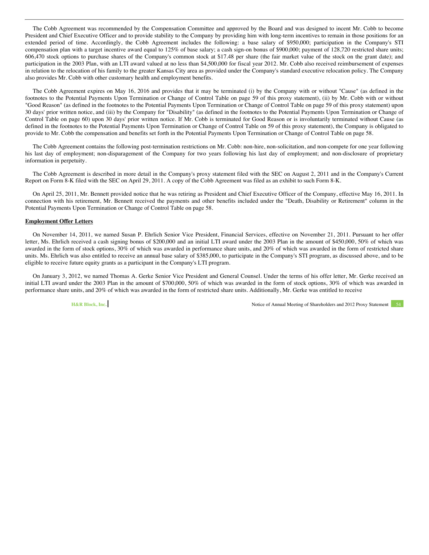The Cobb Agreement was recommended by the Compensation Committee and approved by the Board and was designed to incent Mr. Cobb to become President and Chief Executive Officer and to provide stability to the Company by providing him with long-term incentives to remain in those positions for an extended period of time. Accordingly, the Cobb Agreement includes the following: a base salary of \$950,000; participation in the Company's STI compensation plan with a target incentive award equal to 125% of base salary; a cash sign-on bonus of \$900,000; payment of 128,720 restricted share units; 606,470 stock options to purchase shares of the Company's common stock at \$17.48 per share (the fair market value of the stock on the grant date); and participation in the 2003 Plan, with an LTI award valued at no less than \$4,500,000 for fiscal year 2012. Mr. Cobb also received reimbursement of expenses in relation to the relocation of his family to the greater Kansas City area as provided under the Company's standard executive relocation policy. The Company also provides Mr. Cobb with other customary health and employment benefits.

The Cobb Agreement expires on May 16, 2016 and provides that it may be terminated (i) by the Company with or without "Cause" (as defined in the footnotes to the Potential Payments Upon Termination or Change of Control Table on page 59 of this proxy statement), (ii) by Mr. Cobb with or without "Good Reason" (as defined in the footnotes to the Potential Payments Upon Termination or Change of Control Table on page 59 of this proxy statement) upon 30 days' prior written notice, and (iii) by the Company for "Disability" (as defined in the footnotes to the Potential Payments Upon Termination or Change of Control Table on page 60) upon 30 days' prior written notice. If Mr. Cobb is terminated for Good Reason or is involuntarily terminated without Cause (as defined in the footnotes to the Potential Payments Upon Termination or Change of Control Table on 59 of this proxy statement), the Company is obligated to provide to Mr. Cobb the compensation and benefits set forth in the Potential Payments Upon Termination or Change of Control Table on page 58.

The Cobb Agreement contains the following post-termination restrictions on Mr. Cobb: non-hire, non-solicitation, and non-compete for one year following his last day of employment; non-disparagement of the Company for two years following his last day of employment; and non-disclosure of proprietary information in perpetuity.

The Cobb Agreement is described in more detail in the Company's proxy statement filed with the SEC on August 2, 2011 and in the Company's Current Report on Form 8-K filed with the SEC on April 29, 2011. A copy of the Cobb Agreement was filed as an exhibit to such Form 8-K.

On April 25, 2011, Mr. Bennett provided notice that he was retiring as President and Chief Executive Officer of the Company, effective May 16, 2011. In connection with his retirement, Mr. Bennett received the payments and other benefits included under the "Death, Disability or Retirement" column in the Potential Payments Upon Termination or Change of Control Table on page 58.

### **Employment Offer Letters**

On November 14, 2011, we named Susan P. Ehrlich Senior Vice President, Financial Services, effective on November 21, 2011. Pursuant to her offer letter, Ms. Ehrlich received a cash signing bonus of \$200,000 and an initial LTI award under the 2003 Plan in the amount of \$450,000, 50% of which was awarded in the form of stock options, 30% of which was awarded in performance share units, and 20% of which was awarded in the form of restricted share units. Ms. Ehrlich was also entitled to receive an annual base salary of \$385,000, to participate in the Company's STI program, as discussed above, and to be eligible to receive future equity grants as a participant in the Company's LTI program.

On January 3, 2012, we named Thomas A. Gerke Senior Vice President and General Counsel. Under the terms of his offer letter, Mr. Gerke received an initial LTI award under the 2003 Plan in the amount of \$700,000, 50% of which was awarded in the form of stock options, 30% of which was awarded in performance share units, and 20% of which was awarded in the form of restricted share units. Additionally, Mr. Gerke was entitled to receive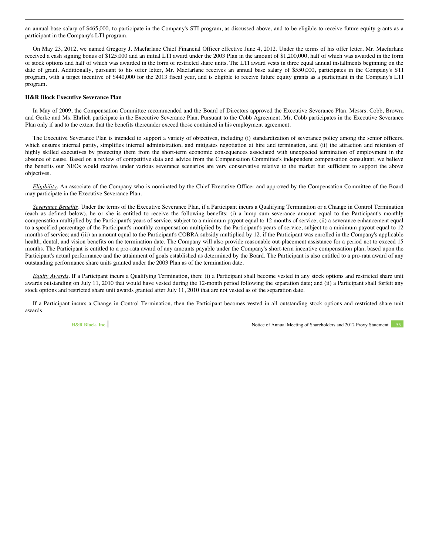an annual base salary of \$465,000, to participate in the Company's STI program, as discussed above, and to be eligible to receive future equity grants as a participant in the Company's LTI program.

On May 23, 2012, we named Gregory J. Macfarlane Chief Financial Officer effective June 4, 2012. Under the terms of his offer letter, Mr. Macfarlane received a cash signing bonus of \$125,000 and an initial LTI award under the 2003 Plan in the amount of \$1,200,000, half of which was awarded in the form of stock options and half of which was awarded in the form of restricted share units. The LTI award vests in three equal annual installments beginning on the date of grant. Additionally, pursuant to his offer letter, Mr. Macfarlane receives an annual base salary of \$550,000, participates in the Company's STI program, with a target incentive of \$440,000 for the 2013 fiscal year, and is eligible to receive future equity grants as a participant in the Company's LTI program.

## **H&R Block Executive Severance Plan**

In May of 2009, the Compensation Committee recommended and the Board of Directors approved the Executive Severance Plan. Messrs. Cobb, Brown, and Gerke and Ms. Ehrlich participate in the Executive Severance Plan. Pursuant to the Cobb Agreement, Mr. Cobb participates in the Executive Severance Plan only if and to the extent that the benefits thereunder exceed those contained in his employment agreement.

The Executive Severance Plan is intended to support a variety of objectives, including (i) standardization of severance policy among the senior officers, which ensures internal parity, simplifies internal administration, and mitigates negotiation at hire and termination, and (ii) the attraction and retention of highly skilled executives by protecting them from the short-term economic consequences associated with unexpected termination of employment in the absence of cause. Based on a review of competitive data and advice from the Compensation Committee's independent compensation consultant, we believe the benefits our NEOs would receive under various severance scenarios are very conservative relative to the market but sufficient to support the above objectives.

*Eligibility*. An associate of the Company who is nominated by the Chief Executive Officer and approved by the Compensation Committee of the Board may participate in the Executive Severance Plan.

*Severance Benefits*. Under the terms of the Executive Severance Plan, if a Participant incurs a Qualifying Termination or a Change in Control Termination (each as defined below), he or she is entitled to receive the following benefits: (i) a lump sum severance amount equal to the Participant's monthly compensation multiplied by the Participant's years of service, subject to a minimum payout equal to 12 months of service; (ii) a severance enhancement equal to a specified percentage of the Participant's monthly compensation multiplied by the Participant's years of service, subject to a minimum payout equal to 12 months of service; and (iii) an amount equal to the Participant's COBRA subsidy multiplied by 12, if the Participant was enrolled in the Company's applicable health, dental, and vision benefits on the termination date. The Company will also provide reasonable out-placement assistance for a period not to exceed 15 months. The Participant is entitled to a pro-rata award of any amounts payable under the Company's short-term incentive compensation plan, based upon the Participant's actual performance and the attainment of goals established as determined by the Board. The Participant is also entitled to a pro-rata award of any outstanding performance share units granted under the 2003 Plan as of the termination date.

*Equity Awards*. If a Participant incurs a Qualifying Termination, then: (i) a Participant shall become vested in any stock options and restricted share unit awards outstanding on July 11, 2010 that would have vested during the 12-month period following the separation date; and (ii) a Participant shall forfeit any stock options and restricted share unit awards granted after July 11, 2010 that are not vested as of the separation date.

If a Participant incurs a Change in Control Termination, then the Participant becomes vested in all outstanding stock options and restricted share unit awards.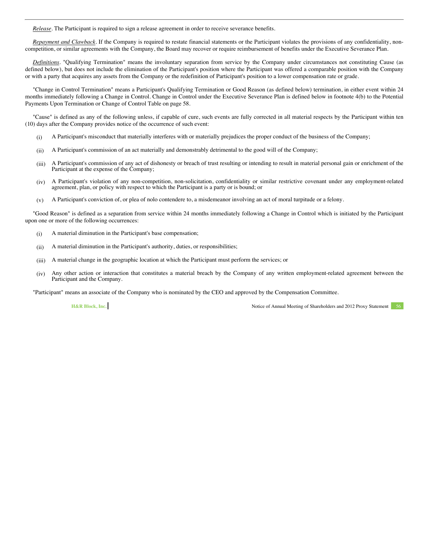*Release*. The Participant is required to sign a release agreement in order to receive severance benefits.

*Repayment and Clawback*. If the Company is required to restate financial statements or the Participant violates the provisions of any confidentiality, noncompetition, or similar agreements with the Company, the Board may recover or require reimbursement of benefits under the Executive Severance Plan.

*Definitions*. "Qualifying Termination" means the involuntary separation from service by the Company under circumstances not constituting Cause (as defined below), but does not include the elimination of the Participant's position where the Participant was offered a comparable position with the Company or with a party that acquires any assets from the Company or the redefinition of Participant's position to a lower compensation rate or grade.

"Change in Control Termination" means a Participant's Qualifying Termination or Good Reason (as defined below) termination, in either event within 24 months immediately following a Change in Control. Change in Control under the Executive Severance Plan is defined below in footnote 4(b) to the Potential Payments Upon Termination or Change of Control Table on page 58.

"Cause" is defined as any of the following unless, if capable of cure, such events are fully corrected in all material respects by the Participant within ten (10) days after the Company provides notice of the occurrence of such event:

- (i) A Participant's misconduct that materially interferes with or materially prejudices the proper conduct of the business of the Company;
- (ii) A Participant's commission of an act materially and demonstrably detrimental to the good will of the Company;
- (iii) A Participant's commission of any act of dishonesty or breach of trust resulting or intending to result in material personal gain or enrichment of the Participant at the expense of the Company;
- (iv) A Participant's violation of any non-competition, non-solicitation, confidentiality or similar restrictive covenant under any employment-related agreement, plan, or policy with respect to which the Participant is a party or is bound; or
- (v) A Participant's conviction of, or plea of nolo contendere to, a misdemeanor involving an act of moral turpitude or a felony.

"Good Reason" is defined as a separation from service within 24 months immediately following a Change in Control which is initiated by the Participant upon one or more of the following occurrences:

- (i) A material diminution in the Participant's base compensation;
- (ii) A material diminution in the Participant's authority, duties, or responsibilities;
- (iii) A material change in the geographic location at which the Participant must perform the services; or
- (iv) Any other action or interaction that constitutes a material breach by the Company of any written employment-related agreement between the Participant and the Company.

"Participant" means an associate of the Company who is nominated by the CEO and approved by the Compensation Committee.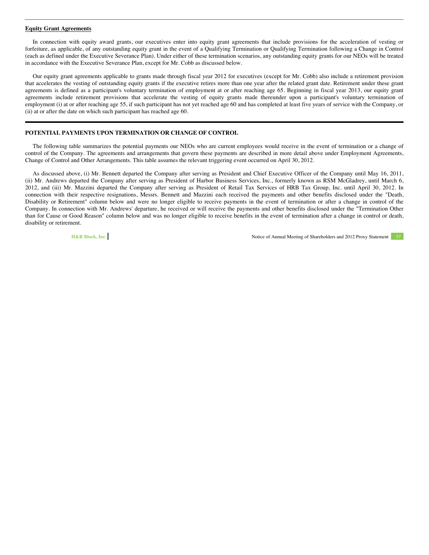#### **Equity Grant Agreements**

In connection with equity award grants, our executives enter into equity grant agreements that include provisions for the acceleration of vesting or forfeiture, as applicable, of any outstanding equity grant in the event of a Qualifying Termination or Qualifying Termination following a Change in Control (each as defined under the Executive Severance Plan). Under either of these termination scenarios, any outstanding equity grants for our NEOs will be treated in accordance with the Executive Severance Plan, except for Mr. Cobb as discussed below.

Our equity grant agreements applicable to grants made through fiscal year 2012 for executives (except for Mr. Cobb) also include a retirement provision that accelerates the vesting of outstanding equity grants if the executive retires more than one year after the related grant date. Retirement under these grant agreements is defined as a participant's voluntary termination of employment at or after reaching age 65. Beginning in fiscal year 2013, our equity grant agreements include retirement provisions that accelerate the vesting of equity grants made thereunder upon a participant's voluntary termination of employment (i) at or after reaching age 55, if such participant has not yet reached age 60 and has completed at least five years of service with the Company, or (ii) at or after the date on which such participant has reached age 60.

## **POTENTIAL PAYMENTS UPON TERMINATION OR CHANGE OF CONTROL**

The following table summarizes the potential payments our NEOs who are current employees would receive in the event of termination or a change of control of the Company. The agreements and arrangements that govern these payments are described in more detail above under Employment Agreements, Change of Control and Other Arrangements. This table assumes the relevant triggering event occurred on April 30, 2012.

As discussed above, (i) Mr. Bennett departed the Company after serving as President and Chief Executive Officer of the Company until May 16, 2011, (ii) Mr. Andrews departed the Company after serving as President of Harbor Business Services, Inc., formerly known as RSM McGladrey, until March 6, 2012, and (iii) Mr. Mazzini departed the Company after serving as President of Retail Tax Services of HRB Tax Group, Inc. until April 30, 2012. In connection with their respective resignations, Messrs. Bennett and Mazzini each received the payments and other benefits disclosed under the "Death, Disability or Retirement" column below and were no longer eligible to receive payments in the event of termination or after a change in control of the Company. In connection with Mr. Andrews' departure, he received or will receive the payments and other benefits disclosed under the "Termination Other than for Cause or Good Reason" column below and was no longer eligible to receive benefits in the event of termination after a change in control or death, disability or retirement.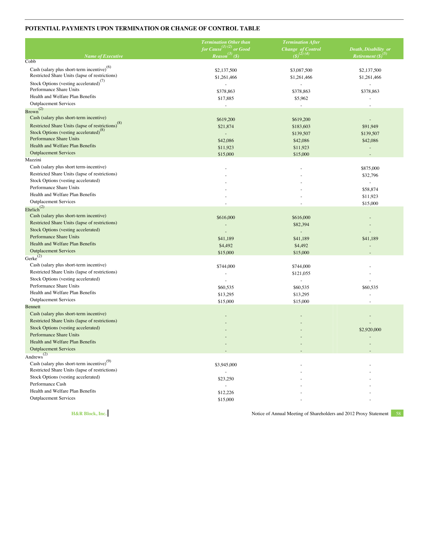# **POTENTIAL PAYMENTS UPON TERMINATION OR CHANGE OF CONTROL TABLE**

|                                                                                                          | <b>Termination Other than</b>       | <b>Termination After</b>                     |                          |
|----------------------------------------------------------------------------------------------------------|-------------------------------------|----------------------------------------------|--------------------------|
|                                                                                                          | for Cause <sup>(1)(2)</sup> or Good | Change of Control<br>(\$) <sup>(2)</sup> (4) | Death, Disability or     |
| <b>Name of Executive</b>                                                                                 | $Reason^{(3)}(\mathcal{S})$         |                                              | Retirement $(S)^{(3)}$   |
| Cobb                                                                                                     |                                     |                                              |                          |
| Cash (salary plus short-term incentive) <sup>(6)</sup><br>Restricted Share Units (lapse of restrictions) | \$2,137,500                         | \$3,087,500                                  | \$2,137,500              |
| Stock Options (vesting accelerated) <sup>(7)</sup>                                                       | \$1,261,466                         | \$1,261,466                                  | \$1,261,466              |
| Performance Share Units                                                                                  | \$378,863                           | ÷,<br>\$378,863                              | ÷.<br>\$378,863          |
| Health and Welfare Plan Benefits                                                                         | \$17,885                            | \$5,962                                      |                          |
| <b>Outplacement Services</b>                                                                             |                                     |                                              |                          |
| $Brown^{(2)}$                                                                                            |                                     |                                              |                          |
| Cash (salary plus short-term incentive)                                                                  | \$619,200                           | \$619,200                                    |                          |
| Restricted Share Units (lapse of restrictions) <sup>(8)</sup>                                            | \$21,874                            | \$183,603                                    | \$91,949                 |
| Stock Options (vesting accelerated) <sup>(8)</sup>                                                       | ÷,                                  | \$139,507                                    | \$139,507                |
| Performance Share Units                                                                                  | \$42,086                            | \$42,086                                     | \$42,086                 |
| Health and Welfare Plan Benefits                                                                         | \$11,923                            | \$11,923                                     |                          |
| <b>Outplacement Services</b>                                                                             | \$15,000                            | \$15,000                                     | L.                       |
| Mazzini                                                                                                  |                                     |                                              |                          |
| Cash (salary plus short term-incentive)                                                                  |                                     |                                              | \$875,000                |
| Restricted Share Units (lapse of restrictions)                                                           |                                     |                                              | \$32,796                 |
| Stock Options (vesting accelerated)                                                                      |                                     |                                              | $\overline{\phantom{a}}$ |
| Performance Share Units                                                                                  |                                     |                                              | \$58,874                 |
| Health and Welfare Plan Benefits                                                                         |                                     |                                              | \$11,923                 |
| <b>Outplacement Services</b>                                                                             |                                     |                                              | \$15,000                 |
| Ehrlich <sup>(2)</sup>                                                                                   |                                     |                                              |                          |
| Cash (salary plus short-term incentive)                                                                  | \$616,000                           | \$616,000                                    |                          |
| Restricted Share Units (lapse of restrictions)                                                           |                                     | \$82,394                                     |                          |
| Stock Options (vesting accelerated)                                                                      |                                     | $\sim$                                       |                          |
| Performance Share Units                                                                                  | \$41,189                            | \$41,189                                     | \$41,189                 |
| Health and Welfare Plan Benefits                                                                         | \$4,492                             | \$4,492                                      |                          |
| <b>Outplacement Services</b>                                                                             | \$15,000                            | \$15,000                                     |                          |
| Gerke $^{(2)}$                                                                                           |                                     |                                              |                          |
| Cash (salary plus short-term incentive)                                                                  | \$744,000                           | \$744,000                                    |                          |
| Restricted Share Units (lapse of restrictions)                                                           |                                     | \$121,055                                    |                          |
| Stock Options (vesting accelerated)                                                                      | ÷                                   | ÷,                                           |                          |
| Performance Share Units                                                                                  | \$60,535                            | \$60,535                                     | \$60,535                 |
| Health and Welfare Plan Benefits                                                                         | \$13,295                            | \$13,295                                     |                          |
| <b>Outplacement Services</b>                                                                             | \$15,000                            | \$15,000                                     |                          |
| <b>Bennett</b>                                                                                           |                                     |                                              |                          |
| Cash (salary plus short-term incentive)                                                                  |                                     |                                              |                          |
| Restricted Share Units (lapse of restrictions)                                                           |                                     |                                              |                          |
| Stock Options (vesting accelerated)                                                                      |                                     |                                              | \$2,920,000              |
| Performance Share Units                                                                                  |                                     |                                              |                          |
| Health and Welfare Plan Benefits                                                                         |                                     |                                              |                          |
| <b>Outplacement Services</b>                                                                             |                                     |                                              |                          |
| Andrews <sup>(2)</sup>                                                                                   |                                     |                                              |                          |
| Cash (salary plus short-term incentive) $^{(9)}$                                                         | \$3,945,000                         |                                              |                          |
| Restricted Share Units (lapse of restrictions)                                                           |                                     |                                              |                          |
| Stock Options (vesting accelerated)                                                                      | \$23,250                            |                                              |                          |
| Performance Cash                                                                                         |                                     |                                              |                          |
| Health and Welfare Plan Benefits                                                                         | \$12,226                            |                                              |                          |
| <b>Outplacement Services</b>                                                                             | \$15,000                            |                                              |                          |
|                                                                                                          |                                     |                                              |                          |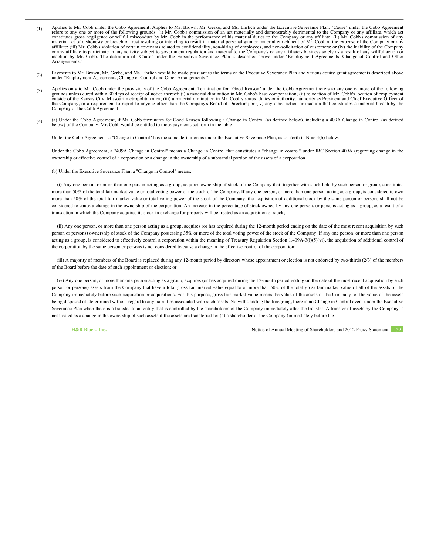- (1) Applies to Mr. Cobb under the Cobb Agreement. Applies to Mr. Brown, Mr. Gerke, and Ms. Ehrlich under the Executive Severance Plan. "Cause" under the Cobb Agreement<br>refers to any one or more of the following grounds: (i constitutes gross negligence or willful misconduct by Mr. Cobb in the performance of his material duties to the Company or any affiliate; (ii) Mr. Cobb's commission of any material act of dishonesty or breach of trust resulting or intending to result in material personal gain or material enrichment of Mr. Cobb at the expense of the Company or any affiliate; (iii) Mr. Cobb's violation of certain covenants related to confidentiality, non-hiring of employees, and non-solicitation of customers; or (iv) the inability of the Company<br>or any affiliate to participate in any Arrangements."
- (2) Payments to Mr. Brown, Mr. Gerke, and Ms. Ehrlich would be made pursuant to the terms of the Executive Severance Plan and various equity grant agreements described above under "Employment Agreements, Change of Control and Other Arrangements."
- (3) Applies only to Mr. Cobb under the provisions of the Cobb Agreement. Termination for "Good Reason" under the Cobb Agreement refers to any one or more of the following grounds unless cured within 30 days of receipt of notice thereof: (i) a material diminution in Mr. Cobb's base compensation; (ii) relocation of Mr. Cobb's location of employment<br>outside of the Kansas City, Missouri metropo of the Company, or a requirement to report to anyone other than the Company's Board of Directors; or (iv) any other action or inaction that constitutes a material breach by the Company of the Cobb Agreement.
- (4) (a) Under the Cobb Agreement, if Mr. Cobb terminates for Good Reason following a Change in Control (as defined below), including a 409A Change in Control (as defined below) of the Company, Mr. Cobb would be entitled to those payments set forth in the table.

Under the Cobb Agreement, a "Change in Control" has the same definition as under the Executive Severance Plan, as set forth in Note 4(b) below.

Under the Cobb Agreement, a "409A Change in Control" means a Change in Control that constitutes a "change in control" under IRC Section 409A (regarding change in the ownership or effective control of a corporation or a change in the ownership of a substantial portion of the assets of a corporation.

(b) Under the Executive Severance Plan, a "Change in Control" means:

 (i) Any one person, or more than one person acting as a group, acquires ownership of stock of the Company that, together with stock held by such person or group, constitutes more than 50% of the total fair market value or total voting power of the stock of the Company. If any one person, or more than one person acting as a group, is considered to own more than 50% of the total fair market value or total voting power of the stock of the Company, the acquisition of additional stock by the same person or persons shall not be considered to cause a change in the ownership of the corporation. An increase in the percentage of stock owned by any one person, or persons acting as a group, as a result of a transaction in which the Company acquires its stock in exchange for property will be treated as an acquisition of stock;

 (ii) Any one person, or more than one person acting as a group, acquires (or has acquired during the 12-month period ending on the date of the most recent acquisition by such person or persons) ownership of stock of the Company possessing 35% or more of the total voting power of the stock of the Company. If any one person, or more than one person acting as a group, is considered to effectively control a corporation within the meaning of Treasury Regulation Section 1.409A-3(i)(5)(vi), the acquisition of additional control of the corporation by the same person or persons is not considered to cause a change in the effective control of the corporation;

 (iii) A majority of members of the Board is replaced during any 12-month period by directors whose appointment or election is not endorsed by two-thirds (2/3) of the members of the Board before the date of such appointment or election; or

 (iv) Any one person, or more than one person acting as a group, acquires (or has acquired during the 12-month period ending on the date of the most recent acquisition by such person or persons) assets from the Company that have a total gross fair market value equal to or more than 50% of the total gross fair market value of all of the assets of the Company immediately before such acquisition or acquisitions. For this purpose, gross fair market value means the value of the assets of the Company, or the value of the assets being disposed of, determined without regard to any liabilities associated with such assets. Notwithstanding the foregoing, there is no Change in Control event under the Executive Severance Plan when there is a transfer to an entity that is controlled by the shareholders of the Company immediately after the transfer. A transfer of assets by the Company is not treated as a change in the ownership of such assets if the assets are transferred to: (a) a shareholder of the Company (immediately before the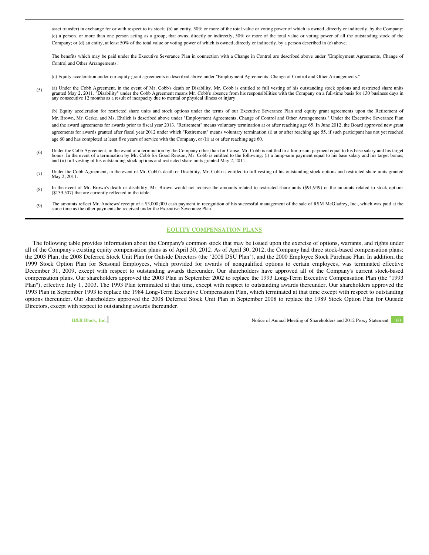asset transfer) in exchange for or with respect to its stock; (b) an entity, 50% or more of the total value or voting power of which is owned, directly or indirectly, by the Company; (c) a person, or more than one person acting as a group, that owns, directly or indirectly, 50% or more of the total value or voting power of all the outstanding stock of the Company; or (d) an entity, at least 50% of the total value or voting power of which is owned, directly or indirectly, by a person described in (c) above.

The benefits which may be paid under the Executive Severance Plan in connection with a Change in Control are described above under "Employment Agreements, Change of Control and Other Arrangements."

(c) Equity acceleration under our equity grant agreements is described above under "Employment Agreements, Change of Control and Other Arrangements."

(5) (a) Under the Cobb Agreement, in the event of Mr. Cobb's death or Disability, Mr. Cobb is entitled to full vesting of his outstanding stock options and restricted share units granted May 2, 2011. "Disability" under the any consecutive 12 months as a result of incapacity due to mental or physical illness or injury.

(b) Equity acceleration for restricted share units and stock options under the terms of our Executive Severance Plan and equity grant agreements upon the Retirement of Mr. Brown, Mr. Gerke, and Ms. Ehrlich is described above under "Employment Agreements, Change of Control and Other Arrangements." Under the Executive Severance Plan and the award agreements for awards prior to fiscal year 2013, "Retirement" means voluntary termination at or after reaching age 65. In June 2012, the Board approved new grant agreements for awards granted after fiscal year 2012 under which "Retirement" means voluntary termination (i) at or after reaching age 55, if such participant has not yet reached age 60 and has completed at least five years of service with the Company, or (ii) at or after reaching age 60.

- (6) Under the Cobb Agreement, in the event of a termination by the Company other than for Cause, Mr. Cobb is entitled to a lump-sum payment equal to his base salary and his target<br>bonus. In the event of a termination by Mr and (ii) full vesting of his outstanding stock options and restricted share units granted May 2, 2011.
- (7) Under the Cobb Agreement, in the event of Mr. Cobb's death or Disability, Mr. Cobb is entitled to full vesting of his outstanding stock options and restricted share units granted May 2, 2011.
- (8) In the event of Mr. Brown's death or disability, Mr. Brown would not receive the amounts related to restricted share units (\$91,949) or the amounts related to stock options (\$139,507) that are currently reflected in the table.
- (9) The amounts reflect Mr. Andrews' receipt of a \$3,000,000 cash payment in recognition of his successful management of the sale of RSM McGladrey, Inc., which was paid at the same time as the other payments he received under the Executive Severance Plan.

# **EQUITY COMPENSATION PLANS**

The following table provides information about the Company's common stock that may be issued upon the exercise of options, warrants, and rights under all of the Company's existing equity compensation plans as of April 30, 2012. As of April 30, 2012, the Company had three stock-based compensation plans: the 2003 Plan, the 2008 Deferred Stock Unit Plan for Outside Directors (the "2008 DSU Plan"), and the 2000 Employee Stock Purchase Plan. In addition, the 1999 Stock Option Plan for Seasonal Employees, which provided for awards of nonqualified options to certain employees, was terminated effective December 31, 2009, except with respect to outstanding awards thereunder. Our shareholders have approved all of the Company's current stock-based compensation plans. Our shareholders approved the 2003 Plan in September 2002 to replace the 1993 Long-Term Executive Compensation Plan (the "1993 Plan"), effective July 1, 2003. The 1993 Plan terminated at that time, except with respect to outstanding awards thereunder. Our shareholders approved the 1993 Plan in September 1993 to replace the 1984 Long-Term Executive Compensation Plan, which terminated at that time except with respect to outstanding options thereunder. Our shareholders approved the 2008 Deferred Stock Unit Plan in September 2008 to replace the 1989 Stock Option Plan for Outside Directors, except with respect to outstanding awards thereunder.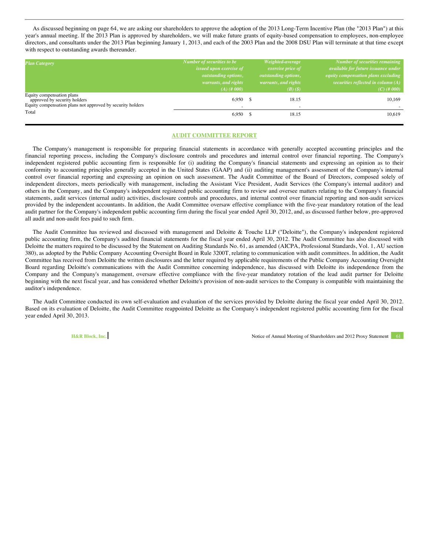As discussed beginning on page 64, we are asking our shareholders to approve the adoption of the 2013 Long-Term Incentive Plan (the "2013 Plan") at this year's annual meeting. If the 2013 Plan is approved by shareholders, we will make future grants of equity-based compensation to employees, non-employee directors, and consultants under the 2013 Plan beginning January 1, 2013, and each of the 2003 Plan and the 2008 DSU Plan will terminate at that time except with respect to outstanding awards thereunder.

| <b>Plan Category</b>                                                                                                    | Number of securities to be<br><i>issued upon exercise of</i><br><i>outstanding options,</i> | Weighted-average<br>exercise price of<br>outstanding options, | Number of securities remaining<br>available for future issuance under<br>equity compensation plans excluding |
|-------------------------------------------------------------------------------------------------------------------------|---------------------------------------------------------------------------------------------|---------------------------------------------------------------|--------------------------------------------------------------------------------------------------------------|
|                                                                                                                         | warrants, and rights<br>$(A)$ (# 000)                                                       | warrants, and rights<br>$(B)$ $(S)$                           | securities reflected in column $(A)$<br>$(C)$ (# 000)                                                        |
| Equity compensation plans<br>approved by security holders<br>Equity compensation plans not approved by security holders | 6,950 \$                                                                                    | 18.15                                                         | 10,169                                                                                                       |
| Total                                                                                                                   | $6,950$ \$                                                                                  | 18.15                                                         | 10,619                                                                                                       |

# **AUDIT COMMITTEE REPORT**

The Company's management is responsible for preparing financial statements in accordance with generally accepted accounting principles and the financial reporting process, including the Company's disclosure controls and procedures and internal control over financial reporting. The Company's independent registered public accounting firm is responsible for (i) auditing the Company's financial statements and expressing an opinion as to their conformity to accounting principles generally accepted in the United States (GAAP) and (ii) auditing management's assessment of the Company's internal control over financial reporting and expressing an opinion on such assessment. The Audit Committee of the Board of Directors, composed solely of independent directors, meets periodically with management, including the Assistant Vice President, Audit Services (the Company's internal auditor) and others in the Company, and the Company's independent registered public accounting firm to review and oversee matters relating to the Company's financial statements, audit services (internal audit) activities, disclosure controls and procedures, and internal control over financial reporting and non-audit services provided by the independent accountants. In addition, the Audit Committee oversaw effective compliance with the five-year mandatory rotation of the lead audit partner for the Company's independent public accounting firm during the fiscal year ended April 30, 2012, and, as discussed further below, pre-approved all audit and non-audit fees paid to such firm.

The Audit Committee has reviewed and discussed with management and Deloitte & Touche LLP ("Deloitte"), the Company's independent registered public accounting firm, the Company's audited financial statements for the fiscal year ended April 30, 2012. The Audit Committee has also discussed with Deloitte the matters required to be discussed by the Statement on Auditing Standards No. 61, as amended (AICPA, Professional Standards, Vol. 1, AU section 380), as adopted by the Public Company Accounting Oversight Board in Rule 3200T, relating to communication with audit committees. In addition, the Audit Committee has received from Deloitte the written disclosures and the letter required by applicable requirements of the Public Company Accounting Oversight Board regarding Deloitte's communications with the Audit Committee concerning independence, has discussed with Deloitte its independence from the Company and the Company's management, oversaw effective compliance with the five-year mandatory rotation of the lead audit partner for Deloitte beginning with the next fiscal year, and has considered whether Deloitte's provision of non-audit services to the Company is compatible with maintaining the auditor's independence.

The Audit Committee conducted its own self-evaluation and evaluation of the services provided by Deloitte during the fiscal year ended April 30, 2012. Based on its evaluation of Deloitte, the Audit Committee reappointed Deloitte as the Company's independent registered public accounting firm for the fiscal year ended April 30, 2013.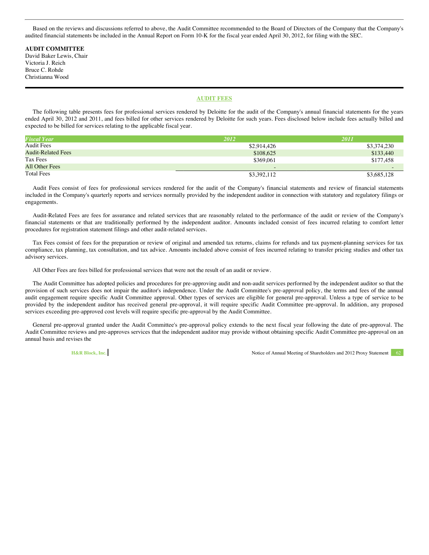Based on the reviews and discussions referred to above, the Audit Committee recommended to the Board of Directors of the Company that the Company's audited financial statements be included in the Annual Report on Form 10-K for the fiscal year ended April 30, 2012, for filing with the SEC.

**AUDIT COMMITTEE** David Baker Lewis, Chair Victoria J. Reich Bruce C. Rohde Christianna Wood

# **AUDIT FEES**

The following table presents fees for professional services rendered by Deloitte for the audit of the Company's annual financial statements for the years ended April 30, 2012 and 2011, and fees billed for other services rendered by Deloitte for such years. Fees disclosed below include fees actually billed and expected to be billed for services relating to the applicable fiscal year.

| <b>Fiscal Year</b>        | 2012                     | 2011        |
|---------------------------|--------------------------|-------------|
| Audit Fees                | \$2,914,426              | \$3,374,230 |
| <b>Audit-Related Fees</b> | \$108,625                | \$133,440   |
| Tax Fees                  | \$369,061                | \$177.458   |
| <b>All Other Fees</b>     | $\overline{\phantom{a}}$ | $-$         |
| <b>Total Fees</b>         | \$3,392,112              | \$3,685,128 |

Audit Fees consist of fees for professional services rendered for the audit of the Company's financial statements and review of financial statements included in the Company's quarterly reports and services normally provided by the independent auditor in connection with statutory and regulatory filings or engagements.

Audit-Related Fees are fees for assurance and related services that are reasonably related to the performance of the audit or review of the Company's financial statements or that are traditionally performed by the independent auditor. Amounts included consist of fees incurred relating to comfort letter procedures for registration statement filings and other audit-related services.

Tax Fees consist of fees for the preparation or review of original and amended tax returns, claims for refunds and tax payment-planning services for tax compliance, tax planning, tax consultation, and tax advice. Amounts included above consist of fees incurred relating to transfer pricing studies and other tax advisory services.

All Other Fees are fees billed for professional services that were not the result of an audit or review.

The Audit Committee has adopted policies and procedures for pre-approving audit and non-audit services performed by the independent auditor so that the provision of such services does not impair the auditor's independence. Under the Audit Committee's pre-approval policy, the terms and fees of the annual audit engagement require specific Audit Committee approval. Other types of services are eligible for general pre-approval. Unless a type of service to be provided by the independent auditor has received general pre-approval, it will require specific Audit Committee pre-approval. In addition, any proposed services exceeding pre-approved cost levels will require specific pre-approval by the Audit Committee.

General pre-approval granted under the Audit Committee's pre-approval policy extends to the next fiscal year following the date of pre-approval. The Audit Committee reviews and pre-approves services that the independent auditor may provide without obtaining specific Audit Committee pre-approval on an annual basis and revises the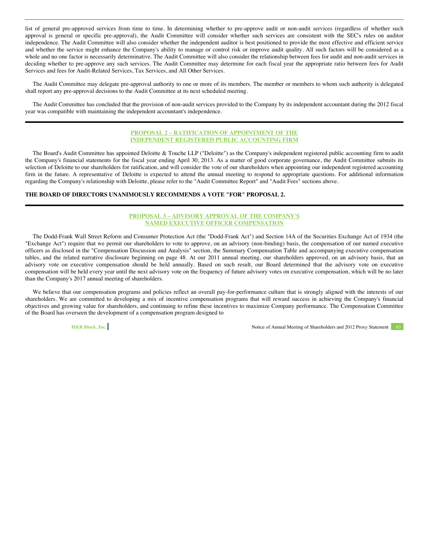list of general pre-approved services from time to time. In determining whether to pre-approve audit or non-audit services (regardless of whether such approval is general or specific pre-approval), the Audit Committee will consider whether such services are consistent with the SEC's rules on auditor independence. The Audit Committee will also consider whether the independent auditor is best positioned to provide the most effective and efficient service and whether the service might enhance the Company's ability to manage or control risk or improve audit quality. All such factors will be considered as a whole and no one factor is necessarily determinative. The Audit Committee will also consider the relationship between fees for audit and non-audit services in deciding whether to pre-approve any such services. The Audit Committee may determine for each fiscal year the appropriate ratio between fees for Audit Services and fees for Audit-Related Services, Tax Services, and All Other Services.

The Audit Committee may delegate pre-approval authority to one or more of its members. The member or members to whom such authority is delegated shall report any pre-approval decisions to the Audit Committee at its next scheduled meeting.

The Audit Committee has concluded that the provision of non-audit services provided to the Company by its independent accountant during the 2012 fiscal year was compatible with maintaining the independent accountant's independence.

# **PROPOSAL 2 – RATIFICATION OF APPOINTMENT OF THE INDEPENDENT REGISTERED PUBLIC ACCOUNTING FIRM**

The Board's Audit Committee has appointed Deloitte & Touche LLP ("Deloitte") as the Company's independent registered public accounting firm to audit the Company's financial statements for the fiscal year ending April 30, 2013. As a matter of good corporate governance, the Audit Committee submits its selection of Deloitte to our shareholders for ratification, and will consider the vote of our shareholders when appointing our independent registered accounting firm in the future. A representative of Deloitte is expected to attend the annual meeting to respond to appropriate questions. For additional information regarding the Company's relationship with Deloitte, please refer to the "Audit Committee Report" and "Audit Fees" sections above.

# **THE BOARD OF DIRECTORS UNANIMOUSLY RECOMMENDS A VOTE "FOR" PROPOSAL 2.**

# **PROPOSAL 3 – ADVISORY APPROVAL OF THE COMPANY'S NAMED EXECUTIVE OFFICER COMPENSATION**

The Dodd-Frank Wall Street Reform and Consumer Protection Act (the "Dodd-Frank Act") and Section 14A of the Securities Exchange Act of 1934 (the "Exchange Act") require that we permit our shareholders to vote to approve, on an advisory (non-binding) basis, the compensation of our named executive officers as disclosed in the "Compensation Discussion and Analysis" section, the Summary Compensation Table and accompanying executive compensation tables, and the related narrative disclosure beginning on page 48. At our 2011 annual meeting, our shareholders approved, on an advisory basis, that an advisory vote on executive compensation should be held annually. Based on such result, our Board determined that the advisory vote on executive compensation will be held every year until the next advisory vote on the frequency of future advisory votes on executive compensation, which will be no later than the Company's 2017 annual meeting of shareholders.

We believe that our compensation programs and policies reflect an overall pay-for-performance culture that is strongly aligned with the interests of our shareholders. We are committed to developing a mix of incentive compensation programs that will reward success in achieving the Company's financial objectives and growing value for shareholders, and continuing to refine these incentives to maximize Company performance. The Compensation Committee of the Board has overseen the development of a compensation program designed to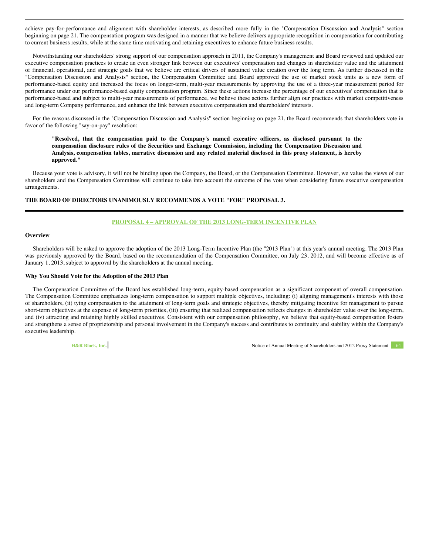achieve pay-for-performance and alignment with shareholder interests, as described more fully in the "Compensation Discussion and Analysis" section beginning on page 21. The compensation program was designed in a manner that we believe delivers appropriate recognition in compensation for contributing to current business results, while at the same time motivating and retaining executives to enhance future business results.

Notwithstanding our shareholders' strong support of our compensation approach in 2011, the Company's management and Board reviewed and updated our executive compensation practices to create an even stronger link between our executives' compensation and changes in shareholder value and the attainment of financial, operational, and strategic goals that we believe are critical drivers of sustained value creation over the long term. As further discussed in the "Compensation Discussion and Analysis" section, the Compensation Committee and Board approved the use of market stock units as a new form of performance-based equity and increased the focus on longer-term, multi-year measurements by approving the use of a three-year measurement period for performance under our performance-based equity compensation program. Since these actions increase the percentage of our executives' compensation that is performance-based and subject to multi-year measurements of performance, we believe these actions further align our practices with market competitiveness and long-term Company performance, and enhance the link between executive compensation and shareholders' interests.

For the reasons discussed in the "Compensation Discussion and Analysis" section beginning on page 21, the Board recommends that shareholders vote in favor of the following "say-on-pay" resolution:

**"Resolved, that the compensation paid to the Company's named executive officers, as disclosed pursuant to the compensation disclosure rules of the Securities and Exchange Commission, including the Compensation Discussion and Analysis, compensation tables, narrative discussion and any related material disclosed in this proxy statement, is hereby approved."**

Because your vote is advisory, it will not be binding upon the Company, the Board, or the Compensation Committee. However, we value the views of our shareholders and the Compensation Committee will continue to take into account the outcome of the vote when considering future executive compensation arrangements.

# **THE BOARD OF DIRECTORS UNANIMOUSLY RECOMMENDS A VOTE "FOR" PROPOSAL 3.**

# **PROPOSAL 4 – APPROVAL OF THE 2013 LONG-TERM INCENTIVE PLAN**

# **Overview**

Shareholders will be asked to approve the adoption of the 2013 Long-Term Incentive Plan (the "2013 Plan") at this year's annual meeting. The 2013 Plan was previously approved by the Board, based on the recommendation of the Compensation Committee, on July 23, 2012, and will become effective as of January 1, 2013, subject to approval by the shareholders at the annual meeting.

#### **Why You Should Vote for the Adoption of the 2013 Plan**

The Compensation Committee of the Board has established long-term, equity-based compensation as a significant component of overall compensation. The Compensation Committee emphasizes long-term compensation to support multiple objectives, including: (i) aligning management's interests with those of shareholders, (ii) tying compensation to the attainment of long-term goals and strategic objectives, thereby mitigating incentive for management to pursue short-term objectives at the expense of long-term priorities, (iii) ensuring that realized compensation reflects changes in shareholder value over the long-term, and (iv) attracting and retaining highly skilled executives. Consistent with our compensation philosophy, we believe that equity-based compensation fosters and strengthens a sense of proprietorship and personal involvement in the Company's success and contributes to continuity and stability within the Company's executive leadership.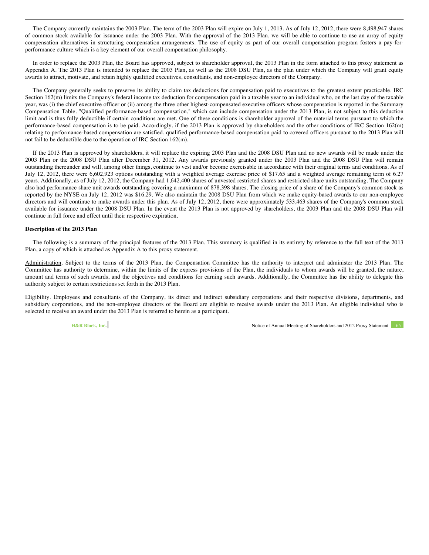The Company currently maintains the 2003 Plan. The term of the 2003 Plan will expire on July 1, 2013. As of July 12, 2012, there were 8,498,947 shares of common stock available for issuance under the 2003 Plan. With the approval of the 2013 Plan, we will be able to continue to use an array of equity compensation alternatives in structuring compensation arrangements. The use of equity as part of our overall compensation program fosters a pay-forperformance culture which is a key element of our overall compensation philosophy.

In order to replace the 2003 Plan, the Board has approved, subject to shareholder approval, the 2013 Plan in the form attached to this proxy statement as Appendix A. The 2013 Plan is intended to replace the 2003 Plan, as well as the 2008 DSU Plan, as the plan under which the Company will grant equity awards to attract, motivate, and retain highly qualified executives, consultants, and non-employee directors of the Company.

The Company generally seeks to preserve its ability to claim tax deductions for compensation paid to executives to the greatest extent practicable. IRC Section 162(m) limits the Company's federal income tax deduction for compensation paid in a taxable year to an individual who, on the last day of the taxable year, was (i) the chief executive officer or (ii) among the three other highest-compensated executive officers whose compensation is reported in the Summary Compensation Table. "Qualified performance-based compensation," which can include compensation under the 2013 Plan, is not subject to this deduction limit and is thus fully deductible if certain conditions are met. One of these conditions is shareholder approval of the material terms pursuant to which the performance-based compensation is to be paid. Accordingly, if the 2013 Plan is approved by shareholders and the other conditions of IRC Section 162(m) relating to performance-based compensation are satisfied, qualified performance-based compensation paid to covered officers pursuant to the 2013 Plan will not fail to be deductible due to the operation of IRC Section 162(m).

If the 2013 Plan is approved by shareholders, it will replace the expiring 2003 Plan and the 2008 DSU Plan and no new awards will be made under the 2003 Plan or the 2008 DSU Plan after December 31, 2012. Any awards previously granted under the 2003 Plan and the 2008 DSU Plan will remain outstanding thereunder and will, among other things, continue to vest and/or become exercisable in accordance with their original terms and conditions. As of July 12, 2012, there were 6,602,923 options outstanding with a weighted average exercise price of \$17.65 and a weighted average remaining term of 6.27 years. Additionally, as of July 12, 2012, the Company had 1,642,400 shares of unvested restricted shares and restricted share units outstanding. The Company also had performance share unit awards outstanding covering a maximum of 878,398 shares. The closing price of a share of the Company's common stock as reported by the NYSE on July 12, 2012 was \$16.29. We also maintain the 2008 DSU Plan from which we make equity-based awards to our non-employee directors and will continue to make awards under this plan. As of July 12, 2012, there were approximately 533,463 shares of the Company's common stock available for issuance under the 2008 DSU Plan. In the event the 2013 Plan is not approved by shareholders, the 2003 Plan and the 2008 DSU Plan will continue in full force and effect until their respective expiration.

## **Description of the 2013 Plan**

The following is a summary of the principal features of the 2013 Plan. This summary is qualified in its entirety by reference to the full text of the 2013 Plan, a copy of which is attached as Appendix A to this proxy statement.

Administration. Subject to the terms of the 2013 Plan, the Compensation Committee has the authority to interpret and administer the 2013 Plan. The Committee has authority to determine, within the limits of the express provisions of the Plan, the individuals to whom awards will be granted, the nature, amount and terms of such awards, and the objectives and conditions for earning such awards. Additionally, the Committee has the ability to delegate this authority subject to certain restrictions set forth in the 2013 Plan.

Eligibility. Employees and consultants of the Company, its direct and indirect subsidiary corporations and their respective divisions, departments, and subsidiary corporations, and the non-employee directors of the Board are eligible to receive awards under the 2013 Plan. An eligible individual who is selected to receive an award under the 2013 Plan is referred to herein as a participant.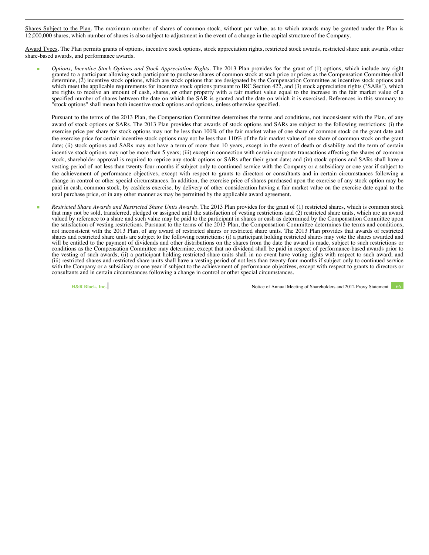Shares Subject to the Plan. The maximum number of shares of common stock, without par value, as to which awards may be granted under the Plan is 12,000,000 shares, which number of shares is also subject to adjustment in the event of a change in the capital structure of the Company.

Award Types. The Plan permits grants of options, incentive stock options, stock appreciation rights, restricted stock awards, restricted share unit awards, other share-based awards, and performance awards.

 *Options, Incentive Stock Options and Stock Appreciation Rights.* The 2013 Plan provides for the grant of (1) options, which include any right granted to a participant allowing such participant to purchase shares of common stock at such price or prices as the Compensation Committee shall determine, (2) incentive stock options, which are stock options that are designated by the Compensation Committee as incentive stock options and which meet the applicable requirements for incentive stock options pursuant to IRC Section 422, and (3) stock appreciation rights ("SARs"), which are rights to receive an amount of cash, shares, or other property with a fair market value equal to the increase in the fair market value of a specified number of shares between the date on which the SAR is granted and the date on which it is exercised. References in this summary to "stock options" shall mean both incentive stock options and options, unless otherwise specified.

Pursuant to the terms of the 2013 Plan, the Compensation Committee determines the terms and conditions, not inconsistent with the Plan, of any award of stock options or SARs. The 2013 Plan provides that awards of stock options and SARs are subject to the following restrictions: (i) the exercise price per share for stock options may not be less than 100% of the fair market value of one share of common stock on the grant date and the exercise price for certain incentive stock options may not be less than 110% of the fair market value of one share of common stock on the grant date; (ii) stock options and SARs may not have a term of more than 10 years, except in the event of death or disability and the term of certain incentive stock options may not be more than 5 years; (iii) except in connection with certain corporate transactions affecting the shares of common stock, shareholder approval is required to reprice any stock options or SARs after their grant date; and (iv) stock options and SARs shall have a vesting period of not less than twenty-four months if subject only to continued service with the Company or a subsidiary or one year if subject to the achievement of performance objectives, except with respect to grants to directors or consultants and in certain circumstances following a change in control or other special circumstances. In addition, the exercise price of shares purchased upon the exercise of any stock option may be paid in cash, common stock, by cashless exercise, by delivery of other consideration having a fair market value on the exercise date equal to the total purchase price, or in any other manner as may be permitted by the applicable award agreement.

 *Restricted Share Awards and Restricted Share Units Awards.* The 2013 Plan provides for the grant of (1) restricted shares, which is common stock that may not be sold, transferred, pledged or assigned until the satisfaction of vesting restrictions and (2) restricted share units, which are an award valued by reference to a share and such value may be paid to the participant in shares or cash as determined by the Compensation Committee upon the satisfaction of vesting restrictions. Pursuant to the terms of the 2013 Plan, the Compensation Committee determines the terms and conditions, not inconsistent with the 2013 Plan, of any award of restricted shares or restricted share units. The 2013 Plan provides that awards of restricted shares and restricted share units are subject to the following restrictions: (i) a participant holding restricted shares may vote the shares awarded and will be entitled to the payment of dividends and other distributions on the shares from the date the award is made, subject to such restrictions or conditions as the Compensation Committee may determine, except that no dividend shall be paid in respect of performance-based awards prior to the vesting of such awards; (ii) a participant holding restricted share units shall in no event have voting rights with respect to such award; and (iii) restricted shares and restricted share units shall have a vesting period of not less than twenty-four months if subject only to continued service with the Company or a subsidiary or one year if subject to the achievement of performance objectives, except with respect to grants to directors or consultants and in certain circumstances following a change in control or other special circumstances.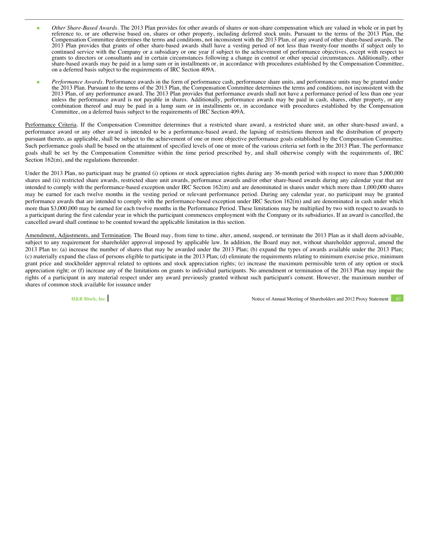- *Other Share-Based Awards.* The 2013 Plan provides for other awards of shares or non-share compensation which are valued in whole or in part by reference to, or are otherwise based on, shares or other property, including deferred stock units. Pursuant to the terms of the 2013 Plan, the Compensation Committee determines the terms and conditions, not inconsistent with the 2013 Plan, of any award of other share-based awards. The 2013 Plan provides that grants of other share-based awards shall have a vesting period of not less than twenty-four months if subject only to continued service with the Company or a subsidiary or one year if subject to the achievement of performance objectives, except with respect to grants to directors or consultants and in certain circumstances following a change in control or other special circumstances. Additionally, other share-based awards may be paid in a lump sum or in installments or, in accordance with procedures established by the Compensation Committee, on a deferred basis subject to the requirements of IRC Section 409A.
- *Performance Awards.* Performance awards in the form of performance cash, performance share units, and performance units may be granted under the 2013 Plan. Pursuant to the terms of the 2013 Plan, the Compensation Committee determines the terms and conditions, not inconsistent with the 2013 Plan, of any performance award. The 2013 Plan provides that performance awards shall not have a performance period of less than one year unless the performance award is not payable in shares. Additionally, performance awards may be paid in cash, shares, other property, or any combination thereof and may be paid in a lump sum or in installments or, in accordance with procedures established by the Compensation Committee, on a deferred basis subject to the requirements of IRC Section 409A.

Performance Criteria. If the Compensation Committee determines that a restricted share award, a restricted share unit, an other share-based award, a performance award or any other award is intended to be a performance-based award, the lapsing of restrictions thereon and the distribution of property pursuant thereto, as applicable, shall be subject to the achievement of one or more objective performance goals established by the Compensation Committee. Such performance goals shall be based on the attainment of specified levels of one or more of the various criteria set forth in the 2013 Plan. The performance goals shall be set by the Compensation Committee within the time period prescribed by, and shall otherwise comply with the requirements of, IRC Section  $162(m)$ , and the regulations thereunder.

Under the 2013 Plan, no participant may be granted (i) options or stock appreciation rights during any 36-month period with respect to more than 5,000,000 shares and (ii) restricted share awards, restricted share unit awards, performance awards and/or other share-based awards during any calendar year that are intended to comply with the performance-based exception under IRC Section 162(m) and are denominated in shares under which more than 1,000,000 shares may be earned for each twelve months in the vesting period or relevant performance period. During any calendar year, no participant may be granted performance awards that are intended to comply with the performance-based exception under IRC Section 162(m) and are denominated in cash under which more than \$3,000,000 may be earned for each twelve months in the Performance Period. These limitations may be multiplied by two with respect to awards to a participant during the first calendar year in which the participant commences employment with the Company or its subsidiaries. If an award is cancelled, the cancelled award shall continue to be counted toward the applicable limitation in this section.

Amendment, Adjustments, and Termination. The Board may, from time to time, alter, amend, suspend, or terminate the 2013 Plan as it shall deem advisable, subject to any requirement for shareholder approval imposed by applicable law. In addition, the Board may not, without shareholder approval, amend the 2013 Plan to: (a) increase the number of shares that may be awarded under the 2013 Plan; (b) expand the types of awards available under the 2013 Plan; (c) materially expand the class of persons eligible to participate in the 2013 Plan; (d) eliminate the requirements relating to minimum exercise price, minimum grant price and stockholder approval related to options and stock appreciation rights; (e) increase the maximum permissible term of any option or stock appreciation right; or (f) increase any of the limitations on grants to individual participants. No amendment or termination of the 2013 Plan may impair the rights of a participant in any material respect under any award previously granted without such participant's consent. However, the maximum number of shares of common stock available for issuance under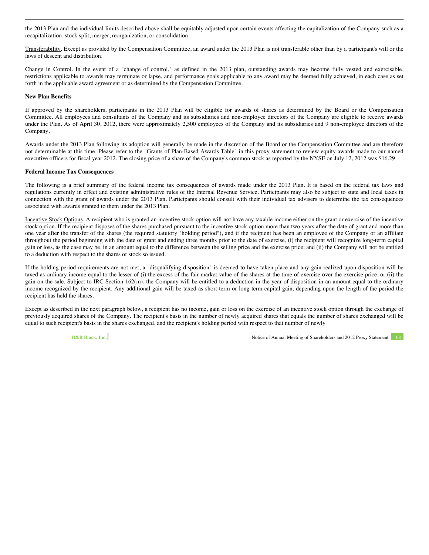the 2013 Plan and the individual limits described above shall be equitably adjusted upon certain events affecting the capitalization of the Company such as a recapitalization, stock split, merger, reorganization, or consolidation.

Transferability. Except as provided by the Compensation Committee, an award under the 2013 Plan is not transferable other than by a participant's will or the laws of descent and distribution.

Change in Control. In the event of a "change of control," as defined in the 2013 plan, outstanding awards may become fully vested and exercisable, restrictions applicable to awards may terminate or lapse, and performance goals applicable to any award may be deemed fully achieved, in each case as set forth in the applicable award agreement or as determined by the Compensation Committee.

# **New Plan Benefits**

If approved by the shareholders, participants in the 2013 Plan will be eligible for awards of shares as determined by the Board or the Compensation Committee. All employees and consultants of the Company and its subsidiaries and non-employee directors of the Company are eligible to receive awards under the Plan. As of April 30, 2012, there were approximately 2,500 employees of the Company and its subsidiaries and 9 non-employee directors of the Company.

Awards under the 2013 Plan following its adoption will generally be made in the discretion of the Board or the Compensation Committee and are therefore not determinable at this time. Please refer to the "Grants of Plan-Based Awards Table" in this proxy statement to review equity awards made to our named executive officers for fiscal year 2012. The closing price of a share of the Company's common stock as reported by the NYSE on July 12, 2012 was \$16.29.

#### **Federal Income Tax Consequences**

The following is a brief summary of the federal income tax consequences of awards made under the 2013 Plan. It is based on the federal tax laws and regulations currently in effect and existing administrative rules of the Internal Revenue Service. Participants may also be subject to state and local taxes in connection with the grant of awards under the 2013 Plan. Participants should consult with their individual tax advisers to determine the tax consequences associated with awards granted to them under the 2013 Plan.

Incentive Stock Options. A recipient who is granted an incentive stock option will not have any taxable income either on the grant or exercise of the incentive stock option. If the recipient disposes of the shares purchased pursuant to the incentive stock option more than two years after the date of grant and more than one year after the transfer of the shares (the required statutory "holding period"), and if the recipient has been an employee of the Company or an affiliate throughout the period beginning with the date of grant and ending three months prior to the date of exercise, (i) the recipient will recognize long-term capital gain or loss, as the case may be, in an amount equal to the difference between the selling price and the exercise price; and (ii) the Company will not be entitled to a deduction with respect to the shares of stock so issued.

If the holding period requirements are not met, a "disqualifying disposition" is deemed to have taken place and any gain realized upon disposition will be taxed as ordinary income equal to the lesser of (i) the excess of the fair market value of the shares at the time of exercise over the exercise price, or (ii) the gain on the sale. Subject to IRC Section 162(m), the Company will be entitled to a deduction in the year of disposition in an amount equal to the ordinary income recognized by the recipient. Any additional gain will be taxed as short-term or long-term capital gain, depending upon the length of the period the recipient has held the shares.

Except as described in the next paragraph below, a recipient has no income, gain or loss on the exercise of an incentive stock option through the exchange of previously acquired shares of the Company. The recipient's basis in the number of newly acquired shares that equals the number of shares exchanged will be equal to such recipient's basis in the shares exchanged, and the recipient's holding period with respect to that number of newly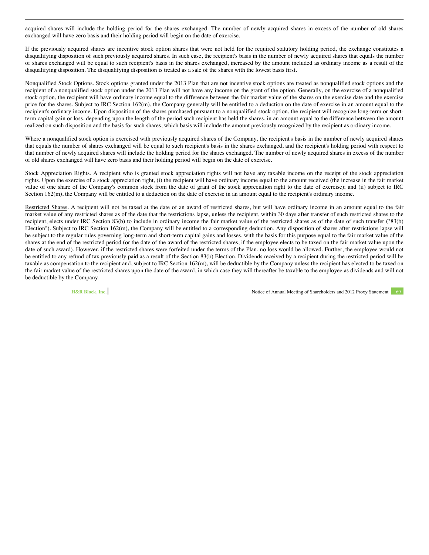acquired shares will include the holding period for the shares exchanged. The number of newly acquired shares in excess of the number of old shares exchanged will have zero basis and their holding period will begin on the date of exercise.

If the previously acquired shares are incentive stock option shares that were not held for the required statutory holding period, the exchange constitutes a disqualifying disposition of such previously acquired shares. In such case, the recipient's basis in the number of newly acquired shares that equals the number of shares exchanged will be equal to such recipient's basis in the shares exchanged, increased by the amount included as ordinary income as a result of the disqualifying disposition. The disqualifying disposition is treated as a sale of the shares with the lowest basis first.

Nonqualified Stock Options. Stock options granted under the 2013 Plan that are not incentive stock options are treated as nonqualified stock options and the recipient of a nonqualified stock option under the 2013 Plan will not have any income on the grant of the option. Generally, on the exercise of a nonqualified stock option, the recipient will have ordinary income equal to the difference between the fair market value of the shares on the exercise date and the exercise price for the shares. Subject to IRC Section 162(m), the Company generally will be entitled to a deduction on the date of exercise in an amount equal to the recipient's ordinary income. Upon disposition of the shares purchased pursuant to a nonqualified stock option, the recipient will recognize long-term or shortterm capital gain or loss, depending upon the length of the period such recipient has held the shares, in an amount equal to the difference between the amount realized on such disposition and the basis for such shares, which basis will include the amount previously recognized by the recipient as ordinary income.

Where a nonqualified stock option is exercised with previously acquired shares of the Company, the recipient's basis in the number of newly acquired shares that equals the number of shares exchanged will be equal to such recipient's basis in the shares exchanged, and the recipient's holding period with respect to that number of newly acquired shares will include the holding period for the shares exchanged. The number of newly acquired shares in excess of the number of old shares exchanged will have zero basis and their holding period will begin on the date of exercise.

Stock Appreciation Rights. A recipient who is granted stock appreciation rights will not have any taxable income on the receipt of the stock appreciation rights. Upon the exercise of a stock appreciation right, (i) the recipient will have ordinary income equal to the amount received (the increase in the fair market value of one share of the Company's common stock from the date of grant of the stock appreciation right to the date of exercise); and (ii) subject to IRC Section 162(m), the Company will be entitled to a deduction on the date of exercise in an amount equal to the recipient's ordinary income.

Restricted Shares. A recipient will not be taxed at the date of an award of restricted shares, but will have ordinary income in an amount equal to the fair market value of any restricted shares as of the date that the restrictions lapse, unless the recipient, within 30 days after transfer of such restricted shares to the recipient, elects under IRC Section 83(b) to include in ordinary income the fair market value of the restricted shares as of the date of such transfer ("83(b) Election"). Subject to IRC Section 162(m), the Company will be entitled to a corresponding deduction. Any disposition of shares after restrictions lapse will be subject to the regular rules governing long-term and short-term capital gains and losses, with the basis for this purpose equal to the fair market value of the shares at the end of the restricted period (or the date of the award of the restricted shares, if the employee elects to be taxed on the fair market value upon the date of such award). However, if the restricted shares were forfeited under the terms of the Plan, no loss would be allowed. Further, the employee would not be entitled to any refund of tax previously paid as a result of the Section 83(b) Election. Dividends received by a recipient during the restricted period will be taxable as compensation to the recipient and, subject to IRC Section 162(m), will be deductible by the Company unless the recipient has elected to be taxed on the fair market value of the restricted shares upon the date of the award, in which case they will thereafter be taxable to the employee as dividends and will not be deductible by the Company.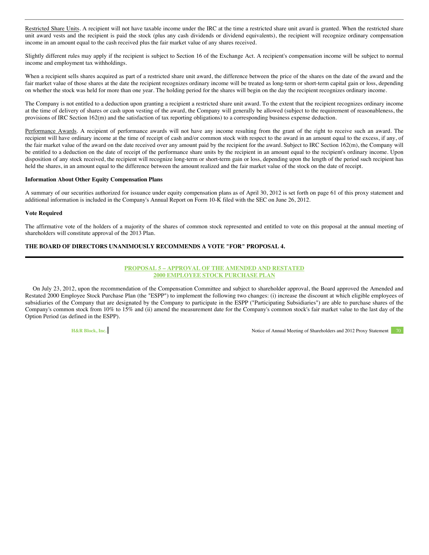Restricted Share Units. A recipient will not have taxable income under the IRC at the time a restricted share unit award is granted. When the restricted share unit award vests and the recipient is paid the stock (plus any cash dividends or dividend equivalents), the recipient will recognize ordinary compensation income in an amount equal to the cash received plus the fair market value of any shares received.

Slightly different rules may apply if the recipient is subject to Section 16 of the Exchange Act. A recipient's compensation income will be subject to normal income and employment tax withholdings.

When a recipient sells shares acquired as part of a restricted share unit award, the difference between the price of the shares on the date of the award and the fair market value of those shares at the date the recipient recognizes ordinary income will be treated as long-term or short-term capital gain or loss, depending on whether the stock was held for more than one year. The holding period for the shares will begin on the day the recipient recognizes ordinary income.

The Company is not entitled to a deduction upon granting a recipient a restricted share unit award. To the extent that the recipient recognizes ordinary income at the time of delivery of shares or cash upon vesting of the award, the Company will generally be allowed (subject to the requirement of reasonableness, the provisions of IRC Section 162(m) and the satisfaction of tax reporting obligations) to a corresponding business expense deduction.

Performance Awards. A recipient of performance awards will not have any income resulting from the grant of the right to receive such an award. The recipient will have ordinary income at the time of receipt of cash and/or common stock with respect to the award in an amount equal to the excess, if any, of the fair market value of the award on the date received over any amount paid by the recipient for the award. Subject to IRC Section 162(m), the Company will be entitled to a deduction on the date of receipt of the performance share units by the recipient in an amount equal to the recipient's ordinary income. Upon disposition of any stock received, the recipient will recognize long-term or short-term gain or loss, depending upon the length of the period such recipient has held the shares, in an amount equal to the difference between the amount realized and the fair market value of the stock on the date of receipt.

### **Information About Other Equity Compensation Plans**

A summary of our securities authorized for issuance under equity compensation plans as of April 30, 2012 is set forth on page 61 of this proxy statement and additional information is included in the Company's Annual Report on Form 10-K filed with the SEC on June 26, 2012.

#### **Vote Required**

The affirmative vote of the holders of a majority of the shares of common stock represented and entitled to vote on this proposal at the annual meeting of shareholders will constitute approval of the 2013 Plan.

# **THE BOARD OF DIRECTORS UNANIMOUSLY RECOMMENDS A VOTE "FOR" PROPOSAL 4.**

# **PROPOSAL 5 – APPROVAL OF THE AMENDED AND RESTATED 2000 EMPLOYEE STOCK PURCHASE PLAN**

On July 23, 2012, upon the recommendation of the Compensation Committee and subject to shareholder approval, the Board approved the Amended and Restated 2000 Employee Stock Purchase Plan (the "ESPP") to implement the following two changes: (i) increase the discount at which eligible employees of subsidiaries of the Company that are designated by the Company to participate in the ESPP ("Participating Subsidiaries") are able to purchase shares of the Company's common stock from 10% to 15% and (ii) amend the measurement date for the Company's common stock's fair market value to the last day of the Option Period (as defined in the ESPP).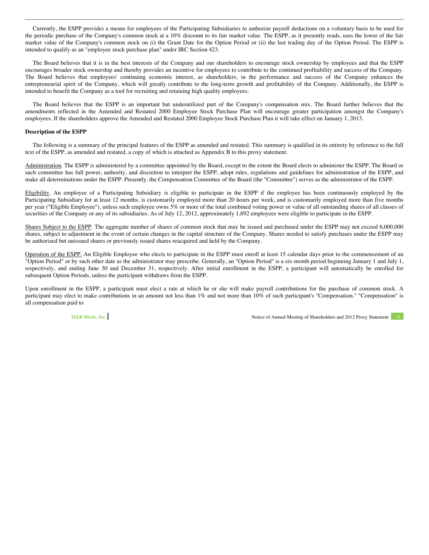Currently, the ESPP provides a means for employees of the Participating Subsidiaries to authorize payroll deductions on a voluntary basis to be used for the periodic purchase of the Company's common stock at a 10% discount to its fair market value. The ESPP, as it presently reads, uses the lower of the fair market value of the Company's common stock on (i) the Grant Date for the Option Period or (ii) the last trading day of the Option Period. The ESPP is intended to qualify as an "employee stock purchase plan" under IRC Section 423.

The Board believes that it is in the best interests of the Company and our shareholders to encourage stock ownership by employees and that the ESPP encourages broader stock ownership and thereby provides an incentive for employees to contribute to the continued profitability and success of the Company. The Board believes that employees' continuing economic interest, as shareholders, in the performance and success of the Company enhances the entrepreneurial spirit of the Company, which will greatly contribute to the long-term growth and profitability of the Company. Additionally, the ESPP is intended to benefit the Company as a tool for recruiting and retaining high quality employees.

The Board believes that the ESPP is an important but underutilized part of the Company's compensation mix. The Board further believes that the amendments reflected in the Amended and Restated 2000 Employee Stock Purchase Plan will encourage greater participation amongst the Company's employees. If the shareholders approve the Amended and Restated 2000 Employee Stock Purchase Plan it will take effect on January 1, 2013.

### **Description of the ESPP**

The following is a summary of the principal features of the ESPP as amended and restated. This summary is qualified in its entirety by reference to the full text of the ESPP, as amended and restated, a copy of which is attached as Appendix B to this proxy statement.

Administration. The ESPP is administered by a committee appointed by the Board, except to the extent the Board elects to administer the ESPP. The Board or such committee has full power, authority, and discretion to interpret the ESPP, adopt rules, regulations and guidelines for administration of the ESPP, and make all determinations under the ESPP. Presently, the Compensation Committee of the Board (the "Committee") serves as the administrator of the ESPP.

Eligibility. An employee of a Participating Subsidiary is eligible to participate in the ESPP if the employee has been continuously employed by the Participating Subsidiary for at least 12 months, is customarily employed more than 20 hours per week, and is customarily employed more than five months per year ("Eligible Employee"), unless such employee owns 5% or more of the total combined voting power or value of all outstanding shares of all classes of securities of the Company or any of its subsidiaries. As of July 12, 2012, approximately 1,892 employees were eligible to participate in the ESPP.

Shares Subject to the ESPP. The aggregate number of shares of common stock that may be issued and purchased under the ESPP may not exceed 6,000,000 shares, subject to adjustment in the event of certain changes in the capital structure of the Company. Shares needed to satisfy purchases under the ESPP may be authorized but unissued shares or previously issued shares reacquired and held by the Company.

Operation of the ESPP. An Eligible Employee who elects to participate in the ESPP must enroll at least 15 calendar days prior to the commencement of an "Option Period" or by such other date as the administrator may prescribe. Generally, an "Option Period" is a six-month period beginning January 1 and July 1, respectively, and ending June 30 and December 31, respectively. After initial enrollment in the ESPP, a participant will automatically be enrolled for subsequent Option Periods, unless the participant withdraws from the ESPP.

Upon enrollment in the ESPP, a participant must elect a rate at which he or she will make payroll contributions for the purchase of common stock. A participant may elect to make contributions in an amount not less than 1% and not more than 10% of such participant's "Compensation." "Compensation" is all compensation paid to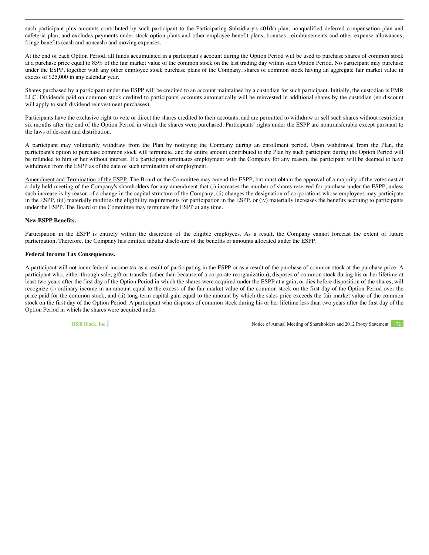such participant plus amounts contributed by such participant to the Participating Subsidiary's 401(k) plan, nonqualified deferred compensation plan and cafeteria plan, and excludes payments under stock option plans and other employee benefit plans, bonuses, reimbursements and other expense allowances, fringe benefits (cash and noncash) and moving expenses.

At the end of each Option Period, all funds accumulated in a participant's account during the Option Period will be used to purchase shares of common stock at a purchase price equal to 85% of the fair market value of the common stock on the last trading day within such Option Period. No participant may purchase under the ESPP, together with any other employee stock purchase plans of the Company, shares of common stock having an aggregate fair market value in excess of \$25,000 in any calendar year.

Shares purchased by a participant under the ESPP will be credited to an account maintained by a custodian for such participant. Initially, the custodian is FMR LLC. Dividends paid on common stock credited to participants' accounts automatically will be reinvested in additional shares by the custodian (no discount will apply to such dividend reinvestment purchases).

Participants have the exclusive right to vote or direct the shares credited to their accounts, and are permitted to withdraw or sell such shares without restriction six months after the end of the Option Period in which the shares were purchased. Participants' rights under the ESPP are nontransferable except pursuant to the laws of descent and distribution.

A participant may voluntarily withdraw from the Plan by notifying the Company during an enrollment period. Upon withdrawal from the Plan, the participant's option to purchase common stock will terminate, and the entire amount contributed to the Plan by such participant during the Option Period will be refunded to him or her without interest. If a participant terminates employment with the Company for any reason, the participant will be deemed to have withdrawn from the ESPP as of the date of such termination of employment.

Amendment and Termination of the ESPP. The Board or the Committee may amend the ESPP, but must obtain the approval of a majority of the votes cast at a duly held meeting of the Company's shareholders for any amendment that (i) increases the number of shares reserved for purchase under the ESPP, unless such increase is by reason of a change in the capital structure of the Company, (ii) changes the designation of corporations whose employees may participate in the ESPP, (iii) materially modifies the eligibility requirements for participation in the ESPP, or (iv) materially increases the benefits accruing to participants under the ESPP. The Board or the Committee may terminate the ESPP at any time.

# **New ESPP Benefits.**

Participation in the ESPP is entirely within the discretion of the eligible employees. As a result, the Company cannot forecast the extent of future participation. Therefore, the Company has omitted tabular disclosure of the benefits or amounts allocated under the ESPP.

### **Federal Income Tax Consequences.**

A participant will not incur federal income tax as a result of participating in the ESPP or as a result of the purchase of common stock at the purchase price. A participant who, either through sale, gift or transfer (other than because of a corporate reorganization), disposes of common stock during his or her lifetime at least two years after the first day of the Option Period in which the shares were acquired under the ESPP at a gain, or dies before disposition of the shares, will recognize (i) ordinary income in an amount equal to the excess of the fair market value of the common stock on the first day of the Option Period over the price paid for the common stock, and (ii) long-term capital gain equal to the amount by which the sales price exceeds the fair market value of the common stock on the first day of the Option Period. A participant who disposes of common stock during his or her lifetime less than two years after the first day of the Option Period in which the shares were acquired under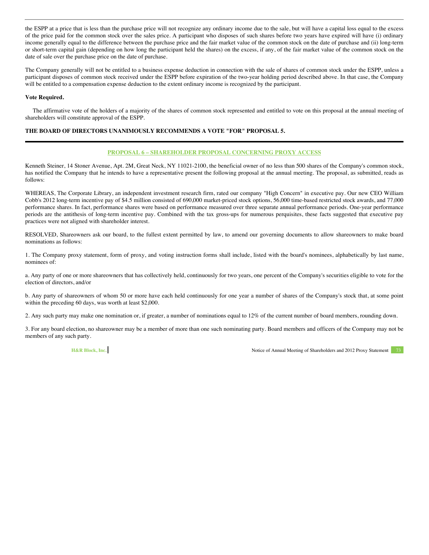the ESPP at a price that is less than the purchase price will not recognize any ordinary income due to the sale, but will have a capital loss equal to the excess of the price paid for the common stock over the sales price. A participant who disposes of such shares before two years have expired will have (i) ordinary income generally equal to the difference between the purchase price and the fair market value of the common stock on the date of purchase and (ii) long-term or short-term capital gain (depending on how long the participant held the shares) on the excess, if any, of the fair market value of the common stock on the date of sale over the purchase price on the date of purchase.

The Company generally will not be entitled to a business expense deduction in connection with the sale of shares of common stock under the ESPP, unless a participant disposes of common stock received under the ESPP before expiration of the two-year holding period described above. In that case, the Company will be entitled to a compensation expense deduction to the extent ordinary income is recognized by the participant.

### **Vote Required.**

The affirmative vote of the holders of a majority of the shares of common stock represented and entitled to vote on this proposal at the annual meeting of shareholders will constitute approval of the ESPP.

## **THE BOARD OF DIRECTORS UNANIMOUSLY RECOMMENDS A VOTE "FOR" PROPOSAL 5.**

### **PROPOSAL 6 – SHAREHOLDER PROPOSAL CONCERNING PROXY ACCESS**

Kenneth Steiner, 14 Stoner Avenue, Apt. 2M, Great Neck, NY 11021-2100, the beneficial owner of no less than 500 shares of the Company's common stock, has notified the Company that he intends to have a representative present the following proposal at the annual meeting. The proposal, as submitted, reads as follows:

WHEREAS, The Corporate Library, an independent investment research firm, rated our company "High Concern" in executive pay. Our new CEO William Cobb's 2012 long-term incentive pay of \$4.5 million consisted of 690,000 market-priced stock options, 56,000 time-based restricted stock awards, and 77,000 performance shares. In fact, performance shares were based on performance measured over three separate annual performance periods. One-year performance periods are the antithesis of long-term incentive pay. Combined with the tax gross-ups for numerous perquisites, these facts suggested that executive pay practices were not aligned with shareholder interest.

RESOLVED, Shareowners ask our board, to the fullest extent permitted by law, to amend our governing documents to allow shareowners to make board nominations as follows:

1. The Company proxy statement, form of proxy, and voting instruction forms shall include, listed with the board's nominees, alphabetically by last name, nominees of:

a. Any party of one or more shareowners that has collectively held, continuously for two years, one percent of the Company's securities eligible to vote for the election of directors, and/or

b. Any party of shareowners of whom 50 or more have each held continuously for one year a number of shares of the Company's stock that, at some point within the preceding 60 days, was worth at least \$2,000.

2. Any such party may make one nomination or, if greater, a number of nominations equal to 12% of the current number of board members, rounding down.

3. For any board election, no shareowner may be a member of more than one such nominating party. Board members and officers of the Company may not be members of any such party.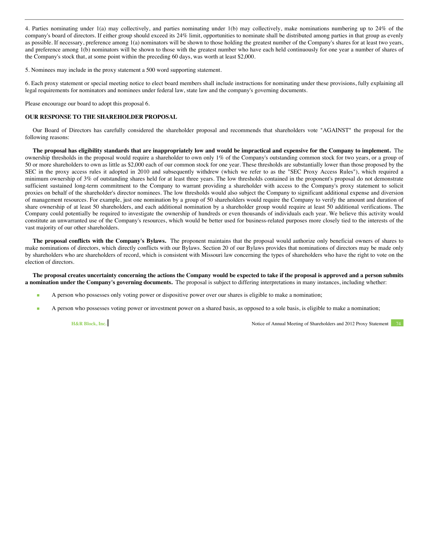4. Parties nominating under 1(a) may collectively, and parties nominating under 1(b) may collectively, make nominations numbering up to 24% of the company's board of directors. If either group should exceed its 24% limit, opportunities to nominate shall be distributed among parties in that group as evenly as possible. If necessary, preference among 1(a) nominators will be shown to those holding the greatest number of the Company's shares for at least two years, and preference among 1(b) nominators will be shown to those with the greatest number who have each held continuously for one year a number of shares of the Company's stock that, at some point within the preceding 60 days, was worth at least \$2,000.

5. Nominees may include in the proxy statement a 500 word supporting statement.

6. Each proxy statement or special meeting notice to elect board members shall include instructions for nominating under these provisions, fully explaining all legal requirements for nominators and nominees under federal law, state law and the company's governing documents.

Please encourage our board to adopt this proposal 6.

# **OUR RESPONSE TO THE SHAREHOLDER PROPOSAL**

Our Board of Directors has carefully considered the shareholder proposal and recommends that shareholders vote "AGAINST" the proposal for the following reasons:

**The proposal has eligibility standards that are inappropriately low and would be impractical and expensive for the Company to implement.** The ownership thresholds in the proposal would require a shareholder to own only 1% of the Company's outstanding common stock for two years, or a group of 50 or more shareholders to own as little as \$2,000 each of our common stock for one year. These thresholds are substantially lower than those proposed by the SEC in the proxy access rules it adopted in 2010 and subsequently withdrew (which we refer to as the "SEC Proxy Access Rules"), which required a minimum ownership of 3% of outstanding shares held for at least three years. The low thresholds contained in the proponent's proposal do not demonstrate sufficient sustained long-term commitment to the Company to warrant providing a shareholder with access to the Company's proxy statement to solicit proxies on behalf of the shareholder's director nominees. The low thresholds would also subject the Company to significant additional expense and diversion of management resources. For example, just one nomination by a group of 50 shareholders would require the Company to verify the amount and duration of share ownership of at least 50 shareholders, and each additional nomination by a shareholder group would require at least 50 additional verifications. The Company could potentially be required to investigate the ownership of hundreds or even thousands of individuals each year. We believe this activity would constitute an unwarranted use of the Company's resources, which would be better used for business-related purposes more closely tied to the interests of the vast majority of our other shareholders.

**The proposal conflicts with the Company's Bylaws.** The proponent maintains that the proposal would authorize only beneficial owners of shares to make nominations of directors, which directly conflicts with our Bylaws. Section 20 of our Bylaws provides that nominations of directors may be made only by shareholders who are shareholders of record, which is consistent with Missouri law concerning the types of shareholders who have the right to vote on the election of directors.

**The proposal creates uncertainty concerning the actions the Company would be expected to take if the proposal is approved and a person submits a nomination under the Company's governing documents.** The proposal is subject to differing interpretations in many instances, including whether:

- A person who possesses only voting power or dispositive power over our shares is eligible to make a nomination;
- A person who possesses voting power or investment power on a shared basis, as opposed to a sole basis, is eligible to make a nomination;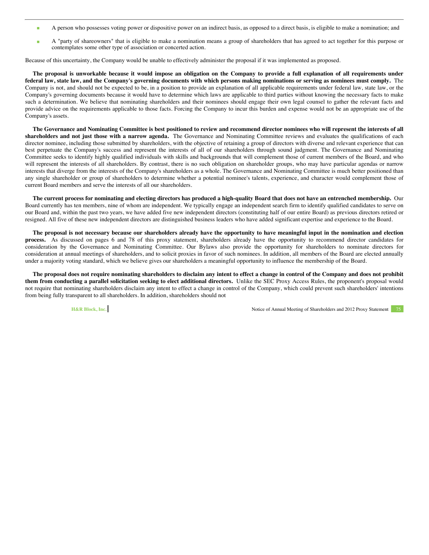- A person who possesses voting power or dispositive power on an indirect basis, as opposed to a direct basis, is eligible to make a nomination; and
- A "party of shareowners" that is eligible to make a nomination means a group of shareholders that has agreed to act together for this purpose or contemplates some other type of association or concerted action.

Because of this uncertainty, the Company would be unable to effectively administer the proposal if it was implemented as proposed.

**The proposal is unworkable because it would impose an obligation on the Company to provide a full explanation of all requirements under federal law, state law, and the Company's governing documents with which persons making nominations or serving as nominees must comply.** The Company is not, and should not be expected to be, in a position to provide an explanation of all applicable requirements under federal law, state law, or the Company's governing documents because it would have to determine which laws are applicable to third parties without knowing the necessary facts to make such a determination. We believe that nominating shareholders and their nominees should engage their own legal counsel to gather the relevant facts and provide advice on the requirements applicable to those facts. Forcing the Company to incur this burden and expense would not be an appropriate use of the Company's assets.

**The Governance and Nominating Committee is best positioned to review and recommend director nominees who will represent the interests of all shareholders and not just those with a narrow agenda.** The Governance and Nominating Committee reviews and evaluates the qualifications of each director nominee, including those submitted by shareholders, with the objective of retaining a group of directors with diverse and relevant experience that can best perpetuate the Company's success and represent the interests of all of our shareholders through sound judgment. The Governance and Nominating Committee seeks to identify highly qualified individuals with skills and backgrounds that will complement those of current members of the Board, and who will represent the interests of all shareholders. By contrast, there is no such obligation on shareholder groups, who may have particular agendas or narrow interests that diverge from the interests of the Company's shareholders as a whole. The Governance and Nominating Committee is much better positioned than any single shareholder or group of shareholders to determine whether a potential nominee's talents, experience, and character would complement those of current Board members and serve the interests of all our shareholders.

**The current process for nominating and electing directors has produced a high-quality Board that does not have an entrenched membership.** Our Board currently has ten members, nine of whom are independent. We typically engage an independent search firm to identify qualified candidates to serve on our Board and, within the past two years, we have added five new independent directors (constituting half of our entire Board) as previous directors retired or resigned. All five of these new independent directors are distinguished business leaders who have added significant expertise and experience to the Board.

**The proposal is not necessary because our shareholders already have the opportunity to have meaningful input in the nomination and election process.** As discussed on pages 6 and 78 of this proxy statement, shareholders already have the opportunity to recommend director candidates for consideration by the Governance and Nominating Committee. Our Bylaws also provide the opportunity for shareholders to nominate directors for consideration at annual meetings of shareholders, and to solicit proxies in favor of such nominees. In addition, all members of the Board are elected annually under a majority voting standard, which we believe gives our shareholders a meaningful opportunity to influence the membership of the Board.

**The proposal does not require nominating shareholders to disclaim any intent to effect a change in control of the Company and does not prohibit them from conducting a parallel solicitation seeking to elect additional directors.** Unlike the SEC Proxy Access Rules, the proponent's proposal would not require that nominating shareholders disclaim any intent to effect a change in control of the Company, which could prevent such shareholders' intentions from being fully transparent to all shareholders. In addition, shareholders should not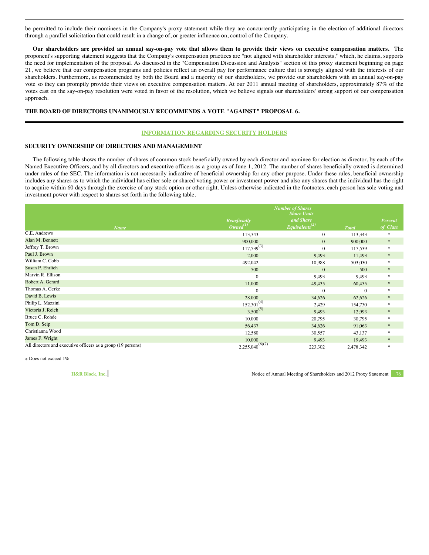be permitted to include their nominees in the Company's proxy statement while they are concurrently participating in the election of additional directors through a parallel solicitation that could result in a change of, or greater influence on, control of the Company.

**Our shareholders are provided an annual say-on-pay vote that allows them to provide their views on executive compensation matters.** The proponent's supporting statement suggests that the Company's compensation practices are "not aligned with shareholder interests," which, he claims, supports the need for implementation of the proposal. As discussed in the "Compensation Discussion and Analysis" section of this proxy statement beginning on page 21, we believe that our compensation programs and policies reflect an overall pay for performance culture that is strongly aligned with the interests of our shareholders. Furthermore, as recommended by both the Board and a majority of our shareholders, we provide our shareholders with an annual say-on-pay vote so they can promptly provide their views on executive compensation matters. At our 2011 annual meeting of shareholders, approximately 87% of the votes cast on the say-on-pay resolution were voted in favor of the resolution, which we believe signals our shareholders' strong support of our compensation approach.

## **THE BOARD OF DIRECTORS UNANIMOUSLY RECOMMENDS A VOTE "AGAINST" PROPOSAL 6.**

#### **INFORMATION REGARDING SECURITY HOLDERS**

### **SECURITY OWNERSHIP OF DIRECTORS AND MANAGEMENT**

The following table shows the number of shares of common stock beneficially owned by each director and nominee for election as director, by each of the Named Executive Officers, and by all directors and executive officers as a group as of June 1, 2012. The number of shares beneficially owned is determined under rules of the SEC. The information is not necessarily indicative of beneficial ownership for any other purpose. Under these rules, beneficial ownership includes any shares as to which the individual has either sole or shared voting power or investment power and also any shares that the individual has the right to acquire within 60 days through the exercise of any stock option or other right. Unless otherwise indicated in the footnotes, each person has sole voting and investment power with respect to shares set forth in the following table.

|                                                              | <b>Number of Shares</b><br><b>Share Units</b> |                                         |              |                     |
|--------------------------------------------------------------|-----------------------------------------------|-----------------------------------------|--------------|---------------------|
| <b>Name</b>                                                  | <b>Beneficially</b><br>$a^{(1)}$              | and Share<br>Equivalents <sup>(2)</sup> | <b>Total</b> | Percent<br>of Class |
| C.E. Andrews                                                 | 113,343                                       | $\mathbf{0}$                            | 113,343      | *                   |
| Alan M. Bennett                                              | 900,000                                       | $\mathbf{0}$                            | 900,000      | $\ast$              |
| Jeffrey T. Brown                                             | $117,539^{(3)}$                               | $\Omega$                                | 117,539      | $\gg$               |
| Paul J. Brown                                                | 2,000                                         | 9,493                                   | 11,493       | $\ast$              |
| William C. Cobb                                              | 492,042                                       | 10,988                                  | 503,030      | $\ast$              |
| Susan P. Ehrlich                                             | 500                                           | $\mathbf{0}$                            | 500          | $\ast$              |
| Marvin R. Ellison                                            | $\mathbf{0}$                                  | 9,493                                   | 9,493        | $\ast$              |
| Robert A. Gerard                                             | 11,000                                        | 49,435                                  | 60,435       | $\ast$              |
| Thomas A. Gerke                                              | $\mathbf{0}$                                  | $\Omega$                                | $\mathbf{0}$ | $\frac{1}{2}$       |
| David B. Lewis                                               | 28,000                                        | 34,626                                  | 62,626       | $\ast$              |
| Philip L. Mazzini                                            | $152,301^{(4)}$                               | 2,429                                   | 154,730      | $\frac{1}{2}$       |
| Victoria J. Reich                                            | $3,500^{(5)}$                                 | 9,493                                   | 12,993       | $\ast$              |
| Bruce C. Rohde                                               | 10,000                                        | 20,795                                  | 30,795       | $\gg$               |
| Tom D. Seip                                                  | 56,437                                        | 34,626                                  | 91,063       | $\ast$              |
| Christianna Wood                                             | 12,580                                        | 30,557                                  | 43,137       | $\ast$              |
| James F. Wright                                              | 10,000                                        | 9,493                                   | 19,493       | $\ast$              |
| All directors and executive officers as a group (19 persons) | $2,255,040^{(6)(7)}$                          | 223,302                                 | 2,478,342    | $\frac{1}{2}$       |

\* Does not exceed 1%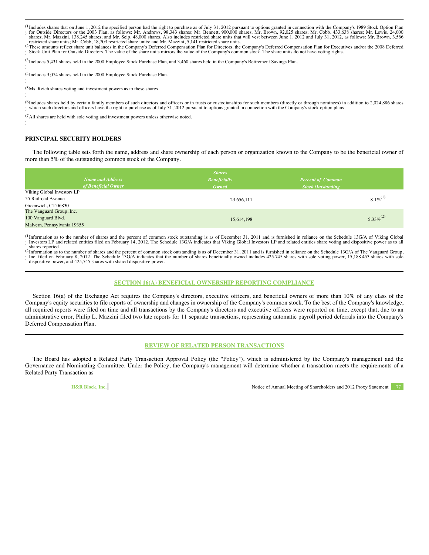(1 I Includes shares that on June 1, 2012 the specified person had the right to purchase as of July 31, 2012 pursuant to options granted in connection with the Company's 1989 Stock Option Plan (16) for Outside Directors or th

restricted share units; Mr. Cobb, 18,703 restricted share units; and Mr. Mazzini, 5,141 restricted share units.<br><sup>(2</sup>These amounts reflect share unit balances in the Company's Deferred Compensation Plan for Directors, the C ) Stock Unit Plan for Outside Directors. The value of the share units mirrors the value of the Company's common stock. The share units do not have voting rights.

(3 <sup>(5</sup>Includes 5,431 shares held in the 2000 Employee Stock Purchase Plan, and 3,460 shares held in the Company's Retirement Savings Plan.<br>)

(4 Includes 3,074 shares held in the 2000 Employee Stock Purchase Plan.

(5 Ms. Reich shares voting and investment powers as to these shares.

)

)

)

(6 <sup>(6</sup>Includes shares held by certain family members of such directors and officers or in trusts or custodianships for such members (directly or through nominees) in addition to 2,024,886 shares<br>) which such directors and of

(7 All shares are held with sole voting and investment powers unless otherwise noted.

# **PRINCIPAL SECURITY HOLDERS**

The following table sets forth the name, address and share ownership of each person or organization known to the Company to be the beneficial owner of more than 5% of the outstanding common stock of the Company.

| <b>Shares</b>               |                     |                          |  |  |
|-----------------------------|---------------------|--------------------------|--|--|
| <b>Name and Address</b>     | <b>Beneficially</b> | <b>Percent of Common</b> |  |  |
| of Beneficial Owner         | Owned               | <b>Stock Outstanding</b> |  |  |
| Viking Global Investors LP  |                     |                          |  |  |
| 55 Railroad Avenue          | 23,656,111          | $8.1\%$ <sup>(1)</sup>   |  |  |
| Greenwich, CT 06830         |                     |                          |  |  |
| The Vanguard Group, Inc.    |                     |                          |  |  |
| 100 Vanguard Blvd.          | 15,614,198          | $5.33\%^{(2)}$           |  |  |
| Malvern, Pennsylvania 19355 |                     |                          |  |  |

<sup>(1</sup>Information as to the number of shares and the percent of common stock outstanding is as of December 31, 2011 and is furnished in reliance on the Schedule 13G/A of Viking Global ) Investors LP and related entities filed on February 14, 2012. The Schedule 13G/A indicates that Viking Global Investors LP and related entities share voting and dispositive power as to all

shares reported.<br><sup>(2</sup>Information as to the number of shares and the percent of common stock outstanding is as of December 31, 2011 and is furnished in reliance on the Schedule 13G/A of The Vanguard Group, ) Inc. filed on February 8, 2012. The Schedule 13G/A indicates that the number of shares beneficially owned includes 425,745 shares with sole voting power, 15,188,453 shares with sole dispositive power, and 425,745 shares with shared dispositive power.

# **SECTION 16(A) BENEFICIAL OWNERSHIP REPORTING COMPLIANCE**

Section 16(a) of the Exchange Act requires the Company's directors, executive officers, and beneficial owners of more than 10% of any class of the Company's equity securities to file reports of ownership and changes in ownership of the Company's common stock. To the best of the Company's knowledge, all required reports were filed on time and all transactions by the Company's directors and executive officers were reported on time, except that, due to an administrative error, Philip L. Mazzini filed two late reports for 11 separate transactions, representing automatic payroll period deferrals into the Company's Deferred Compensation Plan.

# **REVIEW OF RELATED PERSON TRANSACTIONS**

The Board has adopted a Related Party Transaction Approval Policy (the "Policy"), which is administered by the Company's management and the Governance and Nominating Committee. Under the Policy, the Company's management will determine whether a transaction meets the requirements of a Related Party Transaction as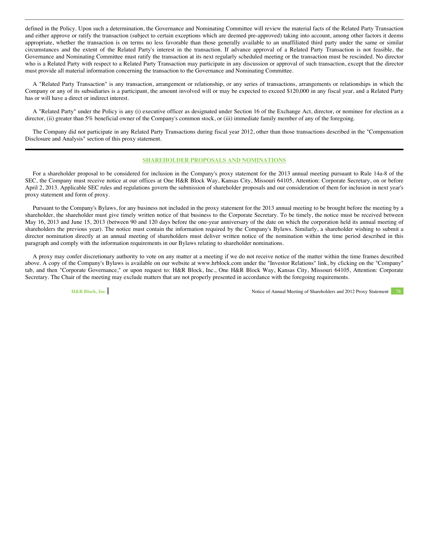defined in the Policy. Upon such a determination, the Governance and Nominating Committee will review the material facts of the Related Party Transaction and either approve or ratify the transaction (subject to certain exceptions which are deemed pre-approved) taking into account, among other factors it deems appropriate, whether the transaction is on terms no less favorable than those generally available to an unaffiliated third party under the same or similar circumstances and the extent of the Related Party's interest in the transaction. If advance approval of a Related Party Transaction is not feasible, the Governance and Nominating Committee must ratify the transaction at its next regularly scheduled meeting or the transaction must be rescinded. No director who is a Related Party with respect to a Related Party Transaction may participate in any discussion or approval of such transaction, except that the director must provide all material information concerning the transaction to the Governance and Nominating Committee.

A "Related Party Transaction" is any transaction, arrangement or relationship, or any series of transactions, arrangements or relationships in which the Company or any of its subsidiaries is a participant, the amount involved will or may be expected to exceed \$120,000 in any fiscal year, and a Related Party has or will have a direct or indirect interest.

A "Related Party" under the Policy is any (i) executive officer as designated under Section 16 of the Exchange Act, director, or nominee for election as a director, (ii) greater than 5% beneficial owner of the Company's common stock, or (iii) immediate family member of any of the foregoing.

The Company did not participate in any Related Party Transactions during fiscal year 2012, other than those transactions described in the "Compensation Disclosure and Analysis" section of this proxy statement.

#### **SHAREHOLDER PROPOSALS AND NOMINATIONS**

For a shareholder proposal to be considered for inclusion in the Company's proxy statement for the 2013 annual meeting pursuant to Rule 14a-8 of the SEC, the Company must receive notice at our offices at One H&R Block Way, Kansas City, Missouri 64105, Attention: Corporate Secretary, on or before April 2, 2013. Applicable SEC rules and regulations govern the submission of shareholder proposals and our consideration of them for inclusion in next year's proxy statement and form of proxy.

Pursuant to the Company's Bylaws, for any business not included in the proxy statement for the 2013 annual meeting to be brought before the meeting by a shareholder, the shareholder must give timely written notice of that business to the Corporate Secretary. To be timely, the notice must be received between May 16, 2013 and June 15, 2013 (between 90 and 120 days before the one-year anniversary of the date on which the corporation held its annual meeting of shareholders the previous year). The notice must contain the information required by the Company's Bylaws. Similarly, a shareholder wishing to submit a director nomination directly at an annual meeting of shareholders must deliver written notice of the nomination within the time period described in this paragraph and comply with the information requirements in our Bylaws relating to shareholder nominations.

A proxy may confer discretionary authority to vote on any matter at a meeting if we do not receive notice of the matter within the time frames described above. A copy of the Company's Bylaws is available on our website at www.hrblock.com under the "Investor Relations" link, by clicking on the "Company" tab, and then "Corporate Governance," or upon request to: H&R Block, Inc., One H&R Block Way, Kansas City, Missouri 64105, Attention: Corporate Secretary. The Chair of the meeting may exclude matters that are not properly presented in accordance with the foregoing requirements.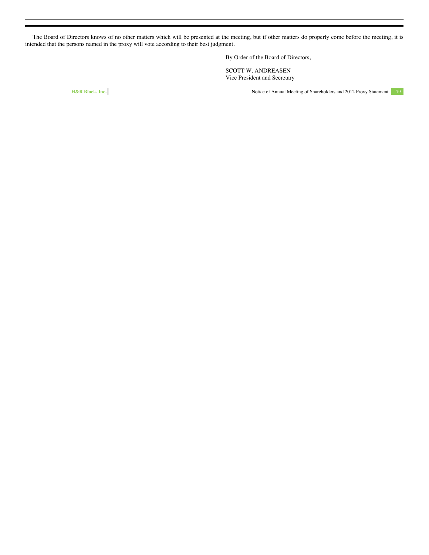The Board of Directors knows of no other matters which will be presented at the meeting, but if other matters do properly come before the meeting, it is intended that the persons named in the proxy will vote according to their best judgment.

By Order of the Board of Directors,

SCOTT W. ANDREASEN Vice President and Secretary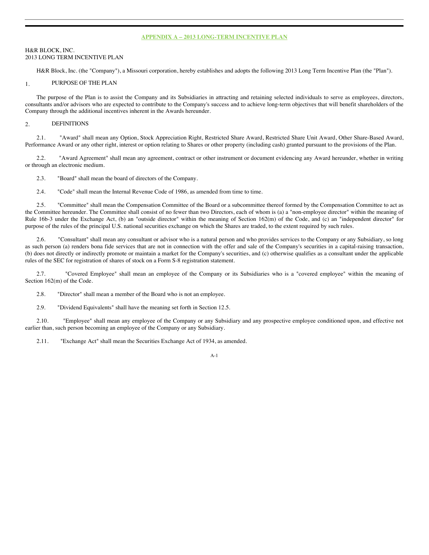### **APPENDIX A – 2013 LONG-TERM INCENTIVE PLAN**

## H&R BLOCK, INC. 2013 LONG TERM INCENTIVE PLAN

H&R Block, Inc. (the "Company"), a Missouri corporation, hereby establishes and adopts the following 2013 Long Term Incentive Plan (the "Plan").

### 1. PURPOSE OF THE PLAN

The purpose of the Plan is to assist the Company and its Subsidiaries in attracting and retaining selected individuals to serve as employees, directors, consultants and/or advisors who are expected to contribute to the Company's success and to achieve long-term objectives that will benefit shareholders of the Company through the additional incentives inherent in the Awards hereunder.

# 2. DEFINITIONS

2.1. "Award" shall mean any Option, Stock Appreciation Right, Restricted Share Award, Restricted Share Unit Award, Other Share-Based Award, Performance Award or any other right, interest or option relating to Shares or other property (including cash) granted pursuant to the provisions of the Plan.

2.2. "Award Agreement" shall mean any agreement, contract or other instrument or document evidencing any Award hereunder, whether in writing or through an electronic medium.

2.3. "Board" shall mean the board of directors of the Company.

2.4. "Code" shall mean the Internal Revenue Code of 1986, as amended from time to time.

2.5. "Committee" shall mean the Compensation Committee of the Board or a subcommittee thereof formed by the Compensation Committee to act as the Committee hereunder. The Committee shall consist of no fewer than two Directors, each of whom is (a) a "non-employee director" within the meaning of Rule 16b-3 under the Exchange Act, (b) an "outside director" within the meaning of Section 162(m) of the Code, and (c) an "independent director" for purpose of the rules of the principal U.S. national securities exchange on which the Shares are traded, to the extent required by such rules.

2.6. "Consultant" shall mean any consultant or advisor who is a natural person and who provides services to the Company or any Subsidiary, so long as such person (a) renders bona fide services that are not in connection with the offer and sale of the Company's securities in a capital-raising transaction, (b) does not directly or indirectly promote or maintain a market for the Company's securities, and (c) otherwise qualifies as a consultant under the applicable rules of the SEC for registration of shares of stock on a Form S-8 registration statement.

2.7. "Covered Employee" shall mean an employee of the Company or its Subsidiaries who is a "covered employee" within the meaning of Section 162(m) of the Code.

2.8. "Director" shall mean a member of the Board who is not an employee.

2.9. "Dividend Equivalents" shall have the meaning set forth in Section 12.5.

2.10. "Employee" shall mean any employee of the Company or any Subsidiary and any prospective employee conditioned upon, and effective not earlier than, such person becoming an employee of the Company or any Subsidiary.

2.11. "Exchange Act" shall mean the Securities Exchange Act of 1934, as amended.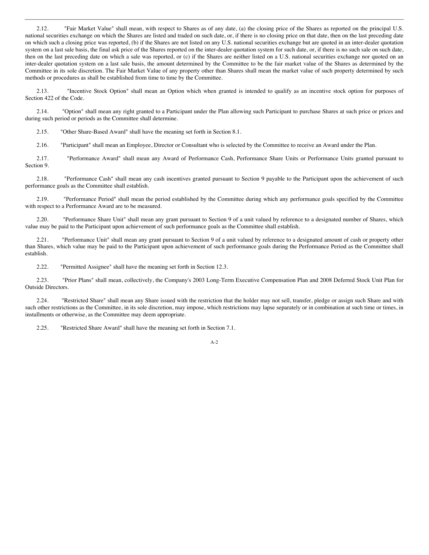2.12. "Fair Market Value" shall mean, with respect to Shares as of any date, (a) the closing price of the Shares as reported on the principal U.S. national securities exchange on which the Shares are listed and traded on such date, or, if there is no closing price on that date, then on the last preceding date on which such a closing price was reported, (b) if the Shares are not listed on any U.S. national securities exchange but are quoted in an inter-dealer quotation system on a last sale basis, the final ask price of the Shares reported on the inter-dealer quotation system for such date, or, if there is no such sale on such date, then on the last preceding date on which a sale was reported, or (c) if the Shares are neither listed on a U.S. national securities exchange nor quoted on an inter-dealer quotation system on a last sale basis, the amount determined by the Committee to be the fair market value of the Shares as determined by the Committee in its sole discretion. The Fair Market Value of any property other than Shares shall mean the market value of such property determined by such methods or procedures as shall be established from time to time by the Committee.

2.13. "Incentive Stock Option" shall mean an Option which when granted is intended to qualify as an incentive stock option for purposes of Section 422 of the Code.

2.14. "Option" shall mean any right granted to a Participant under the Plan allowing such Participant to purchase Shares at such price or prices and during such period or periods as the Committee shall determine.

2.15. "Other Share-Based Award" shall have the meaning set forth in Section 8.1.

2.16. "Participant" shall mean an Employee, Director or Consultant who is selected by the Committee to receive an Award under the Plan.

2.17. "Performance Award" shall mean any Award of Performance Cash, Performance Share Units or Performance Units granted pursuant to Section 9.

2.18. "Performance Cash" shall mean any cash incentives granted pursuant to Section 9 payable to the Participant upon the achievement of such performance goals as the Committee shall establish.

2.19. "Performance Period" shall mean the period established by the Committee during which any performance goals specified by the Committee with respect to a Performance Award are to be measured.

2.20. "Performance Share Unit" shall mean any grant pursuant to Section 9 of a unit valued by reference to a designated number of Shares, which value may be paid to the Participant upon achievement of such performance goals as the Committee shall establish.

2.21. "Performance Unit" shall mean any grant pursuant to Section 9 of a unit valued by reference to a designated amount of cash or property other than Shares, which value may be paid to the Participant upon achievement of such performance goals during the Performance Period as the Committee shall establish.

2.22. "Permitted Assignee" shall have the meaning set forth in Section 12.3.

2.23. "Prior Plans" shall mean, collectively, the Company's 2003 Long-Term Executive Compensation Plan and 2008 Deferred Stock Unit Plan for Outside Directors.

2.24. "Restricted Share" shall mean any Share issued with the restriction that the holder may not sell, transfer, pledge or assign such Share and with such other restrictions as the Committee, in its sole discretion, may impose, which restrictions may lapse separately or in combination at such time or times, in installments or otherwise, as the Committee may deem appropriate.

2.25. "Restricted Share Award" shall have the meaning set forth in Section 7.1.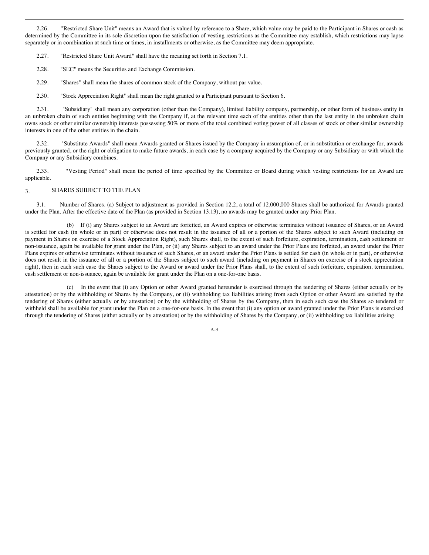2.26. "Restricted Share Unit" means an Award that is valued by reference to a Share, which value may be paid to the Participant in Shares or cash as determined by the Committee in its sole discretion upon the satisfaction of vesting restrictions as the Committee may establish, which restrictions may lapse separately or in combination at such time or times, in installments or otherwise, as the Committee may deem appropriate.

2.27. "Restricted Share Unit Award" shall have the meaning set forth in Section 7.1.

2.28. "SEC" means the Securities and Exchange Commission.

2.29. "Shares" shall mean the shares of common stock of the Company, without par value.

2.30. "Stock Appreciation Right" shall mean the right granted to a Participant pursuant to Section 6.

2.31. "Subsidiary" shall mean any corporation (other than the Company), limited liability company, partnership, or other form of business entity in an unbroken chain of such entities beginning with the Company if, at the relevant time each of the entities other than the last entity in the unbroken chain owns stock or other similar ownership interests possessing 50% or more of the total combined voting power of all classes of stock or other similar ownership interests in one of the other entities in the chain.

2.32. "Substitute Awards" shall mean Awards granted or Shares issued by the Company in assumption of, or in substitution or exchange for, awards previously granted, or the right or obligation to make future awards, in each case by a company acquired by the Company or any Subsidiary or with which the Company or any Subsidiary combines.

2.33. "Vesting Period" shall mean the period of time specified by the Committee or Board during which vesting restrictions for an Award are applicable.

# 3. SHARES SUBJECT TO THE PLAN

3.1. Number of Shares. (a) Subject to adjustment as provided in Section 12.2, a total of 12,000,000 Shares shall be authorized for Awards granted under the Plan. After the effective date of the Plan (as provided in Section 13.13), no awards may be granted under any Prior Plan.

(b) If (i) any Shares subject to an Award are forfeited, an Award expires or otherwise terminates without issuance of Shares, or an Award is settled for cash (in whole or in part) or otherwise does not result in the issuance of all or a portion of the Shares subject to such Award (including on payment in Shares on exercise of a Stock Appreciation Right), such Shares shall, to the extent of such forfeiture, expiration, termination, cash settlement or non-issuance, again be available for grant under the Plan, or (ii) any Shares subject to an award under the Prior Plans are forfeited, an award under the Prior Plans expires or otherwise terminates without issuance of such Shares, or an award under the Prior Plans is settled for cash (in whole or in part), or otherwise does not result in the issuance of all or a portion of the Shares subject to such award (including on payment in Shares on exercise of a stock appreciation right), then in each such case the Shares subject to the Award or award under the Prior Plans shall, to the extent of such forfeiture, expiration, termination, cash settlement or non-issuance, again be available for grant under the Plan on a one-for-one basis.

(c) In the event that (i) any Option or other Award granted hereunder is exercised through the tendering of Shares (either actually or by attestation) or by the withholding of Shares by the Company, or (ii) withholding tax liabilities arising from such Option or other Award are satisfied by the tendering of Shares (either actually or by attestation) or by the withholding of Shares by the Company, then in each such case the Shares so tendered or withheld shall be available for grant under the Plan on a one-for-one basis. In the event that (i) any option or award granted under the Prior Plans is exercised through the tendering of Shares (either actually or by attestation) or by the withholding of Shares by the Company, or (ii) withholding tax liabilities arising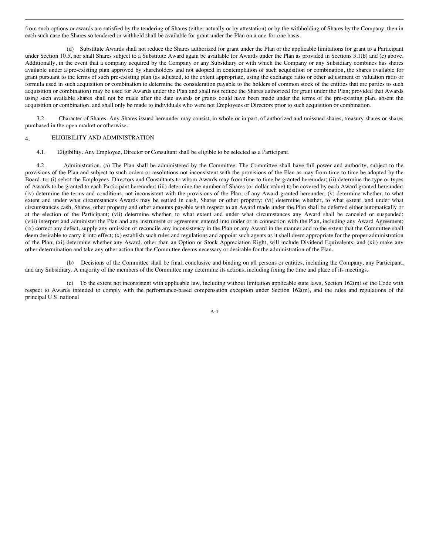from such options or awards are satisfied by the tendering of Shares (either actually or by attestation) or by the withholding of Shares by the Company, then in each such case the Shares so tendered or withheld shall be available for grant under the Plan on a one-for-one basis.

(d) Substitute Awards shall not reduce the Shares authorized for grant under the Plan or the applicable limitations for grant to a Participant under Section 10.5, nor shall Shares subject to a Substitute Award again be available for Awards under the Plan as provided in Sections 3.1(b) and (c) above. Additionally, in the event that a company acquired by the Company or any Subsidiary or with which the Company or any Subsidiary combines has shares available under a pre-existing plan approved by shareholders and not adopted in contemplation of such acquisition or combination, the shares available for grant pursuant to the terms of such pre-existing plan (as adjusted, to the extent appropriate, using the exchange ratio or other adjustment or valuation ratio or formula used in such acquisition or combination to determine the consideration payable to the holders of common stock of the entities that are parties to such acquisition or combination) may be used for Awards under the Plan and shall not reduce the Shares authorized for grant under the Plan; provided that Awards using such available shares shall not be made after the date awards or grants could have been made under the terms of the pre-existing plan, absent the acquisition or combination, and shall only be made to individuals who were not Employees or Directors prior to such acquisition or combination.

3.2. Character of Shares. Any Shares issued hereunder may consist, in whole or in part, of authorized and unissued shares, treasury shares or shares purchased in the open market or otherwise.

### 4. ELIGIBILITY AND ADMINISTRATION

4.1. Eligibility. Any Employee, Director or Consultant shall be eligible to be selected as a Participant.

4.2. Administration. (a) The Plan shall be administered by the Committee. The Committee shall have full power and authority, subject to the provisions of the Plan and subject to such orders or resolutions not inconsistent with the provisions of the Plan as may from time to time be adopted by the Board, to: (i) select the Employees, Directors and Consultants to whom Awards may from time to time be granted hereunder; (ii) determine the type or types of Awards to be granted to each Participant hereunder; (iii) determine the number of Shares (or dollar value) to be covered by each Award granted hereunder; (iv) determine the terms and conditions, not inconsistent with the provisions of the Plan, of any Award granted hereunder; (v) determine whether, to what extent and under what circumstances Awards may be settled in cash, Shares or other property; (vi) determine whether, to what extent, and under what circumstances cash, Shares, other property and other amounts payable with respect to an Award made under the Plan shall be deferred either automatically or at the election of the Participant; (vii) determine whether, to what extent and under what circumstances any Award shall be canceled or suspended; (viii) interpret and administer the Plan and any instrument or agreement entered into under or in connection with the Plan, including any Award Agreement; (ix) correct any defect, supply any omission or reconcile any inconsistency in the Plan or any Award in the manner and to the extent that the Committee shall deem desirable to carry it into effect; (x) establish such rules and regulations and appoint such agents as it shall deem appropriate for the proper administration of the Plan; (xi) determine whether any Award, other than an Option or Stock Appreciation Right, will include Dividend Equivalents; and (xii) make any other determination and take any other action that the Committee deems necessary or desirable for the administration of the Plan.

(b) Decisions of the Committee shall be final, conclusive and binding on all persons or entities, including the Company, any Participant, and any Subsidiary. A majority of the members of the Committee may determine its actions, including fixing the time and place of its meetings.

(c) To the extent not inconsistent with applicable law, including without limitation applicable state laws, Section 162(m) of the Code with respect to Awards intended to comply with the performance-based compensation exception under Section 162(m), and the rules and regulations of the principal U.S. national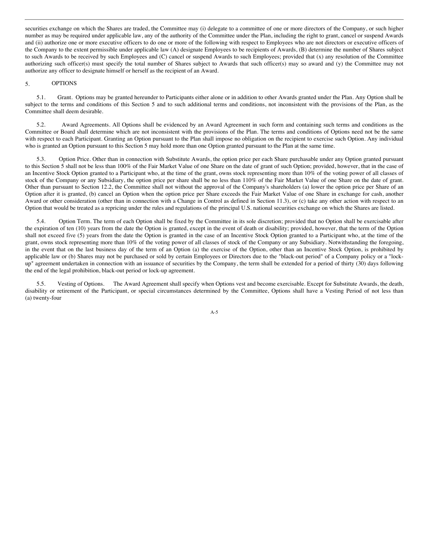securities exchange on which the Shares are traded, the Committee may (i) delegate to a committee of one or more directors of the Company, or such higher number as may be required under applicable law, any of the authority of the Committee under the Plan, including the right to grant, cancel or suspend Awards and (ii) authorize one or more executive officers to do one or more of the following with respect to Employees who are not directors or executive officers of the Company to the extent permissible under applicable law (A) designate Employees to be recipients of Awards, (B) determine the number of Shares subject to such Awards to be received by such Employees and (C) cancel or suspend Awards to such Employees; provided that (x) any resolution of the Committee authorizing such officer(s) must specify the total number of Shares subject to Awards that such officer(s) may so award and (y) the Committee may not authorize any officer to designate himself or herself as the recipient of an Award.

### 5. OPTIONS

5.1. Grant. Options may be granted hereunder to Participants either alone or in addition to other Awards granted under the Plan. Any Option shall be subject to the terms and conditions of this Section 5 and to such additional terms and conditions, not inconsistent with the provisions of the Plan, as the Committee shall deem desirable.

5.2. Award Agreements. All Options shall be evidenced by an Award Agreement in such form and containing such terms and conditions as the Committee or Board shall determine which are not inconsistent with the provisions of the Plan. The terms and conditions of Options need not be the same with respect to each Participant. Granting an Option pursuant to the Plan shall impose no obligation on the recipient to exercise such Option. Any individual who is granted an Option pursuant to this Section 5 may hold more than one Option granted pursuant to the Plan at the same time.

5.3. Option Price. Other than in connection with Substitute Awards, the option price per each Share purchasable under any Option granted pursuant to this Section 5 shall not be less than 100% of the Fair Market Value of one Share on the date of grant of such Option; provided, however, that in the case of an Incentive Stock Option granted to a Participant who, at the time of the grant, owns stock representing more than 10% of the voting power of all classes of stock of the Company or any Subsidiary, the option price per share shall be no less than 110% of the Fair Market Value of one Share on the date of grant. Other than pursuant to Section 12.2, the Committee shall not without the approval of the Company's shareholders (a) lower the option price per Share of an Option after it is granted, (b) cancel an Option when the option price per Share exceeds the Fair Market Value of one Share in exchange for cash, another Award or other consideration (other than in connection with a Change in Control as defined in Section 11.3), or (c) take any other action with respect to an Option that would be treated as a repricing under the rules and regulations of the principal U.S. national securities exchange on which the Shares are listed.

5.4. Option Term. The term of each Option shall be fixed by the Committee in its sole discretion; provided that no Option shall be exercisable after the expiration of ten (10) years from the date the Option is granted, except in the event of death or disability; provided, however, that the term of the Option shall not exceed five (5) years from the date the Option is granted in the case of an Incentive Stock Option granted to a Participant who, at the time of the grant, owns stock representing more than 10% of the voting power of all classes of stock of the Company or any Subsidiary. Notwithstanding the foregoing, in the event that on the last business day of the term of an Option (a) the exercise of the Option, other than an Incentive Stock Option, is prohibited by applicable law or (b) Shares may not be purchased or sold by certain Employees or Directors due to the "black-out period" of a Company policy or a "lockup" agreement undertaken in connection with an issuance of securities by the Company, the term shall be extended for a period of thirty (30) days following the end of the legal prohibition, black-out period or lock-up agreement.

5.5. Vesting of Options. The Award Agreement shall specify when Options vest and become exercisable. Except for Substitute Awards, the death, disability or retirement of the Participant, or special circumstances determined by the Committee, Options shall have a Vesting Period of not less than (a) twenty-four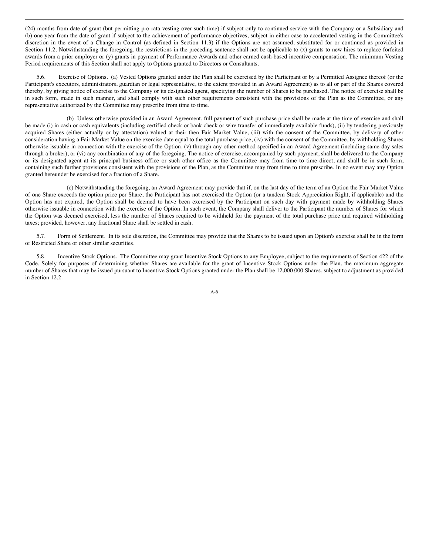(24) months from date of grant (but permitting pro rata vesting over such time) if subject only to continued service with the Company or a Subsidiary and (b) one year from the date of grant if subject to the achievement of performance objectives, subject in either case to accelerated vesting in the Committee's discretion in the event of a Change in Control (as defined in Section 11.3) if the Options are not assumed, substituted for or continued as provided in Section 11.2. Notwithstanding the foregoing, the restrictions in the preceding sentence shall not be applicable to (x) grants to new hires to replace forfeited awards from a prior employer or (y) grants in payment of Performance Awards and other earned cash-based incentive compensation. The minimum Vesting Period requirements of this Section shall not apply to Options granted to Directors or Consultants.

5.6. Exercise of Options. (a) Vested Options granted under the Plan shall be exercised by the Participant or by a Permitted Assignee thereof (or the Participant's executors, administrators, guardian or legal representative, to the extent provided in an Award Agreement) as to all or part of the Shares covered thereby, by giving notice of exercise to the Company or its designated agent, specifying the number of Shares to be purchased. The notice of exercise shall be in such form, made in such manner, and shall comply with such other requirements consistent with the provisions of the Plan as the Committee, or any representative authorized by the Committee may prescribe from time to time.

(b) Unless otherwise provided in an Award Agreement, full payment of such purchase price shall be made at the time of exercise and shall be made (i) in cash or cash equivalents (including certified check or bank check or wire transfer of immediately available funds), (ii) by tendering previously acquired Shares (either actually or by attestation) valued at their then Fair Market Value, (iii) with the consent of the Committee, by delivery of other consideration having a Fair Market Value on the exercise date equal to the total purchase price, (iv) with the consent of the Committee, by withholding Shares otherwise issuable in connection with the exercise of the Option, (v) through any other method specified in an Award Agreement (including same-day sales through a broker), or (vi) any combination of any of the foregoing. The notice of exercise, accompanied by such payment, shall be delivered to the Company or its designated agent at its principal business office or such other office as the Committee may from time to time direct, and shall be in such form, containing such further provisions consistent with the provisions of the Plan, as the Committee may from time to time prescribe. In no event may any Option granted hereunder be exercised for a fraction of a Share.

(c) Notwithstanding the foregoing, an Award Agreement may provide that if, on the last day of the term of an Option the Fair Market Value of one Share exceeds the option price per Share, the Participant has not exercised the Option (or a tandem Stock Appreciation Right, if applicable) and the Option has not expired, the Option shall be deemed to have been exercised by the Participant on such day with payment made by withholding Shares otherwise issuable in connection with the exercise of the Option. In such event, the Company shall deliver to the Participant the number of Shares for which the Option was deemed exercised, less the number of Shares required to be withheld for the payment of the total purchase price and required withholding taxes; provided, however, any fractional Share shall be settled in cash.

5.7. Form of Settlement. In its sole discretion, the Committee may provide that the Shares to be issued upon an Option's exercise shall be in the form of Restricted Share or other similar securities.

5.8. Incentive Stock Options. The Committee may grant Incentive Stock Options to any Employee, subject to the requirements of Section 422 of the Code. Solely for purposes of determining whether Shares are available for the grant of Incentive Stock Options under the Plan, the maximum aggregate number of Shares that may be issued pursuant to Incentive Stock Options granted under the Plan shall be 12,000,000 Shares, subject to adjustment as provided in Section 12.2.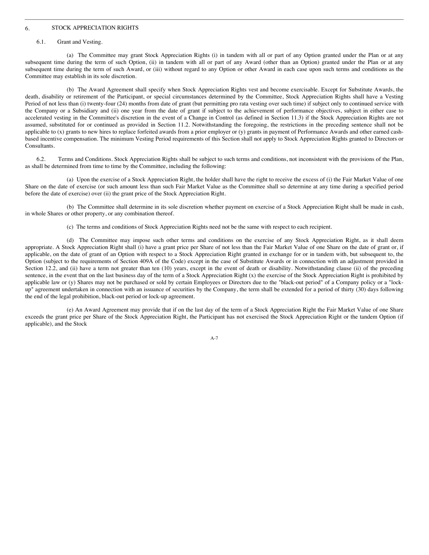## 6. STOCK APPRECIATION RIGHTS

#### 6.1. Grant and Vesting.

(a) The Committee may grant Stock Appreciation Rights (i) in tandem with all or part of any Option granted under the Plan or at any subsequent time during the term of such Option, (ii) in tandem with all or part of any Award (other than an Option) granted under the Plan or at any subsequent time during the term of such Award, or (iii) without regard to any Option or other Award in each case upon such terms and conditions as the Committee may establish in its sole discretion.

(b) The Award Agreement shall specify when Stock Appreciation Rights vest and become exercisable. Except for Substitute Awards, the death, disability or retirement of the Participant, or special circumstances determined by the Committee, Stock Appreciation Rights shall have a Vesting Period of not less than (i) twenty-four (24) months from date of grant (but permitting pro rata vesting over such time) if subject only to continued service with the Company or a Subsidiary and (ii) one year from the date of grant if subject to the achievement of performance objectives, subject in either case to accelerated vesting in the Committee's discretion in the event of a Change in Control (as defined in Section 11.3) if the Stock Appreciation Rights are not assumed, substituted for or continued as provided in Section 11.2. Notwithstanding the foregoing, the restrictions in the preceding sentence shall not be applicable to (x) grants to new hires to replace forfeited awards from a prior employer or (y) grants in payment of Performance Awards and other earned cashbased incentive compensation. The minimum Vesting Period requirements of this Section shall not apply to Stock Appreciation Rights granted to Directors or Consultants.

6.2. Terms and Conditions. Stock Appreciation Rights shall be subject to such terms and conditions, not inconsistent with the provisions of the Plan, as shall be determined from time to time by the Committee, including the following:

(a) Upon the exercise of a Stock Appreciation Right, the holder shall have the right to receive the excess of (i) the Fair Market Value of one Share on the date of exercise (or such amount less than such Fair Market Value as the Committee shall so determine at any time during a specified period before the date of exercise) over (ii) the grant price of the Stock Appreciation Right.

(b) The Committee shall determine in its sole discretion whether payment on exercise of a Stock Appreciation Right shall be made in cash, in whole Shares or other property, or any combination thereof.

(c) The terms and conditions of Stock Appreciation Rights need not be the same with respect to each recipient.

(d) The Committee may impose such other terms and conditions on the exercise of any Stock Appreciation Right, as it shall deem appropriate. A Stock Appreciation Right shall (i) have a grant price per Share of not less than the Fair Market Value of one Share on the date of grant or, if applicable, on the date of grant of an Option with respect to a Stock Appreciation Right granted in exchange for or in tandem with, but subsequent to, the Option (subject to the requirements of Section 409A of the Code) except in the case of Substitute Awards or in connection with an adjustment provided in Section 12.2, and (ii) have a term not greater than ten (10) years, except in the event of death or disability. Notwithstanding clause (ii) of the preceding sentence, in the event that on the last business day of the term of a Stock Appreciation Right (x) the exercise of the Stock Appreciation Right is prohibited by applicable law or (y) Shares may not be purchased or sold by certain Employees or Directors due to the "black-out period" of a Company policy or a "lockup" agreement undertaken in connection with an issuance of securities by the Company, the term shall be extended for a period of thirty (30) days following the end of the legal prohibition, black-out period or lock-up agreement.

(e) An Award Agreement may provide that if on the last day of the term of a Stock Appreciation Right the Fair Market Value of one Share exceeds the grant price per Share of the Stock Appreciation Right, the Participant has not exercised the Stock Appreciation Right or the tandem Option (if applicable), and the Stock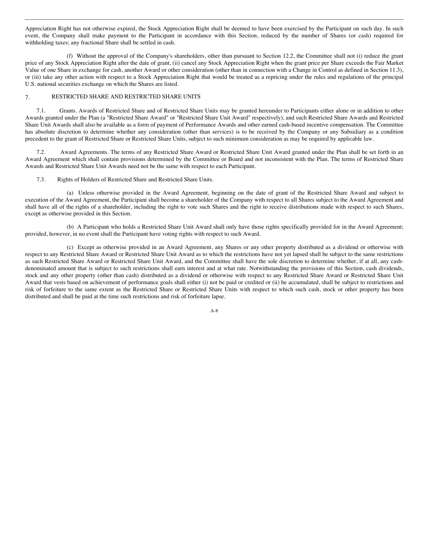Appreciation Right has not otherwise expired, the Stock Appreciation Right shall be deemed to have been exercised by the Participant on such day. In such event, the Company shall make payment to the Participant in accordance with this Section, reduced by the number of Shares (or cash) required for withholding taxes; any fractional Share shall be settled in cash.

(f) Without the approval of the Company's shareholders, other than pursuant to Section 12.2, the Committee shall not (i) reduce the grant price of any Stock Appreciation Right after the date of grant, (ii) cancel any Stock Appreciation Right when the grant price per Share exceeds the Fair Market Value of one Share in exchange for cash, another Award or other consideration (other than in connection with a Change in Control as defined in Section 11.3), or (iii) take any other action with respect to a Stock Appreciation Right that would be treated as a repricing under the rules and regulations of the principal U.S. national securities exchange on which the Shares are listed.

# 7. RESTRICTED SHARE AND RESTRICTED SHARE UNITS

7.1. Grants. Awards of Restricted Share and of Restricted Share Units may be granted hereunder to Participants either alone or in addition to other Awards granted under the Plan (a "Restricted Share Award" or "Restricted Share Unit Award" respectively), and such Restricted Share Awards and Restricted Share Unit Awards shall also be available as a form of payment of Performance Awards and other earned cash-based incentive compensation. The Committee has absolute discretion to determine whether any consideration (other than services) is to be received by the Company or any Subsidiary as a condition precedent to the grant of Restricted Share or Restricted Share Units, subject to such minimum consideration as may be required by applicable law.

7.2. Award Agreements. The terms of any Restricted Share Award or Restricted Share Unit Award granted under the Plan shall be set forth in an Award Agreement which shall contain provisions determined by the Committee or Board and not inconsistent with the Plan. The terms of Restricted Share Awards and Restricted Share Unit Awards need not be the same with respect to each Participant.

7.3. Rights of Holders of Restricted Share and Restricted Share Units.

(a) Unless otherwise provided in the Award Agreement, beginning on the date of grant of the Restricted Share Award and subject to execution of the Award Agreement, the Participant shall become a shareholder of the Company with respect to all Shares subject to the Award Agreement and shall have all of the rights of a shareholder, including the right to vote such Shares and the right to receive distributions made with respect to such Shares, except as otherwise provided in this Section.

(b) A Participant who holds a Restricted Share Unit Award shall only have those rights specifically provided for in the Award Agreement; provided, however, in no event shall the Participant have voting rights with respect to such Award.

(c) Except as otherwise provided in an Award Agreement, any Shares or any other property distributed as a dividend or otherwise with respect to any Restricted Share Award or Restricted Share Unit Award as to which the restrictions have not yet lapsed shall be subject to the same restrictions as such Restricted Share Award or Restricted Share Unit Award, and the Committee shall have the sole discretion to determine whether, if at all, any cashdenominated amount that is subject to such restrictions shall earn interest and at what rate. Notwithstanding the provisions of this Section, cash dividends, stock and any other property (other than cash) distributed as a dividend or otherwise with respect to any Restricted Share Award or Restricted Share Unit Award that vests based on achievement of performance goals shall either (i) not be paid or credited or (ii) be accumulated, shall be subject to restrictions and risk of forfeiture to the same extent as the Restricted Share or Restricted Share Units with respect to which such cash, stock or other property has been distributed and shall be paid at the time such restrictions and risk of forfeiture lapse.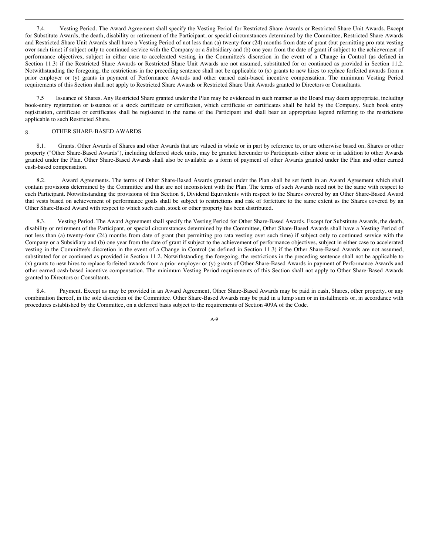7.4. Vesting Period. The Award Agreement shall specify the Vesting Period for Restricted Share Awards or Restricted Share Unit Awards. Except for Substitute Awards, the death, disability or retirement of the Participant, or special circumstances determined by the Committee, Restricted Share Awards and Restricted Share Unit Awards shall have a Vesting Period of not less than (a) twenty-four (24) months from date of grant (but permitting pro rata vesting over such time) if subject only to continued service with the Company or a Subsidiary and (b) one year from the date of grant if subject to the achievement of performance objectives, subject in either case to accelerated vesting in the Committee's discretion in the event of a Change in Control (as defined in Section 11.3) if the Restricted Share Awards or Restricted Share Unit Awards are not assumed, substituted for or continued as provided in Section 11.2. Notwithstanding the foregoing, the restrictions in the preceding sentence shall not be applicable to (x) grants to new hires to replace forfeited awards from a prior employer or (y) grants in payment of Performance Awards and other earned cash-based incentive compensation. The minimum Vesting Period requirements of this Section shall not apply to Restricted Share Awards or Restricted Share Unit Awards granted to Directors or Consultants.

7.5 Issuance of Shares. Any Restricted Share granted under the Plan may be evidenced in such manner as the Board may deem appropriate, including book-entry registration or issuance of a stock certificate or certificates, which certificate or certificates shall be held by the Company. Such book entry registration, certificate or certificates shall be registered in the name of the Participant and shall bear an appropriate legend referring to the restrictions applicable to such Restricted Share.

# 8. OTHER SHARE-BASED AWARDS

8.1. Grants. Other Awards of Shares and other Awards that are valued in whole or in part by reference to, or are otherwise based on, Shares or other property ("Other Share-Based Awards"), including deferred stock units, may be granted hereunder to Participants either alone or in addition to other Awards granted under the Plan. Other Share-Based Awards shall also be available as a form of payment of other Awards granted under the Plan and other earned cash-based compensation.

8.2. Award Agreements. The terms of Other Share-Based Awards granted under the Plan shall be set forth in an Award Agreement which shall contain provisions determined by the Committee and that are not inconsistent with the Plan. The terms of such Awards need not be the same with respect to each Participant. Notwithstanding the provisions of this Section 8, Dividend Equivalents with respect to the Shares covered by an Other Share-Based Award that vests based on achievement of performance goals shall be subject to restrictions and risk of forfeiture to the same extent as the Shares covered by an Other Share-Based Award with respect to which such cash, stock or other property has been distributed.

8.3. Vesting Period. The Award Agreement shall specify the Vesting Period for Other Share-Based Awards. Except for Substitute Awards, the death, disability or retirement of the Participant, or special circumstances determined by the Committee, Other Share-Based Awards shall have a Vesting Period of not less than (a) twenty-four (24) months from date of grant (but permitting pro rata vesting over such time) if subject only to continued service with the Company or a Subsidiary and (b) one year from the date of grant if subject to the achievement of performance objectives, subject in either case to accelerated vesting in the Committee's discretion in the event of a Change in Control (as defined in Section 11.3) if the Other Share-Based Awards are not assumed, substituted for or continued as provided in Section 11.2. Notwithstanding the foregoing, the restrictions in the preceding sentence shall not be applicable to (x) grants to new hires to replace forfeited awards from a prior employer or (y) grants of Other Share-Based Awards in payment of Performance Awards and other earned cash-based incentive compensation. The minimum Vesting Period requirements of this Section shall not apply to Other Share-Based Awards granted to Directors or Consultants.

8.4. Payment. Except as may be provided in an Award Agreement, Other Share-Based Awards may be paid in cash, Shares, other property, or any combination thereof, in the sole discretion of the Committee. Other Share-Based Awards may be paid in a lump sum or in installments or, in accordance with procedures established by the Committee, on a deferred basis subject to the requirements of Section 409A of the Code.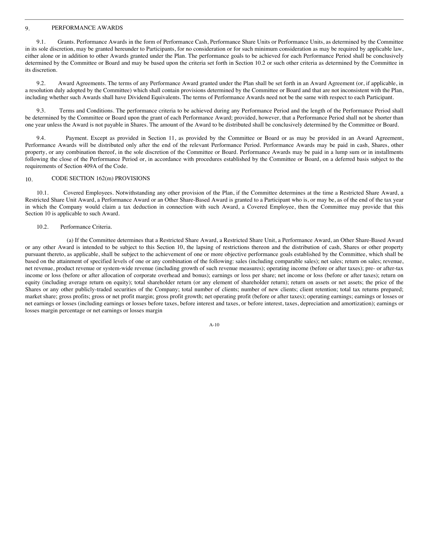#### 9. PERFORMANCE AWARDS

9.1. Grants. Performance Awards in the form of Performance Cash, Performance Share Units or Performance Units, as determined by the Committee in its sole discretion, may be granted hereunder to Participants, for no consideration or for such minimum consideration as may be required by applicable law, either alone or in addition to other Awards granted under the Plan. The performance goals to be achieved for each Performance Period shall be conclusively determined by the Committee or Board and may be based upon the criteria set forth in Section 10.2 or such other criteria as determined by the Committee in its discretion.

9.2. Award Agreements. The terms of any Performance Award granted under the Plan shall be set forth in an Award Agreement (or, if applicable, in a resolution duly adopted by the Committee) which shall contain provisions determined by the Committee or Board and that are not inconsistent with the Plan, including whether such Awards shall have Dividend Equivalents. The terms of Performance Awards need not be the same with respect to each Participant.

9.3. Terms and Conditions. The performance criteria to be achieved during any Performance Period and the length of the Performance Period shall be determined by the Committee or Board upon the grant of each Performance Award; provided, however, that a Performance Period shall not be shorter than one year unless the Award is not payable in Shares. The amount of the Award to be distributed shall be conclusively determined by the Committee or Board.

9.4. Payment. Except as provided in Section 11, as provided by the Committee or Board or as may be provided in an Award Agreement, Performance Awards will be distributed only after the end of the relevant Performance Period. Performance Awards may be paid in cash, Shares, other property, or any combination thereof, in the sole discretion of the Committee or Board. Performance Awards may be paid in a lump sum or in installments following the close of the Performance Period or, in accordance with procedures established by the Committee or Board, on a deferred basis subject to the requirements of Section 409A of the Code.

# 10. CODE SECTION 162(m) PROVISIONS

10.1. Covered Employees. Notwithstanding any other provision of the Plan, if the Committee determines at the time a Restricted Share Award, a Restricted Share Unit Award, a Performance Award or an Other Share-Based Award is granted to a Participant who is, or may be, as of the end of the tax year in which the Company would claim a tax deduction in connection with such Award, a Covered Employee, then the Committee may provide that this Section 10 is applicable to such Award.

#### 10.2. Performance Criteria.

(a) If the Committee determines that a Restricted Share Award, a Restricted Share Unit, a Performance Award, an Other Share-Based Award or any other Award is intended to be subject to this Section 10, the lapsing of restrictions thereon and the distribution of cash, Shares or other property pursuant thereto, as applicable, shall be subject to the achievement of one or more objective performance goals established by the Committee, which shall be based on the attainment of specified levels of one or any combination of the following: sales (including comparable sales); net sales; return on sales; revenue, net revenue, product revenue or system-wide revenue (including growth of such revenue measures); operating income (before or after taxes); pre- or after-tax income or loss (before or after allocation of corporate overhead and bonus); earnings or loss per share; net income or loss (before or after taxes); return on equity (including average return on equity); total shareholder return (or any element of shareholder return); return on assets or net assets; the price of the Shares or any other publicly-traded securities of the Company; total number of clients; number of new clients; client retention; total tax returns prepared; market share; gross profits; gross or net profit margin; gross profit growth; net operating profit (before or after taxes); operating earnings; earnings or losses or net earnings or losses (including earnings or losses before taxes, before interest and taxes, or before interest, taxes, depreciation and amortization); earnings or losses margin percentage or net earnings or losses margin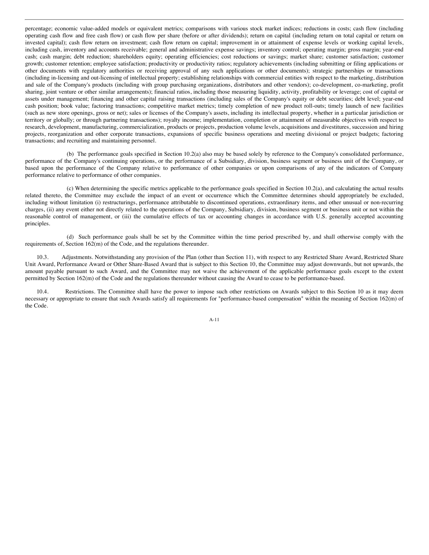percentage; economic value-added models or equivalent metrics; comparisons with various stock market indices; reductions in costs; cash flow (including operating cash flow and free cash flow) or cash flow per share (before or after dividends); return on capital (including return on total capital or return on invested capital); cash flow return on investment; cash flow return on capital; improvement in or attainment of expense levels or working capital levels, including cash, inventory and accounts receivable; general and administrative expense savings; inventory control; operating margin; gross margin; year-end cash; cash margin; debt reduction; shareholders equity; operating efficiencies; cost reductions or savings; market share; customer satisfaction; customer growth; customer retention; employee satisfaction; productivity or productivity ratios; regulatory achievements (including submitting or filing applications or other documents with regulatory authorities or receiving approval of any such applications or other documents); strategic partnerships or transactions (including in-licensing and out-licensing of intellectual property; establishing relationships with commercial entities with respect to the marketing, distribution and sale of the Company's products (including with group purchasing organizations, distributors and other vendors); co-development, co-marketing, profit sharing, joint venture or other similar arrangements); financial ratios, including those measuring liquidity, activity, profitability or leverage; cost of capital or assets under management; financing and other capital raising transactions (including sales of the Company's equity or debt securities; debt level; year-end cash position; book value; factoring transactions; competitive market metrics; timely completion of new product roll-outs; timely launch of new facilities (such as new store openings, gross or net); sales or licenses of the Company's assets, including its intellectual property, whether in a particular jurisdiction or territory or globally; or through partnering transactions); royalty income; implementation, completion or attainment of measurable objectives with respect to research, development, manufacturing, commercialization, products or projects, production volume levels, acquisitions and divestitures, succession and hiring projects, reorganization and other corporate transactions, expansions of specific business operations and meeting divisional or project budgets; factoring transactions; and recruiting and maintaining personnel.

(b) The performance goals specified in Section 10.2(a) also may be based solely by reference to the Company's consolidated performance, performance of the Company's continuing operations, or the performance of a Subsidiary, division, business segment or business unit of the Company, or based upon the performance of the Company relative to performance of other companies or upon comparisons of any of the indicators of Company performance relative to performance of other companies.

(c) When determining the specific metrics applicable to the performance goals specified in Section 10.2(a), and calculating the actual results related thereto, the Committee may exclude the impact of an event or occurrence which the Committee determines should appropriately be excluded, including without limitation (i) restructurings, performance attributable to discontinued operations, extraordinary items, and other unusual or non-recurring charges, (ii) any event either not directly related to the operations of the Company, Subsidiary, division, business segment or business unit or not within the reasonable control of management, or (iii) the cumulative effects of tax or accounting changes in accordance with U.S. generally accepted accounting principles.

(d) Such performance goals shall be set by the Committee within the time period prescribed by, and shall otherwise comply with the requirements of, Section 162(m) of the Code, and the regulations thereunder.

10.3. Adjustments. Notwithstanding any provision of the Plan (other than Section 11), with respect to any Restricted Share Award, Restricted Share Unit Award, Performance Award or Other Share-Based Award that is subject to this Section 10, the Committee may adjust downwards, but not upwards, the amount payable pursuant to such Award, and the Committee may not waive the achievement of the applicable performance goals except to the extent permitted by Section 162(m) of the Code and the regulations thereunder without causing the Award to cease to be performance-based.

10.4. Restrictions. The Committee shall have the power to impose such other restrictions on Awards subject to this Section 10 as it may deem necessary or appropriate to ensure that such Awards satisfy all requirements for "performance-based compensation" within the meaning of Section 162(m) of the Code.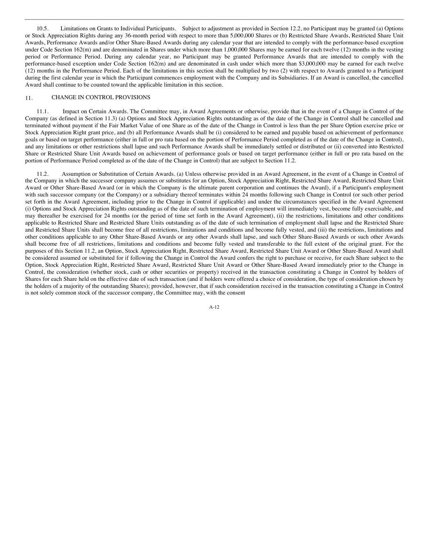10.5. Limitations on Grants to Individual Participants. Subject to adjustment as provided in Section 12.2, no Participant may be granted (a) Options or Stock Appreciation Rights during any 36-month period with respect to more than 5,000,000 Shares or (b) Restricted Share Awards, Restricted Share Unit Awards, Performance Awards and/or Other Share-Based Awards during any calendar year that are intended to comply with the performance-based exception under Code Section 162(m) and are denominated in Shares under which more than 1,000,000 Shares may be earned for each twelve (12) months in the vesting period or Performance Period. During any calendar year, no Participant may be granted Performance Awards that are intended to comply with the performance-based exception under Code Section 162(m) and are denominated in cash under which more than \$3,000,000 may be earned for each twelve (12) months in the Performance Period. Each of the limitations in this section shall be multiplied by two (2) with respect to Awards granted to a Participant during the first calendar year in which the Participant commences employment with the Company and its Subsidiaries. If an Award is cancelled, the cancelled Award shall continue to be counted toward the applicable limitation in this section.

#### 11. CHANGE IN CONTROL PROVISIONS

11.1. Impact on Certain Awards. The Committee may, in Award Agreements or otherwise, provide that in the event of a Change in Control of the Company (as defined in Section 11.3) (a) Options and Stock Appreciation Rights outstanding as of the date of the Change in Control shall be cancelled and terminated without payment if the Fair Market Value of one Share as of the date of the Change in Control is less than the per Share Option exercise price or Stock Appreciation Right grant price, and (b) all Performance Awards shall be (i) considered to be earned and payable based on achievement of performance goals or based on target performance (either in full or pro rata based on the portion of Performance Period completed as of the date of the Change in Control), and any limitations or other restrictions shall lapse and such Performance Awards shall be immediately settled or distributed or (ii) converted into Restricted Share or Restricted Share Unit Awards based on achievement of performance goals or based on target performance (either in full or pro rata based on the portion of Performance Period completed as of the date of the Change in Control) that are subject to Section 11.2.

11.2. Assumption or Substitution of Certain Awards. (a) Unless otherwise provided in an Award Agreement, in the event of a Change in Control of the Company in which the successor company assumes or substitutes for an Option, Stock Appreciation Right, Restricted Share Award, Restricted Share Unit Award or Other Share-Based Award (or in which the Company is the ultimate parent corporation and continues the Award), if a Participant's employment with such successor company (or the Company) or a subsidiary thereof terminates within 24 months following such Change in Control (or such other period set forth in the Award Agreement, including prior to the Change in Control if applicable) and under the circumstances specified in the Award Agreement (i) Options and Stock Appreciation Rights outstanding as of the date of such termination of employment will immediately vest, become fully exercisable, and may thereafter be exercised for 24 months (or the period of time set forth in the Award Agreement), (ii) the restrictions, limitations and other conditions applicable to Restricted Share and Restricted Share Units outstanding as of the date of such termination of employment shall lapse and the Restricted Share and Restricted Share Units shall become free of all restrictions, limitations and conditions and become fully vested, and (iii) the restrictions, limitations and other conditions applicable to any Other Share-Based Awards or any other Awards shall lapse, and such Other Share-Based Awards or such other Awards shall become free of all restrictions, limitations and conditions and become fully vested and transferable to the full extent of the original grant. For the purposes of this Section 11.2, an Option, Stock Appreciation Right, Restricted Share Award, Restricted Share Unit Award or Other Share-Based Award shall be considered assumed or substituted for if following the Change in Control the Award confers the right to purchase or receive, for each Share subject to the Option, Stock Appreciation Right, Restricted Share Award, Restricted Share Unit Award or Other Share-Based Award immediately prior to the Change in Control, the consideration (whether stock, cash or other securities or property) received in the transaction constituting a Change in Control by holders of Shares for each Share held on the effective date of such transaction (and if holders were offered a choice of consideration, the type of consideration chosen by the holders of a majority of the outstanding Shares); provided, however, that if such consideration received in the transaction constituting a Change in Control is not solely common stock of the successor company, the Committee may, with the consent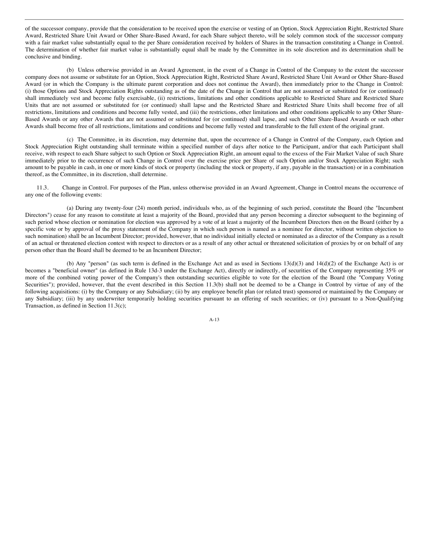of the successor company, provide that the consideration to be received upon the exercise or vesting of an Option, Stock Appreciation Right, Restricted Share Award, Restricted Share Unit Award or Other Share-Based Award, for each Share subject thereto, will be solely common stock of the successor company with a fair market value substantially equal to the per Share consideration received by holders of Shares in the transaction constituting a Change in Control. The determination of whether fair market value is substantially equal shall be made by the Committee in its sole discretion and its determination shall be conclusive and binding.

(b) Unless otherwise provided in an Award Agreement, in the event of a Change in Control of the Company to the extent the successor company does not assume or substitute for an Option, Stock Appreciation Right, Restricted Share Award, Restricted Share Unit Award or Other Share-Based Award (or in which the Company is the ultimate parent corporation and does not continue the Award), then immediately prior to the Change in Control: (i) those Options and Stock Appreciation Rights outstanding as of the date of the Change in Control that are not assumed or substituted for (or continued) shall immediately vest and become fully exercisable, (ii) restrictions, limitations and other conditions applicable to Restricted Share and Restricted Share Units that are not assumed or substituted for (or continued) shall lapse and the Restricted Share and Restricted Share Units shall become free of all restrictions, limitations and conditions and become fully vested, and (iii) the restrictions, other limitations and other conditions applicable to any Other Share-Based Awards or any other Awards that are not assumed or substituted for (or continued) shall lapse, and such Other Share-Based Awards or such other Awards shall become free of all restrictions, limitations and conditions and become fully vested and transferable to the full extent of the original grant.

(c) The Committee, in its discretion, may determine that, upon the occurrence of a Change in Control of the Company, each Option and Stock Appreciation Right outstanding shall terminate within a specified number of days after notice to the Participant, and/or that each Participant shall receive, with respect to each Share subject to such Option or Stock Appreciation Right, an amount equal to the excess of the Fair Market Value of such Share immediately prior to the occurrence of such Change in Control over the exercise price per Share of such Option and/or Stock Appreciation Right; such amount to be payable in cash, in one or more kinds of stock or property (including the stock or property, if any, payable in the transaction) or in a combination thereof, as the Committee, in its discretion, shall determine.

11.3. Change in Control. For purposes of the Plan, unless otherwise provided in an Award Agreement, Change in Control means the occurrence of any one of the following events:

(a) During any twenty-four (24) month period, individuals who, as of the beginning of such period, constitute the Board (the "Incumbent Directors") cease for any reason to constitute at least a majority of the Board, provided that any person becoming a director subsequent to the beginning of such period whose election or nomination for election was approved by a vote of at least a majority of the Incumbent Directors then on the Board (either by a specific vote or by approval of the proxy statement of the Company in which such person is named as a nominee for director, without written objection to such nomination) shall be an Incumbent Director; provided, however, that no individual initially elected or nominated as a director of the Company as a result of an actual or threatened election contest with respect to directors or as a result of any other actual or threatened solicitation of proxies by or on behalf of any person other than the Board shall be deemed to be an Incumbent Director;

(b) Any "person" (as such term is defined in the Exchange Act and as used in Sections 13(d)(3) and 14(d)(2) of the Exchange Act) is or becomes a "beneficial owner" (as defined in Rule 13d-3 under the Exchange Act), directly or indirectly, of securities of the Company representing 35% or more of the combined voting power of the Company's then outstanding securities eligible to vote for the election of the Board (the "Company Voting Securities"); provided, however, that the event described in this Section 11.3(b) shall not be deemed to be a Change in Control by virtue of any of the following acquisitions: (i) by the Company or any Subsidiary; (ii) by any employee benefit plan (or related trust) sponsored or maintained by the Company or any Subsidiary; (iii) by any underwriter temporarily holding securities pursuant to an offering of such securities; or (iv) pursuant to a Non-Qualifying Transaction, as defined in Section 11.3(c);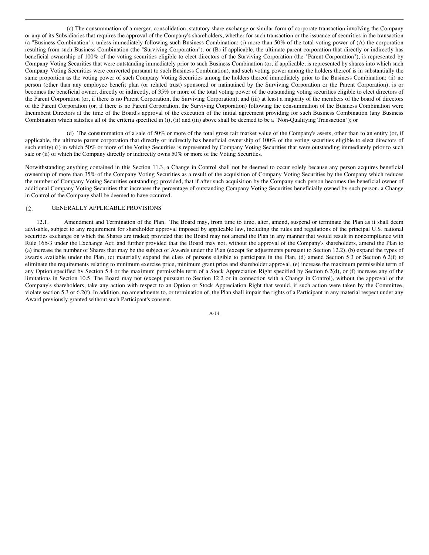(c) The consummation of a merger, consolidation, statutory share exchange or similar form of corporate transaction involving the Company or any of its Subsidiaries that requires the approval of the Company's shareholders, whether for such transaction or the issuance of securities in the transaction (a "Business Combination"), unless immediately following such Business Combination: (i) more than 50% of the total voting power of (A) the corporation resulting from such Business Combination (the "Surviving Corporation"), or (B) if applicable, the ultimate parent corporation that directly or indirectly has beneficial ownership of 100% of the voting securities eligible to elect directors of the Surviving Corporation (the "Parent Corporation"), is represented by Company Voting Securities that were outstanding immediately prior to such Business Combination (or, if applicable, is represented by shares into which such Company Voting Securities were converted pursuant to such Business Combination), and such voting power among the holders thereof is in substantially the same proportion as the voting power of such Company Voting Securities among the holders thereof immediately prior to the Business Combination; (ii) no person (other than any employee benefit plan (or related trust) sponsored or maintained by the Surviving Corporation or the Parent Corporation), is or becomes the beneficial owner, directly or indirectly, of 35% or more of the total voting power of the outstanding voting securities eligible to elect directors of the Parent Corporation (or, if there is no Parent Corporation, the Surviving Corporation); and (iii) at least a majority of the members of the board of directors of the Parent Corporation (or, if there is no Parent Corporation, the Surviving Corporation) following the consummation of the Business Combination were Incumbent Directors at the time of the Board's approval of the execution of the initial agreement providing for such Business Combination (any Business Combination which satisfies all of the criteria specified in (i), (ii) and (iii) above shall be deemed to be a "Non-Qualifying Transaction"); or

(d) The consummation of a sale of 50% or more of the total gross fair market value of the Company's assets, other than to an entity (or, if applicable, the ultimate parent corporation that directly or indirectly has beneficial ownership of 100% of the voting securities eligible to elect directors of such entity) (i) in which 50% or more of the Voting Securities is represented by Company Voting Securities that were outstanding immediately prior to such sale or (ii) of which the Company directly or indirectly owns 50% or more of the Voting Securities.

Notwithstanding anything contained in this Section 11.3, a Change in Control shall not be deemed to occur solely because any person acquires beneficial ownership of more than 35% of the Company Voting Securities as a result of the acquisition of Company Voting Securities by the Company which reduces the number of Company Voting Securities outstanding; provided, that if after such acquisition by the Company such person becomes the beneficial owner of additional Company Voting Securities that increases the percentage of outstanding Company Voting Securities beneficially owned by such person, a Change in Control of the Company shall be deemed to have occurred.

# 12. GENERALLY APPLICABLE PROVISIONS

12.1. Amendment and Termination of the Plan. The Board may, from time to time, alter, amend, suspend or terminate the Plan as it shall deem advisable, subject to any requirement for shareholder approval imposed by applicable law, including the rules and regulations of the principal U.S. national securities exchange on which the Shares are traded; provided that the Board may not amend the Plan in any manner that would result in noncompliance with Rule 16b-3 under the Exchange Act; and further provided that the Board may not, without the approval of the Company's shareholders, amend the Plan to (a) increase the number of Shares that may be the subject of Awards under the Plan (except for adjustments pursuant to Section 12.2), (b) expand the types of awards available under the Plan, (c) materially expand the class of persons eligible to participate in the Plan, (d) amend Section 5.3 or Section 6.2(f) to eliminate the requirements relating to minimum exercise price, minimum grant price and shareholder approval, (e) increase the maximum permissible term of any Option specified by Section 5.4 or the maximum permissible term of a Stock Appreciation Right specified by Section 6.2(d), or (f) increase any of the limitations in Section 10.5. The Board may not (except pursuant to Section 12.2 or in connection with a Change in Control), without the approval of the Company's shareholders, take any action with respect to an Option or Stock Appreciation Right that would, if such action were taken by the Committee, violate section 5.3 or 6.2(f). In addition, no amendments to, or termination of, the Plan shall impair the rights of a Participant in any material respect under any Award previously granted without such Participant's consent.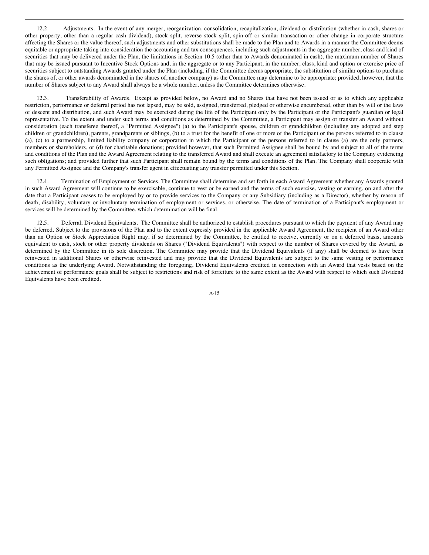12.2. Adjustments. In the event of any merger, reorganization, consolidation, recapitalization, dividend or distribution (whether in cash, shares or other property, other than a regular cash dividend), stock split, reverse stock split, spin-off or similar transaction or other change in corporate structure affecting the Shares or the value thereof, such adjustments and other substitutions shall be made to the Plan and to Awards in a manner the Committee deems equitable or appropriate taking into consideration the accounting and tax consequences, including such adjustments in the aggregate number, class and kind of securities that may be delivered under the Plan, the limitations in Section 10.5 (other than to Awards denominated in cash), the maximum number of Shares that may be issued pursuant to Incentive Stock Options and, in the aggregate or to any Participant, in the number, class, kind and option or exercise price of securities subject to outstanding Awards granted under the Plan (including, if the Committee deems appropriate, the substitution of similar options to purchase the shares of, or other awards denominated in the shares of, another company) as the Committee may determine to be appropriate; provided, however, that the number of Shares subject to any Award shall always be a whole number, unless the Committee determines otherwise.

12.3. Transferability of Awards. Except as provided below, no Award and no Shares that have not been issued or as to which any applicable restriction, performance or deferral period has not lapsed, may be sold, assigned, transferred, pledged or otherwise encumbered, other than by will or the laws of descent and distribution, and such Award may be exercised during the life of the Participant only by the Participant or the Participant's guardian or legal representative. To the extent and under such terms and conditions as determined by the Committee, a Participant may assign or transfer an Award without consideration (each transferee thereof, a "Permitted Assignee") (a) to the Participant's spouse, children or grandchildren (including any adopted and step children or grandchildren), parents, grandparents or siblings, (b) to a trust for the benefit of one or more of the Participant or the persons referred to in clause (a), (c) to a partnership, limited liability company or corporation in which the Participant or the persons referred to in clause (a) are the only partners, members or shareholders, or (d) for charitable donations; provided however, that such Permitted Assignee shall be bound by and subject to all of the terms and conditions of the Plan and the Award Agreement relating to the transferred Award and shall execute an agreement satisfactory to the Company evidencing such obligations; and provided further that such Participant shall remain bound by the terms and conditions of the Plan. The Company shall cooperate with any Permitted Assignee and the Company's transfer agent in effectuating any transfer permitted under this Section.

12.4. Termination of Employment or Services. The Committee shall determine and set forth in each Award Agreement whether any Awards granted in such Award Agreement will continue to be exercisable, continue to vest or be earned and the terms of such exercise, vesting or earning, on and after the date that a Participant ceases to be employed by or to provide services to the Company or any Subsidiary (including as a Director), whether by reason of death, disability, voluntary or involuntary termination of employment or services, or otherwise. The date of termination of a Participant's employment or services will be determined by the Committee, which determination will be final.

12.5. Deferral; Dividend Equivalents. The Committee shall be authorized to establish procedures pursuant to which the payment of any Award may be deferred. Subject to the provisions of the Plan and to the extent expressly provided in the applicable Award Agreement, the recipient of an Award other than an Option or Stock Appreciation Right may, if so determined by the Committee, be entitled to receive, currently or on a deferred basis, amounts equivalent to cash, stock or other property dividends on Shares ("Dividend Equivalents") with respect to the number of Shares covered by the Award, as determined by the Committee in its sole discretion. The Committee may provide that the Dividend Equivalents (if any) shall be deemed to have been reinvested in additional Shares or otherwise reinvested and may provide that the Dividend Equivalents are subject to the same vesting or performance conditions as the underlying Award. Notwithstanding the foregoing, Dividend Equivalents credited in connection with an Award that vests based on the achievement of performance goals shall be subject to restrictions and risk of forfeiture to the same extent as the Award with respect to which such Dividend Equivalents have been credited.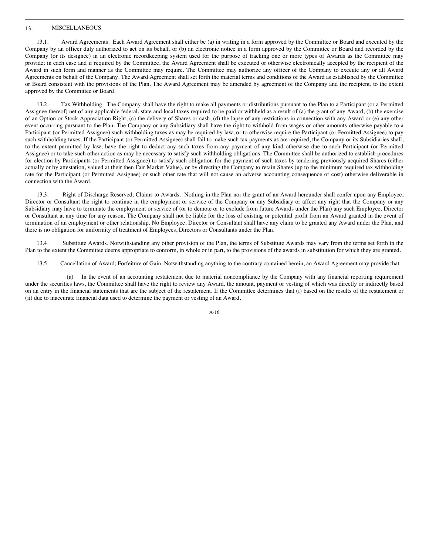# 13. MISCELLANEOUS

13.1. Award Agreements. Each Award Agreement shall either be (a) in writing in a form approved by the Committee or Board and executed by the Company by an officer duly authorized to act on its behalf, or (b) an electronic notice in a form approved by the Committee or Board and recorded by the Company (or its designee) in an electronic recordkeeping system used for the purpose of tracking one or more types of Awards as the Committee may provide; in each case and if required by the Committee, the Award Agreement shall be executed or otherwise electronically accepted by the recipient of the Award in such form and manner as the Committee may require. The Committee may authorize any officer of the Company to execute any or all Award Agreements on behalf of the Company. The Award Agreement shall set forth the material terms and conditions of the Award as established by the Committee or Board consistent with the provisions of the Plan. The Award Agreement may be amended by agreement of the Company and the recipient, to the extent approved by the Committee or Board.

13.2. Tax Withholding. The Company shall have the right to make all payments or distributions pursuant to the Plan to a Participant (or a Permitted Assignee thereof) net of any applicable federal, state and local taxes required to be paid or withheld as a result of (a) the grant of any Award, (b) the exercise of an Option or Stock Appreciation Right, (c) the delivery of Shares or cash, (d) the lapse of any restrictions in connection with any Award or (e) any other event occurring pursuant to the Plan. The Company or any Subsidiary shall have the right to withhold from wages or other amounts otherwise payable to a Participant (or Permitted Assignee) such withholding taxes as may be required by law, or to otherwise require the Participant (or Permitted Assignee) to pay such withholding taxes. If the Participant (or Permitted Assignee) shall fail to make such tax payments as are required, the Company or its Subsidiaries shall, to the extent permitted by law, have the right to deduct any such taxes from any payment of any kind otherwise due to such Participant (or Permitted Assignee) or to take such other action as may be necessary to satisfy such withholding obligations. The Committee shall be authorized to establish procedures for election by Participants (or Permitted Assignee) to satisfy such obligation for the payment of such taxes by tendering previously acquired Shares (either actually or by attestation, valued at their then Fair Market Value), or by directing the Company to retain Shares (up to the minimum required tax withholding rate for the Participant (or Permitted Assignee) or such other rate that will not cause an adverse accounting consequence or cost) otherwise deliverable in connection with the Award.

13.3. Right of Discharge Reserved; Claims to Awards. Nothing in the Plan nor the grant of an Award hereunder shall confer upon any Employee, Director or Consultant the right to continue in the employment or service of the Company or any Subsidiary or affect any right that the Company or any Subsidiary may have to terminate the employment or service of (or to demote or to exclude from future Awards under the Plan) any such Employee, Director or Consultant at any time for any reason. The Company shall not be liable for the loss of existing or potential profit from an Award granted in the event of termination of an employment or other relationship. No Employee, Director or Consultant shall have any claim to be granted any Award under the Plan, and there is no obligation for uniformity of treatment of Employees, Directors or Consultants under the Plan.

13.4. Substitute Awards. Notwithstanding any other provision of the Plan, the terms of Substitute Awards may vary from the terms set forth in the Plan to the extent the Committee deems appropriate to conform, in whole or in part, to the provisions of the awards in substitution for which they are granted.

13.5. Cancellation of Award; Forfeiture of Gain. Notwithstanding anything to the contrary contained herein, an Award Agreement may provide that

(a) In the event of an accounting restatement due to material noncompliance by the Company with any financial reporting requirement under the securities laws, the Committee shall have the right to review any Award, the amount, payment or vesting of which was directly or indirectly based on an entry in the financial statements that are the subject of the restatement. If the Committee determines that (i) based on the results of the restatement or (ii) due to inaccurate financial data used to determine the payment or vesting of an Award,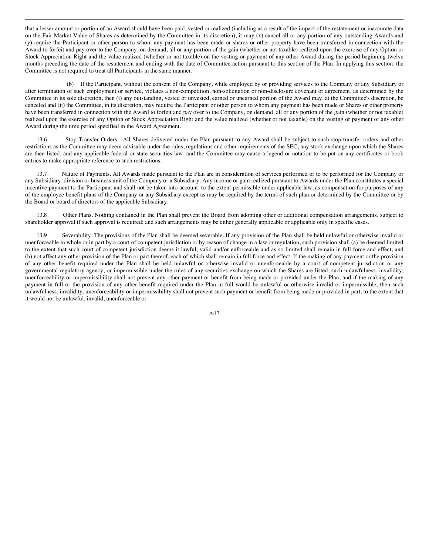that a lesser amount or portion of an Award should have been paid, vested or realized (including as a result of the impact of the restatement or inaccurate data on the Fair Market Value of Shares as determined by the Committee in its discretion), it may (x) cancel all or any portion of any outstanding Awards and (y) require the Participant or other person to whom any payment has been made or shares or other property have been transferred in connection with the Award to forfeit and pay over to the Company, on demand, all or any portion of the gain (whether or not taxable) realized upon the exercise of any Option or Stock Appreciation Right and the value realized (whether or not taxable) on the vesting or payment of any other Award during the period beginning twelve months preceding the date of the restatement and ending with the date of Committee action pursuant to this section of the Plan. In applying this section, the Committee is not required to treat all Participants in the same manner.

(b) If the Participant, without the consent of the Company, while employed by or providing services to the Company or any Subsidiary or after termination of such employment or service, violates a non-competition, non-solicitation or non-disclosure covenant or agreement, as determined by the Committee in its sole discretion, then (i) any outstanding, vested or unvested, earned or unearned portion of the Award may, at the Committee's discretion, be canceled and (ii) the Committee, in its discretion, may require the Participant or other person to whom any payment has been made or Shares or other property have been transferred in connection with the Award to forfeit and pay over to the Company, on demand, all or any portion of the gain (whether or not taxable) realized upon the exercise of any Option or Stock Appreciation Right and the value realized (whether or not taxable) on the vesting or payment of any other Award during the time period specified in the Award Agreement.

13.6. Stop Transfer Orders. All Shares delivered under the Plan pursuant to any Award shall be subject to such stop-transfer orders and other restrictions as the Committee may deem advisable under the rules, regulations and other requirements of the SEC, any stock exchange upon which the Shares are then listed, and any applicable federal or state securities law, and the Committee may cause a legend or notation to be put on any certificates or book entries to make appropriate reference to such restrictions.

13.7. Nature of Payments. All Awards made pursuant to the Plan are in consideration of services performed or to be performed for the Company or any Subsidiary, division or business unit of the Company or a Subsidiary. Any income or gain realized pursuant to Awards under the Plan constitutes a special incentive payment to the Participant and shall not be taken into account, to the extent permissible under applicable law, as compensation for purposes of any of the employee benefit plans of the Company or any Subsidiary except as may be required by the terms of such plan or determined by the Committee or by the Board or board of directors of the applicable Subsidiary.

13.8. Other Plans. Nothing contained in the Plan shall prevent the Board from adopting other or additional compensation arrangements, subject to shareholder approval if such approval is required; and such arrangements may be either generally applicable or applicable only in specific cases.

13.9. Severability. The provisions of the Plan shall be deemed severable. If any provision of the Plan shall be held unlawful or otherwise invalid or unenforceable in whole or in part by a court of competent jurisdiction or by reason of change in a law or regulation, such provision shall (a) be deemed limited to the extent that such court of competent jurisdiction deems it lawful, valid and/or enforceable and as so limited shall remain in full force and effect, and (b) not affect any other provision of the Plan or part thereof, each of which shall remain in full force and effect. If the making of any payment or the provision of any other benefit required under the Plan shall be held unlawful or otherwise invalid or unenforceable by a court of competent jurisdiction or any governmental regulatory agency, or impermissible under the rules of any securities exchange on which the Shares are listed, such unlawfulness, invalidity, unenforceability or impermissibility shall not prevent any other payment or benefit from being made or provided under the Plan, and if the making of any payment in full or the provision of any other benefit required under the Plan in full would be unlawful or otherwise invalid or impermissible, then such unlawfulness, invalidity, unenforceability or impermissibility shall not prevent such payment or benefit from being made or provided in part, to the extent that it would not be unlawful, invalid, unenforceable or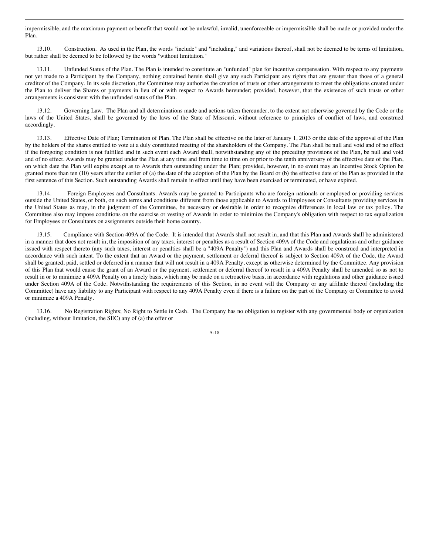impermissible, and the maximum payment or benefit that would not be unlawful, invalid, unenforceable or impermissible shall be made or provided under the Plan.

13.10. Construction. As used in the Plan, the words "include" and "including," and variations thereof, shall not be deemed to be terms of limitation, but rather shall be deemed to be followed by the words "without limitation."

13.11. Unfunded Status of the Plan. The Plan is intended to constitute an "unfunded" plan for incentive compensation. With respect to any payments not yet made to a Participant by the Company, nothing contained herein shall give any such Participant any rights that are greater than those of a general creditor of the Company. In its sole discretion, the Committee may authorize the creation of trusts or other arrangements to meet the obligations created under the Plan to deliver the Shares or payments in lieu of or with respect to Awards hereunder; provided, however, that the existence of such trusts or other arrangements is consistent with the unfunded status of the Plan.

13.12. Governing Law. The Plan and all determinations made and actions taken thereunder, to the extent not otherwise governed by the Code or the laws of the United States, shall be governed by the laws of the State of Missouri, without reference to principles of conflict of laws, and construed accordingly.

13.13. Effective Date of Plan; Termination of Plan. The Plan shall be effective on the later of January 1, 2013 or the date of the approval of the Plan by the holders of the shares entitled to vote at a duly constituted meeting of the shareholders of the Company. The Plan shall be null and void and of no effect if the foregoing condition is not fulfilled and in such event each Award shall, notwithstanding any of the preceding provisions of the Plan, be null and void and of no effect. Awards may be granted under the Plan at any time and from time to time on or prior to the tenth anniversary of the effective date of the Plan, on which date the Plan will expire except as to Awards then outstanding under the Plan; provided, however, in no event may an Incentive Stock Option be granted more than ten (10) years after the earlier of (a) the date of the adoption of the Plan by the Board or (b) the effective date of the Plan as provided in the first sentence of this Section. Such outstanding Awards shall remain in effect until they have been exercised or terminated, or have expired.

13.14. Foreign Employees and Consultants. Awards may be granted to Participants who are foreign nationals or employed or providing services outside the United States, or both, on such terms and conditions different from those applicable to Awards to Employees or Consultants providing services in the United States as may, in the judgment of the Committee, be necessary or desirable in order to recognize differences in local law or tax policy. The Committee also may impose conditions on the exercise or vesting of Awards in order to minimize the Company's obligation with respect to tax equalization for Employees or Consultants on assignments outside their home country.

13.15. Compliance with Section 409A of the Code. It is intended that Awards shall not result in, and that this Plan and Awards shall be administered in a manner that does not result in, the imposition of any taxes, interest or penalties as a result of Section 409A of the Code and regulations and other guidance issued with respect thereto (any such taxes, interest or penalties shall be a "409A Penalty") and this Plan and Awards shall be construed and interpreted in accordance with such intent. To the extent that an Award or the payment, settlement or deferral thereof is subject to Section 409A of the Code, the Award shall be granted, paid, settled or deferred in a manner that will not result in a 409A Penalty, except as otherwise determined by the Committee. Any provision of this Plan that would cause the grant of an Award or the payment, settlement or deferral thereof to result in a 409A Penalty shall be amended so as not to result in or to minimize a 409A Penalty on a timely basis, which may be made on a retroactive basis, in accordance with regulations and other guidance issued under Section 409A of the Code. Notwithstanding the requirements of this Section, in no event will the Company or any affiliate thereof (including the Committee) have any liability to any Participant with respect to any 409A Penalty even if there is a failure on the part of the Company or Committee to avoid or minimize a 409A Penalty.

13.16. No Registration Rights; No Right to Settle in Cash. The Company has no obligation to register with any governmental body or organization (including, without limitation, the SEC) any of (a) the offer or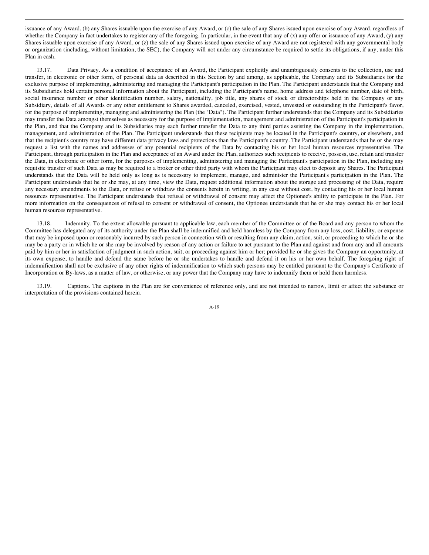issuance of any Award, (b) any Shares issuable upon the exercise of any Award, or (c) the sale of any Shares issued upon exercise of any Award, regardless of whether the Company in fact undertakes to register any of the foregoing. In particular, in the event that any of  $(x)$  any offer or issuance of any Award,  $(y)$  any Shares issuable upon exercise of any Award, or (z) the sale of any Shares issued upon exercise of any Award are not registered with any governmental body or organization (including, without limitation, the SEC), the Company will not under any circumstance be required to settle its obligations, if any, under this Plan in cash.

13.17. Data Privacy. As a condition of acceptance of an Award, the Participant explicitly and unambiguously consents to the collection, use and transfer, in electronic or other form, of personal data as described in this Section by and among, as applicable, the Company and its Subsidiaries for the exclusive purpose of implementing, administering and managing the Participant's participation in the Plan. The Participant understands that the Company and its Subsidiaries hold certain personal information about the Participant, including the Participant's name, home address and telephone number, date of birth, social insurance number or other identification number, salary, nationality, job title, any shares of stock or directorships held in the Company or any Subsidiary, details of all Awards or any other entitlement to Shares awarded, canceled, exercised, vested, unvested or outstanding in the Participant's favor, for the purpose of implementing, managing and administering the Plan (the "Data"). The Participant further understands that the Company and its Subsidiaries may transfer the Data amongst themselves as necessary for the purpose of implementation, management and administration of the Participant's participation in the Plan, and that the Company and its Subsidiaries may each further transfer the Data to any third parties assisting the Company in the implementation, management, and administration of the Plan. The Participant understands that these recipients may be located in the Participant's country, or elsewhere, and that the recipient's country may have different data privacy laws and protections than the Participant's country. The Participant understands that he or she may request a list with the names and addresses of any potential recipients of the Data by contacting his or her local human resources representative. The Participant, through participation in the Plan and acceptance of an Award under the Plan, authorizes such recipients to receive, possess, use, retain and transfer the Data, in electronic or other form, for the purposes of implementing, administering and managing the Participant's participation in the Plan, including any requisite transfer of such Data as may be required to a broker or other third party with whom the Participant may elect to deposit any Shares. The Participant understands that the Data will be held only as long as is necessary to implement, manage, and administer the Participant's participation in the Plan. The Participant understands that he or she may, at any time, view the Data, request additional information about the storage and processing of the Data, require any necessary amendments to the Data, or refuse or withdraw the consents herein in writing, in any case without cost, by contacting his or her local human resources representative. The Participant understands that refusal or withdrawal of consent may affect the Optionee's ability to participate in the Plan. For more information on the consequences of refusal to consent or withdrawal of consent, the Optionee understands that he or she may contact his or her local human resources representative.

13.18. Indemnity. To the extent allowable pursuant to applicable law, each member of the Committee or of the Board and any person to whom the Committee has delegated any of its authority under the Plan shall be indemnified and held harmless by the Company from any loss, cost, liability, or expense that may be imposed upon or reasonably incurred by such person in connection with or resulting from any claim, action, suit, or proceeding to which he or she may be a party or in which he or she may be involved by reason of any action or failure to act pursuant to the Plan and against and from any and all amounts paid by him or her in satisfaction of judgment in such action, suit, or proceeding against him or her; provided he or she gives the Company an opportunity, at its own expense, to handle and defend the same before he or she undertakes to handle and defend it on his or her own behalf. The foregoing right of indemnification shall not be exclusive of any other rights of indemnification to which such persons may be entitled pursuant to the Company's Certificate of Incorporation or By-laws, as a matter of law, or otherwise, or any power that the Company may have to indemnify them or hold them harmless.

13.19. Captions. The captions in the Plan are for convenience of reference only, and are not intended to narrow, limit or affect the substance or interpretation of the provisions contained herein.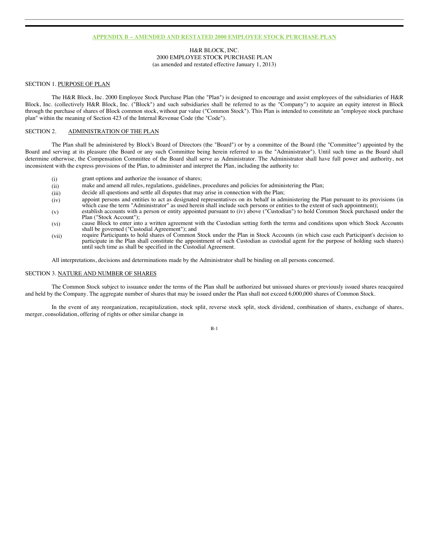### **APPENDIX B – AMENDED AND RESTATED 2000 EMPLOYEE STOCK PURCHASE PLAN**

H&R BLOCK, INC. 2000 EMPLOYEE STOCK PURCHASE PLAN (as amended and restated effective January 1, 2013)

### SECTION 1. PURPOSE OF PLAN

The H&R Block, Inc. 2000 Employee Stock Purchase Plan (the "Plan") is designed to encourage and assist employees of the subsidiaries of H&R Block, Inc. (collectively H&R Block, Inc. ("Block") and such subsidiaries shall be referred to as the "Company") to acquire an equity interest in Block through the purchase of shares of Block common stock, without par value ("Common Stock"). This Plan is intended to constitute an "employee stock purchase plan" within the meaning of Section 423 of the Internal Revenue Code (the "Code").

# SECTION 2. ADMINISTRATION OF THE PLAN

The Plan shall be administered by Block's Board of Directors (the "Board") or by a committee of the Board (the "Committee") appointed by the Board and serving at its pleasure (the Board or any such Committee being herein referred to as the "Administrator"). Until such time as the Board shall determine otherwise, the Compensation Committee of the Board shall serve as Administrator. The Administrator shall have full power and authority, not inconsistent with the express provisions of the Plan, to administer and interpret the Plan, including the authority to:

- (i) grant options and authorize the issuance of shares;
- (ii) make and amend all rules, regulations, guidelines, procedures and policies for administering the Plan;
- (iii) decide all questions and settle all disputes that may arise in connection with the Plan;
- (iv) appoint persons and entities to act as designated representatives on its behalf in administering the Plan pursuant to its provisions (in which case the term "Administrator" as used herein shall include such persons or entities to the extent of such appointment);
- (v) establish accounts with a person or entity appointed pursuant to (iv) above ("Custodian") to hold Common Stock purchased under the Plan ("Stock Account");
- (vi) cause Block to enter into a written agreement with the Custodian setting forth the terms and conditions upon which Stock Accounts shall be governed ("Custodial Agreement"); and
- (vii) require Participants to hold shares of Common Stock under the Plan in Stock Accounts (in which case each Participant's decision to participate in the Plan shall constitute the appointment of such Custodian as custodial agent for the purpose of holding such shares) until such time as shall be specified in the Custodial Agreement.

All interpretations, decisions and determinations made by the Administrator shall be binding on all persons concerned.

# SECTION 3. NATURE AND NUMBER OF SHARES

The Common Stock subject to issuance under the terms of the Plan shall be authorized but unissued shares or previously issued shares reacquired and held by the Company. The aggregate number of shares that may be issued under the Plan shall not exceed 6,000,000 shares of Common Stock.

In the event of any reorganization, recapitalization, stock split, reverse stock split, stock dividend, combination of shares, exchange of shares, merger, consolidation, offering of rights or other similar change in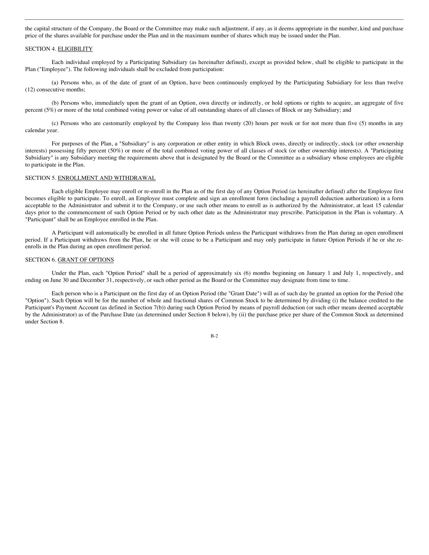the capital structure of the Company, the Board or the Committee may make such adjustment, if any, as it deems appropriate in the number, kind and purchase price of the shares available for purchase under the Plan and in the maximum number of shares which may be issued under the Plan.

#### SECTION 4. ELIGIBILITY

Each individual employed by a Participating Subsidiary (as hereinafter defined), except as provided below, shall be eligible to participate in the Plan ("Employee"). The following individuals shall be excluded from participation:

(a) Persons who, as of the date of grant of an Option, have been continuously employed by the Participating Subsidiary for less than twelve (12) consecutive months;

(b) Persons who, immediately upon the grant of an Option, own directly or indirectly, or hold options or rights to acquire, an aggregate of five percent (5%) or more of the total combined voting power or value of all outstanding shares of all classes of Block or any Subsidiary; and

(c) Persons who are customarily employed by the Company less than twenty (20) hours per week or for not more than five (5) months in any calendar year.

For purposes of the Plan, a "Subsidiary" is any corporation or other entity in which Block owns, directly or indirectly, stock (or other ownership interests) possessing fifty percent (50%) or more of the total combined voting power of all classes of stock (or other ownership interests). A "Participating Subsidiary" is any Subsidiary meeting the requirements above that is designated by the Board or the Committee as a subsidiary whose employees are eligible to participate in the Plan.

# SECTION 5. ENROLLMENT AND WITHDRAWAL

Each eligible Employee may enroll or re-enroll in the Plan as of the first day of any Option Period (as hereinafter defined) after the Employee first becomes eligible to participate. To enroll, an Employee must complete and sign an enrollment form (including a payroll deduction authorization) in a form acceptable to the Administrator and submit it to the Company, or use such other means to enroll as is authorized by the Administrator, at least 15 calendar days prior to the commencement of such Option Period or by such other date as the Administrator may prescribe. Participation in the Plan is voluntary. A "Participant" shall be an Employee enrolled in the Plan.

A Participant will automatically be enrolled in all future Option Periods unless the Participant withdraws from the Plan during an open enrollment period. If a Participant withdraws from the Plan, he or she will cease to be a Participant and may only participate in future Option Periods if he or she reenrolls in the Plan during an open enrollment period.

### SECTION 6. GRANT OF OPTIONS

Under the Plan, each "Option Period" shall be a period of approximately six (6) months beginning on January 1 and July 1, respectively, and ending on June 30 and December 31, respectively, or such other period as the Board or the Committee may designate from time to time.

Each person who is a Participant on the first day of an Option Period (the "Grant Date") will as of such day be granted an option for the Period (the "Option"). Such Option will be for the number of whole and fractional shares of Common Stock to be determined by dividing (i) the balance credited to the Participant's Payment Account (as defined in Section 7(b)) during such Option Period by means of payroll deduction (or such other means deemed acceptable by the Administrator) as of the Purchase Date (as determined under Section 8 below), by (ii) the purchase price per share of the Common Stock as determined under Section 8.

B-2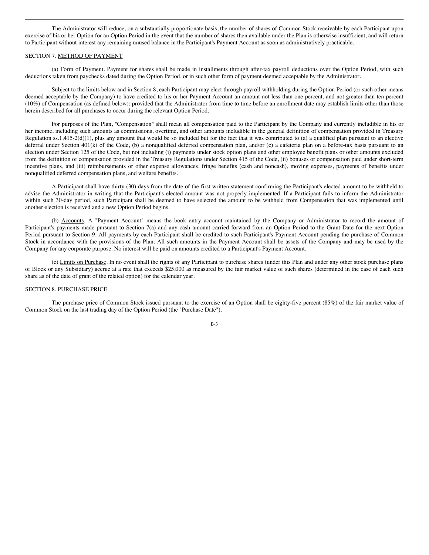The Administrator will reduce, on a substantially proportionate basis, the number of shares of Common Stock receivable by each Participant upon exercise of his or her Option for an Option Period in the event that the number of shares then available under the Plan is otherwise insufficient, and will return to Participant without interest any remaining unused balance in the Participant's Payment Account as soon as administratively practicable.

#### SECTION 7. METHOD OF PAYMENT

(a) Form of Payment. Payment for shares shall be made in installments through after-tax payroll deductions over the Option Period, with such deductions taken from paychecks dated during the Option Period, or in such other form of payment deemed acceptable by the Administrator.

Subject to the limits below and in Section 8, each Participant may elect through payroll withholding during the Option Period (or such other means deemed acceptable by the Company) to have credited to his or her Payment Account an amount not less than one percent, and not greater than ten percent (10%) of Compensation (as defined below); provided that the Administrator from time to time before an enrollment date may establish limits other than those herein described for all purchases to occur during the relevant Option Period.

For purposes of the Plan, "Compensation" shall mean all compensation paid to the Participant by the Company and currently includible in his or her income, including such amounts as commissions, overtime, and other amounts includible in the general definition of compensation provided in Treasury Regulation ss.1.415-2(d)(1), plus any amount that would be so included but for the fact that it was contributed to (a) a qualified plan pursuant to an elective deferral under Section 401(k) of the Code, (b) a nonqualified deferred compensation plan, and/or (c) a cafeteria plan on a before-tax basis pursuant to an election under Section 125 of the Code, but not including (i) payments under stock option plans and other employee benefit plans or other amounts excluded from the definition of compensation provided in the Treasury Regulations under Section 415 of the Code, (ii) bonuses or compensation paid under short-term incentive plans, and (iii) reimbursements or other expense allowances, fringe benefits (cash and noncash), moving expenses, payments of benefits under nonqualified deferred compensation plans, and welfare benefits.

A Participant shall have thirty (30) days from the date of the first written statement confirming the Participant's elected amount to be withheld to advise the Administrator in writing that the Participant's elected amount was not properly implemented. If a Participant fails to inform the Administrator within such 30-day period, such Participant shall be deemed to have selected the amount to be withheld from Compensation that was implemented until another election is received and a new Option Period begins.

(b) Accounts. A "Payment Account" means the book entry account maintained by the Company or Administrator to record the amount of Participant's payments made pursuant to Section 7(a) and any cash amount carried forward from an Option Period to the Grant Date for the next Option Period pursuant to Section 9. All payments by each Participant shall be credited to such Participant's Payment Account pending the purchase of Common Stock in accordance with the provisions of the Plan. All such amounts in the Payment Account shall be assets of the Company and may be used by the Company for any corporate purpose. No interest will be paid on amounts credited to a Participant's Payment Account.

(c) Limits on Purchase. In no event shall the rights of any Participant to purchase shares (under this Plan and under any other stock purchase plans of Block or any Subsidiary) accrue at a rate that exceeds \$25,000 as measured by the fair market value of such shares (determined in the case of each such share as of the date of grant of the related option) for the calendar year.

## SECTION 8. PURCHASE PRICE

The purchase price of Common Stock issued pursuant to the exercise of an Option shall be eighty-five percent (85%) of the fair market value of Common Stock on the last trading day of the Option Period (the "Purchase Date").

B-3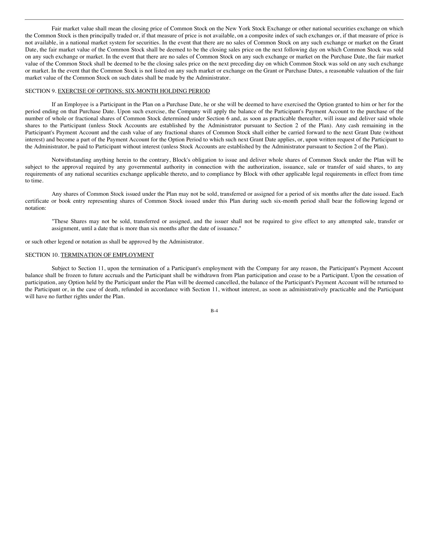Fair market value shall mean the closing price of Common Stock on the New York Stock Exchange or other national securities exchange on which the Common Stock is then principally traded or, if that measure of price is not available, on a composite index of such exchanges or, if that measure of price is not available, in a national market system for securities. In the event that there are no sales of Common Stock on any such exchange or market on the Grant Date, the fair market value of the Common Stock shall be deemed to be the closing sales price on the next following day on which Common Stock was sold on any such exchange or market. In the event that there are no sales of Common Stock on any such exchange or market on the Purchase Date, the fair market value of the Common Stock shall be deemed to be the closing sales price on the next preceding day on which Common Stock was sold on any such exchange or market. In the event that the Common Stock is not listed on any such market or exchange on the Grant or Purchase Dates, a reasonable valuation of the fair market value of the Common Stock on such dates shall be made by the Administrator.

#### SECTION 9. EXERCISE OF OPTIONS; SIX-MONTH HOLDING PERIOD

If an Employee is a Participant in the Plan on a Purchase Date, he or she will be deemed to have exercised the Option granted to him or her for the period ending on that Purchase Date. Upon such exercise, the Company will apply the balance of the Participant's Payment Account to the purchase of the number of whole or fractional shares of Common Stock determined under Section 6 and, as soon as practicable thereafter, will issue and deliver said whole shares to the Participant (unless Stock Accounts are established by the Administrator pursuant to Section 2 of the Plan). Any cash remaining in the Participant's Payment Account and the cash value of any fractional shares of Common Stock shall either be carried forward to the next Grant Date (without interest) and become a part of the Payment Account for the Option Period to which such next Grant Date applies, or, upon written request of the Participant to the Administrator, be paid to Participant without interest (unless Stock Accounts are established by the Administrator pursuant to Section 2 of the Plan).

Notwithstanding anything herein to the contrary, Block's obligation to issue and deliver whole shares of Common Stock under the Plan will be subject to the approval required by any governmental authority in connection with the authorization, issuance, sale or transfer of said shares, to any requirements of any national securities exchange applicable thereto, and to compliance by Block with other applicable legal requirements in effect from time to time.

Any shares of Common Stock issued under the Plan may not be sold, transferred or assigned for a period of six months after the date issued. Each certificate or book entry representing shares of Common Stock issued under this Plan during such six-month period shall bear the following legend or notation:

"These Shares may not be sold, transferred or assigned, and the issuer shall not be required to give effect to any attempted sale, transfer or assignment, until a date that is more than six months after the date of issuance."

or such other legend or notation as shall be approved by the Administrator.

#### SECTION 10. TERMINATION OF EMPLOYMENT

Subject to Section 11, upon the termination of a Participant's employment with the Company for any reason, the Participant's Payment Account balance shall be frozen to future accruals and the Participant shall be withdrawn from Plan participation and cease to be a Participant. Upon the cessation of participation, any Option held by the Participant under the Plan will be deemed cancelled, the balance of the Participant's Payment Account will be returned to the Participant or, in the case of death, refunded in accordance with Section 11, without interest, as soon as administratively practicable and the Participant will have no further rights under the Plan.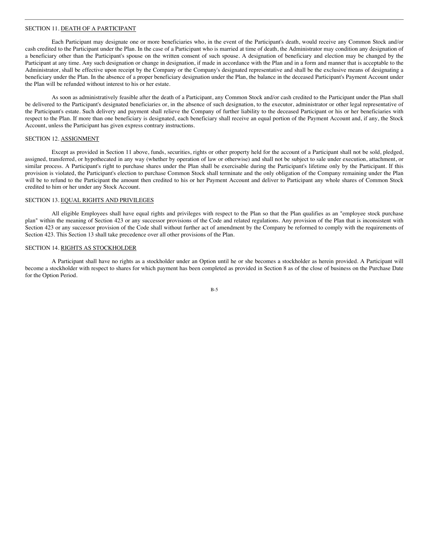## SECTION 11. DEATH OF A PARTICIPANT

Each Participant may designate one or more beneficiaries who, in the event of the Participant's death, would receive any Common Stock and/or cash credited to the Participant under the Plan. In the case of a Participant who is married at time of death, the Administrator may condition any designation of a beneficiary other than the Participant's spouse on the written consent of such spouse. A designation of beneficiary and election may be changed by the Participant at any time. Any such designation or change in designation, if made in accordance with the Plan and in a form and manner that is acceptable to the Administrator, shall be effective upon receipt by the Company or the Company's designated representative and shall be the exclusive means of designating a beneficiary under the Plan. In the absence of a proper beneficiary designation under the Plan, the balance in the deceased Participant's Payment Account under the Plan will be refunded without interest to his or her estate.

As soon as administratively feasible after the death of a Participant, any Common Stock and/or cash credited to the Participant under the Plan shall be delivered to the Participant's designated beneficiaries or, in the absence of such designation, to the executor, administrator or other legal representative of the Participant's estate. Such delivery and payment shall relieve the Company of further liability to the deceased Participant or his or her beneficiaries with respect to the Plan. If more than one beneficiary is designated, each beneficiary shall receive an equal portion of the Payment Account and, if any, the Stock Account, unless the Participant has given express contrary instructions.

## SECTION 12. ASSIGNMENT

Except as provided in Section 11 above, funds, securities, rights or other property held for the account of a Participant shall not be sold, pledged, assigned, transferred, or hypothecated in any way (whether by operation of law or otherwise) and shall not be subject to sale under execution, attachment, or similar process. A Participant's right to purchase shares under the Plan shall be exercisable during the Participant's lifetime only by the Participant. If this provision is violated, the Participant's election to purchase Common Stock shall terminate and the only obligation of the Company remaining under the Plan will be to refund to the Participant the amount then credited to his or her Payment Account and deliver to Participant any whole shares of Common Stock credited to him or her under any Stock Account.

# SECTION 13. EQUAL RIGHTS AND PRIVILEGES

All eligible Employees shall have equal rights and privileges with respect to the Plan so that the Plan qualifies as an "employee stock purchase plan" within the meaning of Section 423 or any successor provisions of the Code and related regulations. Any provision of the Plan that is inconsistent with Section 423 or any successor provision of the Code shall without further act of amendment by the Company be reformed to comply with the requirements of Section 423. This Section 13 shall take precedence over all other provisions of the Plan.

# SECTION 14. RIGHTS AS STOCKHOLDER

A Participant shall have no rights as a stockholder under an Option until he or she becomes a stockholder as herein provided. A Participant will become a stockholder with respect to shares for which payment has been completed as provided in Section 8 as of the close of business on the Purchase Date for the Option Period.

B-5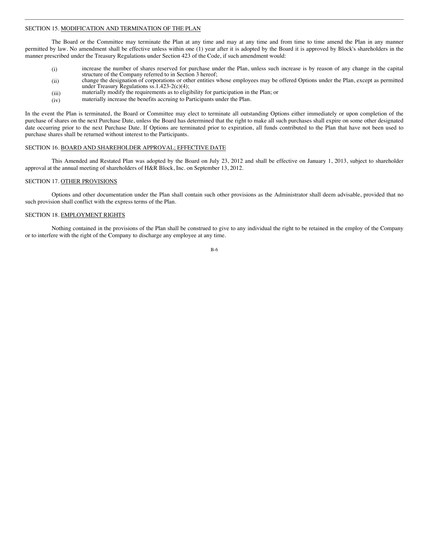# SECTION 15. MODIFICATION AND TERMINATION OF THE PLAN

The Board or the Committee may terminate the Plan at any time and may at any time and from time to time amend the Plan in any manner permitted by law. No amendment shall be effective unless within one (1) year after it is adopted by the Board it is approved by Block's shareholders in the manner prescribed under the Treasury Regulations under Section 423 of the Code, if such amendment would:

- (i) increase the number of shares reserved for purchase under the Plan, unless such increase is by reason of any change in the capital structure of the Company referred to in Section 3 hereof;
- (ii) change the designation of corporations or other entities whose employees may be offered Options under the Plan, except as permitted under Treasury Regulations ss.1.423-2(c)(4);
- (iii) materially modify the requirements as to eligibility for participation in the Plan; or
- (iv) materially increase the benefits accruing to Participants under the Plan.

In the event the Plan is terminated, the Board or Committee may elect to terminate all outstanding Options either immediately or upon completion of the purchase of shares on the next Purchase Date, unless the Board has determined that the right to make all such purchases shall expire on some other designated date occurring prior to the next Purchase Date. If Options are terminated prior to expiration, all funds contributed to the Plan that have not been used to purchase shares shall be returned without interest to the Participants.

### SECTION 16. BOARD AND SHAREHOLDER APPROVAL; EFFECTIVE DATE

This Amended and Restated Plan was adopted by the Board on July 23, 2012 and shall be effective on January 1, 2013, subject to shareholder approval at the annual meeting of shareholders of H&R Block, Inc. on September 13, 2012.

# SECTION 17. OTHER PROVISIONS

Options and other documentation under the Plan shall contain such other provisions as the Administrator shall deem advisable, provided that no such provision shall conflict with the express terms of the Plan.

# SECTION 18. EMPLOYMENT RIGHTS

Nothing contained in the provisions of the Plan shall be construed to give to any individual the right to be retained in the employ of the Company or to interfere with the right of the Company to discharge any employee at any time.

B-6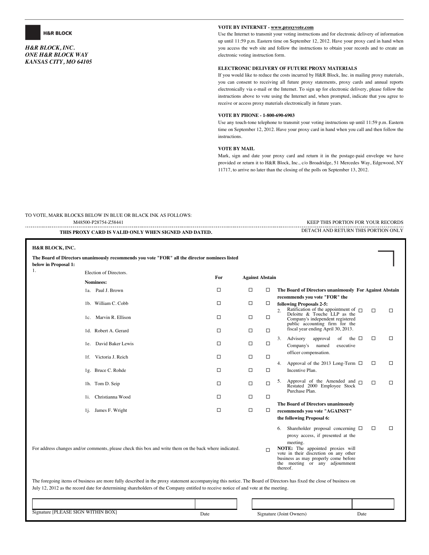

*H&R BLOCK, INC. ONE H&R BLOCK WAY KANSAS CITY, MO 64105*

### **VOTE BY INTERNET - www.proxyvote.com**

Use the Internet to transmit your voting instructions and for electronic delivery of information up until 11:59 p.m. Eastern time on September 12, 2012. Have your proxy card in hand when you access the web site and follow the instructions to obtain your records and to create an electronic voting instruction form.

## **ELECTRONIC DELIVERY OF FUTURE PROXY MATERIALS**

If you would like to reduce the costs incurred by H&R Block, Inc. in mailing proxy materials, you can consent to receiving all future proxy statements, proxy cards and annual reports electronically via e-mail or the Internet. To sign up for electronic delivery, please follow the instructions above to vote using the Internet and, when prompted, indicate that you agree to receive or access proxy materials electronically in future years.

## **VOTE BY PHONE - 1-800-690-6903**

Use any touch-tone telephone to transmit your voting instructions up until 11:59 p.m. Eastern time on September 12, 2012. Have your proxy card in hand when you call and then follow the instructions.

#### **VOTE BY MAIL**

M48500-P28754-Z58441 KEEP THIS PORTION FOR YOUR RECORDS

Mark, sign and date your proxy card and return it in the postage-paid envelope we have provided or return it to H&R Block, Inc., c/o Broadridge, 51 Mercedes Way, Edgewood, NY 11717, to arrive no later than the closing of the polls on September 13, 2012.

TO VOTE, MARK BLOCKS BELOW IN BLUE OR BLACK INK AS FOLLOWS:

| THIS PROXY CARD IS VALID ONLY WHEN SIGNED AND DATED.                                                   |                                                                                                                                                                                                                                                                                                            |        |                        | DETACH AND RETURN THIS PORTION ONLY |                                                                                                                                                                                                                                                                            |  |  |  |
|--------------------------------------------------------------------------------------------------------|------------------------------------------------------------------------------------------------------------------------------------------------------------------------------------------------------------------------------------------------------------------------------------------------------------|--------|------------------------|-------------------------------------|----------------------------------------------------------------------------------------------------------------------------------------------------------------------------------------------------------------------------------------------------------------------------|--|--|--|
| H&R BLOCK, INC.<br>below in Proposal 1:                                                                | The Board of Directors unanimously recommends you vote "FOR" all the director nominees listed                                                                                                                                                                                                              |        |                        |                                     |                                                                                                                                                                                                                                                                            |  |  |  |
| 1.                                                                                                     | Election of Directors.                                                                                                                                                                                                                                                                                     |        |                        |                                     |                                                                                                                                                                                                                                                                            |  |  |  |
|                                                                                                        | Nominees:                                                                                                                                                                                                                                                                                                  | For    | <b>Against Abstain</b> |                                     |                                                                                                                                                                                                                                                                            |  |  |  |
|                                                                                                        | 1a. Paul J. Brown                                                                                                                                                                                                                                                                                          | □      | $\Box$                 | □                                   | The Board of Directors unanimously For Against Abstain                                                                                                                                                                                                                     |  |  |  |
|                                                                                                        | 1b. William C. Cobb                                                                                                                                                                                                                                                                                        | □      | $\Box$                 | □                                   | recommends you vote "FOR" the<br>following Proposals 2-5:                                                                                                                                                                                                                  |  |  |  |
|                                                                                                        | 1c. Marvin R. Ellison                                                                                                                                                                                                                                                                                      | □      | $\Box$                 | $\Box$                              | Ratification of the appointment of $\Box$<br>$\Box$<br>$\Box$<br>Deloitte & Touche LLP as the<br>Company's independent registered<br>public accounting firm for the                                                                                                        |  |  |  |
|                                                                                                        | 1d. Robert A. Gerard                                                                                                                                                                                                                                                                                       | □      | $\Box$                 | $\Box$                              | fiscal year ending April 30, 2013.                                                                                                                                                                                                                                         |  |  |  |
|                                                                                                        | 1e. David Baker Lewis                                                                                                                                                                                                                                                                                      | □      | $\Box$                 | □                                   | □<br>□<br>3.<br>Advisory<br>approval<br>of the $\square$<br>Company's named<br>executive<br>officer compensation.                                                                                                                                                          |  |  |  |
|                                                                                                        | 1f. Victoria J. Reich                                                                                                                                                                                                                                                                                      | □      | $\Box$                 | $\Box$                              |                                                                                                                                                                                                                                                                            |  |  |  |
|                                                                                                        | 1g. Bruce C. Rohde                                                                                                                                                                                                                                                                                         | $\Box$ | $\Box$                 | $\Box$                              | Approval of the 2013 Long-Term $\Box$<br>□<br>□<br>4.<br>Incentive Plan.                                                                                                                                                                                                   |  |  |  |
|                                                                                                        | 1h. Tom D. Seip                                                                                                                                                                                                                                                                                            | □      | $\Box$                 | □                                   | 5. Approval of the Amended and $\Box$<br>□<br>□<br>Restated 2000 Employee Stock<br>Purchase Plan.                                                                                                                                                                          |  |  |  |
|                                                                                                        | 1i. Christianna Wood                                                                                                                                                                                                                                                                                       | □      | □                      | □                                   |                                                                                                                                                                                                                                                                            |  |  |  |
|                                                                                                        | 1j. James F. Wright                                                                                                                                                                                                                                                                                        | $\Box$ | $\Box$                 | □                                   | The Board of Directors unanimously<br>recommends you vote "AGAINST"<br>the following Proposal 6:                                                                                                                                                                           |  |  |  |
| For address changes and/or comments, please check this box and write them on the back where indicated. |                                                                                                                                                                                                                                                                                                            |        |                        | $\Box$                              | Shareholder proposal concerning $\Box$<br>□<br>□<br>6.<br>proxy access, if presented at the<br>meeting.<br>NOTE: The appointed proxies will<br>vote in their discretion on any other<br>business as may properly come before<br>the meeting or any adjournment<br>thereof. |  |  |  |
|                                                                                                        | The foregoing items of business are more fully described in the proxy statement accompanying this notice. The Board of Directors has fixed the close of business on<br>July 12, 2012 as the record date for determining shareholders of the Company entitled to receive notice of and vote at the meeting. |        |                        |                                     |                                                                                                                                                                                                                                                                            |  |  |  |

| <b>WITHIN BOX</b><br>Signature [PLEASE,<br>' SIGN | Date | Signature (Joint Owners) | Date |  |
|---------------------------------------------------|------|--------------------------|------|--|